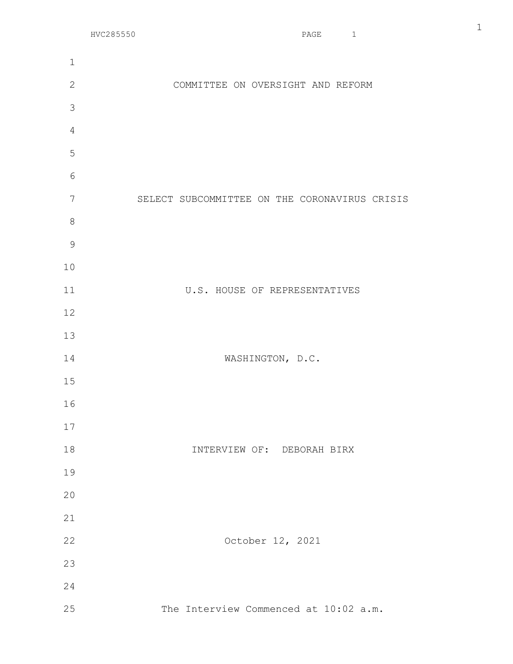| $\mathbf 1$    |                                               |
|----------------|-----------------------------------------------|
| $\mathbf{2}$   | COMMITTEE ON OVERSIGHT AND REFORM             |
| 3              |                                               |
| $\overline{4}$ |                                               |
| 5              |                                               |
| 6              |                                               |
| 7              | SELECT SUBCOMMITTEE ON THE CORONAVIRUS CRISIS |
| $\,8\,$        |                                               |
| $\mathcal{G}$  |                                               |
| 10             |                                               |
| 11             | U.S. HOUSE OF REPRESENTATIVES                 |
| 12             |                                               |
| 13             |                                               |
| 14             | WASHINGTON, D.C.                              |
| 15             |                                               |
| 16             |                                               |
| 17             |                                               |
| 18             | INTERVIEW OF: DEBORAH BIRX                    |
| 19             |                                               |
| 20             |                                               |
| 21             |                                               |
| 22             | October 12, 2021                              |
| 23             |                                               |
| 24             |                                               |
| 25             | The Interview Commenced at 10:02 a.m.         |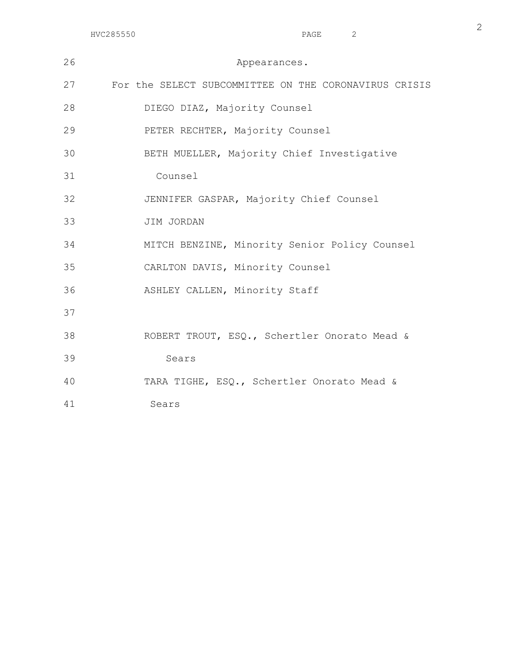| 26 | Appearances.                                          |
|----|-------------------------------------------------------|
| 27 | For the SELECT SUBCOMMITTEE ON THE CORONAVIRUS CRISIS |
| 28 | DIEGO DIAZ, Majority Counsel                          |
| 29 | PETER RECHTER, Majority Counsel                       |
| 30 | BETH MUELLER, Majority Chief Investigative            |
| 31 | Counsel                                               |
| 32 | JENNIFER GASPAR, Majority Chief Counsel               |
| 33 | JIM JORDAN                                            |
| 34 | MITCH BENZINE, Minority Senior Policy Counsel         |
| 35 | CARLTON DAVIS, Minority Counsel                       |
| 36 | ASHLEY CALLEN, Minority Staff                         |
| 37 |                                                       |
| 38 | ROBERT TROUT, ESQ., Schertler Onorato Mead &          |
| 39 | Sears                                                 |
| 40 | TARA TIGHE, ESQ., Schertler Onorato Mead &            |
| 41 | Sears                                                 |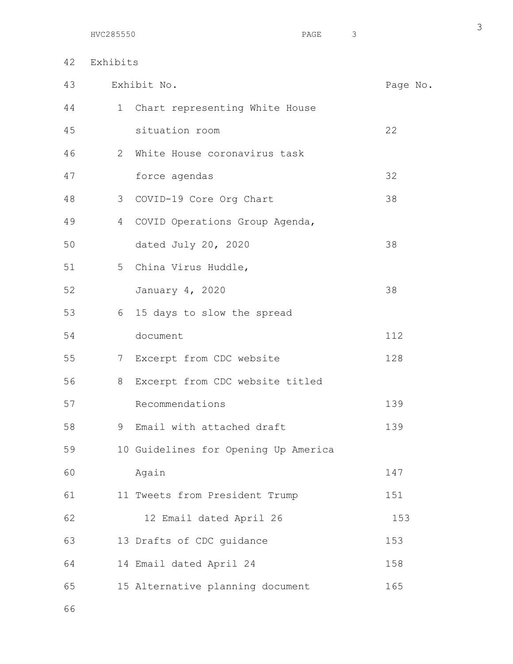42 Exhibits

| 43 | Exhibit No.<br>Page No. |                                      |     |  |
|----|-------------------------|--------------------------------------|-----|--|
| 44 | 1                       | Chart representing White House       |     |  |
| 45 |                         | situation room                       | 22  |  |
| 46 | $\overline{2}$          | White House coronavirus task         |     |  |
| 47 |                         | force agendas                        | 32  |  |
| 48 |                         | 3 COVID-19 Core Org Chart            | 38  |  |
| 49 | $4\overline{ }$         | COVID Operations Group Agenda,       |     |  |
| 50 |                         | dated July 20, 2020                  | 38  |  |
| 51 |                         | 5 China Virus Huddle,                |     |  |
| 52 |                         | January 4, 2020                      | 38  |  |
| 53 | 6                       | 15 days to slow the spread           |     |  |
| 54 |                         | document                             | 112 |  |
| 55 |                         | 7 Excerpt from CDC website           | 128 |  |
| 56 | 8                       | Excerpt from CDC website titled      |     |  |
| 57 |                         | Recommendations                      | 139 |  |
| 58 | 9                       | Email with attached draft            | 139 |  |
| 59 |                         | 10 Guidelines for Opening Up America |     |  |
| 60 |                         | Again                                | 147 |  |
| 61 |                         | 11 Tweets from President Trump       | 151 |  |
| 62 |                         | 12 Email dated April 26              | 153 |  |
| 63 |                         | 13 Drafts of CDC guidance            | 153 |  |
| 64 |                         | 14 Email dated April 24              | 158 |  |
| 65 |                         | 15 Alternative planning document     | 165 |  |
|    |                         |                                      |     |  |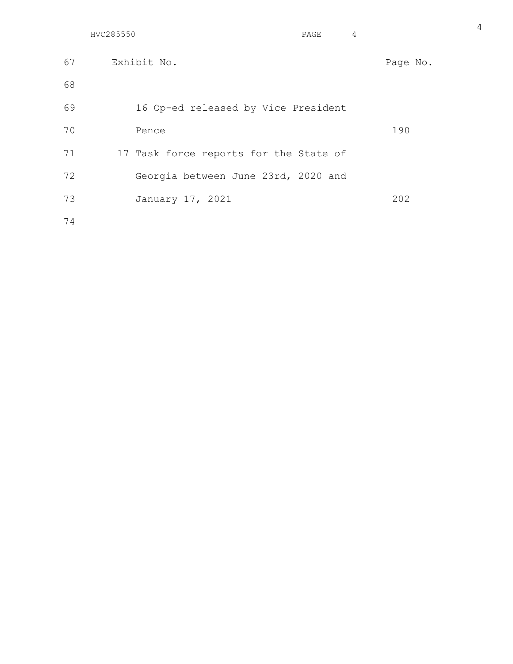|    | HVC285550<br>PAGE                      | 4 |          |
|----|----------------------------------------|---|----------|
| 67 | Exhibit No.                            |   | Page No. |
| 68 |                                        |   |          |
| 69 | 16 Op-ed released by Vice President    |   |          |
| 70 | Pence                                  |   | 190      |
| 71 | 17 Task force reports for the State of |   |          |
| 72 | Georgia between June 23rd, 2020 and    |   |          |
| 73 | January 17, 2021                       |   | 202      |
| 74 |                                        |   |          |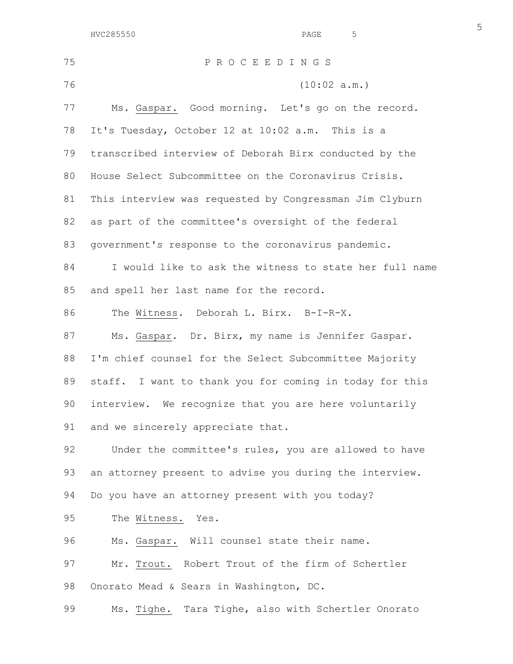| 75 | PROCEEDINGS                                             |
|----|---------------------------------------------------------|
| 76 | (10:02 a.m.)                                            |
| 77 | Ms. Gaspar. Good morning. Let's go on the record.       |
| 78 | It's Tuesday, October 12 at 10:02 a.m. This is a        |
| 79 | transcribed interview of Deborah Birx conducted by the  |
| 80 | House Select Subcommittee on the Coronavirus Crisis.    |
| 81 | This interview was requested by Congressman Jim Clyburn |
| 82 | as part of the committee's oversight of the federal     |
| 83 | government's response to the coronavirus pandemic.      |
| 84 | I would like to ask the witness to state her full name  |
| 85 | and spell her last name for the record.                 |
| 86 | The Witness. Deborah L. Birx. B-I-R-X.                  |
| 87 | Ms. Gaspar. Dr. Birx, my name is Jennifer Gaspar.       |
| 88 | I'm chief counsel for the Select Subcommittee Majority  |
| 89 | staff. I want to thank you for coming in today for this |
| 90 | interview. We recognize that you are here voluntarily   |
| 91 | and we sincerely appreciate that.                       |
| 92 | Under the committee's rules, you are allowed to have    |
| 93 | an attorney present to advise you during the interview. |
| 94 | Do you have an attorney present with you today?         |
| 95 | The Witness. Yes.                                       |
| 96 | Ms. Gaspar. Will counsel state their name.              |
| 97 | Mr. Trout. Robert Trout of the firm of Schertler        |
| 98 | Onorato Mead & Sears in Washington, DC.                 |
| 99 | Ms. Tighe. Tara Tighe, also with Schertler Onorato      |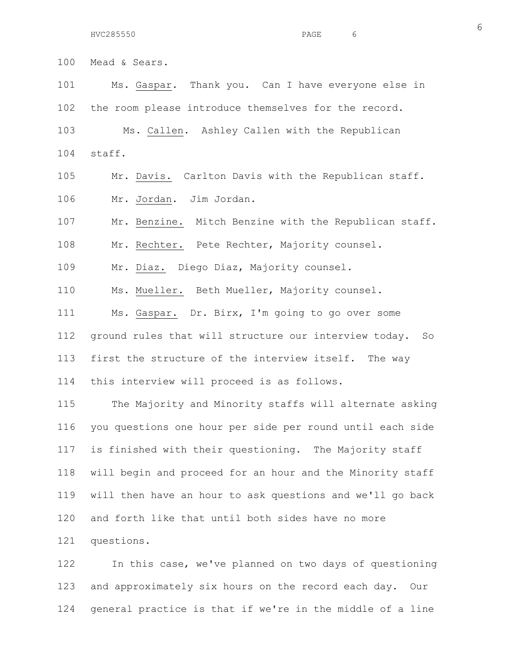100 Mead & Sears. 101 Ms. Gaspar. Thank you. Can I have everyone else in 102 the room please introduce themselves for the record. 103 Ms. Callen. Ashley Callen with the Republican 104 staff. 105 Mr. Davis. Carlton Davis with the Republican staff. 106 Mr. Jordan. Jim Jordan. 107 Mr. Benzine. Mitch Benzine with the Republican staff. 108 Mr. Rechter. Pete Rechter, Majority counsel. 109 Mr. Diaz. Diego Diaz, Majority counsel. 110 Ms. Mueller. Beth Mueller, Majority counsel. 111 Ms. Gaspar. Dr. Birx, I'm going to go over some 112 ground rules that will structure our interview today. So 113 first the structure of the interview itself. The way 114 this interview will proceed is as follows. 115 The Majority and Minority staffs will alternate asking 116 you questions one hour per side per round until each side 117 is finished with their questioning. The Majority staff 118 will begin and proceed for an hour and the Minority staff

119 will then have an hour to ask questions and we'll go back 120 and forth like that until both sides have no more 121 questions.

122 In this case, we've planned on two days of questioning 123 and approximately six hours on the record each day. Our 124 general practice is that if we're in the middle of a line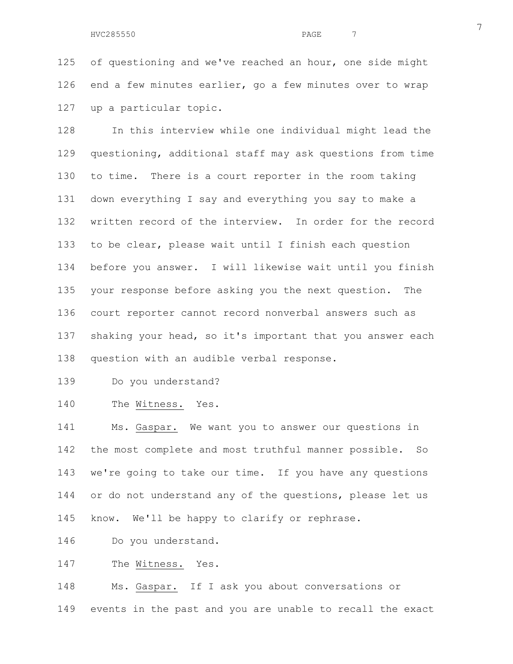125 of questioning and we've reached an hour, one side might 126 end a few minutes earlier, go a few minutes over to wrap 127 up a particular topic.

128 In this interview while one individual might lead the 129 questioning, additional staff may ask questions from time 130 to time. There is a court reporter in the room taking 131 down everything I say and everything you say to make a 132 written record of the interview. In order for the record 133 to be clear, please wait until I finish each question 134 before you answer. I will likewise wait until you finish 135 your response before asking you the next question. The 136 court reporter cannot record nonverbal answers such as 137 shaking your head, so it's important that you answer each 138 question with an audible verbal response.

139 Do you understand?

140 The Witness. Yes.

141 Ms. Gaspar. We want you to answer our questions in 142 the most complete and most truthful manner possible. So 143 we're going to take our time. If you have any questions 144 or do not understand any of the questions, please let us 145 know. We'll be happy to clarify or rephrase.

146 Do you understand.

147 The Witness. Yes.

148 Ms. Gaspar. If I ask you about conversations or 149 events in the past and you are unable to recall the exact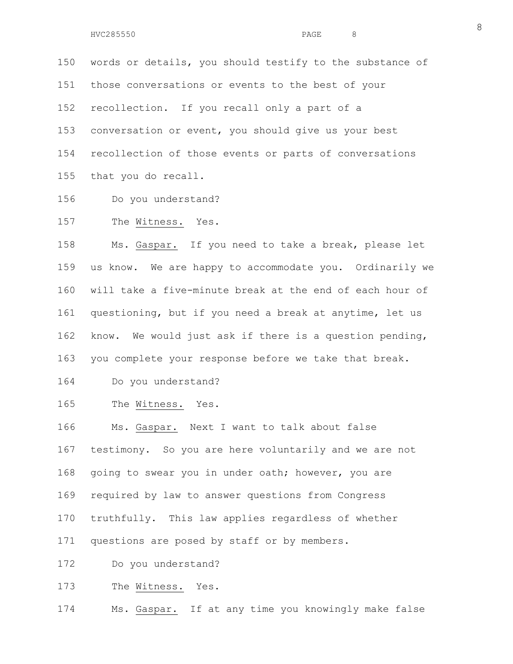150 words or details, you should testify to the substance of 151 those conversations or events to the best of your 152 recollection. If you recall only a part of a 153 conversation or event, you should give us your best 154 recollection of those events or parts of conversations 155 that you do recall.

- 156 Do you understand?
- 157 The Witness. Yes.

158 Ms. Gaspar. If you need to take a break, please let 159 us know. We are happy to accommodate you. Ordinarily we 160 will take a five-minute break at the end of each hour of 161 questioning, but if you need a break at anytime, let us 162 know. We would just ask if there is a question pending, 163 you complete your response before we take that break.

- 164 Do you understand?
- 165 The Witness. Yes.

166 Ms. Gaspar. Next I want to talk about false 167 testimony. So you are here voluntarily and we are not 168 going to swear you in under oath; however, you are 169 required by law to answer questions from Congress 170 truthfully. This law applies regardless of whether 171 questions are posed by staff or by members.

172 Do you understand?

173 The Witness. Yes.

174 Ms. Gaspar. If at any time you knowingly make false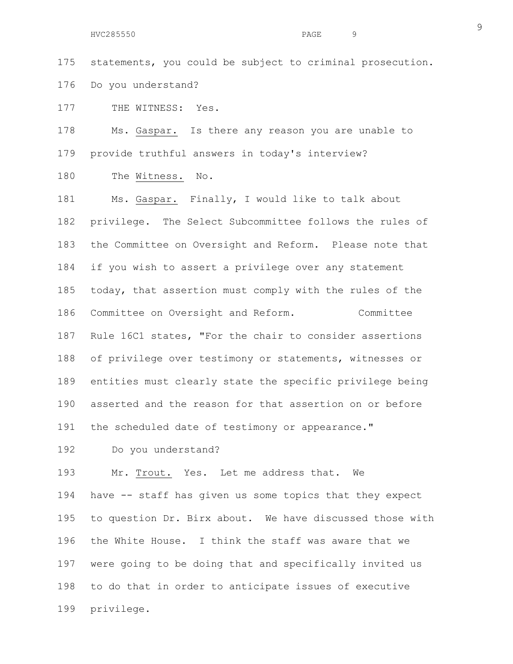175 statements, you could be subject to criminal prosecution. 176 Do you understand?

177 THE WITNESS: Yes.

178 Ms. Gaspar. Is there any reason you are unable to 179 provide truthful answers in today's interview?

180 The Witness. No.

181 Ms. Gaspar. Finally, I would like to talk about 182 privilege. The Select Subcommittee follows the rules of 183 the Committee on Oversight and Reform. Please note that 184 if you wish to assert a privilege over any statement 185 today, that assertion must comply with the rules of the 186 Committee on Oversight and Reform. Committee 187 Rule 16C1 states, "For the chair to consider assertions 188 of privilege over testimony or statements, witnesses or 189 entities must clearly state the specific privilege being 190 asserted and the reason for that assertion on or before 191 the scheduled date of testimony or appearance."

192 Do you understand?

193 Mr. Trout. Yes. Let me address that. We 194 have -- staff has given us some topics that they expect 195 to question Dr. Birx about. We have discussed those with 196 the White House. I think the staff was aware that we 197 were going to be doing that and specifically invited us 198 to do that in order to anticipate issues of executive 199 privilege.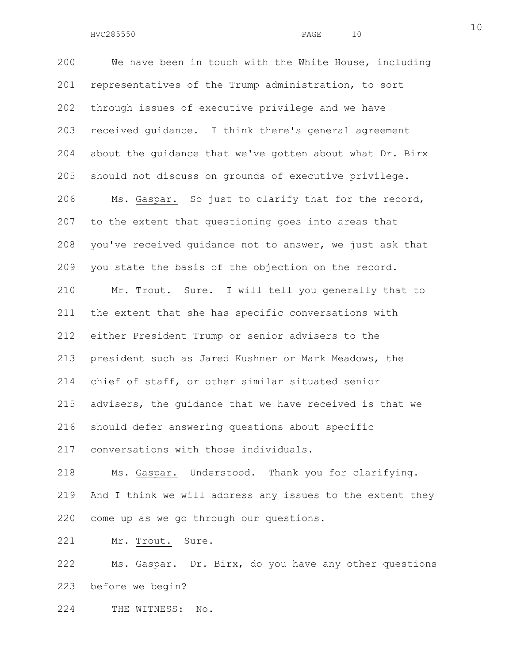200 We have been in touch with the White House, including 201 representatives of the Trump administration, to sort 202 through issues of executive privilege and we have 203 received guidance. I think there's general agreement 204 about the guidance that we've gotten about what Dr. Birx 205 should not discuss on grounds of executive privilege. 206 Ms. Gaspar. So just to clarify that for the record, 207 to the extent that questioning goes into areas that 208 you've received guidance not to answer, we just ask that 209 you state the basis of the objection on the record. 210 Mr. Trout. Sure. I will tell you generally that to 211 the extent that she has specific conversations with 212 either President Trump or senior advisers to the 213 president such as Jared Kushner or Mark Meadows, the 214 chief of staff, or other similar situated senior 215 advisers, the guidance that we have received is that we 216 should defer answering questions about specific 217 conversations with those individuals. 218 Ms. Gaspar. Understood. Thank you for clarifying.

219 And I think we will address any issues to the extent they 220 come up as we go through our questions.

221 Mr. Trout. Sure.

222 Ms. Gaspar. Dr. Birx, do you have any other questions 223 before we begin?

224 THE WITNESS: No.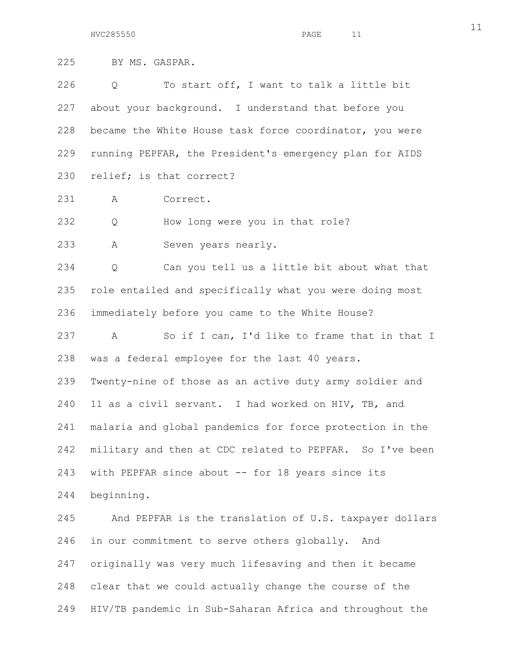225 BY MS. GASPAR.

226 Q To start off, I want to talk a little bit 227 about your background. I understand that before you 228 became the White House task force coordinator, you were 229 running PEPFAR, the President's emergency plan for AIDS 230 relief; is that correct?

231 A Correct.

232 Q How long were you in that role?

233 A Seven years nearly.

234 Q Can you tell us a little bit about what that 235 role entailed and specifically what you were doing most 236 immediately before you came to the White House?

237 A So if I can, I'd like to frame that in that I 238 was a federal employee for the last 40 years.

239 Twenty-nine of those as an active duty army soldier and 240 11 as a civil servant. I had worked on HIV, TB, and 241 malaria and global pandemics for force protection in the 242 military and then at CDC related to PEPFAR. So I've been 243 with PEPFAR since about -- for 18 years since its 244 beginning.

245 And PEPFAR is the translation of U.S. taxpayer dollars 246 in our commitment to serve others globally. And 247 originally was very much lifesaving and then it became 248 clear that we could actually change the course of the 249 HIV/TB pandemic in Sub-Saharan Africa and throughout the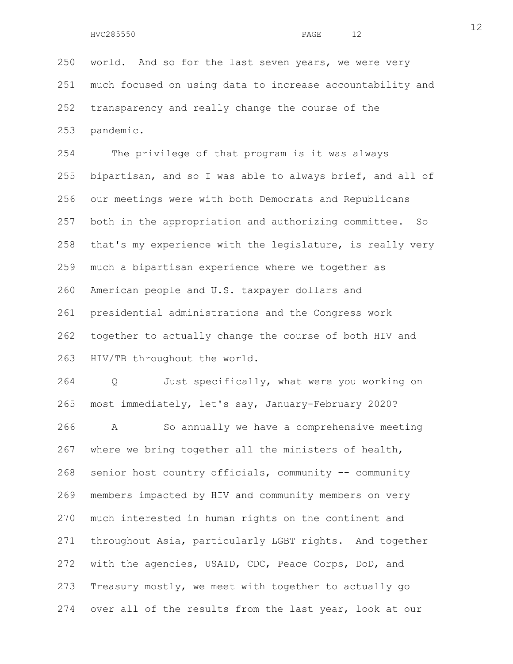250 world. And so for the last seven years, we were very 251 much focused on using data to increase accountability and 252 transparency and really change the course of the 253 pandemic.

254 The privilege of that program is it was always 255 bipartisan, and so I was able to always brief, and all of 256 our meetings were with both Democrats and Republicans 257 both in the appropriation and authorizing committee. So 258 that's my experience with the legislature, is really very 259 much a bipartisan experience where we together as 260 American people and U.S. taxpayer dollars and 261 presidential administrations and the Congress work 262 together to actually change the course of both HIV and 263 HIV/TB throughout the world.

264 Q Just specifically, what were you working on 265 most immediately, let's say, January-February 2020? 266 A So annually we have a comprehensive meeting

267 where we bring together all the ministers of health, 268 senior host country officials, community -- community 269 members impacted by HIV and community members on very 270 much interested in human rights on the continent and 271 throughout Asia, particularly LGBT rights. And together 272 with the agencies, USAID, CDC, Peace Corps, DoD, and 273 Treasury mostly, we meet with together to actually go 274 over all of the results from the last year, look at our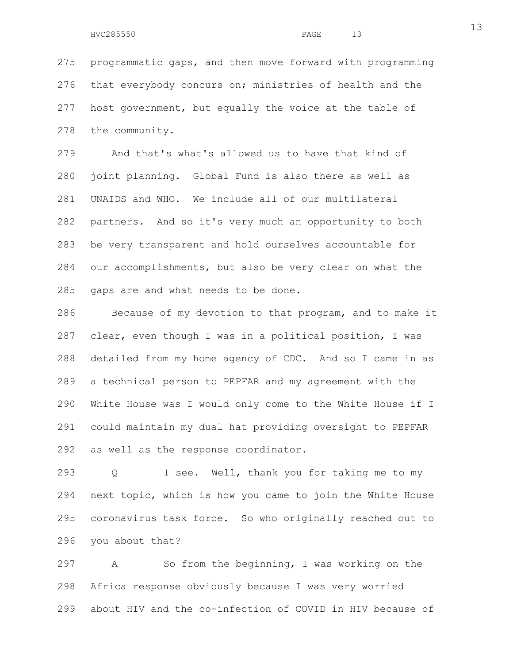275 programmatic gaps, and then move forward with programming 276 that everybody concurs on; ministries of health and the 277 host government, but equally the voice at the table of 278 the community.

279 And that's what's allowed us to have that kind of 280 joint planning. Global Fund is also there as well as 281 UNAIDS and WHO. We include all of our multilateral 282 partners. And so it's very much an opportunity to both 283 be very transparent and hold ourselves accountable for 284 our accomplishments, but also be very clear on what the 285 gaps are and what needs to be done.

286 Because of my devotion to that program, and to make it 287 clear, even though I was in a political position, I was 288 detailed from my home agency of CDC. And so I came in as 289 a technical person to PEPFAR and my agreement with the 290 White House was I would only come to the White House if I 291 could maintain my dual hat providing oversight to PEPFAR 292 as well as the response coordinator.

293 Q I see. Well, thank you for taking me to my 294 next topic, which is how you came to join the White House 295 coronavirus task force. So who originally reached out to 296 you about that?

297 A So from the beginning, I was working on the 298 Africa response obviously because I was very worried 299 about HIV and the co-infection of COVID in HIV because of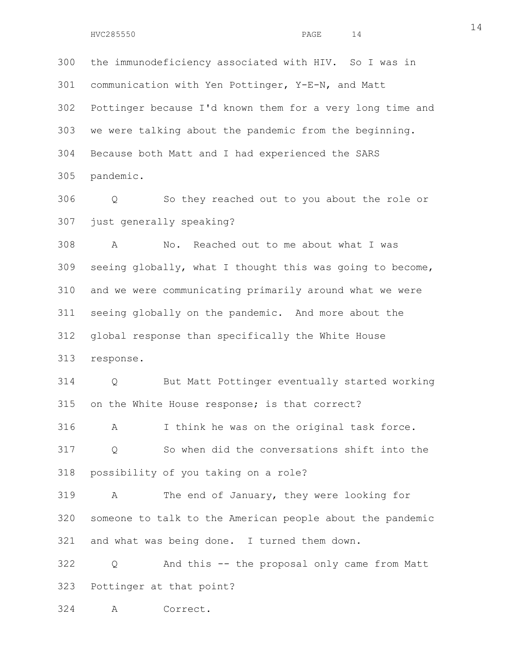300 the immunodeficiency associated with HIV. So I was in 301 communication with Yen Pottinger, Y-E-N, and Matt 302 Pottinger because I'd known them for a very long time and 303 we were talking about the pandemic from the beginning. 304 Because both Matt and I had experienced the SARS 305 pandemic.

306 Q So they reached out to you about the role or 307 just generally speaking?

308 A No. Reached out to me about what I was 309 seeing globally, what I thought this was going to become, 310 and we were communicating primarily around what we were 311 seeing globally on the pandemic. And more about the 312 global response than specifically the White House 313 response.

314 Q But Matt Pottinger eventually started working 315 on the White House response; is that correct?

316 A I think he was on the original task force. 317 Q So when did the conversations shift into the 318 possibility of you taking on a role?

319 A The end of January, they were looking for 320 someone to talk to the American people about the pandemic 321 and what was being done. I turned them down.

322 Q And this -- the proposal only came from Matt 323 Pottinger at that point?

324 A Correct.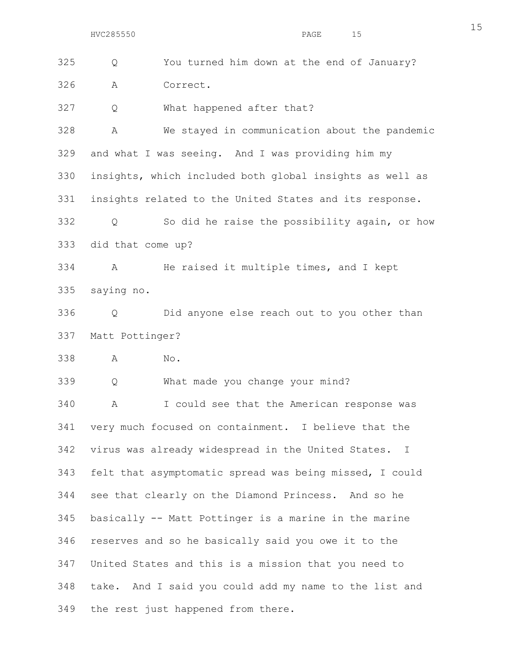15

325 Q You turned him down at the end of January? 326 A Correct. 327 Q What happened after that? 328 A We stayed in communication about the pandemic 329 and what I was seeing. And I was providing him my 330 insights, which included both global insights as well as 331 insights related to the United States and its response. 332 Q So did he raise the possibility again, or how 333 did that come up? 334 A He raised it multiple times, and I kept 335 saying no. 336 Q Did anyone else reach out to you other than 337 Matt Pottinger? 338 A No. 339 Q What made you change your mind? 340 A I could see that the American response was 341 very much focused on containment. I believe that the 342 virus was already widespread in the United States. I 343 felt that asymptomatic spread was being missed, I could 344 see that clearly on the Diamond Princess. And so he 345 basically -- Matt Pottinger is a marine in the marine 346 reserves and so he basically said you owe it to the 347 United States and this is a mission that you need to 348 take. And I said you could add my name to the list and 349 the rest just happened from there.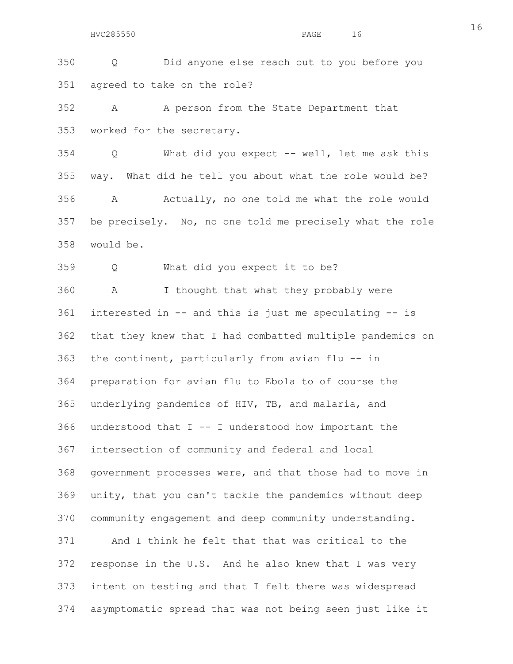350 Q Did anyone else reach out to you before you 351 agreed to take on the role?

352 A A person from the State Department that 353 worked for the secretary.

354 Q What did you expect -- well, let me ask this 355 way. What did he tell you about what the role would be? 356 A Actually, no one told me what the role would 357 be precisely. No, no one told me precisely what the role 358 would be.

359 Q What did you expect it to be?

360 A I thought that what they probably were 361 interested in -- and this is just me speculating -- is 362 that they knew that I had combatted multiple pandemics on 363 the continent, particularly from avian flu -- in 364 preparation for avian flu to Ebola to of course the 365 underlying pandemics of HIV, TB, and malaria, and 366 understood that I -- I understood how important the 367 intersection of community and federal and local 368 government processes were, and that those had to move in 369 unity, that you can't tackle the pandemics without deep 370 community engagement and deep community understanding. 371 And I think he felt that that was critical to the 372 response in the U.S. And he also knew that I was very 373 intent on testing and that I felt there was widespread 374 asymptomatic spread that was not being seen just like it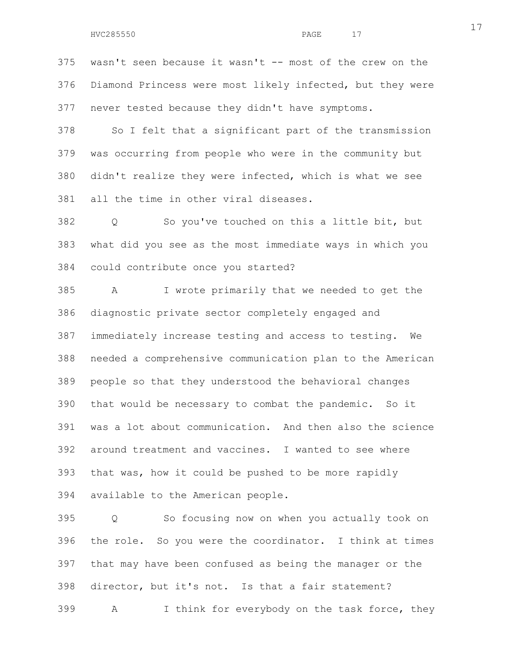375 wasn't seen because it wasn't -- most of the crew on the 376 Diamond Princess were most likely infected, but they were 377 never tested because they didn't have symptoms.

378 So I felt that a significant part of the transmission 379 was occurring from people who were in the community but 380 didn't realize they were infected, which is what we see 381 all the time in other viral diseases.

382 Q So you've touched on this a little bit, but 383 what did you see as the most immediate ways in which you 384 could contribute once you started?

385 A I wrote primarily that we needed to get the 386 diagnostic private sector completely engaged and 387 immediately increase testing and access to testing. We 388 needed a comprehensive communication plan to the American 389 people so that they understood the behavioral changes 390 that would be necessary to combat the pandemic. So it 391 was a lot about communication. And then also the science 392 around treatment and vaccines. I wanted to see where 393 that was, how it could be pushed to be more rapidly 394 available to the American people.

395 Q So focusing now on when you actually took on 396 the role. So you were the coordinator. I think at times 397 that may have been confused as being the manager or the 398 director, but it's not. Is that a fair statement? 399 A I think for everybody on the task force, they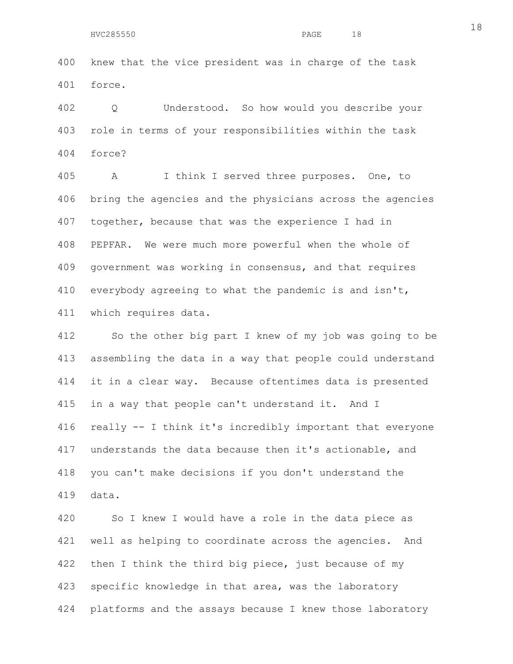400 knew that the vice president was in charge of the task 401 force.

402 Q Understood. So how would you describe your 403 role in terms of your responsibilities within the task 404 force?

405 A I think I served three purposes. One, to 406 bring the agencies and the physicians across the agencies 407 together, because that was the experience I had in 408 PEPFAR. We were much more powerful when the whole of 409 government was working in consensus, and that requires 410 everybody agreeing to what the pandemic is and isn't, 411 which requires data.

412 So the other big part I knew of my job was going to be 413 assembling the data in a way that people could understand 414 it in a clear way. Because oftentimes data is presented 415 in a way that people can't understand it. And I 416 really -- I think it's incredibly important that everyone 417 understands the data because then it's actionable, and 418 you can't make decisions if you don't understand the 419 data.

420 So I knew I would have a role in the data piece as 421 well as helping to coordinate across the agencies. And 422 then I think the third big piece, just because of my 423 specific knowledge in that area, was the laboratory 424 platforms and the assays because I knew those laboratory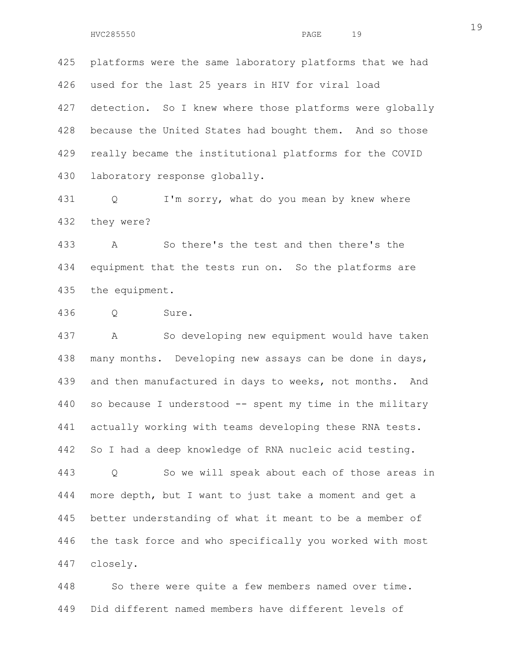425 platforms were the same laboratory platforms that we had 426 used for the last 25 years in HIV for viral load 427 detection. So I knew where those platforms were globally 428 because the United States had bought them. And so those 429 really became the institutional platforms for the COVID 430 laboratory response globally.

431 Q I'm sorry, what do you mean by knew where 432 they were?

433 A So there's the test and then there's the 434 equipment that the tests run on. So the platforms are 435 the equipment.

436 Q Sure.

437 A So developing new equipment would have taken 438 many months. Developing new assays can be done in days, 439 and then manufactured in days to weeks, not months. And 440 so because I understood -- spent my time in the military 441 actually working with teams developing these RNA tests. 442 So I had a deep knowledge of RNA nucleic acid testing. 443 Q So we will speak about each of those areas in 444 more depth, but I want to just take a moment and get a 445 better understanding of what it meant to be a member of 446 the task force and who specifically you worked with most 447 closely.

448 So there were quite a few members named over time. 449 Did different named members have different levels of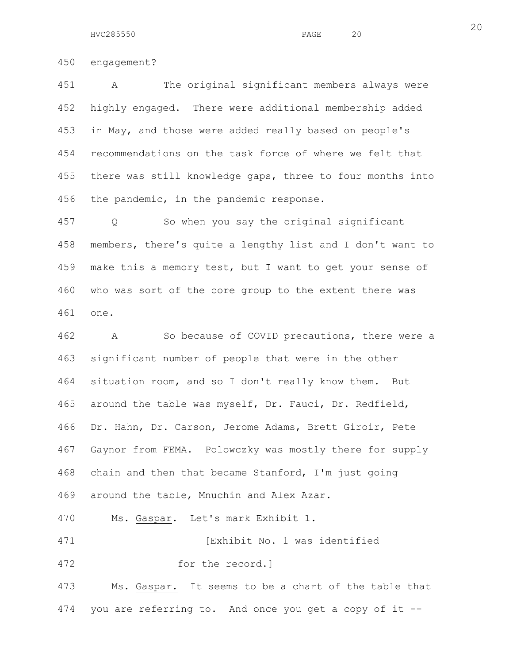HVC285550 PAGE 20

450 engagement?

451 A The original significant members always were 452 highly engaged. There were additional membership added 453 in May, and those were added really based on people's 454 recommendations on the task force of where we felt that 455 there was still knowledge gaps, three to four months into 456 the pandemic, in the pandemic response.

457 Q So when you say the original significant 458 members, there's quite a lengthy list and I don't want to 459 make this a memory test, but I want to get your sense of 460 who was sort of the core group to the extent there was 461 one.

462 A So because of COVID precautions, there were a 463 significant number of people that were in the other 464 situation room, and so I don't really know them. But 465 around the table was myself, Dr. Fauci, Dr. Redfield, 466 Dr. Hahn, Dr. Carson, Jerome Adams, Brett Giroir, Pete 467 Gaynor from FEMA. Polowczky was mostly there for supply 468 chain and then that became Stanford, I'm just going 469 around the table, Mnuchin and Alex Azar.

470 Ms. Gaspar. Let's mark Exhibit 1.

471 **Interpreteral Exhibit No. 1 was identified** 

472 for the record.]

473 Ms. Gaspar. It seems to be a chart of the table that 474 you are referring to. And once you get a copy of it --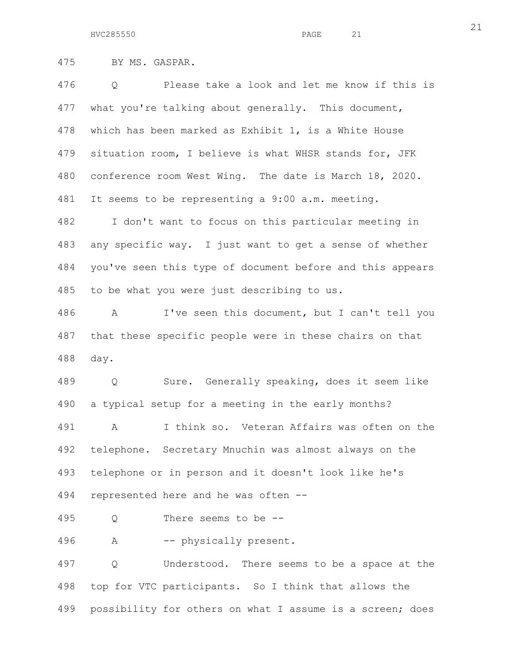475 BY MS. GASPAR.

476 Q Please take a look and let me know if this is 477 what you're talking about generally. This document, 478 which has been marked as Exhibit 1, is a White House 479 situation room, I believe is what WHSR stands for, JFK 480 conference room West Wing. The date is March 18, 2020. 481 It seems to be representing a 9:00 a.m. meeting. 482 I don't want to focus on this particular meeting in 483 any specific way. I just want to get a sense of whether 484 you've seen this type of document before and this appears 485 to be what you were just describing to us.

486 A I've seen this document, but I can't tell you 487 that these specific people were in these chairs on that 488 day.

489 Q Sure. Generally speaking, does it seem like 490 a typical setup for a meeting in the early months? 491 A I think so. Veteran Affairs was often on the 492 telephone. Secretary Mnuchin was almost always on the 493 telephone or in person and it doesn't look like he's 494 represented here and he was often --

495 Q There seems to be --

496 A -- physically present.

497 Q Understood. There seems to be a space at the 498 top for VTC participants. So I think that allows the 499 possibility for others on what I assume is a screen; does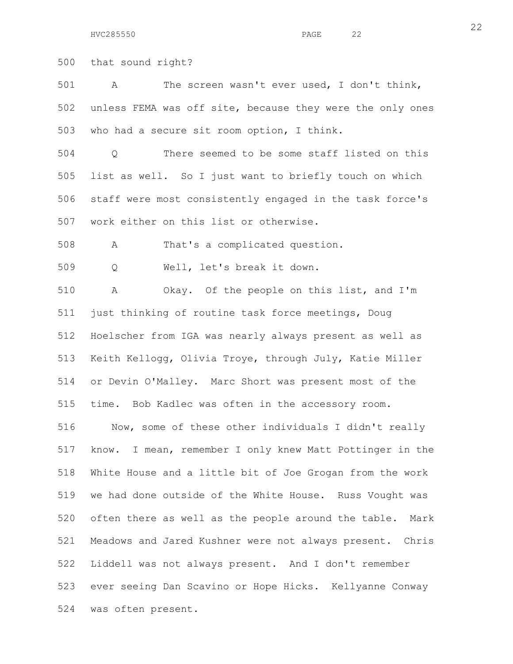HVC285550 PAGE 22

500 that sound right?

501 A The screen wasn't ever used, I don't think, 502 unless FEMA was off site, because they were the only ones 503 who had a secure sit room option, I think.

504 Q There seemed to be some staff listed on this 505 list as well. So I just want to briefly touch on which 506 staff were most consistently engaged in the task force's 507 work either on this list or otherwise.

508 A That's a complicated question.

509 Q Well, let's break it down.

510 A Okay. Of the people on this list, and I'm 511 just thinking of routine task force meetings, Doug 512 Hoelscher from IGA was nearly always present as well as 513 Keith Kellogg, Olivia Troye, through July, Katie Miller 514 or Devin O'Malley. Marc Short was present most of the 515 time. Bob Kadlec was often in the accessory room.

516 Now, some of these other individuals I didn't really 517 know. I mean, remember I only knew Matt Pottinger in the 518 White House and a little bit of Joe Grogan from the work 519 we had done outside of the White House. Russ Vought was 520 often there as well as the people around the table. Mark 521 Meadows and Jared Kushner were not always present. Chris 522 Liddell was not always present. And I don't remember 523 ever seeing Dan Scavino or Hope Hicks. Kellyanne Conway 524 was often present.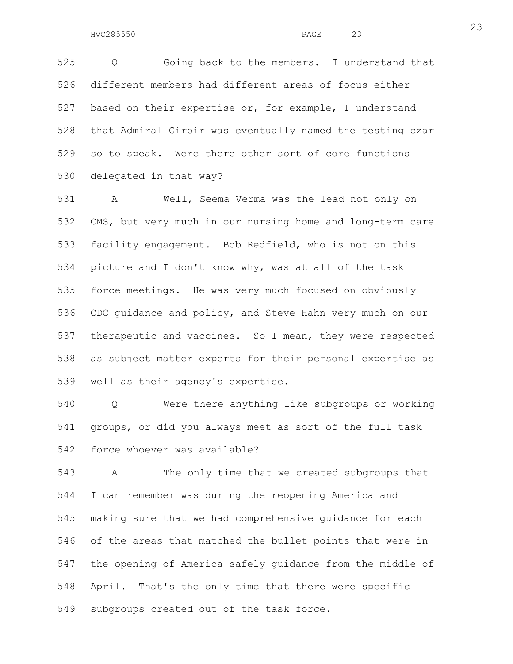525 Q Going back to the members. I understand that 526 different members had different areas of focus either 527 based on their expertise or, for example, I understand 528 that Admiral Giroir was eventually named the testing czar 529 so to speak. Were there other sort of core functions 530 delegated in that way?

531 A Well, Seema Verma was the lead not only on 532 CMS, but very much in our nursing home and long-term care 533 facility engagement. Bob Redfield, who is not on this 534 picture and I don't know why, was at all of the task 535 force meetings. He was very much focused on obviously 536 CDC guidance and policy, and Steve Hahn very much on our 537 therapeutic and vaccines. So I mean, they were respected 538 as subject matter experts for their personal expertise as 539 well as their agency's expertise.

540 Q Were there anything like subgroups or working 541 groups, or did you always meet as sort of the full task 542 force whoever was available?

543 A The only time that we created subgroups that 544 I can remember was during the reopening America and 545 making sure that we had comprehensive guidance for each 546 of the areas that matched the bullet points that were in 547 the opening of America safely guidance from the middle of 548 April. That's the only time that there were specific 549 subgroups created out of the task force.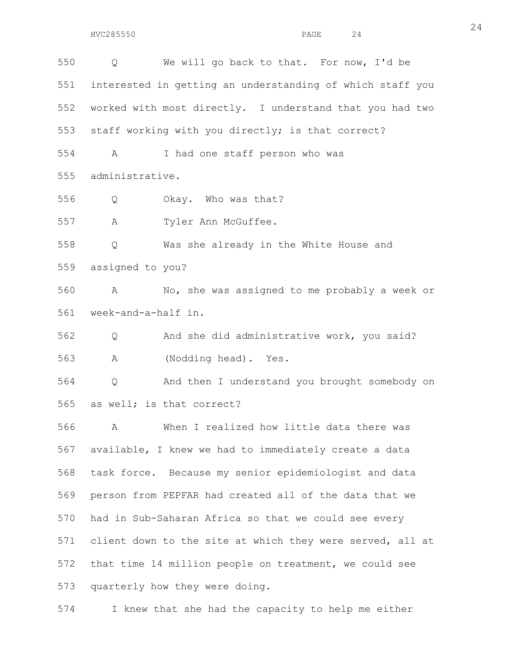550 Q We will go back to that. For now, I'd be 551 interested in getting an understanding of which staff you 552 worked with most directly. I understand that you had two 553 staff working with you directly; is that correct? 554 A I had one staff person who was 555 administrative. 556 Q Okay. Who was that? 557 A Tyler Ann McGuffee. 558 Q Was she already in the White House and 559 assigned to you? 560 A No, she was assigned to me probably a week or 561 week-and-a-half in. 562 Q And she did administrative work, you said? 563 A (Nodding head). Yes. 564 Q And then I understand you brought somebody on 565 as well; is that correct? 566 A When I realized how little data there was 567 available, I knew we had to immediately create a data 568 task force. Because my senior epidemiologist and data 569 person from PEPFAR had created all of the data that we 570 had in Sub-Saharan Africa so that we could see every 571 client down to the site at which they were served, all at 572 that time 14 million people on treatment, we could see 573 quarterly how they were doing.

574 I knew that she had the capacity to help me either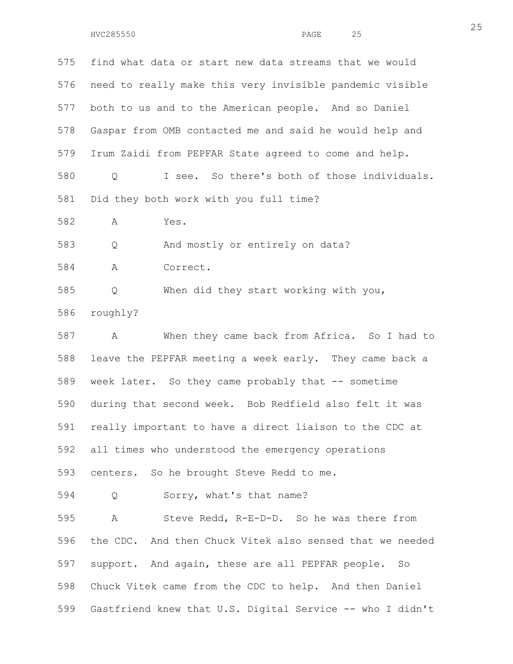575 find what data or start new data streams that we would 576 need to really make this very invisible pandemic visible 577 both to us and to the American people. And so Daniel 578 Gaspar from OMB contacted me and said he would help and 579 Irum Zaidi from PEPFAR State agreed to come and help. 580 Q I see. So there's both of those individuals. 581 Did they both work with you full time? 582 A Yes. 583 Q And mostly or entirely on data? 584 A Correct. 585 Q When did they start working with you, 586 roughly? 587 A When they came back from Africa. So I had to 588 leave the PEPFAR meeting a week early. They came back a 589 week later. So they came probably that -- sometime 590 during that second week. Bob Redfield also felt it was 591 really important to have a direct liaison to the CDC at 592 all times who understood the emergency operations 593 centers. So he brought Steve Redd to me. 594 Q Sorry, what's that name? 595 A Steve Redd, R-E-D-D. So he was there from 596 the CDC. And then Chuck Vitek also sensed that we needed 597 support. And again, these are all PEPFAR people. So 598 Chuck Vitek came from the CDC to help. And then Daniel 599 Gastfriend knew that U.S. Digital Service -- who I didn't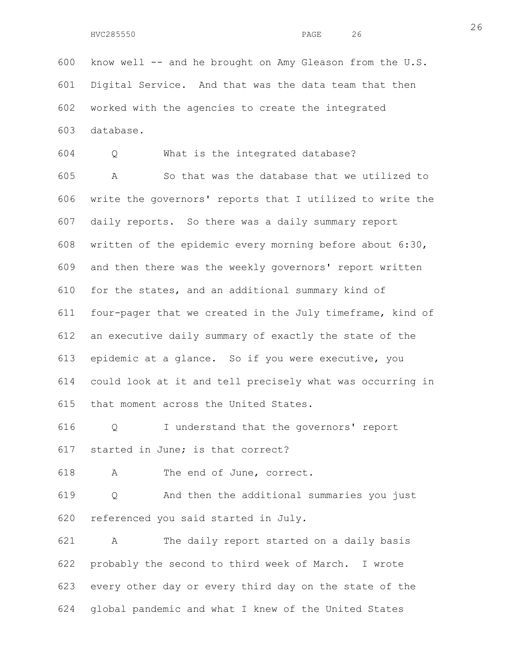600 know well -- and he brought on Amy Gleason from the U.S. 601 Digital Service. And that was the data team that then 602 worked with the agencies to create the integrated 603 database.

604 Q What is the integrated database? 605 A So that was the database that we utilized to 606 write the governors' reports that I utilized to write the 607 daily reports. So there was a daily summary report 608 written of the epidemic every morning before about 6:30, 609 and then there was the weekly governors' report written 610 for the states, and an additional summary kind of 611 four-pager that we created in the July timeframe, kind of 612 an executive daily summary of exactly the state of the 613 epidemic at a glance. So if you were executive, you 614 could look at it and tell precisely what was occurring in 615 that moment across the United States.

616 Q I understand that the governors' report 617 started in June; is that correct?

618 A The end of June, correct.

619 Q And then the additional summaries you just 620 referenced you said started in July.

621 A The daily report started on a daily basis 622 probably the second to third week of March. I wrote 623 every other day or every third day on the state of the 624 global pandemic and what I knew of the United States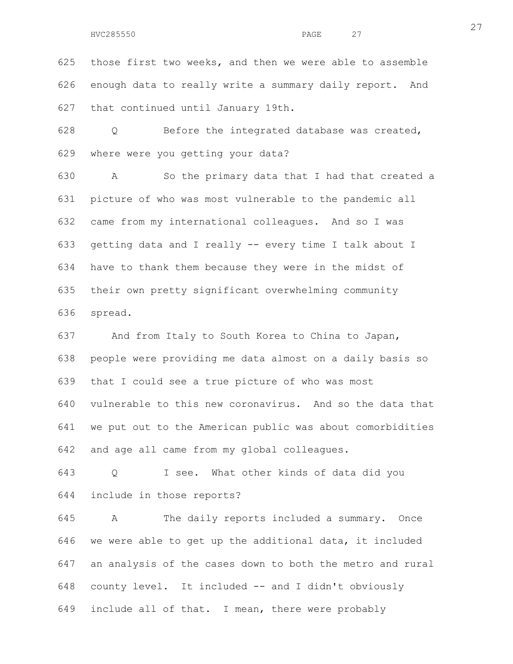625 those first two weeks, and then we were able to assemble 626 enough data to really write a summary daily report. And 627 that continued until January 19th.

628 Q Before the integrated database was created, 629 where were you getting your data?

630 A So the primary data that I had that created a 631 picture of who was most vulnerable to the pandemic all 632 came from my international colleagues. And so I was 633 getting data and I really -- every time I talk about I 634 have to thank them because they were in the midst of 635 their own pretty significant overwhelming community 636 spread.

637 And from Italy to South Korea to China to Japan, 638 people were providing me data almost on a daily basis so 639 that I could see a true picture of who was most 640 vulnerable to this new coronavirus. And so the data that 641 we put out to the American public was about comorbidities 642 and age all came from my global colleagues.

643 Q I see. What other kinds of data did you 644 include in those reports?

645 A The daily reports included a summary. Once 646 we were able to get up the additional data, it included 647 an analysis of the cases down to both the metro and rural 648 county level. It included -- and I didn't obviously 649 include all of that. I mean, there were probably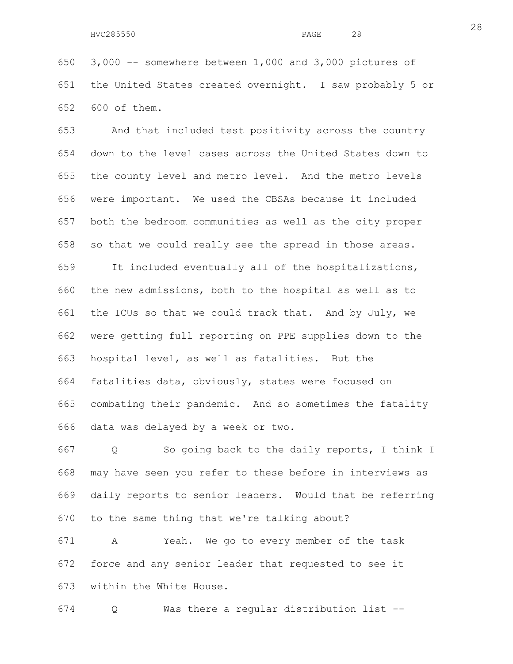650 3,000 -- somewhere between 1,000 and 3,000 pictures of 651 the United States created overnight. I saw probably 5 or 652 600 of them.

653 And that included test positivity across the country 654 down to the level cases across the United States down to 655 the county level and metro level. And the metro levels 656 were important. We used the CBSAs because it included 657 both the bedroom communities as well as the city proper 658 so that we could really see the spread in those areas. 659 It included eventually all of the hospitalizations, 660 the new admissions, both to the hospital as well as to 661 the ICUs so that we could track that. And by July, we 662 were getting full reporting on PPE supplies down to the 663 hospital level, as well as fatalities. But the 664 fatalities data, obviously, states were focused on 665 combating their pandemic. And so sometimes the fatality

666 data was delayed by a week or two.

667 Q So going back to the daily reports, I think I 668 may have seen you refer to these before in interviews as 669 daily reports to senior leaders. Would that be referring 670 to the same thing that we're talking about?

671 A Yeah. We go to every member of the task 672 force and any senior leader that requested to see it 673 within the White House.

674 Q Was there a regular distribution list --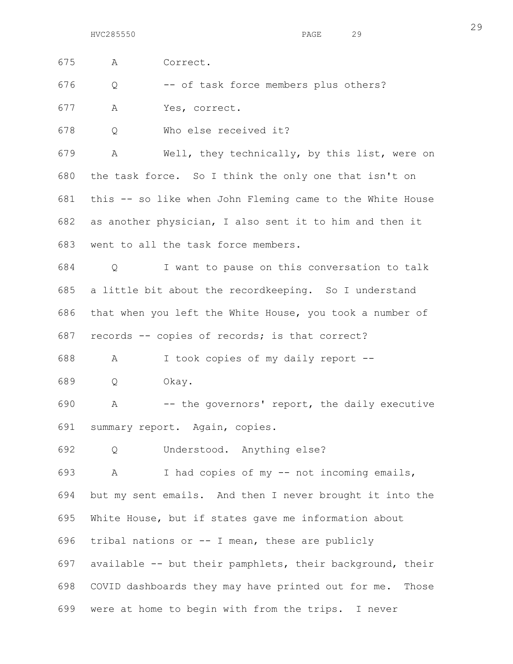| 675 | Α | Correct.                                                    |
|-----|---|-------------------------------------------------------------|
| 676 | Q | -- of task force members plus others?                       |
| 677 | Α | Yes, correct.                                               |
| 678 | Q | Who else received it?                                       |
| 679 | A | Well, they technically, by this list, were on               |
| 680 |   | the task force. So I think the only one that isn't on       |
| 681 |   | this -- so like when John Fleming came to the White House   |
| 682 |   | as another physician, I also sent it to him and then it     |
| 683 |   | went to all the task force members.                         |
| 684 | Q | I want to pause on this conversation to talk                |
| 685 |   | a little bit about the recordkeeping. So I understand       |
| 686 |   | that when you left the White House, you took a number of    |
| 687 |   | records -- copies of records; is that correct?              |
| 688 | A | I took copies of my daily report --                         |
| 689 | Q | Okay.                                                       |
| 690 | A | -- the governors' report, the daily executive               |
| 691 |   | summary report. Again, copies.                              |
| 692 | Q | Understood. Anything else?                                  |
| 693 | A | I had copies of my -- not incoming emails,                  |
| 694 |   | but my sent emails. And then I never brought it into the    |
| 695 |   | White House, but if states gave me information about        |
| 696 |   | tribal nations or -- I mean, these are publicly             |
| 697 |   | available -- but their pamphlets, their background, their   |
| 698 |   | COVID dashboards they may have printed out for me.<br>Those |
| 699 |   | were at home to begin with from the trips. I never          |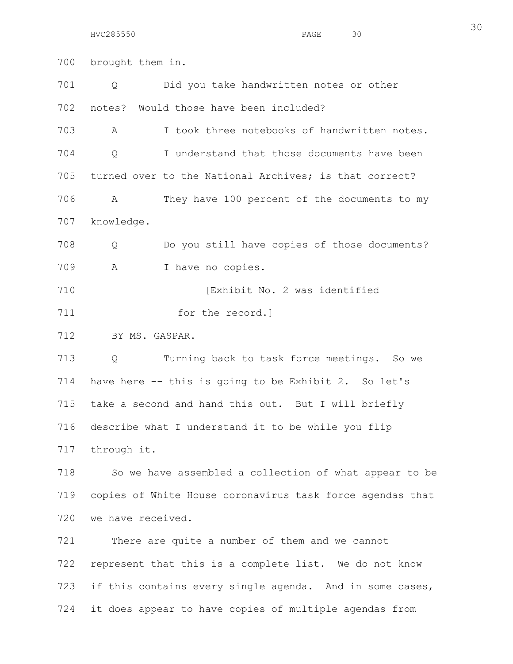HVC285550 PAGE 30

700 brought them in. 701 Q Did you take handwritten notes or other 702 notes? Would those have been included? 703 A I took three notebooks of handwritten notes. 704 Q I understand that those documents have been 705 turned over to the National Archives; is that correct? 706 A They have 100 percent of the documents to my 707 knowledge. 708 Q Do you still have copies of those documents? 709 A I have no copies. 710 **Interval I** Exhibit No. 2 was identified 711 for the record. 712 BY MS. GASPAR. 713 Q Turning back to task force meetings. So we 714 have here -- this is going to be Exhibit 2. So let's 715 take a second and hand this out. But I will briefly 716 describe what I understand it to be while you flip 717 through it. 718 So we have assembled a collection of what appear to be 719 copies of White House coronavirus task force agendas that 720 we have received. 721 There are quite a number of them and we cannot 722 represent that this is a complete list. We do not know 723 if this contains every single agenda. And in some cases, 724 it does appear to have copies of multiple agendas from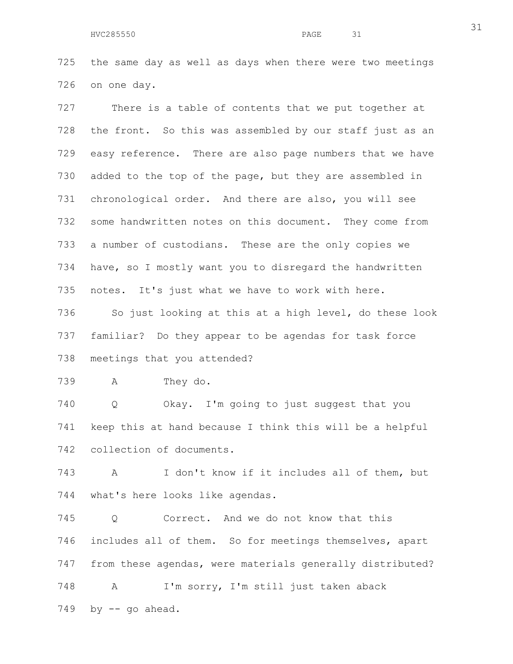725 the same day as well as days when there were two meetings 726 on one day.

727 There is a table of contents that we put together at 728 the front. So this was assembled by our staff just as an 729 easy reference. There are also page numbers that we have 730 added to the top of the page, but they are assembled in 731 chronological order. And there are also, you will see 732 some handwritten notes on this document. They come from 733 a number of custodians. These are the only copies we 734 have, so I mostly want you to disregard the handwritten 735 notes. It's just what we have to work with here. 736 So just looking at this at a high level, do these look 737 familiar? Do they appear to be agendas for task force 738 meetings that you attended?

739 A They do.

740 Q Okay. I'm going to just suggest that you 741 keep this at hand because I think this will be a helpful 742 collection of documents.

743 A I don't know if it includes all of them, but 744 what's here looks like agendas.

745 Q Correct. And we do not know that this 746 includes all of them. So for meetings themselves, apart 747 from these agendas, were materials generally distributed? 748 A I'm sorry, I'm still just taken aback  $749$  by  $-$  qo ahead.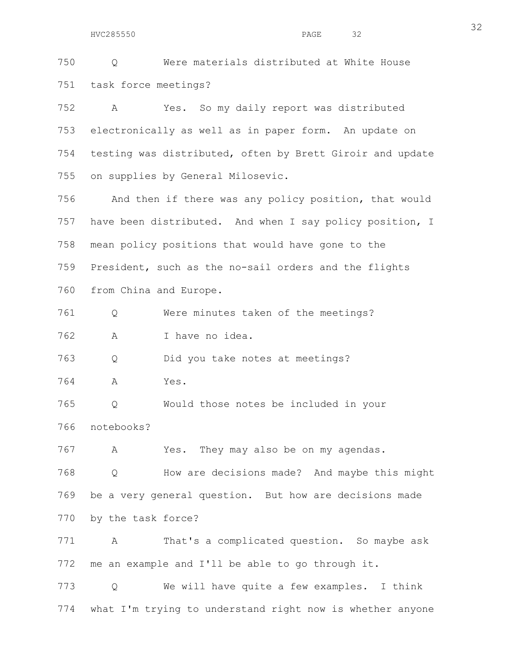HVC285550 PAGE 32

750 Q Were materials distributed at White House 751 task force meetings?

752 A Yes. So my daily report was distributed 753 electronically as well as in paper form. An update on 754 testing was distributed, often by Brett Giroir and update 755 on supplies by General Milosevic.

756 And then if there was any policy position, that would 757 have been distributed. And when I say policy position, I 758 mean policy positions that would have gone to the 759 President, such as the no-sail orders and the flights 760 from China and Europe.

761 Q Were minutes taken of the meetings?

762 A I have no idea.

763 Q Did you take notes at meetings?

764 A Yes.

765 Q Would those notes be included in your

766 notebooks?

767 A Yes. They may also be on my agendas.

768 Q How are decisions made? And maybe this might 769 be a very general question. But how are decisions made 770 by the task force?

771 A That's a complicated question. So maybe ask 772 me an example and I'll be able to go through it.

773 Q We will have quite a few examples. I think 774 what I'm trying to understand right now is whether anyone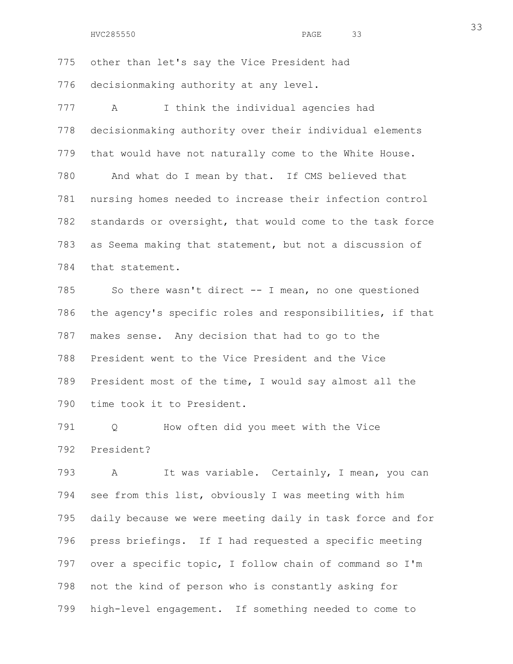775 other than let's say the Vice President had 776 decisionmaking authority at any level. 777 A I think the individual agencies had 778 decisionmaking authority over their individual elements 779 that would have not naturally come to the White House. 780 And what do I mean by that. If CMS believed that 781 nursing homes needed to increase their infection control 782 standards or oversight, that would come to the task force 783 as Seema making that statement, but not a discussion of 784 that statement. 785 So there wasn't direct -- I mean, no one questioned

786 the agency's specific roles and responsibilities, if that 787 makes sense. Any decision that had to go to the 788 President went to the Vice President and the Vice 789 President most of the time, I would say almost all the 790 time took it to President.

791 Q How often did you meet with the Vice 792 President?

793 A It was variable. Certainly, I mean, you can 794 see from this list, obviously I was meeting with him 795 daily because we were meeting daily in task force and for 796 press briefings. If I had requested a specific meeting 797 over a specific topic, I follow chain of command so I'm 798 not the kind of person who is constantly asking for 799 high-level engagement. If something needed to come to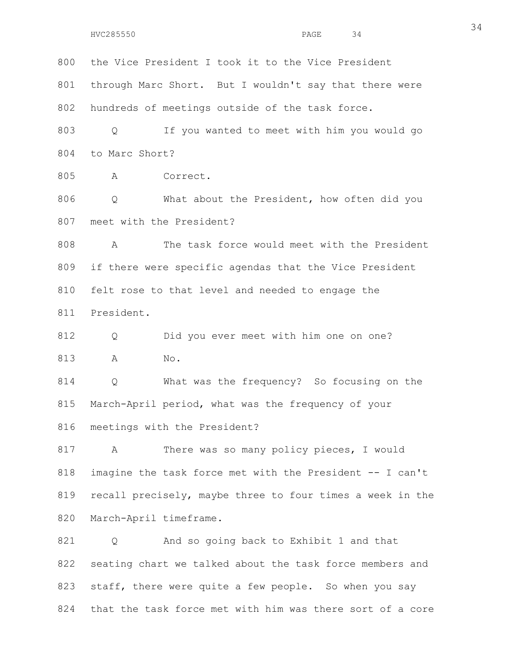HVC285550 PAGE 34

800 the Vice President I took it to the Vice President 801 through Marc Short. But I wouldn't say that there were 802 hundreds of meetings outside of the task force.

803 Q If you wanted to meet with him you would go 804 to Marc Short?

805 A Correct.

806 Q What about the President, how often did you 807 meet with the President?

808 A The task force would meet with the President 809 if there were specific agendas that the Vice President 810 felt rose to that level and needed to engage the 811 President.

812 Q Did you ever meet with him one on one? 813 A No.

814 Q What was the frequency? So focusing on the 815 March-April period, what was the frequency of your 816 meetings with the President?

817 A There was so many policy pieces, I would 818 imagine the task force met with the President -- I can't 819 recall precisely, maybe three to four times a week in the 820 March-April timeframe.

821 Q And so going back to Exhibit 1 and that 822 seating chart we talked about the task force members and 823 staff, there were quite a few people. So when you say 824 that the task force met with him was there sort of a core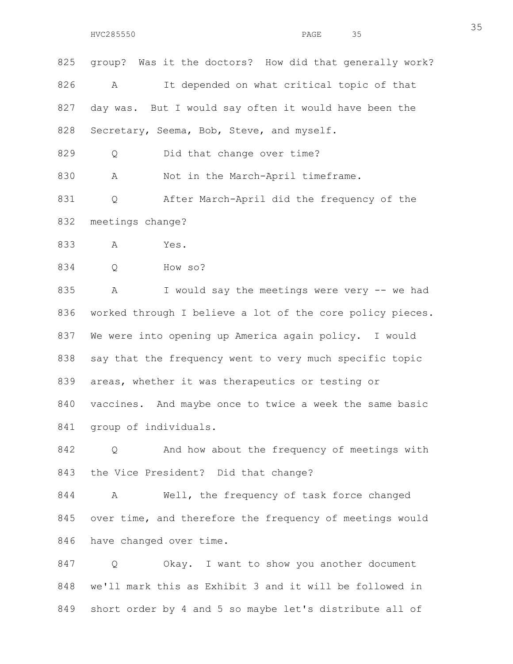825 group? Was it the doctors? How did that generally work? 826 A It depended on what critical topic of that 827 day was. But I would say often it would have been the 828 Secretary, Seema, Bob, Steve, and myself.

829 Q Did that change over time?

830 A Not in the March-April timeframe.

831 Q After March-April did the frequency of the 832 meetings change?

833 A Yes.

834 Q How so?

835 A I would say the meetings were very -- we had 836 worked through I believe a lot of the core policy pieces. 837 We were into opening up America again policy. I would 838 say that the frequency went to very much specific topic 839 areas, whether it was therapeutics or testing or 840 vaccines. And maybe once to twice a week the same basic 841 group of individuals.

842 Q And how about the frequency of meetings with 843 the Vice President? Did that change?

844 A Well, the frequency of task force changed 845 over time, and therefore the frequency of meetings would 846 have changed over time.

847 Q Okay. I want to show you another document 848 we'll mark this as Exhibit 3 and it will be followed in 849 short order by 4 and 5 so maybe let's distribute all of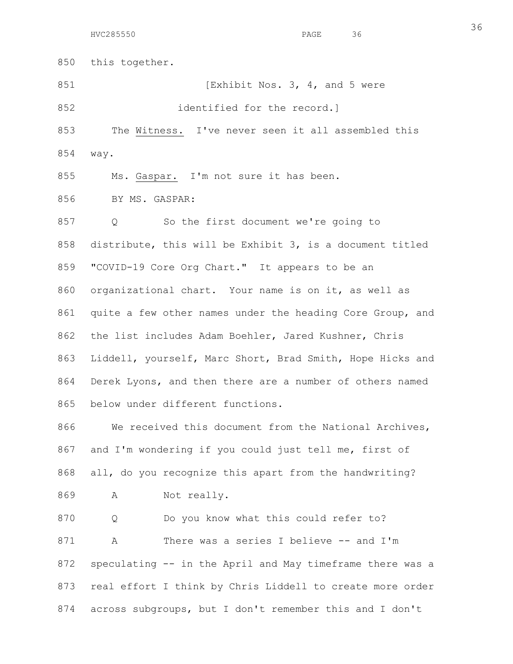850 this together.

851 [Exhibit Nos. 3, 4, and 5 were

852 identified for the record.

853 The Witness. I've never seen it all assembled this 854 way.

855 Ms. Gaspar. I'm not sure it has been.

856 BY MS. GASPAR:

857 Q So the first document we're going to 858 distribute, this will be Exhibit 3, is a document titled 859 "COVID-19 Core Org Chart." It appears to be an 860 organizational chart. Your name is on it, as well as 861 quite a few other names under the heading Core Group, and 862 the list includes Adam Boehler, Jared Kushner, Chris 863 Liddell, yourself, Marc Short, Brad Smith, Hope Hicks and 864 Derek Lyons, and then there are a number of others named 865 below under different functions.

866 We received this document from the National Archives, 867 and I'm wondering if you could just tell me, first of 868 all, do you recognize this apart from the handwriting?

869 A Not really.

870 Q Do you know what this could refer to? 871 A There was a series I believe -- and I'm 872 speculating -- in the April and May timeframe there was a 873 real effort I think by Chris Liddell to create more order 874 across subgroups, but I don't remember this and I don't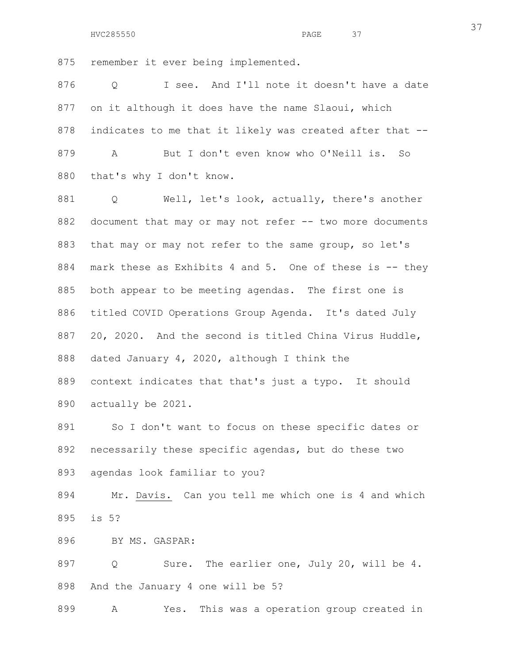875 remember it ever being implemented.

876 Q I see. And I'll note it doesn't have a date 877 on it although it does have the name Slaoui, which 878 indicates to me that it likely was created after that --879 A But I don't even know who O'Neill is. So 880 that's why I don't know.

881 Q Well, let's look, actually, there's another 882 document that may or may not refer -- two more documents 883 that may or may not refer to the same group, so let's 884 mark these as Exhibits 4 and 5. One of these is -- they 885 both appear to be meeting agendas. The first one is 886 titled COVID Operations Group Agenda. It's dated July 887 20, 2020. And the second is titled China Virus Huddle, 888 dated January 4, 2020, although I think the 889 context indicates that that's just a typo. It should 890 actually be 2021.

891 So I don't want to focus on these specific dates or 892 necessarily these specific agendas, but do these two 893 agendas look familiar to you?

894 Mr. Davis. Can you tell me which one is 4 and which 895 is 5?

896 BY MS. GASPAR:

897 Q Sure. The earlier one, July 20, will be 4. 898 And the January 4 one will be 5?

899 A Yes. This was a operation group created in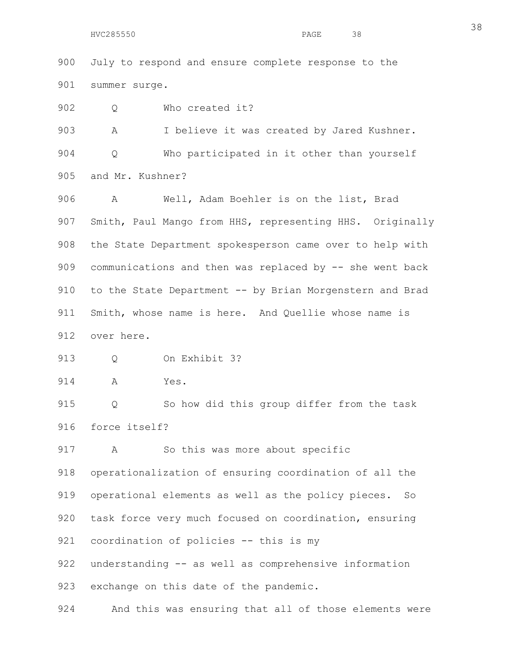HVC285550 PAGE 38

900 July to respond and ensure complete response to the 901 summer surge.

902 Q Who created it?

903 A I believe it was created by Jared Kushner. 904 Q Who participated in it other than yourself 905 and Mr. Kushner?

906 A Well, Adam Boehler is on the list, Brad 907 Smith, Paul Mango from HHS, representing HHS. Originally 908 the State Department spokesperson came over to help with 909 communications and then was replaced by -- she went back 910 to the State Department -- by Brian Morgenstern and Brad 911 Smith, whose name is here. And Quellie whose name is 912 over here.

913 Q On Exhibit 3?

914 A Yes.

915 Q So how did this group differ from the task 916 force itself?

917 A So this was more about specific

918 operationalization of ensuring coordination of all the 919 operational elements as well as the policy pieces. So 920 task force very much focused on coordination, ensuring 921 coordination of policies -- this is my 922 understanding -- as well as comprehensive information

923 exchange on this date of the pandemic.

924 And this was ensuring that all of those elements were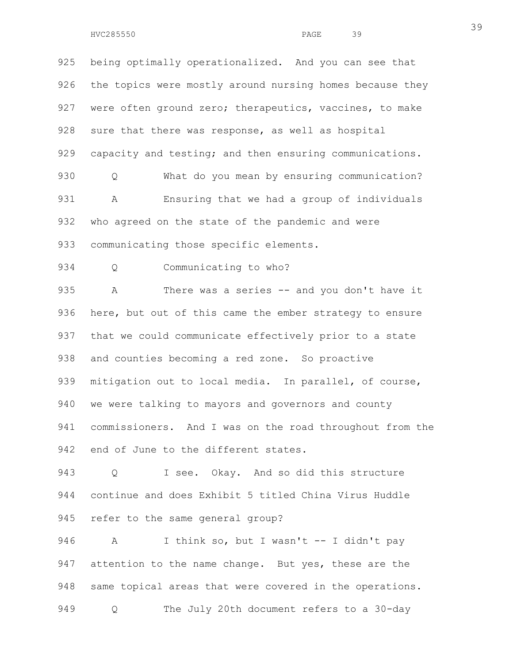925 being optimally operationalized. And you can see that 926 the topics were mostly around nursing homes because they 927 were often ground zero; therapeutics, vaccines, to make 928 sure that there was response, as well as hospital 929 capacity and testing; and then ensuring communications. 930 Q What do you mean by ensuring communication? 931 A Ensuring that we had a group of individuals 932 who agreed on the state of the pandemic and were 933 communicating those specific elements. 934 Q Communicating to who? 935 A There was a series -- and you don't have it 936 here, but out of this came the ember strategy to ensure

937 that we could communicate effectively prior to a state 938 and counties becoming a red zone. So proactive 939 mitigation out to local media. In parallel, of course, 940 we were talking to mayors and governors and county 941 commissioners. And I was on the road throughout from the 942 end of June to the different states.

943 Q I see. Okay. And so did this structure 944 continue and does Exhibit 5 titled China Virus Huddle 945 refer to the same general group?

946 A I think so, but I wasn't -- I didn't pay 947 attention to the name change. But yes, these are the 948 same topical areas that were covered in the operations. 949 Q The July 20th document refers to a 30-day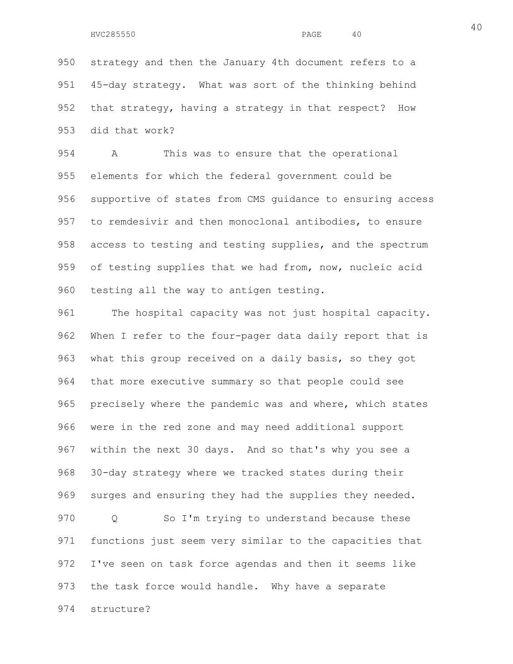950 strategy and then the January 4th document refers to a 951 45-day strategy. What was sort of the thinking behind 952 that strategy, having a strategy in that respect? How 953 did that work?

954 A This was to ensure that the operational 955 elements for which the federal government could be 956 supportive of states from CMS guidance to ensuring access 957 to remdesivir and then monoclonal antibodies, to ensure 958 access to testing and testing supplies, and the spectrum 959 of testing supplies that we had from, now, nucleic acid 960 testing all the way to antigen testing.

961 The hospital capacity was not just hospital capacity. 962 When I refer to the four-pager data daily report that is 963 what this group received on a daily basis, so they got 964 that more executive summary so that people could see 965 precisely where the pandemic was and where, which states 966 were in the red zone and may need additional support 967 within the next 30 days. And so that's why you see a 968 30-day strategy where we tracked states during their 969 surges and ensuring they had the supplies they needed. 970 Q So I'm trying to understand because these 971 functions just seem very similar to the capacities that 972 I've seen on task force agendas and then it seems like 973 the task force would handle. Why have a separate

974 structure?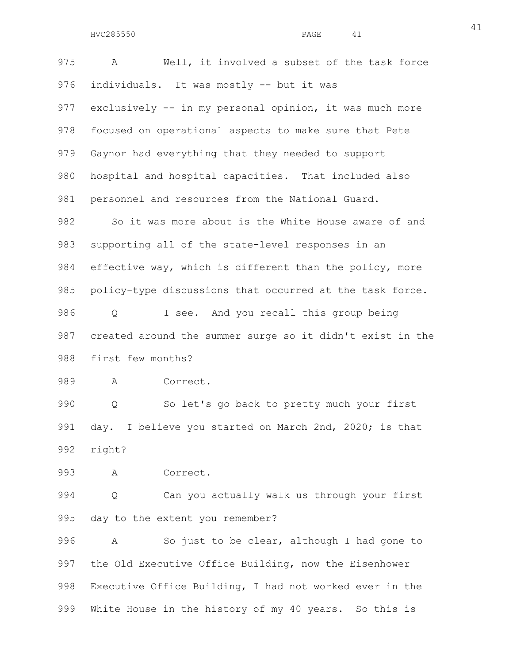975 A Well, it involved a subset of the task force 976 individuals. It was mostly -- but it was 977 exclusively -- in my personal opinion, it was much more 978 focused on operational aspects to make sure that Pete 979 Gaynor had everything that they needed to support 980 hospital and hospital capacities. That included also 981 personnel and resources from the National Guard. 982 So it was more about is the White House aware of and 983 supporting all of the state-level responses in an 984 effective way, which is different than the policy, more 985 policy-type discussions that occurred at the task force. 986 Q I see. And you recall this group being 987 created around the summer surge so it didn't exist in the 988 first few months? 989 A Correct. 990 Q So let's go back to pretty much your first 991 day. I believe you started on March 2nd, 2020; is that 992 right? 993 A Correct. 994 Q Can you actually walk us through your first 995 day to the extent you remember?

996 A So just to be clear, although I had gone to 997 the Old Executive Office Building, now the Eisenhower 998 Executive Office Building, I had not worked ever in the 999 White House in the history of my 40 years. So this is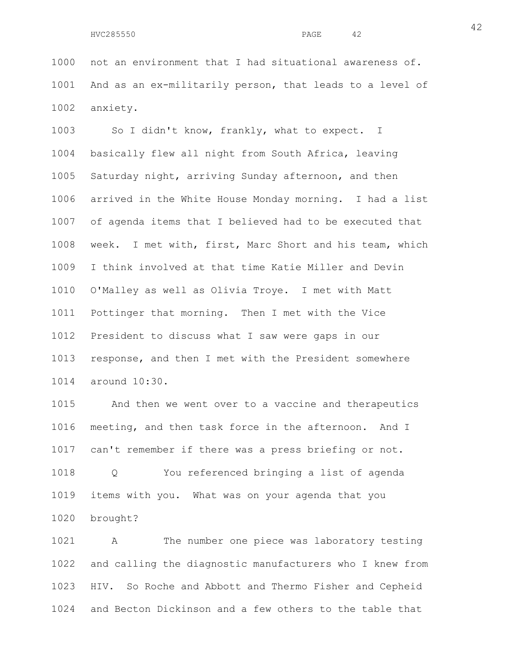1000 not an environment that I had situational awareness of. 1001 And as an ex-militarily person, that leads to a level of 1002 anxiety.

1003 So I didn't know, frankly, what to expect. I 1004 basically flew all night from South Africa, leaving 1005 Saturday night, arriving Sunday afternoon, and then 1006 arrived in the White House Monday morning. I had a list 1007 of agenda items that I believed had to be executed that 1008 week. I met with, first, Marc Short and his team, which 1009 I think involved at that time Katie Miller and Devin 1010 O'Malley as well as Olivia Troye. I met with Matt 1011 Pottinger that morning. Then I met with the Vice 1012 President to discuss what I saw were gaps in our 1013 response, and then I met with the President somewhere 1014 around 10:30.

1015 And then we went over to a vaccine and therapeutics 1016 meeting, and then task force in the afternoon. And I 1017 can't remember if there was a press briefing or not.

1018 Q You referenced bringing a list of agenda 1019 items with you. What was on your agenda that you 1020 brought?

1021 A The number one piece was laboratory testing 1022 and calling the diagnostic manufacturers who I knew from 1023 HIV. So Roche and Abbott and Thermo Fisher and Cepheid 1024 and Becton Dickinson and a few others to the table that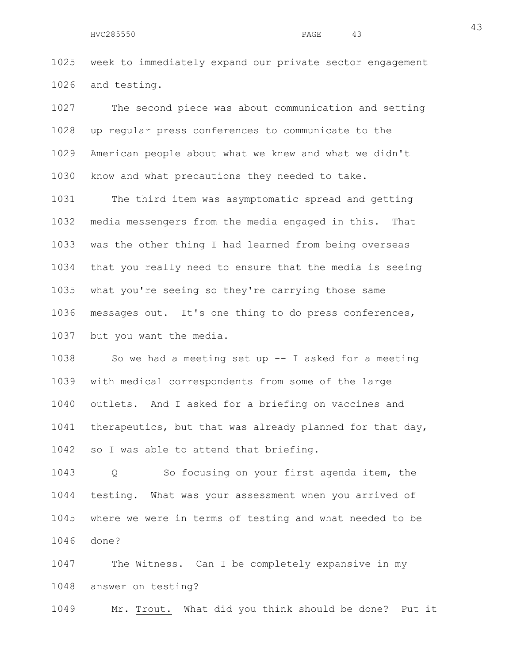1025 week to immediately expand our private sector engagement 1026 and testing.

1027 The second piece was about communication and setting 1028 up regular press conferences to communicate to the 1029 American people about what we knew and what we didn't 1030 know and what precautions they needed to take.

1031 The third item was asymptomatic spread and getting 1032 media messengers from the media engaged in this. That 1033 was the other thing I had learned from being overseas 1034 that you really need to ensure that the media is seeing 1035 what you're seeing so they're carrying those same 1036 messages out. It's one thing to do press conferences, 1037 but you want the media.

1038 So we had a meeting set up -- I asked for a meeting 1039 with medical correspondents from some of the large 1040 outlets. And I asked for a briefing on vaccines and 1041 therapeutics, but that was already planned for that day, 1042 so I was able to attend that briefing.

1043 Q So focusing on your first agenda item, the 1044 testing. What was your assessment when you arrived of 1045 where we were in terms of testing and what needed to be 1046 done?

1047 The Witness. Can I be completely expansive in my 1048 answer on testing?

1049 Mr. Trout. What did you think should be done? Put it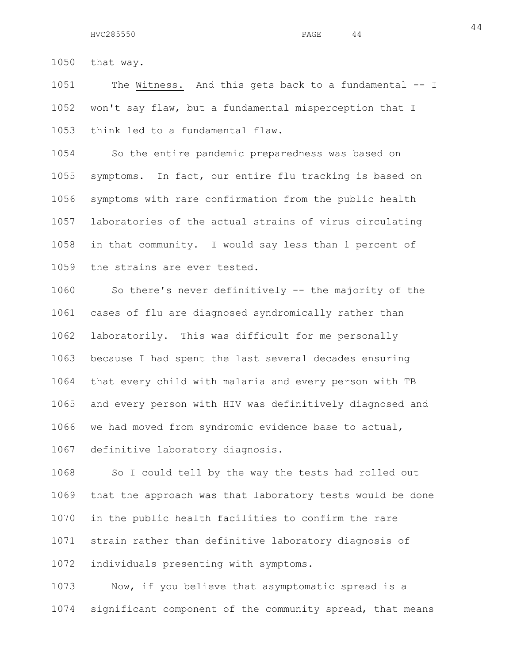44

1050 that way.

1051 The Witness. And this gets back to a fundamental -- I 1052 won't say flaw, but a fundamental misperception that I 1053 think led to a fundamental flaw.

1054 So the entire pandemic preparedness was based on 1055 symptoms. In fact, our entire flu tracking is based on 1056 symptoms with rare confirmation from the public health 1057 laboratories of the actual strains of virus circulating 1058 in that community. I would say less than 1 percent of 1059 the strains are ever tested.

1060 So there's never definitively -- the majority of the 1061 cases of flu are diagnosed syndromically rather than 1062 laboratorily. This was difficult for me personally 1063 because I had spent the last several decades ensuring 1064 that every child with malaria and every person with TB 1065 and every person with HIV was definitively diagnosed and 1066 we had moved from syndromic evidence base to actual, 1067 definitive laboratory diagnosis.

1068 So I could tell by the way the tests had rolled out 1069 that the approach was that laboratory tests would be done 1070 in the public health facilities to confirm the rare 1071 strain rather than definitive laboratory diagnosis of 1072 individuals presenting with symptoms.

1073 Now, if you believe that asymptomatic spread is a 1074 significant component of the community spread, that means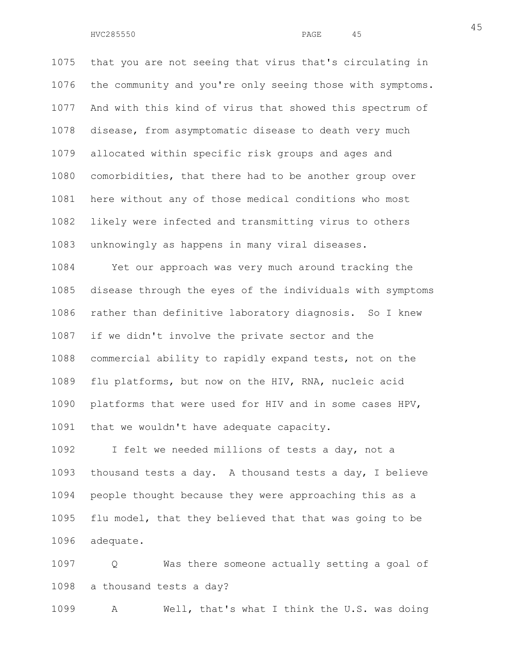1075 that you are not seeing that virus that's circulating in 1076 the community and you're only seeing those with symptoms. 1077 And with this kind of virus that showed this spectrum of 1078 disease, from asymptomatic disease to death very much 1079 allocated within specific risk groups and ages and 1080 comorbidities, that there had to be another group over 1081 here without any of those medical conditions who most 1082 likely were infected and transmitting virus to others 1083 unknowingly as happens in many viral diseases.

1084 Yet our approach was very much around tracking the 1085 disease through the eyes of the individuals with symptoms 1086 rather than definitive laboratory diagnosis. So I knew 1087 if we didn't involve the private sector and the 1088 commercial ability to rapidly expand tests, not on the 1089 flu platforms, but now on the HIV, RNA, nucleic acid 1090 platforms that were used for HIV and in some cases HPV, 1091 that we wouldn't have adequate capacity.

1092 I felt we needed millions of tests a day, not a 1093 thousand tests a day. A thousand tests a day, I believe 1094 people thought because they were approaching this as a 1095 flu model, that they believed that that was going to be 1096 adequate.

1097 Q Was there someone actually setting a goal of 1098 a thousand tests a day?

1099 A Well, that's what I think the U.S. was doing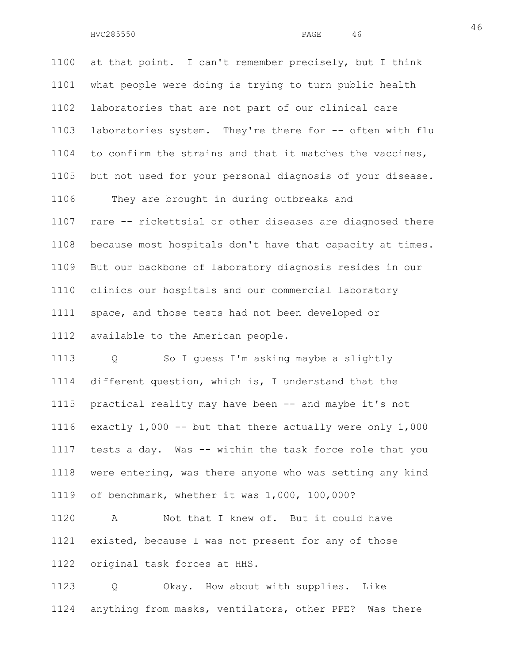1100 at that point. I can't remember precisely, but I think 1101 what people were doing is trying to turn public health 1102 laboratories that are not part of our clinical care 1103 laboratories system. They're there for -- often with flu 1104 to confirm the strains and that it matches the vaccines, 1105 but not used for your personal diagnosis of your disease. 1106 They are brought in during outbreaks and 1107 rare -- rickettsial or other diseases are diagnosed there 1108 because most hospitals don't have that capacity at times. 1109 But our backbone of laboratory diagnosis resides in our 1110 clinics our hospitals and our commercial laboratory 1111 space, and those tests had not been developed or 1112 available to the American people.

1113 Q So I guess I'm asking maybe a slightly 1114 different question, which is, I understand that the 1115 practical reality may have been -- and maybe it's not 1116 exactly 1,000 -- but that there actually were only 1,000 1117 tests a day. Was -- within the task force role that you 1118 were entering, was there anyone who was setting any kind 1119 of benchmark, whether it was 1,000, 100,000?

1120 A Not that I knew of. But it could have 1121 existed, because I was not present for any of those 1122 original task forces at HHS.

1123 Q Okay. How about with supplies. Like 1124 anything from masks, ventilators, other PPE? Was there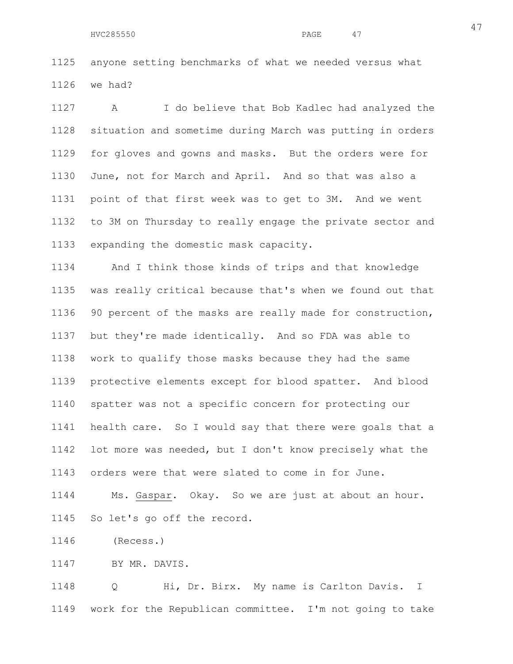1125 anyone setting benchmarks of what we needed versus what 1126 we had?

1127 A I do believe that Bob Kadlec had analyzed the 1128 situation and sometime during March was putting in orders 1129 for gloves and gowns and masks. But the orders were for 1130 June, not for March and April. And so that was also a 1131 point of that first week was to get to 3M. And we went 1132 to 3M on Thursday to really engage the private sector and 1133 expanding the domestic mask capacity.

1134 And I think those kinds of trips and that knowledge 1135 was really critical because that's when we found out that 1136 90 percent of the masks are really made for construction, 1137 but they're made identically. And so FDA was able to 1138 work to qualify those masks because they had the same 1139 protective elements except for blood spatter. And blood 1140 spatter was not a specific concern for protecting our 1141 health care. So I would say that there were goals that a 1142 lot more was needed, but I don't know precisely what the 1143 orders were that were slated to come in for June.

1144 Ms. Gaspar. Okay. So we are just at about an hour. 1145 So let's go off the record.

1146 (Recess.)

1147 BY MR. DAVIS.

1148 Q Hi, Dr. Birx. My name is Carlton Davis. I 1149 work for the Republican committee. I'm not going to take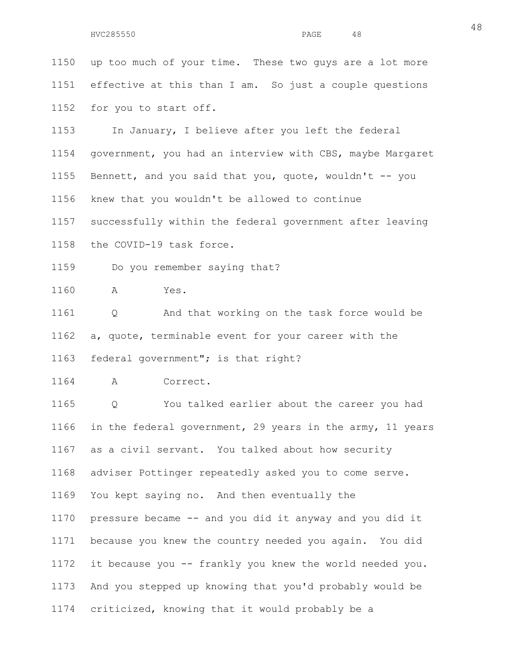1150 up too much of your time. These two guys are a lot more 1151 effective at this than I am. So just a couple questions 1152 for you to start off. 1153 In January, I believe after you left the federal 1154 government, you had an interview with CBS, maybe Margaret 1155 Bennett, and you said that you, quote, wouldn't -- you 1156 knew that you wouldn't be allowed to continue 1157 successfully within the federal government after leaving 1158 the COVID-19 task force. 1159 Do you remember saying that? 1160 A Yes. 1161 Q And that working on the task force would be 1162 a, quote, terminable event for your career with the 1163 federal government"; is that right? 1164 A Correct. 1165 Q You talked earlier about the career you had 1166 in the federal government, 29 years in the army, 11 years 1167 as a civil servant. You talked about how security 1168 adviser Pottinger repeatedly asked you to come serve. 1169 You kept saying no. And then eventually the 1170 pressure became -- and you did it anyway and you did it 1171 because you knew the country needed you again. You did 1172 it because you -- frankly you knew the world needed you. 1173 And you stepped up knowing that you'd probably would be

1174 criticized, knowing that it would probably be a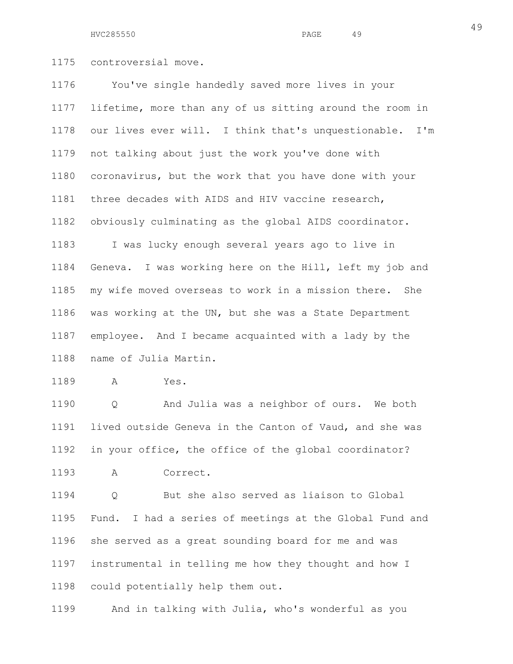HVC285550 PAGE 49

1175 controversial move.

1176 You've single handedly saved more lives in your 1177 lifetime, more than any of us sitting around the room in 1178 our lives ever will. I think that's unquestionable. I'm 1179 not talking about just the work you've done with 1180 coronavirus, but the work that you have done with your 1181 three decades with AIDS and HIV vaccine research, 1182 obviously culminating as the global AIDS coordinator. 1183 I was lucky enough several years ago to live in 1184 Geneva. I was working here on the Hill, left my job and 1185 my wife moved overseas to work in a mission there. She 1186 was working at the UN, but she was a State Department 1187 employee. And I became acquainted with a lady by the 1188 name of Julia Martin.

1189 A Yes.

1190 Q And Julia was a neighbor of ours. We both 1191 lived outside Geneva in the Canton of Vaud, and she was 1192 in your office, the office of the global coordinator? 1193 A Correct.

1194 Q But she also served as liaison to Global 1195 Fund. I had a series of meetings at the Global Fund and 1196 she served as a great sounding board for me and was 1197 instrumental in telling me how they thought and how I 1198 could potentially help them out.

1199 And in talking with Julia, who's wonderful as you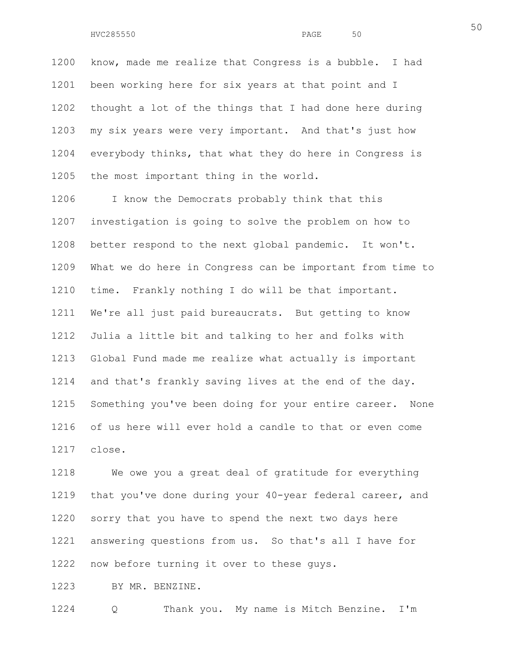1200 know, made me realize that Congress is a bubble. I had 1201 been working here for six years at that point and I 1202 thought a lot of the things that I had done here during 1203 my six years were very important. And that's just how 1204 everybody thinks, that what they do here in Congress is 1205 the most important thing in the world.

1206 I know the Democrats probably think that this 1207 investigation is going to solve the problem on how to 1208 better respond to the next global pandemic. It won't. 1209 What we do here in Congress can be important from time to 1210 time. Frankly nothing I do will be that important. 1211 We're all just paid bureaucrats. But getting to know 1212 Julia a little bit and talking to her and folks with 1213 Global Fund made me realize what actually is important 1214 and that's frankly saving lives at the end of the day. 1215 Something you've been doing for your entire career. None 1216 of us here will ever hold a candle to that or even come 1217 close.

1218 We owe you a great deal of gratitude for everything 1219 that you've done during your 40-year federal career, and 1220 sorry that you have to spend the next two days here 1221 answering questions from us. So that's all I have for 1222 now before turning it over to these guys.

1223 BY MR. BENZINE.

1224 Q Thank you. My name is Mitch Benzine. I'm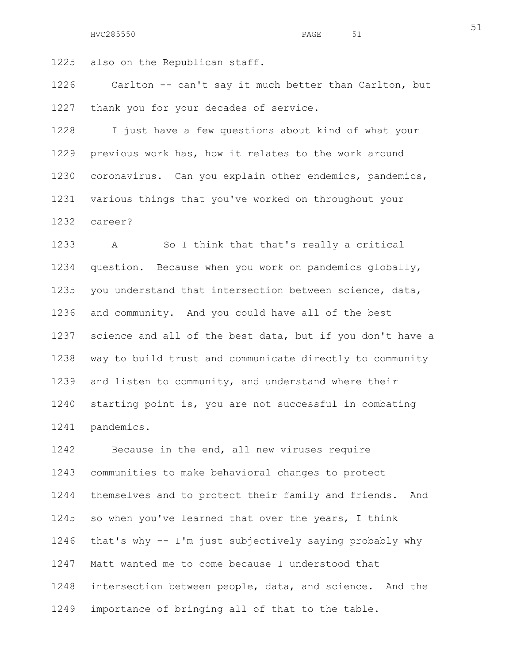1225 also on the Republican staff.

1226 Carlton -- can't say it much better than Carlton, but 1227 thank you for your decades of service.

1228 I just have a few questions about kind of what your 1229 previous work has, how it relates to the work around 1230 coronavirus. Can you explain other endemics, pandemics, 1231 various things that you've worked on throughout your 1232 career?

1233 A So I think that that's really a critical 1234 question. Because when you work on pandemics globally, 1235 you understand that intersection between science, data, 1236 and community. And you could have all of the best 1237 science and all of the best data, but if you don't have a 1238 way to build trust and communicate directly to community 1239 and listen to community, and understand where their 1240 starting point is, you are not successful in combating 1241 pandemics.

1242 Because in the end, all new viruses require 1243 communities to make behavioral changes to protect 1244 themselves and to protect their family and friends. And 1245 so when you've learned that over the years, I think 1246 that's why -- I'm just subjectively saying probably why 1247 Matt wanted me to come because I understood that 1248 intersection between people, data, and science. And the 1249 importance of bringing all of that to the table.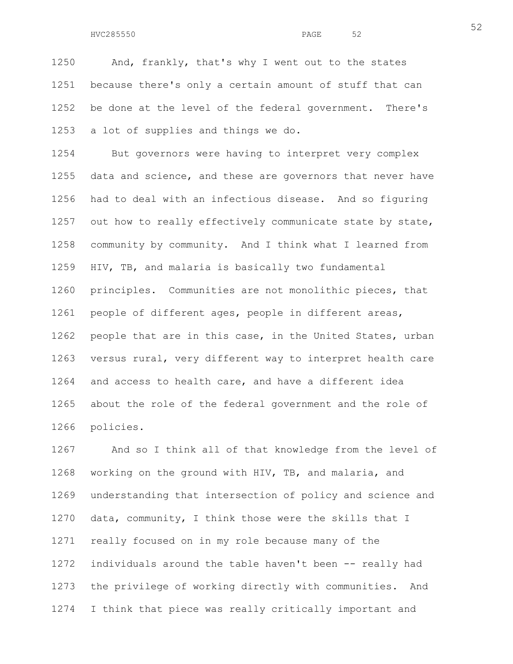1250 And, frankly, that's why I went out to the states 1251 because there's only a certain amount of stuff that can 1252 be done at the level of the federal government. There's 1253 a lot of supplies and things we do.

1254 But governors were having to interpret very complex 1255 data and science, and these are governors that never have 1256 had to deal with an infectious disease. And so figuring 1257 out how to really effectively communicate state by state, 1258 community by community. And I think what I learned from 1259 HIV, TB, and malaria is basically two fundamental 1260 principles. Communities are not monolithic pieces, that 1261 people of different ages, people in different areas, 1262 people that are in this case, in the United States, urban 1263 versus rural, very different way to interpret health care 1264 and access to health care, and have a different idea 1265 about the role of the federal government and the role of 1266 policies.

1267 And so I think all of that knowledge from the level of 1268 working on the ground with HIV, TB, and malaria, and 1269 understanding that intersection of policy and science and 1270 data, community, I think those were the skills that I 1271 really focused on in my role because many of the 1272 individuals around the table haven't been -- really had 1273 the privilege of working directly with communities. And 1274 I think that piece was really critically important and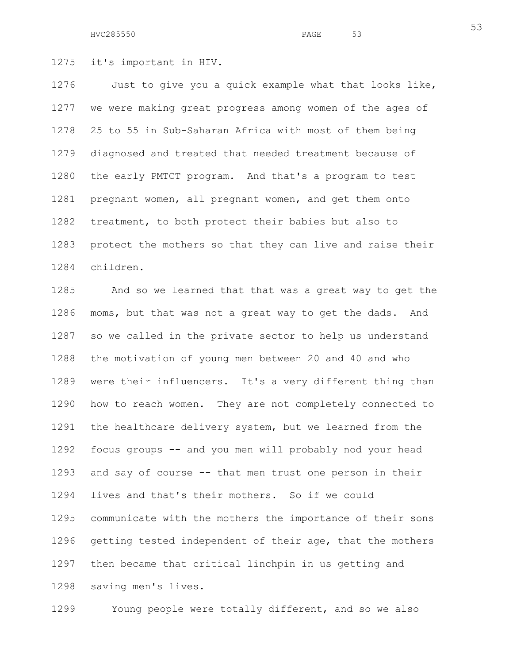HVC285550 PAGE 53

1275 it's important in HIV.

1276 Just to give you a quick example what that looks like, 1277 we were making great progress among women of the ages of 1278 25 to 55 in Sub-Saharan Africa with most of them being 1279 diagnosed and treated that needed treatment because of 1280 the early PMTCT program. And that's a program to test 1281 pregnant women, all pregnant women, and get them onto 1282 treatment, to both protect their babies but also to 1283 protect the mothers so that they can live and raise their 1284 children.

1285 And so we learned that that was a great way to get the 1286 moms, but that was not a great way to get the dads. And 1287 so we called in the private sector to help us understand 1288 the motivation of young men between 20 and 40 and who 1289 were their influencers. It's a very different thing than 1290 how to reach women. They are not completely connected to 1291 the healthcare delivery system, but we learned from the 1292 focus groups -- and you men will probably nod your head 1293 and say of course -- that men trust one person in their 1294 lives and that's their mothers. So if we could 1295 communicate with the mothers the importance of their sons 1296 getting tested independent of their age, that the mothers 1297 then became that critical linchpin in us getting and 1298 saving men's lives.

1299 Young people were totally different, and so we also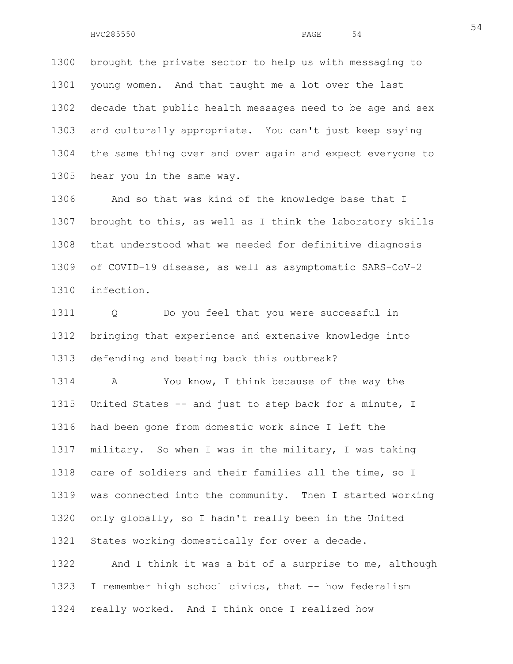1300 brought the private sector to help us with messaging to 1301 young women. And that taught me a lot over the last 1302 decade that public health messages need to be age and sex 1303 and culturally appropriate. You can't just keep saying 1304 the same thing over and over again and expect everyone to 1305 hear you in the same way.

1306 And so that was kind of the knowledge base that I 1307 brought to this, as well as I think the laboratory skills 1308 that understood what we needed for definitive diagnosis 1309 of COVID-19 disease, as well as asymptomatic SARS-CoV-2 1310 infection.

1311 Q Do you feel that you were successful in 1312 bringing that experience and extensive knowledge into 1313 defending and beating back this outbreak?

1314 A You know, I think because of the way the 1315 United States -- and just to step back for a minute, I 1316 had been gone from domestic work since I left the 1317 military. So when I was in the military, I was taking 1318 care of soldiers and their families all the time, so I 1319 was connected into the community. Then I started working 1320 only globally, so I hadn't really been in the United 1321 States working domestically for over a decade. 1322 And I think it was a bit of a surprise to me, although

1323 I remember high school civics, that -- how federalism 1324 really worked. And I think once I realized how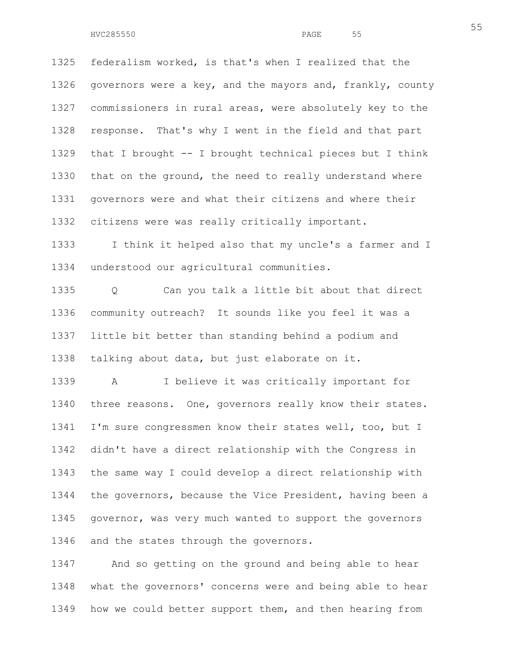1325 federalism worked, is that's when I realized that the 1326 governors were a key, and the mayors and, frankly, county 1327 commissioners in rural areas, were absolutely key to the 1328 response. That's why I went in the field and that part 1329 that I brought -- I brought technical pieces but I think 1330 that on the ground, the need to really understand where 1331 governors were and what their citizens and where their 1332 citizens were was really critically important.

1333 I think it helped also that my uncle's a farmer and I 1334 understood our agricultural communities.

1335 Q Can you talk a little bit about that direct 1336 community outreach? It sounds like you feel it was a 1337 little bit better than standing behind a podium and 1338 talking about data, but just elaborate on it.

1339 A I believe it was critically important for 1340 three reasons. One, governors really know their states. 1341 I'm sure congressmen know their states well, too, but I 1342 didn't have a direct relationship with the Congress in 1343 the same way I could develop a direct relationship with 1344 the governors, because the Vice President, having been a 1345 governor, was very much wanted to support the governors 1346 and the states through the governors.

1347 And so getting on the ground and being able to hear 1348 what the governors' concerns were and being able to hear 1349 how we could better support them, and then hearing from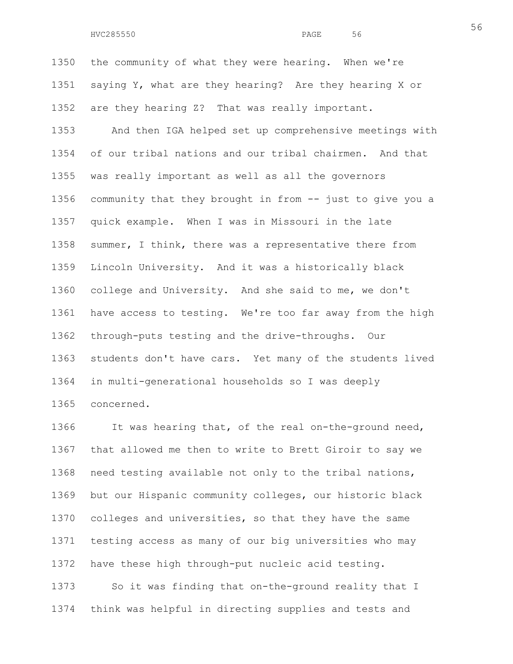1350 the community of what they were hearing. When we're 1351 saying Y, what are they hearing? Are they hearing X or 1352 are they hearing Z? That was really important.

1353 And then IGA helped set up comprehensive meetings with 1354 of our tribal nations and our tribal chairmen. And that 1355 was really important as well as all the governors 1356 community that they brought in from -- just to give you a 1357 quick example. When I was in Missouri in the late 1358 summer, I think, there was a representative there from 1359 Lincoln University. And it was a historically black 1360 college and University. And she said to me, we don't 1361 have access to testing. We're too far away from the high 1362 through-puts testing and the drive-throughs. Our 1363 students don't have cars. Yet many of the students lived 1364 in multi-generational households so I was deeply 1365 concerned.

1366 It was hearing that, of the real on-the-ground need, 1367 that allowed me then to write to Brett Giroir to say we 1368 need testing available not only to the tribal nations, 1369 but our Hispanic community colleges, our historic black 1370 colleges and universities, so that they have the same 1371 testing access as many of our big universities who may 1372 have these high through-put nucleic acid testing.

1373 So it was finding that on-the-ground reality that I 1374 think was helpful in directing supplies and tests and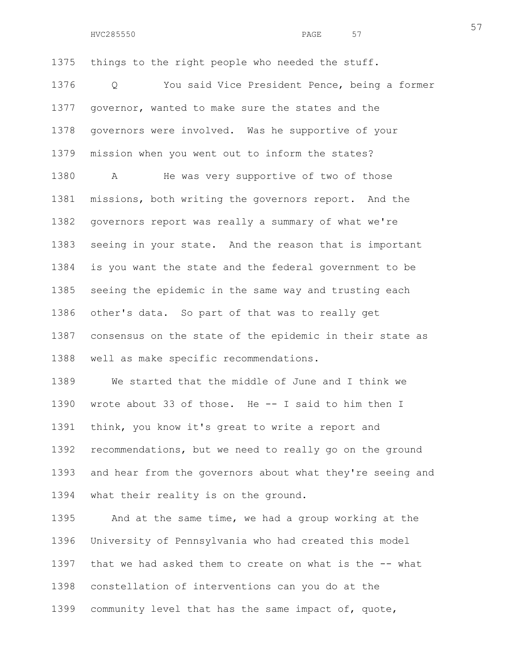1375 things to the right people who needed the stuff. 1376 Q You said Vice President Pence, being a former 1377 governor, wanted to make sure the states and the 1378 governors were involved. Was he supportive of your 1379 mission when you went out to inform the states? 1380 A He was very supportive of two of those 1381 missions, both writing the governors report. And the 1382 governors report was really a summary of what we're 1383 seeing in your state. And the reason that is important 1384 is you want the state and the federal government to be 1385 seeing the epidemic in the same way and trusting each 1386 other's data. So part of that was to really get 1387 consensus on the state of the epidemic in their state as 1388 well as make specific recommendations.

1389 We started that the middle of June and I think we 1390 wrote about 33 of those. He -- I said to him then I 1391 think, you know it's great to write a report and 1392 recommendations, but we need to really go on the ground 1393 and hear from the governors about what they're seeing and 1394 what their reality is on the ground.

1395 And at the same time, we had a group working at the 1396 University of Pennsylvania who had created this model 1397 that we had asked them to create on what is the -- what 1398 constellation of interventions can you do at the 1399 community level that has the same impact of, quote,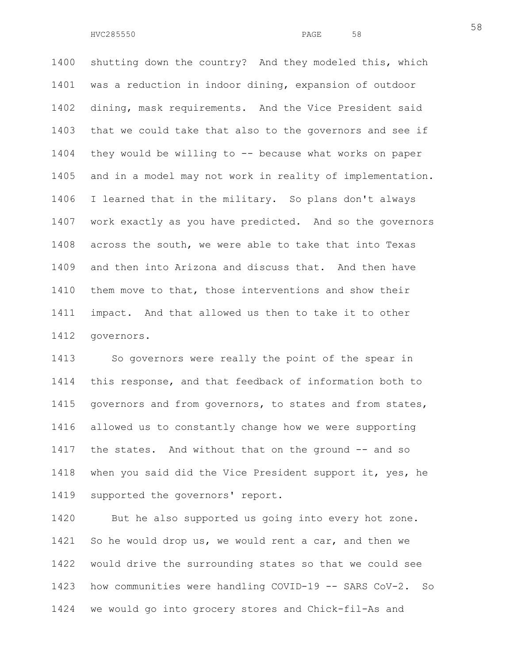1400 shutting down the country? And they modeled this, which 1401 was a reduction in indoor dining, expansion of outdoor 1402 dining, mask requirements. And the Vice President said 1403 that we could take that also to the governors and see if 1404 they would be willing to -- because what works on paper 1405 and in a model may not work in reality of implementation. 1406 I learned that in the military. So plans don't always 1407 work exactly as you have predicted. And so the governors 1408 across the south, we were able to take that into Texas 1409 and then into Arizona and discuss that. And then have 1410 them move to that, those interventions and show their 1411 impact. And that allowed us then to take it to other 1412 governors.

1413 So governors were really the point of the spear in 1414 this response, and that feedback of information both to 1415 governors and from governors, to states and from states, 1416 allowed us to constantly change how we were supporting 1417 the states. And without that on the ground -- and so 1418 when you said did the Vice President support it, yes, he 1419 supported the governors' report.

1420 But he also supported us going into every hot zone. 1421 So he would drop us, we would rent a car, and then we 1422 would drive the surrounding states so that we could see 1423 how communities were handling COVID-19 -- SARS CoV-2. So 1424 we would go into grocery stores and Chick-fil-As and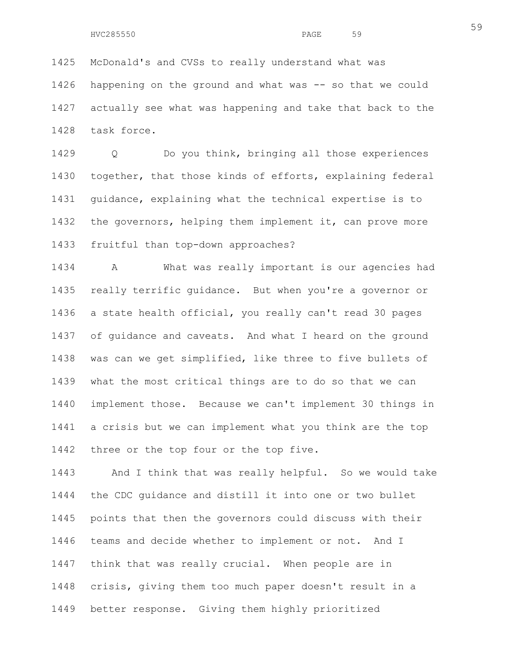1425 McDonald's and CVSs to really understand what was 1426 happening on the ground and what was -- so that we could 1427 actually see what was happening and take that back to the 1428 task force.

1429 Q Do you think, bringing all those experiences 1430 together, that those kinds of efforts, explaining federal 1431 guidance, explaining what the technical expertise is to 1432 the governors, helping them implement it, can prove more 1433 fruitful than top-down approaches?

1434 A What was really important is our agencies had 1435 really terrific guidance. But when you're a governor or 1436 a state health official, you really can't read 30 pages 1437 of guidance and caveats. And what I heard on the ground 1438 was can we get simplified, like three to five bullets of 1439 what the most critical things are to do so that we can 1440 implement those. Because we can't implement 30 things in 1441 a crisis but we can implement what you think are the top 1442 three or the top four or the top five.

1443 And I think that was really helpful. So we would take 1444 the CDC guidance and distill it into one or two bullet 1445 points that then the governors could discuss with their 1446 teams and decide whether to implement or not. And I 1447 think that was really crucial. When people are in 1448 crisis, giving them too much paper doesn't result in a 1449 better response. Giving them highly prioritized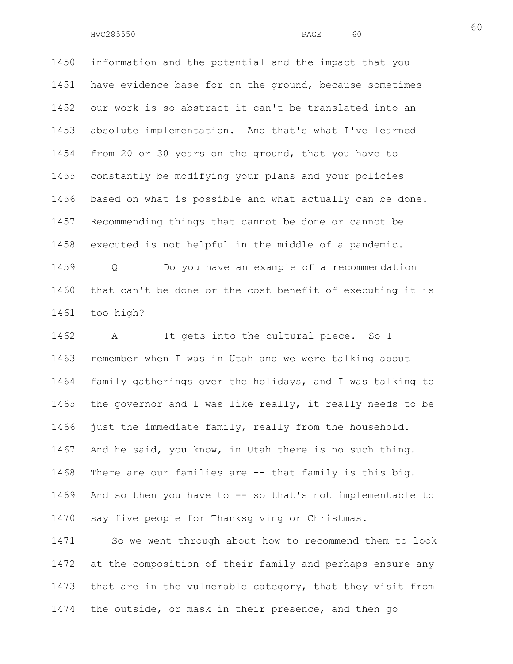1450 information and the potential and the impact that you 1451 have evidence base for on the ground, because sometimes 1452 our work is so abstract it can't be translated into an 1453 absolute implementation. And that's what I've learned 1454 from 20 or 30 years on the ground, that you have to 1455 constantly be modifying your plans and your policies 1456 based on what is possible and what actually can be done. 1457 Recommending things that cannot be done or cannot be 1458 executed is not helpful in the middle of a pandemic. 1459 Q Do you have an example of a recommendation

1460 that can't be done or the cost benefit of executing it is 1461 too high?

1462 A It gets into the cultural piece. So I 1463 remember when I was in Utah and we were talking about 1464 family gatherings over the holidays, and I was talking to 1465 the governor and I was like really, it really needs to be 1466 just the immediate family, really from the household. 1467 And he said, you know, in Utah there is no such thing. 1468 There are our families are -- that family is this big. 1469 And so then you have to -- so that's not implementable to 1470 say five people for Thanksgiving or Christmas.

1471 So we went through about how to recommend them to look 1472 at the composition of their family and perhaps ensure any 1473 that are in the vulnerable category, that they visit from 1474 the outside, or mask in their presence, and then go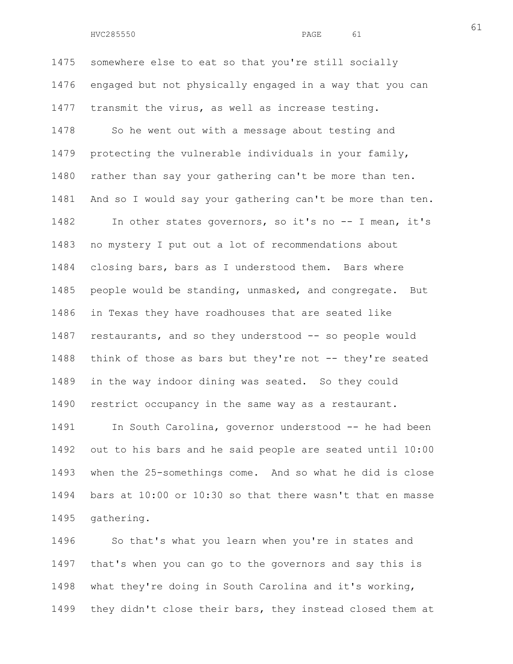1475 somewhere else to eat so that you're still socially 1476 engaged but not physically engaged in a way that you can 1477 transmit the virus, as well as increase testing. 1478 So he went out with a message about testing and 1479 protecting the vulnerable individuals in your family, 1480 rather than say your gathering can't be more than ten. 1481 And so I would say your gathering can't be more than ten. 1482 In other states governors, so it's no -- I mean, it's 1483 no mystery I put out a lot of recommendations about 1484 closing bars, bars as I understood them. Bars where 1485 people would be standing, unmasked, and congregate. But 1486 in Texas they have roadhouses that are seated like 1487 restaurants, and so they understood -- so people would 1488 think of those as bars but they're not -- they're seated 1489 in the way indoor dining was seated. So they could 1490 restrict occupancy in the same way as a restaurant. 1491 In South Carolina, governor understood -- he had been 1492 out to his bars and he said people are seated until 10:00 1493 when the 25-somethings come. And so what he did is close 1494 bars at 10:00 or 10:30 so that there wasn't that en masse

1495 gathering.

1496 So that's what you learn when you're in states and 1497 that's when you can go to the governors and say this is 1498 what they're doing in South Carolina and it's working, 1499 they didn't close their bars, they instead closed them at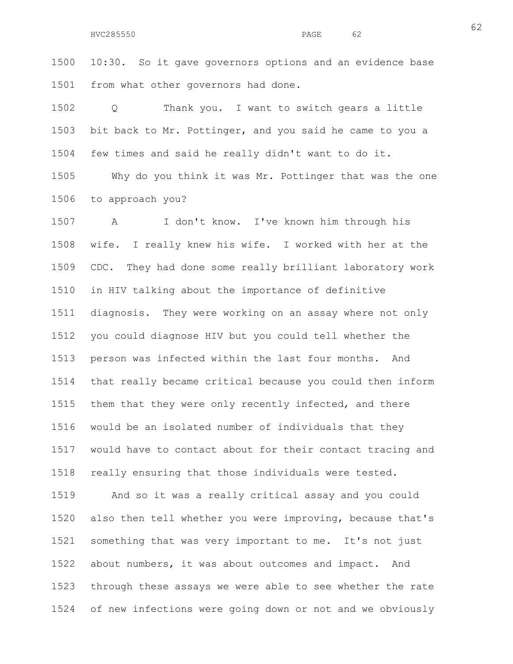1500 10:30. So it gave governors options and an evidence base 1501 from what other governors had done.

1502 Q Thank you. I want to switch gears a little 1503 bit back to Mr. Pottinger, and you said he came to you a 1504 few times and said he really didn't want to do it.

1505 Why do you think it was Mr. Pottinger that was the one 1506 to approach you?

1507 A I don't know. I've known him through his 1508 wife. I really knew his wife. I worked with her at the 1509 CDC. They had done some really brilliant laboratory work 1510 in HIV talking about the importance of definitive 1511 diagnosis. They were working on an assay where not only 1512 you could diagnose HIV but you could tell whether the 1513 person was infected within the last four months. And 1514 that really became critical because you could then inform 1515 them that they were only recently infected, and there 1516 would be an isolated number of individuals that they 1517 would have to contact about for their contact tracing and 1518 really ensuring that those individuals were tested.

1519 And so it was a really critical assay and you could 1520 also then tell whether you were improving, because that's 1521 something that was very important to me. It's not just 1522 about numbers, it was about outcomes and impact. And 1523 through these assays we were able to see whether the rate 1524 of new infections were going down or not and we obviously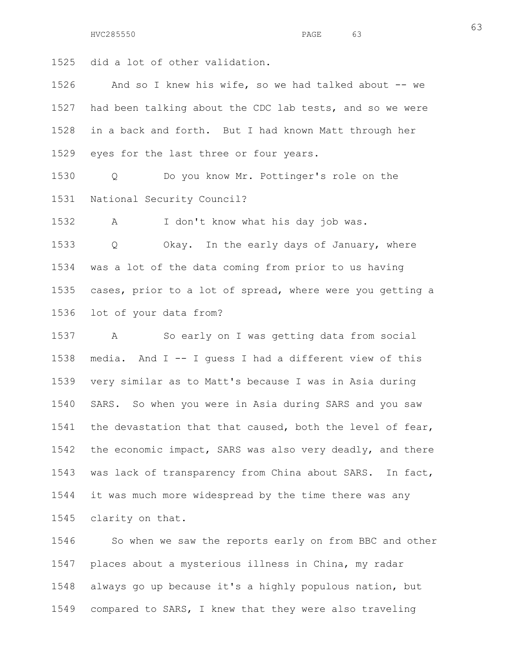1525 did a lot of other validation.

1526 And so I knew his wife, so we had talked about -- we 1527 had been talking about the CDC lab tests, and so we were 1528 in a back and forth. But I had known Matt through her 1529 eyes for the last three or four years.

1530 Q Do you know Mr. Pottinger's role on the 1531 National Security Council?

1532 A I don't know what his day job was.

1533 Q Okay. In the early days of January, where 1534 was a lot of the data coming from prior to us having 1535 cases, prior to a lot of spread, where were you getting a 1536 lot of your data from?

1537 A So early on I was getting data from social 1538 media. And I -- I guess I had a different view of this 1539 very similar as to Matt's because I was in Asia during 1540 SARS. So when you were in Asia during SARS and you saw 1541 the devastation that that caused, both the level of fear, 1542 the economic impact, SARS was also very deadly, and there 1543 was lack of transparency from China about SARS. In fact, 1544 it was much more widespread by the time there was any 1545 clarity on that.

1546 So when we saw the reports early on from BBC and other 1547 places about a mysterious illness in China, my radar 1548 always go up because it's a highly populous nation, but 1549 compared to SARS, I knew that they were also traveling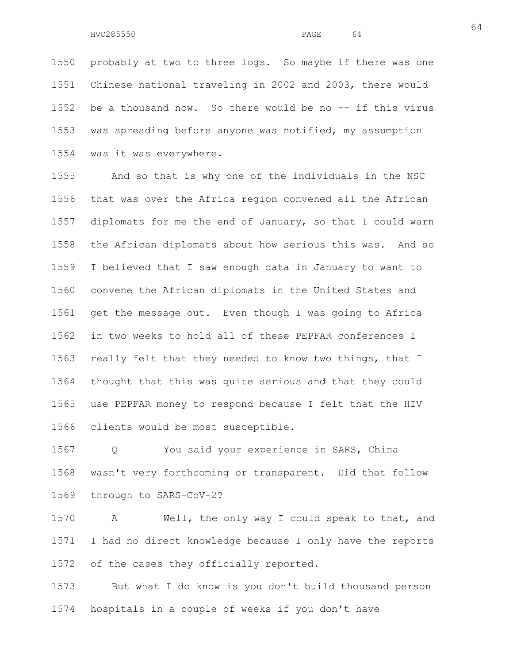1550 probably at two to three logs. So maybe if there was one 1551 Chinese national traveling in 2002 and 2003, there would 1552 be a thousand now. So there would be no -- if this virus 1553 was spreading before anyone was notified, my assumption 1554 was it was everywhere.

1555 And so that is why one of the individuals in the NSC 1556 that was over the Africa region convened all the African 1557 diplomats for me the end of January, so that I could warn 1558 the African diplomats about how serious this was. And so 1559 I believed that I saw enough data in January to want to 1560 convene the African diplomats in the United States and 1561 get the message out. Even though I was going to Africa 1562 in two weeks to hold all of these PEPFAR conferences I 1563 really felt that they needed to know two things, that I 1564 thought that this was quite serious and that they could 1565 use PEPFAR money to respond because I felt that the HIV 1566 clients would be most susceptible.

1567 Q You said your experience in SARS, China 1568 wasn't very forthcoming or transparent. Did that follow 1569 through to SARS-CoV-2?

1570 A Well, the only way I could speak to that, and 1571 I had no direct knowledge because I only have the reports 1572 of the cases they officially reported.

1573 But what I do know is you don't build thousand person 1574 hospitals in a couple of weeks if you don't have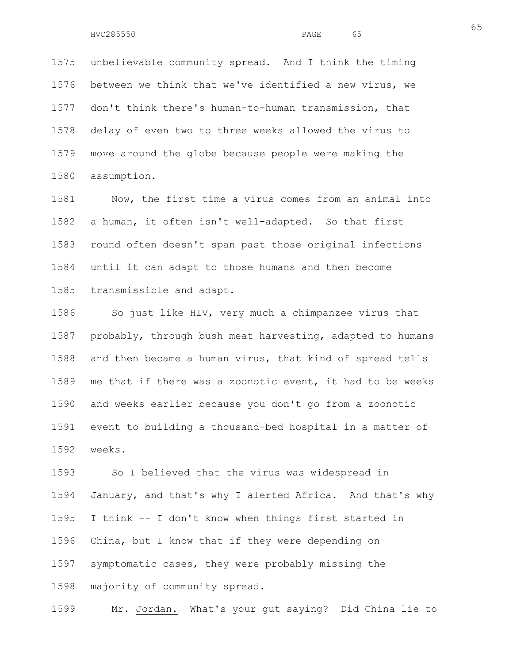1575 unbelievable community spread. And I think the timing 1576 between we think that we've identified a new virus, we 1577 don't think there's human-to-human transmission, that 1578 delay of even two to three weeks allowed the virus to 1579 move around the globe because people were making the 1580 assumption.

1581 Now, the first time a virus comes from an animal into 1582 a human, it often isn't well-adapted. So that first 1583 round often doesn't span past those original infections 1584 until it can adapt to those humans and then become 1585 transmissible and adapt.

1586 So just like HIV, very much a chimpanzee virus that 1587 probably, through bush meat harvesting, adapted to humans 1588 and then became a human virus, that kind of spread tells 1589 me that if there was a zoonotic event, it had to be weeks 1590 and weeks earlier because you don't go from a zoonotic 1591 event to building a thousand-bed hospital in a matter of 1592 weeks.

1593 So I believed that the virus was widespread in 1594 January, and that's why I alerted Africa. And that's why 1595 I think -- I don't know when things first started in 1596 China, but I know that if they were depending on 1597 symptomatic cases, they were probably missing the 1598 majority of community spread.

1599 Mr. Jordan. What's your gut saying? Did China lie to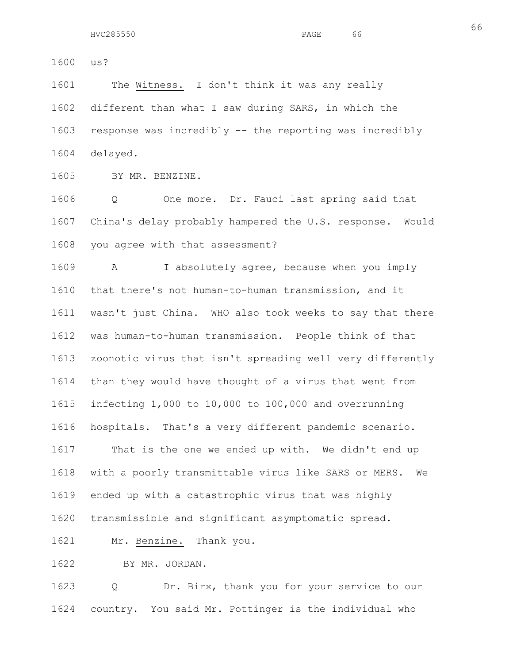1601 The Witness. I don't think it was any really 1602 different than what I saw during SARS, in which the 1603 response was incredibly -- the reporting was incredibly 1604 delayed.

1605 BY MR. BENZINE.

1606 Q One more. Dr. Fauci last spring said that 1607 China's delay probably hampered the U.S. response. Would 1608 you agree with that assessment?

1609 A I absolutely agree, because when you imply 1610 that there's not human-to-human transmission, and it 1611 wasn't just China. WHO also took weeks to say that there 1612 was human-to-human transmission. People think of that 1613 zoonotic virus that isn't spreading well very differently 1614 than they would have thought of a virus that went from 1615 infecting 1,000 to 10,000 to 100,000 and overrunning 1616 hospitals. That's a very different pandemic scenario. 1617 That is the one we ended up with. We didn't end up 1618 with a poorly transmittable virus like SARS or MERS. We 1619 ended up with a catastrophic virus that was highly 1620 transmissible and significant asymptomatic spread. 1621 Mr. Benzine. Thank you.

1622 BY MR. JORDAN.

1623 Q Dr. Birx, thank you for your service to our 1624 country. You said Mr. Pottinger is the individual who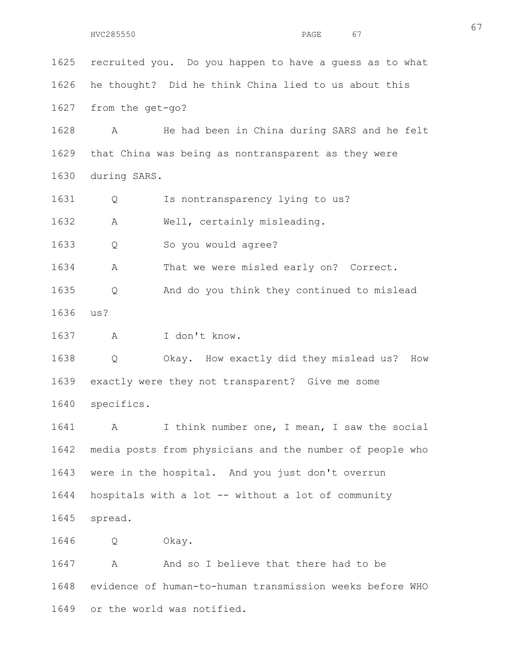1625 recruited you. Do you happen to have a guess as to what 1626 he thought? Did he think China lied to us about this 1627 from the get-go? 1628 A He had been in China during SARS and he felt 1629 that China was being as nontransparent as they were 1630 during SARS. 1631 Q Is nontransparency lying to us? 1632 A Well, certainly misleading. 1633 Q So you would agree? 1634 A That we were misled early on? Correct. 1635 Q And do you think they continued to mislead 1636 us? 1637 A I don't know. 1638 Q Okay. How exactly did they mislead us? How 1639 exactly were they not transparent? Give me some 1640 specifics. 1641 A I think number one, I mean, I saw the social 1642 media posts from physicians and the number of people who 1643 were in the hospital. And you just don't overrun 1644 hospitals with a lot -- without a lot of community 1645 spread. 1646 Q Okay. 1647 A And so I believe that there had to be 1648 evidence of human-to-human transmission weeks before WHO 1649 or the world was notified.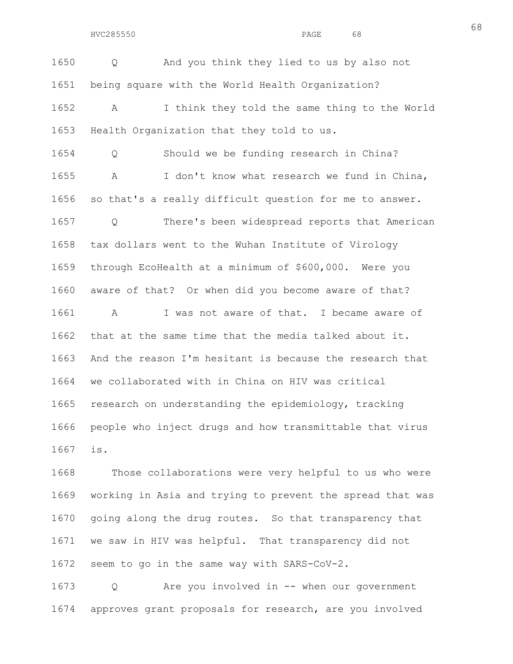1650 Q And you think they lied to us by also not 1651 being square with the World Health Organization? 1652 A I think they told the same thing to the World 1653 Health Organization that they told to us. 1654 Q Should we be funding research in China? 1655 A I don't know what research we fund in China, 1656 so that's a really difficult question for me to answer. 1657 Q There's been widespread reports that American 1658 tax dollars went to the Wuhan Institute of Virology 1659 through EcoHealth at a minimum of \$600,000. Were you 1660 aware of that? Or when did you become aware of that? 1661 A I was not aware of that. I became aware of 1662 that at the same time that the media talked about it. 1663 And the reason I'm hesitant is because the research that 1664 we collaborated with in China on HIV was critical 1665 research on understanding the epidemiology, tracking 1666 people who inject drugs and how transmittable that virus 1667 is.

1668 Those collaborations were very helpful to us who were 1669 working in Asia and trying to prevent the spread that was 1670 going along the drug routes. So that transparency that 1671 we saw in HIV was helpful. That transparency did not 1672 seem to go in the same way with SARS-CoV-2.

1673 Q Are you involved in -- when our government 1674 approves grant proposals for research, are you involved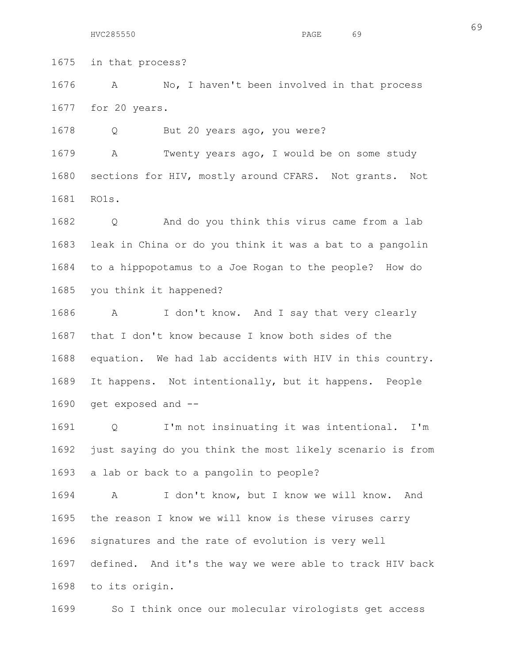HVC285550 PAGE 69

1675 in that process?

1676 A No, I haven't been involved in that process 1677 for 20 years.

1678 O But 20 years ago, you were?

1679 A Twenty years ago, I would be on some study 1680 sections for HIV, mostly around CFARS. Not grants. Not 1681 RO1s.

1682 Q And do you think this virus came from a lab 1683 leak in China or do you think it was a bat to a pangolin 1684 to a hippopotamus to a Joe Rogan to the people? How do 1685 you think it happened?

1686 A I don't know. And I say that very clearly 1687 that I don't know because I know both sides of the 1688 equation. We had lab accidents with HIV in this country. 1689 It happens. Not intentionally, but it happens. People 1690 get exposed and --

1691 Q I'm not insinuating it was intentional. I'm 1692 just saying do you think the most likely scenario is from 1693 a lab or back to a pangolin to people?

1694 A I don't know, but I know we will know. And 1695 the reason I know we will know is these viruses carry 1696 signatures and the rate of evolution is very well 1697 defined. And it's the way we were able to track HIV back 1698 to its origin.

1699 So I think once our molecular virologists get access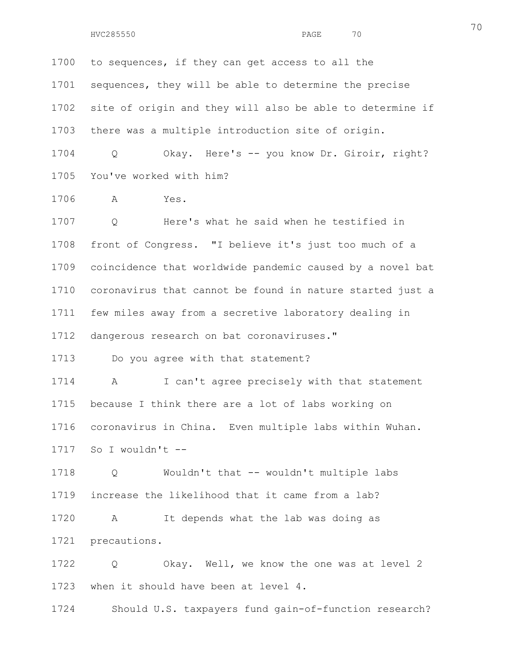1700 to sequences, if they can get access to all the 1701 sequences, they will be able to determine the precise 1702 site of origin and they will also be able to determine if 1703 there was a multiple introduction site of origin. 1704 Q Okay. Here's -- you know Dr. Giroir, right? 1705 You've worked with him? 1706 A Yes. 1707 Q Here's what he said when he testified in 1708 front of Congress. "I believe it's just too much of a 1709 coincidence that worldwide pandemic caused by a novel bat 1710 coronavirus that cannot be found in nature started just a

1711 few miles away from a secretive laboratory dealing in

1712 dangerous research on bat coronaviruses."

1713 Do you agree with that statement?

1714 A I can't agree precisely with that statement 1715 because I think there are a lot of labs working on 1716 coronavirus in China. Even multiple labs within Wuhan. 1717 So I wouldn't --

1718 Q Wouldn't that -- wouldn't multiple labs 1719 increase the likelihood that it came from a lab? 1720 A It depends what the lab was doing as

1721 precautions.

1722 Q Okay. Well, we know the one was at level 2 1723 when it should have been at level 4.

1724 Should U.S. taxpayers fund gain-of-function research?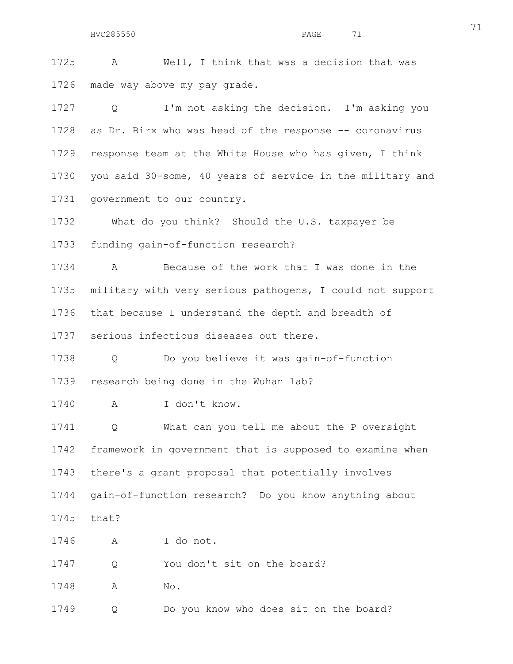HVC285550 PAGE 71

1725 A Well, I think that was a decision that was 1726 made way above my pay grade.

1727 Q I'm not asking the decision. I'm asking you 1728 as Dr. Birx who was head of the response -- coronavirus 1729 response team at the White House who has given, I think 1730 you said 30-some, 40 years of service in the military and 1731 government to our country.

1732 What do you think? Should the U.S. taxpayer be

1733 funding gain-of-function research?

1734 A Because of the work that I was done in the 1735 military with very serious pathogens, I could not support 1736 that because I understand the depth and breadth of

1737 serious infectious diseases out there.

1738 Q Do you believe it was gain-of-function 1739 research being done in the Wuhan lab?

1740 A I don't know.

1741 Q What can you tell me about the P oversight 1742 framework in government that is supposed to examine when 1743 there's a grant proposal that potentially involves 1744 gain-of-function research? Do you know anything about 1745 that?

1746 A I do not.

1747 Q You don't sit on the board?

1748 A No.

1749 Q Do you know who does sit on the board?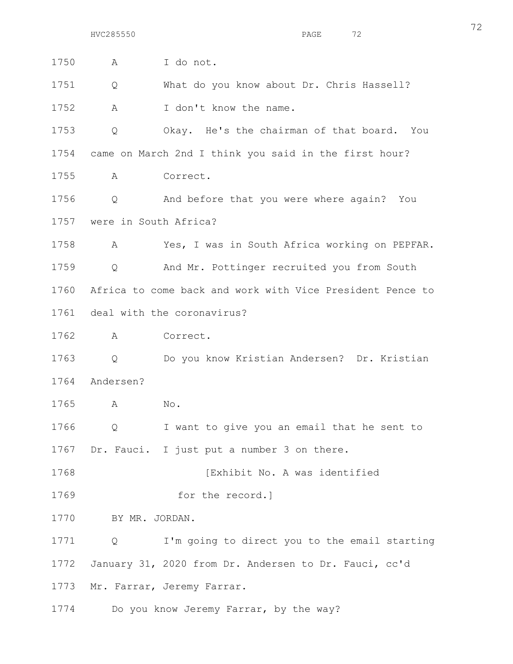| 1750 | I do not.<br>Α                                             |
|------|------------------------------------------------------------|
| 1751 | What do you know about Dr. Chris Hassell?<br>Q             |
| 1752 | Α<br>I don't know the name.                                |
| 1753 | Okay. He's the chairman of that board. You<br>Q            |
|      | 1754 came on March 2nd I think you said in the first hour? |
| 1755 | Correct.<br>A                                              |
| 1756 | And before that you were where again? You<br>Q             |
|      | 1757 were in South Africa?                                 |
| 1758 | Yes, I was in South Africa working on PEPFAR.<br>A         |
| 1759 | And Mr. Pottinger recruited you from South<br>Q            |
| 1760 | Africa to come back and work with Vice President Pence to  |
| 1761 | deal with the coronavirus?                                 |
| 1762 | Α<br>Correct.                                              |
| 1763 | Do you know Kristian Andersen? Dr. Kristian<br>Q           |
| 1764 | Andersen?                                                  |
| 1765 | A<br>No.                                                   |
| 1766 | I want to give you an email that he sent to<br>Q           |
|      | 1767 Dr. Fauci. I just put a number 3 on there.            |
| 1768 | [Exhibit No. A was identified                              |
| 1769 | for the record.]                                           |
| 1770 | BY MR. JORDAN.                                             |
| 1771 | I'm going to direct you to the email starting<br>Q         |
| 1772 | January 31, 2020 from Dr. Andersen to Dr. Fauci, cc'd      |
| 1773 | Mr. Farrar, Jeremy Farrar.                                 |
| 1774 | Do you know Jeremy Farrar, by the way?                     |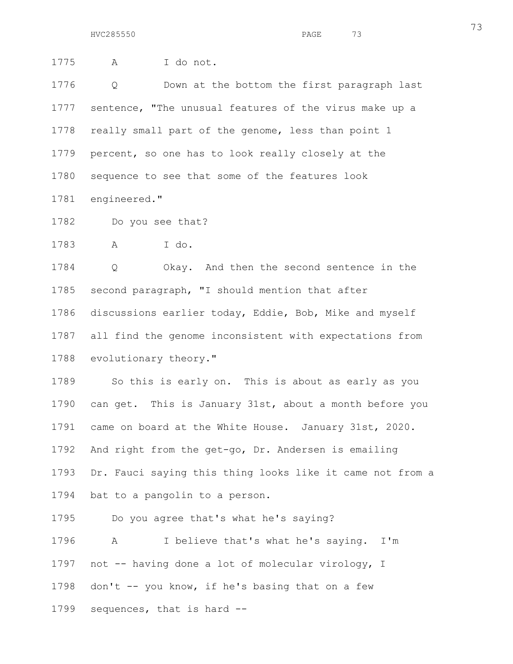1775 A I do not. 1776 Q Down at the bottom the first paragraph last 1777 sentence, "The unusual features of the virus make up a 1778 really small part of the genome, less than point 1 1779 percent, so one has to look really closely at the 1780 sequence to see that some of the features look 1781 engineered." 1782 Do you see that? 1783 A I do. 1784 Q Okay. And then the second sentence in the 1785 second paragraph, "I should mention that after 1786 discussions earlier today, Eddie, Bob, Mike and myself 1787 all find the genome inconsistent with expectations from 1788 evolutionary theory." 1789 So this is early on. This is about as early as you 1790 can get. This is January 31st, about a month before you 1791 came on board at the White House. January 31st, 2020. 1792 And right from the get-go, Dr. Andersen is emailing 1793 Dr. Fauci saying this thing looks like it came not from a 1794 bat to a pangolin to a person. 1795 Do you agree that's what he's saying? 1796 A I believe that's what he's saying. I'm 1797 not -- having done a lot of molecular virology, I

1798 don't  $-$  you know, if he's basing that on a few

1799 sequences, that is hard --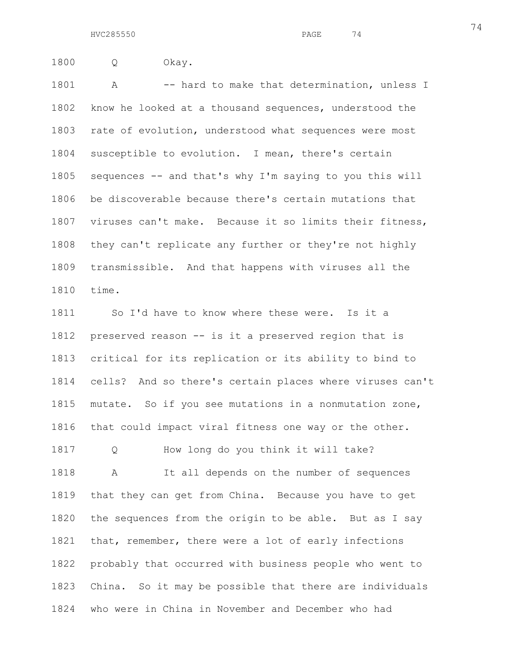1800 Q Okay.

1801 A -- hard to make that determination, unless I 1802 know he looked at a thousand sequences, understood the 1803 rate of evolution, understood what sequences were most 1804 susceptible to evolution. I mean, there's certain 1805 sequences -- and that's why I'm saying to you this will 1806 be discoverable because there's certain mutations that 1807 viruses can't make. Because it so limits their fitness, 1808 they can't replicate any further or they're not highly 1809 transmissible. And that happens with viruses all the 1810 time.

1811 So I'd have to know where these were. Is it a 1812 preserved reason -- is it a preserved region that is 1813 critical for its replication or its ability to bind to 1814 cells? And so there's certain places where viruses can't 1815 mutate. So if you see mutations in a nonmutation zone, 1816 that could impact viral fitness one way or the other. 1817 Q How long do you think it will take? 1818 A It all depends on the number of sequences 1819 that they can get from China. Because you have to get 1820 the sequences from the origin to be able. But as I say 1821 that, remember, there were a lot of early infections 1822 probably that occurred with business people who went to 1823 China. So it may be possible that there are individuals 1824 who were in China in November and December who had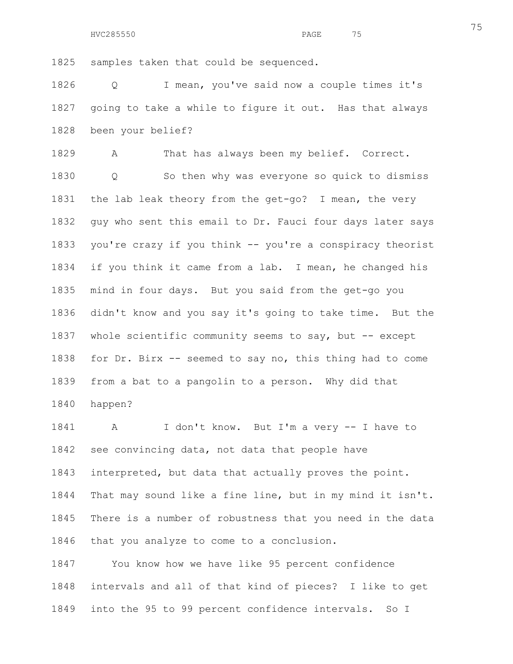1825 samples taken that could be sequenced.

1826 Q I mean, you've said now a couple times it's 1827 going to take a while to figure it out. Has that always 1828 been your belief?

1829 A That has always been my belief. Correct.

1830 Q So then why was everyone so quick to dismiss 1831 the lab leak theory from the get-go? I mean, the very 1832 guy who sent this email to Dr. Fauci four days later says 1833 you're crazy if you think -- you're a conspiracy theorist 1834 if you think it came from a lab. I mean, he changed his 1835 mind in four days. But you said from the get-go you 1836 didn't know and you say it's going to take time. But the 1837 whole scientific community seems to say, but -- except 1838 for Dr. Birx -- seemed to say no, this thing had to come 1839 from a bat to a pangolin to a person. Why did that 1840 happen?

1841 A I don't know. But I'm a very -- I have to 1842 see convincing data, not data that people have 1843 interpreted, but data that actually proves the point. 1844 That may sound like a fine line, but in my mind it isn't. 1845 There is a number of robustness that you need in the data 1846 that you analyze to come to a conclusion.

1847 You know how we have like 95 percent confidence 1848 intervals and all of that kind of pieces? I like to get 1849 into the 95 to 99 percent confidence intervals. So I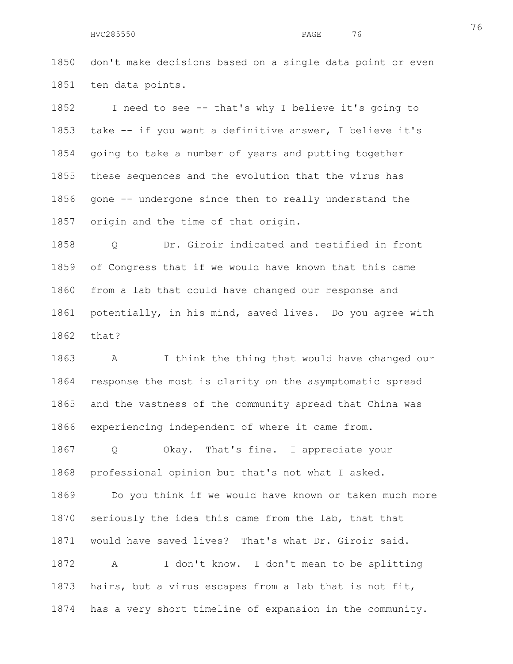1850 don't make decisions based on a single data point or even 1851 ten data points.

1852 I need to see -- that's why I believe it's going to 1853 take -- if you want a definitive answer, I believe it's 1854 going to take a number of years and putting together 1855 these sequences and the evolution that the virus has 1856 gone -- undergone since then to really understand the 1857 origin and the time of that origin.

1858 Q Dr. Giroir indicated and testified in front 1859 of Congress that if we would have known that this came 1860 from a lab that could have changed our response and 1861 potentially, in his mind, saved lives. Do you agree with 1862 that?

1863 A I think the thing that would have changed our 1864 response the most is clarity on the asymptomatic spread 1865 and the vastness of the community spread that China was 1866 experiencing independent of where it came from.

1867 Q Okay. That's fine. I appreciate your 1868 professional opinion but that's not what I asked.

1869 Do you think if we would have known or taken much more 1870 seriously the idea this came from the lab, that that 1871 would have saved lives? That's what Dr. Giroir said. 1872 A I don't know. I don't mean to be splitting 1873 hairs, but a virus escapes from a lab that is not fit, 1874 has a very short timeline of expansion in the community.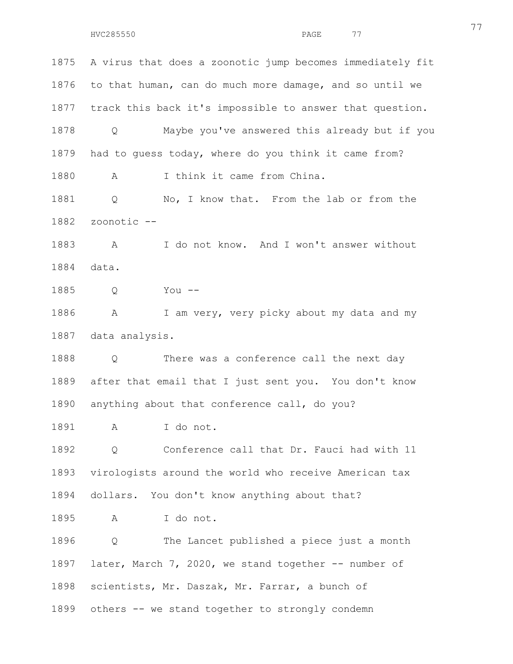1875 A virus that does a zoonotic jump becomes immediately fit 1876 to that human, can do much more damage, and so until we 1877 track this back it's impossible to answer that question. 1878 Q Maybe you've answered this already but if you 1879 had to guess today, where do you think it came from? 1880 A I think it came from China. 1881 Q No, I know that. From the lab or from the 1882 zoonotic -- 1883 A I do not know. And I won't answer without 1884 data. 1885 Q You -- 1886 A I am very, very picky about my data and my 1887 data analysis. 1888 Q There was a conference call the next day 1889 after that email that I just sent you. You don't know 1890 anything about that conference call, do you? 1891 A I do not. 1892 Q Conference call that Dr. Fauci had with 11 1893 virologists around the world who receive American tax 1894 dollars. You don't know anything about that? 1895 A I do not. 1896 Q The Lancet published a piece just a month 1897 later, March 7, 2020, we stand together -- number of 1898 scientists, Mr. Daszak, Mr. Farrar, a bunch of 1899 others -- we stand together to strongly condemn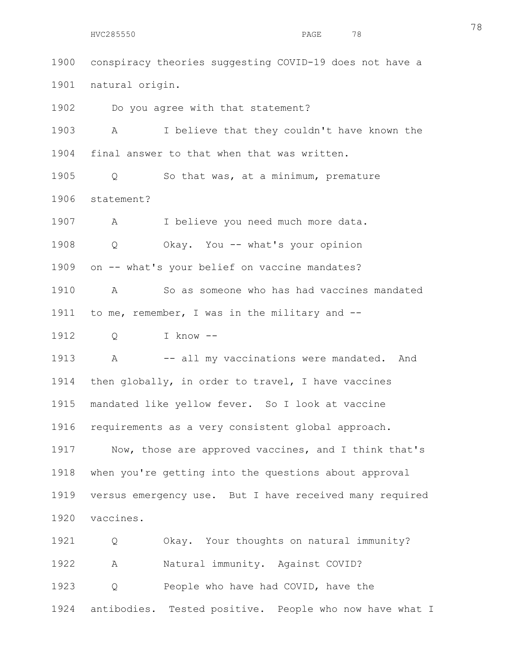1900 conspiracy theories suggesting COVID-19 does not have a 1901 natural origin.

1902 Do you agree with that statement?

1903 A I believe that they couldn't have known the 1904 final answer to that when that was written.

1905 Q So that was, at a minimum, premature 1906 statement?

1907 A I believe you need much more data.

1908 Q Okay. You -- what's your opinion

1909 on -- what's your belief on vaccine mandates?

1910 A So as someone who has had vaccines mandated 1911 to me, remember, I was in the military and --

1912 Q I know --

1913 A -- all my vaccinations were mandated. And 1914 then globally, in order to travel, I have vaccines 1915 mandated like yellow fever. So I look at vaccine 1916 requirements as a very consistent global approach.

1917 Now, those are approved vaccines, and I think that's 1918 when you're getting into the questions about approval 1919 versus emergency use. But I have received many required 1920 vaccines.

1921 Q Okay. Your thoughts on natural immunity? 1922 A Natural immunity. Against COVID? 1923 Q People who have had COVID, have the 1924 antibodies. Tested positive. People who now have what I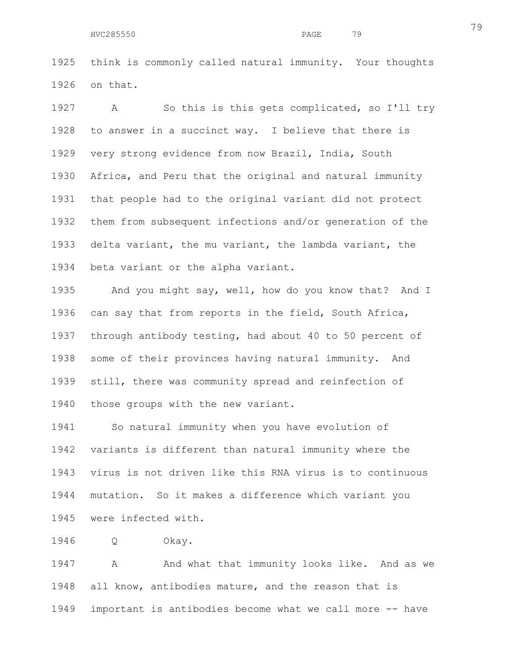1925 think is commonly called natural immunity. Your thoughts 1926 on that.

1927 A So this is this gets complicated, so I'll try 1928 to answer in a succinct way. I believe that there is 1929 very strong evidence from now Brazil, India, South 1930 Africa, and Peru that the original and natural immunity 1931 that people had to the original variant did not protect 1932 them from subsequent infections and/or generation of the 1933 delta variant, the mu variant, the lambda variant, the 1934 beta variant or the alpha variant.

1935 And you might say, well, how do you know that? And I 1936 can say that from reports in the field, South Africa, 1937 through antibody testing, had about 40 to 50 percent of 1938 some of their provinces having natural immunity. And 1939 still, there was community spread and reinfection of 1940 those groups with the new variant.

1941 So natural immunity when you have evolution of 1942 variants is different than natural immunity where the 1943 virus is not driven like this RNA virus is to continuous 1944 mutation. So it makes a difference which variant you 1945 were infected with.

1946 Q Okay.

1947 A And what that immunity looks like. And as we 1948 all know, antibodies mature, and the reason that is 1949 important is antibodies become what we call more -- have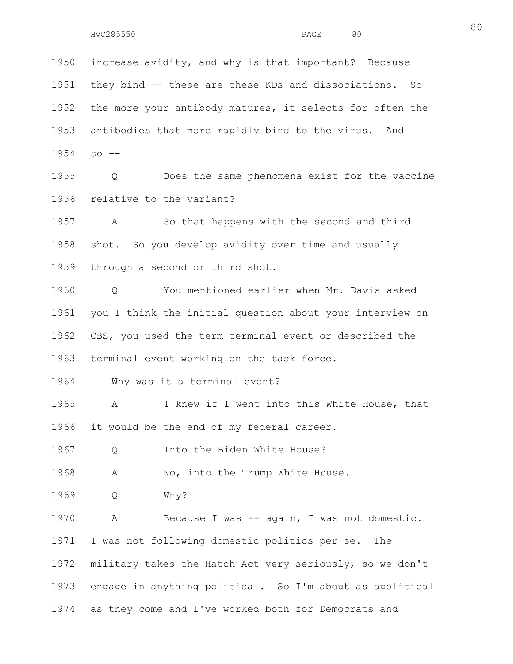1950 increase avidity, and why is that important? Because 1951 they bind -- these are these KDs and dissociations. So 1952 the more your antibody matures, it selects for often the 1953 antibodies that more rapidly bind to the virus. And 1954 so -- 1955 Q Does the same phenomena exist for the vaccine 1956 relative to the variant?

1957 A So that happens with the second and third 1958 shot. So you develop avidity over time and usually 1959 through a second or third shot.

1960 Q You mentioned earlier when Mr. Davis asked 1961 you I think the initial question about your interview on 1962 CBS, you used the term terminal event or described the 1963 terminal event working on the task force.

1964 Why was it a terminal event?

1965 A I knew if I went into this White House, that 1966 it would be the end of my federal career.

1967 Q Into the Biden White House?

1968 A No, into the Trump White House.

1969 Q Why?

1970 A Because I was -- again, I was not domestic. 1971 I was not following domestic politics per se. The 1972 military takes the Hatch Act very seriously, so we don't 1973 engage in anything political. So I'm about as apolitical 1974 as they come and I've worked both for Democrats and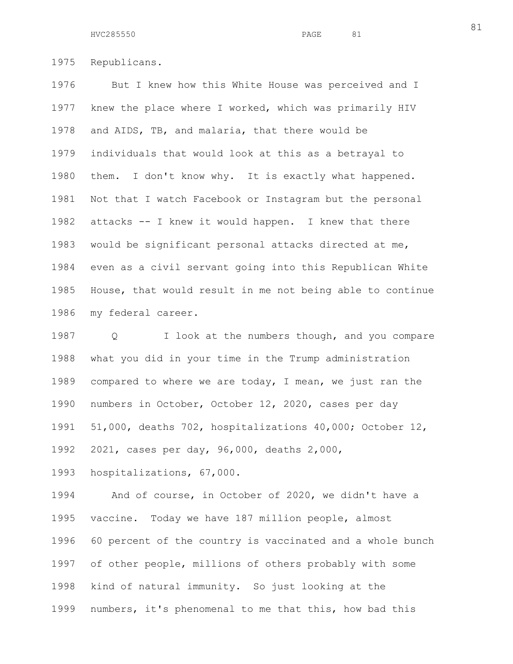1975 Republicans.

1976 But I knew how this White House was perceived and I 1977 knew the place where I worked, which was primarily HIV 1978 and AIDS, TB, and malaria, that there would be 1979 individuals that would look at this as a betrayal to 1980 them. I don't know why. It is exactly what happened. 1981 Not that I watch Facebook or Instagram but the personal 1982 attacks -- I knew it would happen. I knew that there 1983 would be significant personal attacks directed at me, 1984 even as a civil servant going into this Republican White 1985 House, that would result in me not being able to continue 1986 my federal career.

1987 Q I look at the numbers though, and you compare 1988 what you did in your time in the Trump administration 1989 compared to where we are today, I mean, we just ran the 1990 numbers in October, October 12, 2020, cases per day 1991 51,000, deaths 702, hospitalizations 40,000; October 12, 1992 2021, cases per day, 96,000, deaths 2,000,

1993 hospitalizations, 67,000.

1994 And of course, in October of 2020, we didn't have a 1995 vaccine. Today we have 187 million people, almost 1996 60 percent of the country is vaccinated and a whole bunch 1997 of other people, millions of others probably with some 1998 kind of natural immunity. So just looking at the 1999 numbers, it's phenomenal to me that this, how bad this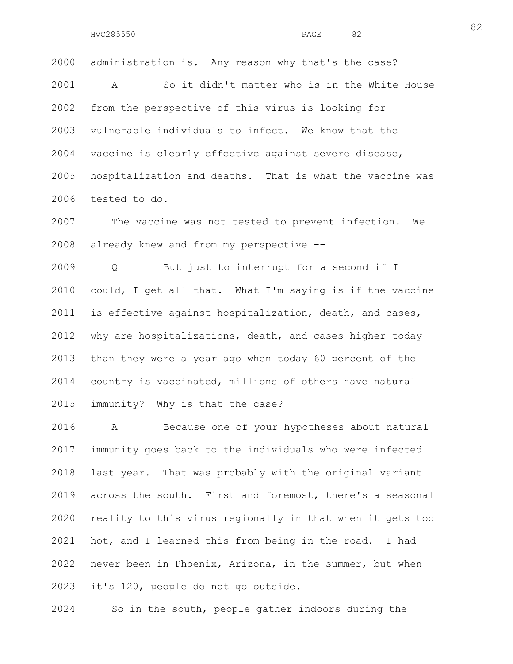2000 administration is. Any reason why that's the case? 2001 A So it didn't matter who is in the White House 2002 from the perspective of this virus is looking for 2003 vulnerable individuals to infect. We know that the 2004 vaccine is clearly effective against severe disease, 2005 hospitalization and deaths. That is what the vaccine was 2006 tested to do.

2007 The vaccine was not tested to prevent infection. We 2008 already knew and from my perspective --

2009 Q But just to interrupt for a second if I 2010 could, I get all that. What I'm saying is if the vaccine 2011 is effective against hospitalization, death, and cases, 2012 why are hospitalizations, death, and cases higher today 2013 than they were a year ago when today 60 percent of the 2014 country is vaccinated, millions of others have natural 2015 immunity? Why is that the case?

2016 A Because one of your hypotheses about natural 2017 immunity goes back to the individuals who were infected 2018 last year. That was probably with the original variant 2019 across the south. First and foremost, there's a seasonal 2020 reality to this virus regionally in that when it gets too 2021 hot, and I learned this from being in the road. I had 2022 never been in Phoenix, Arizona, in the summer, but when 2023 it's 120, people do not go outside.

2024 So in the south, people gather indoors during the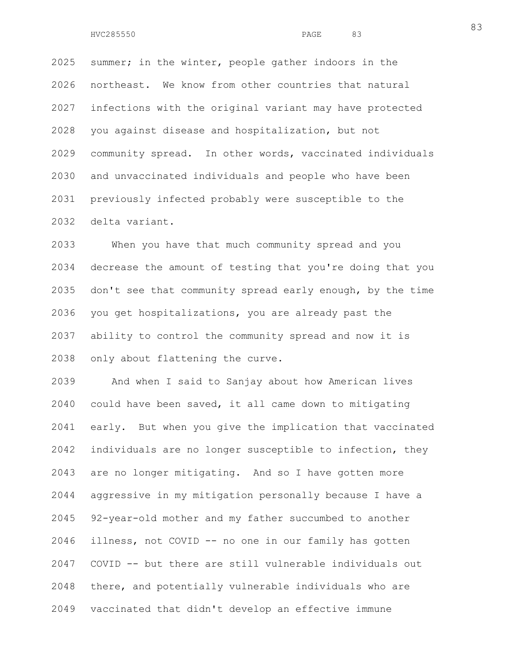2025 summer; in the winter, people gather indoors in the 2026 northeast. We know from other countries that natural 2027 infections with the original variant may have protected 2028 you against disease and hospitalization, but not 2029 community spread. In other words, vaccinated individuals 2030 and unvaccinated individuals and people who have been 2031 previously infected probably were susceptible to the 2032 delta variant.

2033 When you have that much community spread and you 2034 decrease the amount of testing that you're doing that you 2035 don't see that community spread early enough, by the time 2036 you get hospitalizations, you are already past the 2037 ability to control the community spread and now it is 2038 only about flattening the curve.

2039 And when I said to Sanjay about how American lives 2040 could have been saved, it all came down to mitigating 2041 early. But when you give the implication that vaccinated 2042 individuals are no longer susceptible to infection, they 2043 are no longer mitigating. And so I have gotten more 2044 aggressive in my mitigation personally because I have a 2045 92-year-old mother and my father succumbed to another 2046 illness, not COVID -- no one in our family has gotten 2047 COVID -- but there are still vulnerable individuals out 2048 there, and potentially vulnerable individuals who are 2049 vaccinated that didn't develop an effective immune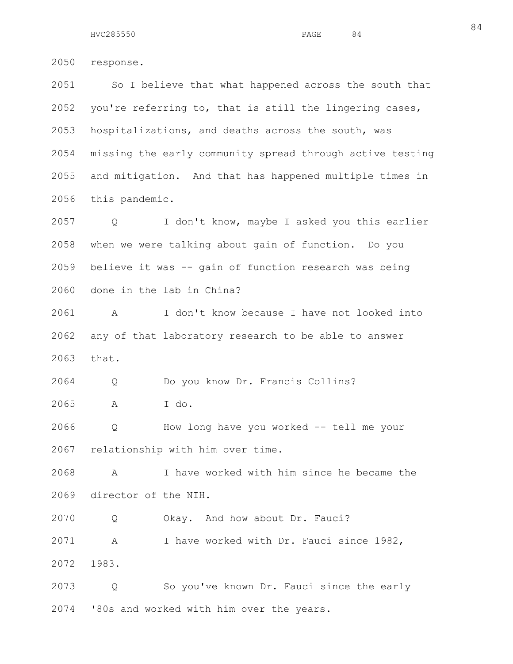2050 response. 2051 So I believe that what happened across the south that

2052 you're referring to, that is still the lingering cases, 2053 hospitalizations, and deaths across the south, was 2054 missing the early community spread through active testing 2055 and mitigation. And that has happened multiple times in 2056 this pandemic.

2057 Q I don't know, maybe I asked you this earlier 2058 when we were talking about gain of function. Do you 2059 believe it was -- gain of function research was being 2060 done in the lab in China?

2061 A I don't know because I have not looked into 2062 any of that laboratory research to be able to answer 2063 that.

2064 Q Do you know Dr. Francis Collins? 2065 A I do.

2066 Q How long have you worked -- tell me your 2067 relationship with him over time.

2068 A I have worked with him since he became the 2069 director of the NIH.

2070 Q Okay. And how about Dr. Fauci?

2071 A I have worked with Dr. Fauci since 1982, 2072 1983.

2073 Q So you've known Dr. Fauci since the early 2074 '80s and worked with him over the years.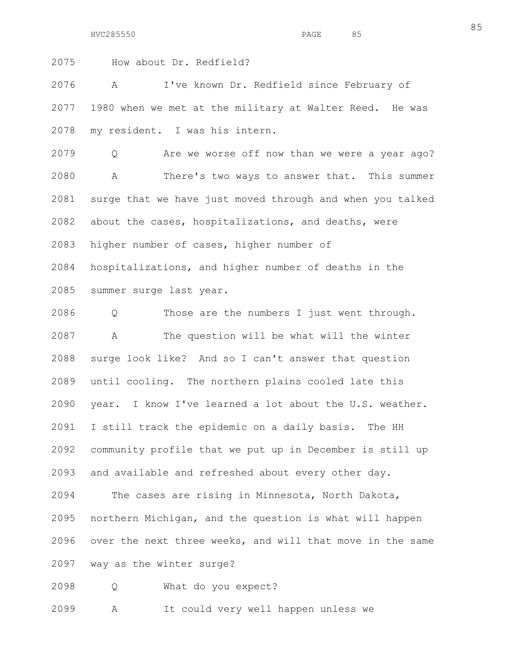HVC285550 **PAGE** 85

2075 How about Dr. Redfield?

2076 A I've known Dr. Redfield since February of 2077 1980 when we met at the military at Walter Reed. He was 2078 my resident. I was his intern.

2079 Q Are we worse off now than we were a year ago? 2080 A There's two ways to answer that. This summer 2081 surge that we have just moved through and when you talked 2082 about the cases, hospitalizations, and deaths, were 2083 higher number of cases, higher number of 2084 hospitalizations, and higher number of deaths in the

2085 summer surge last year.

2086 Q Those are the numbers I just went through. 2087 A The question will be what will the winter 2088 surge look like? And so I can't answer that question 2089 until cooling. The northern plains cooled late this 2090 year. I know I've learned a lot about the U.S. weather. 2091 I still track the epidemic on a daily basis. The HH 2092 community profile that we put up in December is still up 2093 and available and refreshed about every other day. 2094 The cases are rising in Minnesota, North Dakota,

2095 northern Michigan, and the question is what will happen 2096 over the next three weeks, and will that move in the same 2097 way as the winter surge?

2098 Q What do you expect?

2099 A It could very well happen unless we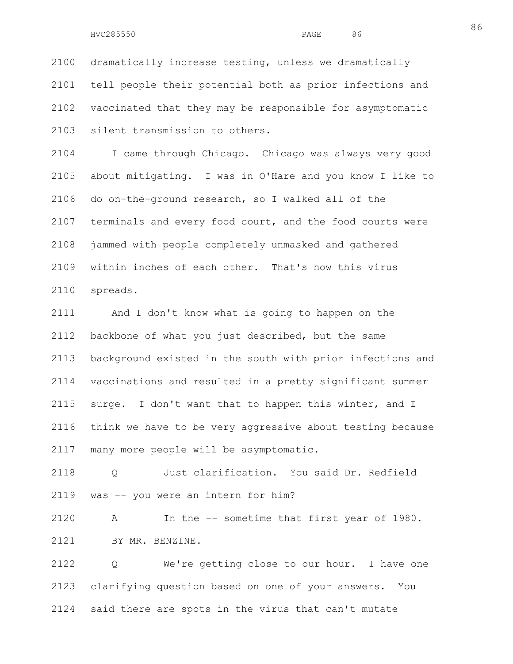2100 dramatically increase testing, unless we dramatically 2101 tell people their potential both as prior infections and 2102 vaccinated that they may be responsible for asymptomatic 2103 silent transmission to others.

2104 I came through Chicago. Chicago was always very good 2105 about mitigating. I was in O'Hare and you know I like to 2106 do on-the-ground research, so I walked all of the 2107 terminals and every food court, and the food courts were 2108 jammed with people completely unmasked and gathered 2109 within inches of each other. That's how this virus 2110 spreads.

2111 And I don't know what is going to happen on the 2112 backbone of what you just described, but the same 2113 background existed in the south with prior infections and 2114 vaccinations and resulted in a pretty significant summer 2115 surge. I don't want that to happen this winter, and I 2116 think we have to be very aggressive about testing because 2117 many more people will be asymptomatic.

2118 Q Just clarification. You said Dr. Redfield 2119 was -- you were an intern for him?

2120 A In the -- sometime that first year of 1980. 2121 BY MR. BENZINE.

2122 Q We're getting close to our hour. I have one 2123 clarifying question based on one of your answers. You 2124 said there are spots in the virus that can't mutate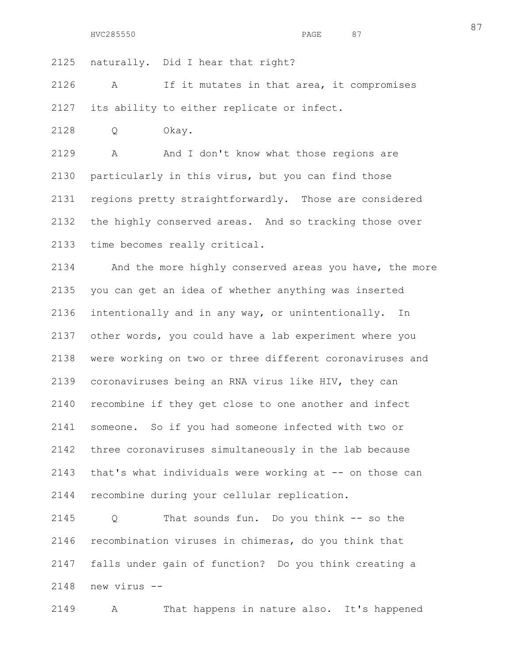2125 naturally. Did I hear that right?

2126 A If it mutates in that area, it compromises 2127 its ability to either replicate or infect.

2128 Q Okay.

2129 A And I don't know what those regions are 2130 particularly in this virus, but you can find those 2131 regions pretty straightforwardly. Those are considered 2132 the highly conserved areas. And so tracking those over 2133 time becomes really critical.

2134 And the more highly conserved areas you have, the more 2135 you can get an idea of whether anything was inserted 2136 intentionally and in any way, or unintentionally. In 2137 other words, you could have a lab experiment where you 2138 were working on two or three different coronaviruses and 2139 coronaviruses being an RNA virus like HIV, they can 2140 recombine if they get close to one another and infect 2141 someone. So if you had someone infected with two or 2142 three coronaviruses simultaneously in the lab because 2143 that's what individuals were working at -- on those can 2144 recombine during your cellular replication.

2145 Q That sounds fun. Do you think -- so the 2146 recombination viruses in chimeras, do you think that 2147 falls under gain of function? Do you think creating a 2148 new virus --

2149 A That happens in nature also. It's happened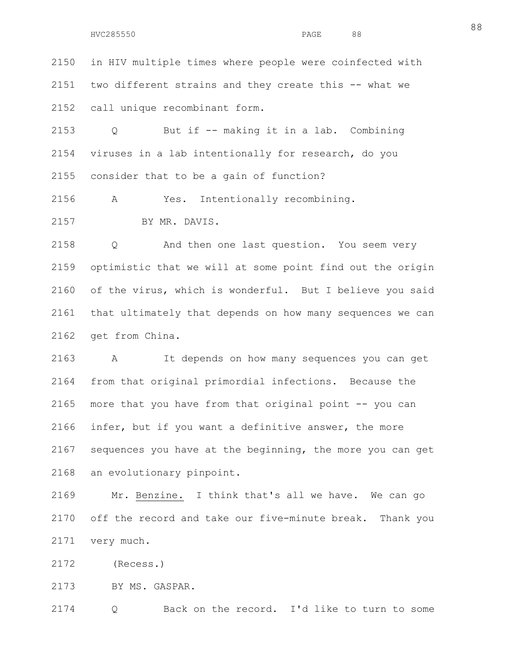2150 in HIV multiple times where people were coinfected with 2151 two different strains and they create this -- what we 2152 call unique recombinant form.

2153 Q But if -- making it in a lab. Combining 2154 viruses in a lab intentionally for research, do you 2155 consider that to be a gain of function?

2156 A Yes. Intentionally recombining.

2157 BY MR. DAVIS.

2158 Q And then one last question. You seem very 2159 optimistic that we will at some point find out the origin 2160 of the virus, which is wonderful. But I believe you said 2161 that ultimately that depends on how many sequences we can 2162 get from China.

2163 A It depends on how many sequences you can get 2164 from that original primordial infections. Because the 2165 more that you have from that original point -- you can 2166 infer, but if you want a definitive answer, the more 2167 sequences you have at the beginning, the more you can get 2168 an evolutionary pinpoint.

2169 Mr. Benzine. I think that's all we have. We can go 2170 off the record and take our five-minute break. Thank you 2171 very much.

2172 (Recess.)

2173 BY MS. GASPAR.

2174 Q Back on the record. I'd like to turn to some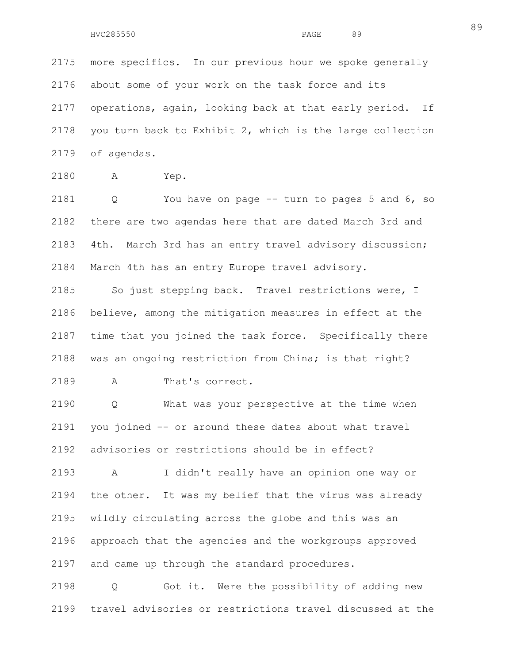2175 more specifics. In our previous hour we spoke generally 2176 about some of your work on the task force and its 2177 operations, again, looking back at that early period. If 2178 you turn back to Exhibit 2, which is the large collection 2179 of agendas.

2180 A Yep.

2181 Q You have on page -- turn to pages 5 and 6, so 2182 there are two agendas here that are dated March 3rd and 2183 4th. March 3rd has an entry travel advisory discussion; 2184 March 4th has an entry Europe travel advisory.

2185 So just stepping back. Travel restrictions were, I 2186 believe, among the mitigation measures in effect at the 2187 time that you joined the task force. Specifically there 2188 was an ongoing restriction from China; is that right? 2189 A That's correct.

2190 Q What was your perspective at the time when 2191 you joined -- or around these dates about what travel 2192 advisories or restrictions should be in effect?

2193 A I didn't really have an opinion one way or 2194 the other. It was my belief that the virus was already 2195 wildly circulating across the globe and this was an 2196 approach that the agencies and the workgroups approved 2197 and came up through the standard procedures.

2198 Q Got it. Were the possibility of adding new 2199 travel advisories or restrictions travel discussed at the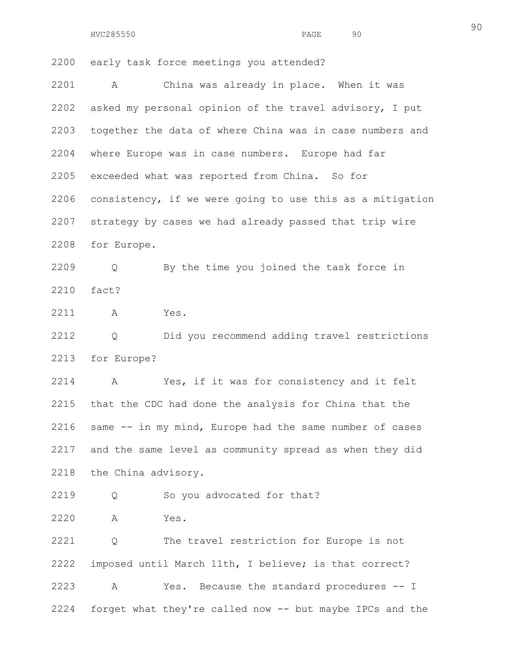HVC285550 PAGE 90

2200 early task force meetings you attended?

2201 A China was already in place. When it was 2202 asked my personal opinion of the travel advisory, I put 2203 together the data of where China was in case numbers and 2204 where Europe was in case numbers. Europe had far 2205 exceeded what was reported from China. So for 2206 consistency, if we were going to use this as a mitigation 2207 strategy by cases we had already passed that trip wire 2208 for Europe.

2209 Q By the time you joined the task force in 2210 fact?

2211 A Yes.

2212 Q Did you recommend adding travel restrictions 2213 for Europe?

2214 A Yes, if it was for consistency and it felt 2215 that the CDC had done the analysis for China that the 2216 same -- in my mind, Europe had the same number of cases 2217 and the same level as community spread as when they did 2218 the China advisory.

2219 Q So you advocated for that?

2220 A Yes.

2221 Q The travel restriction for Europe is not 2222 imposed until March 11th, I believe; is that correct? 2223 A Yes. Because the standard procedures -- I 2224 forget what they're called now -- but maybe IPCs and the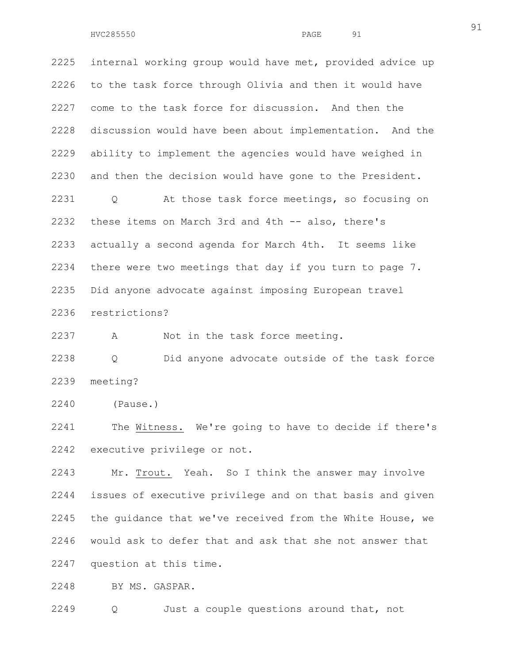2225 internal working group would have met, provided advice up 2226 to the task force through Olivia and then it would have 2227 come to the task force for discussion. And then the 2228 discussion would have been about implementation. And the 2229 ability to implement the agencies would have weighed in 2230 and then the decision would have gone to the President. 2231 Q At those task force meetings, so focusing on 2232 these items on March 3rd and 4th -- also, there's 2233 actually a second agenda for March 4th. It seems like 2234 there were two meetings that day if you turn to page 7. 2235 Did anyone advocate against imposing European travel

2236 restrictions?

2237 A Not in the task force meeting.

2238 Q Did anyone advocate outside of the task force 2239 meeting?

2240 (Pause.)

2241 The Witness. We're going to have to decide if there's 2242 executive privilege or not.

2243 Mr. Trout. Yeah. So I think the answer may involve 2244 issues of executive privilege and on that basis and given 2245 the guidance that we've received from the White House, we 2246 would ask to defer that and ask that she not answer that 2247 question at this time.

2248 BY MS. GASPAR.

2249 Q Just a couple questions around that, not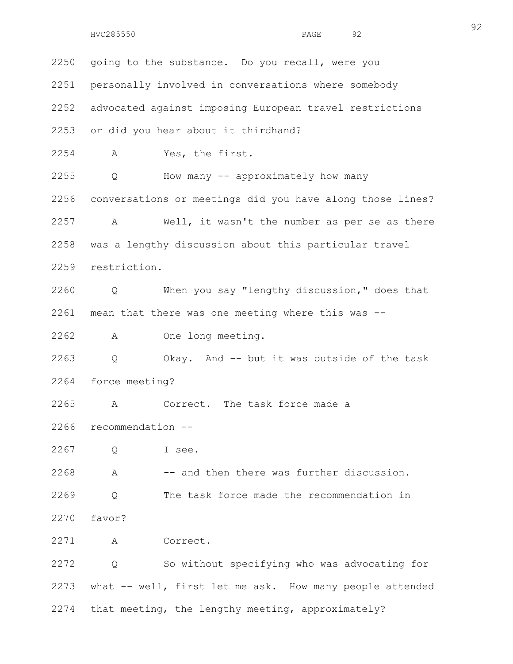2250 going to the substance. Do you recall, were you 2251 personally involved in conversations where somebody 2252 advocated against imposing European travel restrictions 2253 or did you hear about it thirdhand? 2254 A Yes, the first. 2255 Q How many -- approximately how many 2256 conversations or meetings did you have along those lines? 2257 A Well, it wasn't the number as per se as there 2258 was a lengthy discussion about this particular travel 2259 restriction. 2260 Q When you say "lengthy discussion," does that 2261 mean that there was one meeting where this was -- 2262 A One long meeting. 2263 Q Okay. And -- but it was outside of the task 2264 force meeting? 2265 A Correct. The task force made a 2266 recommendation -- 2267 Q I see. 2268 A -- and then there was further discussion. 2269 Q The task force made the recommendation in 2270 favor? 2271 A Correct. 2272 Q So without specifying who was advocating for 2273 what -- well, first let me ask. How many people attended 2274 that meeting, the lengthy meeting, approximately?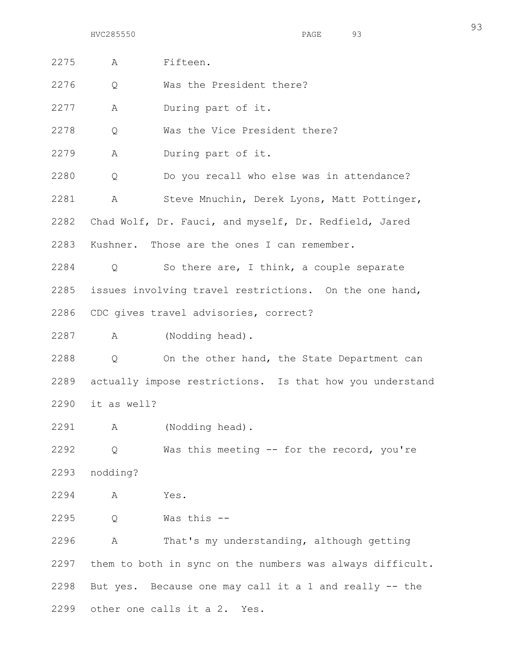HVC285550 PAGE 93

2275 A Fifteen. 2276 Q Was the President there? 2277 A During part of it. 2278 Q Was the Vice President there? 2279 A During part of it. 2280 Q Do you recall who else was in attendance? 2281 A Steve Mnuchin, Derek Lyons, Matt Pottinger, 2282 Chad Wolf, Dr. Fauci, and myself, Dr. Redfield, Jared 2283 Kushner. Those are the ones I can remember. 2284 Q So there are, I think, a couple separate 2285 issues involving travel restrictions. On the one hand, 2286 CDC gives travel advisories, correct? 2287 A (Nodding head). 2288 Q On the other hand, the State Department can 2289 actually impose restrictions. Is that how you understand 2290 it as well? 2291 A (Nodding head). 2292 Q Was this meeting -- for the record, you're 2293 nodding? 2294 A Yes. 2295 Q Was this -- 2296 A That's my understanding, although getting 2297 them to both in sync on the numbers was always difficult. 2298 But yes. Because one may call it a 1 and really -- the 2299 other one calls it a 2. Yes.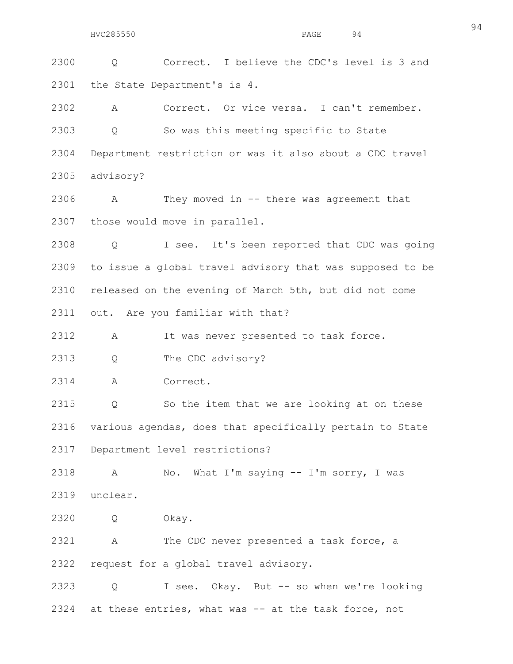2300 Q Correct. I believe the CDC's level is 3 and 2301 the State Department's is 4.

2302 A Correct. Or vice versa. I can't remember. 2303 Q So was this meeting specific to State 2304 Department restriction or was it also about a CDC travel 2305 advisory?

2306 A They moved in -- there was agreement that 2307 those would move in parallel.

2308 Q I see. It's been reported that CDC was going 2309 to issue a global travel advisory that was supposed to be 2310 released on the evening of March 5th, but did not come 2311 out. Are you familiar with that?

2312 A It was never presented to task force.

2313 Q The CDC advisory?

2314 A Correct.

2315 Q So the item that we are looking at on these 2316 various agendas, does that specifically pertain to State 2317 Department level restrictions?

2318 A No. What I'm saying -- I'm sorry, I was 2319 unclear.

2320 Q Okay.

2321 A The CDC never presented a task force, a 2322 request for a global travel advisory.

2323 Q I see. Okay. But -- so when we're looking 2324 at these entries, what was -- at the task force, not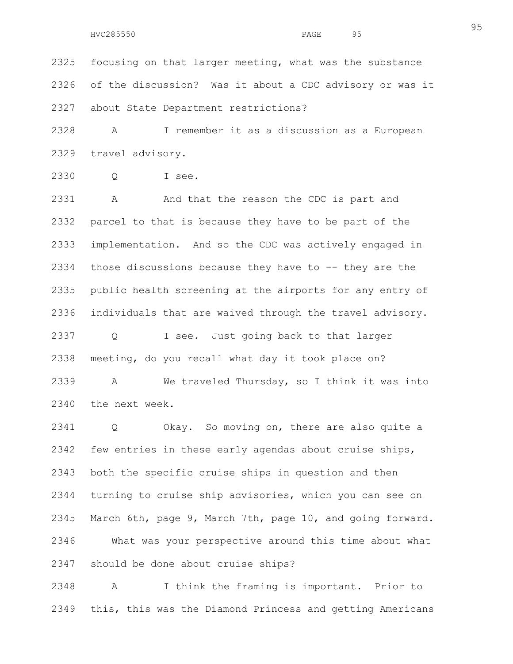2325 focusing on that larger meeting, what was the substance 2326 of the discussion? Was it about a CDC advisory or was it 2327 about State Department restrictions?

2328 A I remember it as a discussion as a European 2329 travel advisory.

2330 Q I see.

2331 A And that the reason the CDC is part and 2332 parcel to that is because they have to be part of the 2333 implementation. And so the CDC was actively engaged in 2334 those discussions because they have to  $-$ - they are the 2335 public health screening at the airports for any entry of 2336 individuals that are waived through the travel advisory. 2337 Q I see. Just going back to that larger 2338 meeting, do you recall what day it took place on? 2339 A We traveled Thursday, so I think it was into 2340 the next week.

2341 Q Okay. So moving on, there are also quite a 2342 few entries in these early agendas about cruise ships, 2343 both the specific cruise ships in question and then 2344 turning to cruise ship advisories, which you can see on 2345 March 6th, page 9, March 7th, page 10, and going forward. 2346 What was your perspective around this time about what 2347 should be done about cruise ships?

2348 A I think the framing is important. Prior to 2349 this, this was the Diamond Princess and getting Americans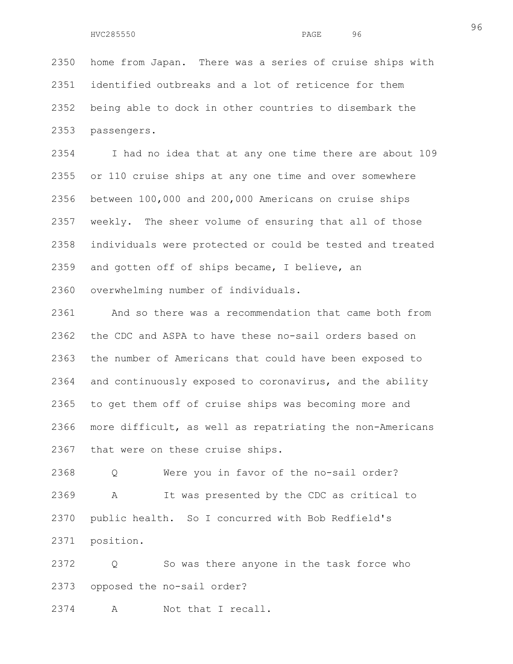2350 home from Japan. There was a series of cruise ships with 2351 identified outbreaks and a lot of reticence for them 2352 being able to dock in other countries to disembark the 2353 passengers.

2354 I had no idea that at any one time there are about 109 2355 or 110 cruise ships at any one time and over somewhere 2356 between 100,000 and 200,000 Americans on cruise ships 2357 weekly. The sheer volume of ensuring that all of those 2358 individuals were protected or could be tested and treated 2359 and gotten off of ships became, I believe, an 2360 overwhelming number of individuals.

2361 And so there was a recommendation that came both from 2362 the CDC and ASPA to have these no-sail orders based on 2363 the number of Americans that could have been exposed to 2364 and continuously exposed to coronavirus, and the ability 2365 to get them off of cruise ships was becoming more and 2366 more difficult, as well as repatriating the non-Americans 2367 that were on these cruise ships.

2368 Q Were you in favor of the no-sail order? 2369 A It was presented by the CDC as critical to 2370 public health. So I concurred with Bob Redfield's 2371 position.

2372 Q So was there anyone in the task force who 2373 opposed the no-sail order?

2374 A Not that I recall.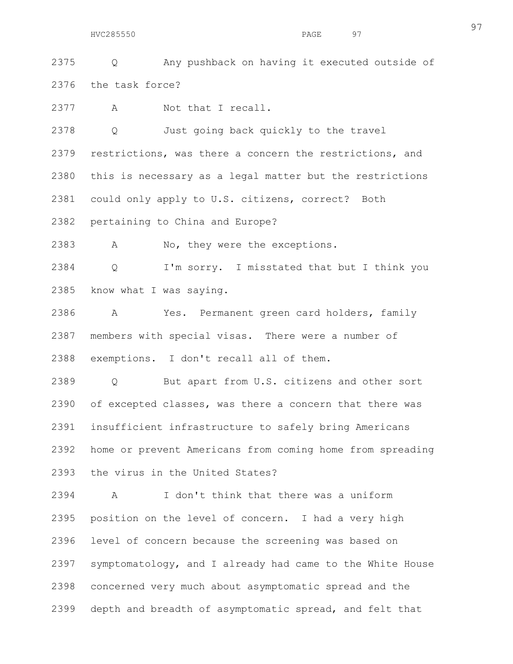2375 Q Any pushback on having it executed outside of 2376 the task force?

2377 A Not that I recall.

2378 Q Just going back quickly to the travel 2379 restrictions, was there a concern the restrictions, and 2380 this is necessary as a legal matter but the restrictions 2381 could only apply to U.S. citizens, correct? Both 2382 pertaining to China and Europe?

2383 A No, they were the exceptions.

2384 Q I'm sorry. I misstated that but I think you 2385 know what I was saying.

2386 A Yes. Permanent green card holders, family 2387 members with special visas. There were a number of 2388 exemptions. I don't recall all of them.

2389 Q But apart from U.S. citizens and other sort 2390 of excepted classes, was there a concern that there was 2391 insufficient infrastructure to safely bring Americans 2392 home or prevent Americans from coming home from spreading 2393 the virus in the United States?

2394 A I don't think that there was a uniform 2395 position on the level of concern. I had a very high 2396 level of concern because the screening was based on 2397 symptomatology, and I already had came to the White House 2398 concerned very much about asymptomatic spread and the 2399 depth and breadth of asymptomatic spread, and felt that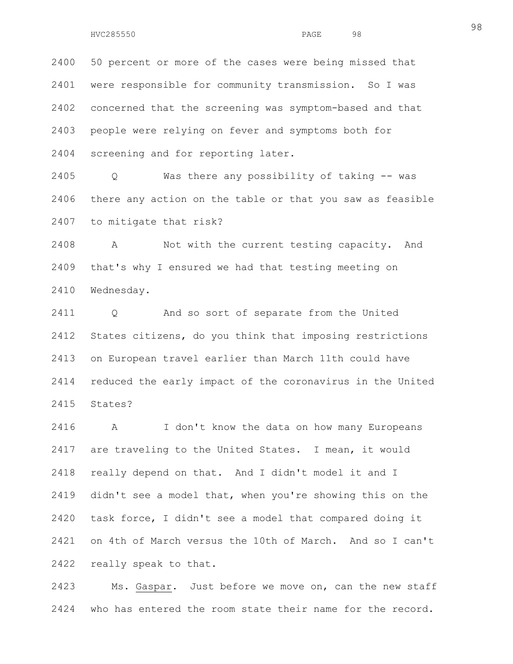2400 50 percent or more of the cases were being missed that 2401 were responsible for community transmission. So I was 2402 concerned that the screening was symptom-based and that 2403 people were relying on fever and symptoms both for 2404 screening and for reporting later.

2405 Q Was there any possibility of taking -- was 2406 there any action on the table or that you saw as feasible 2407 to mitigate that risk?

2408 A Not with the current testing capacity. And 2409 that's why I ensured we had that testing meeting on 2410 Wednesday.

2411 Q And so sort of separate from the United 2412 States citizens, do you think that imposing restrictions 2413 on European travel earlier than March 11th could have 2414 reduced the early impact of the coronavirus in the United 2415 States?

2416 A I don't know the data on how many Europeans 2417 are traveling to the United States. I mean, it would 2418 really depend on that. And I didn't model it and I 2419 didn't see a model that, when you're showing this on the 2420 task force, I didn't see a model that compared doing it 2421 on 4th of March versus the 10th of March. And so I can't 2422 really speak to that.

2423 Ms. Gaspar. Just before we move on, can the new staff 2424 who has entered the room state their name for the record.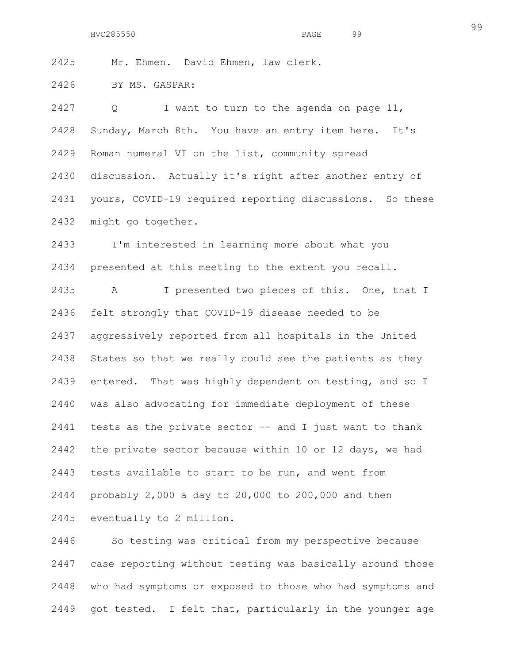2425 Mr. Ehmen. David Ehmen, law clerk.

2426 BY MS. GASPAR:

2427 Q I want to turn to the agenda on page 11, 2428 Sunday, March 8th. You have an entry item here. It's 2429 Roman numeral VI on the list, community spread 2430 discussion. Actually it's right after another entry of 2431 yours, COVID-19 required reporting discussions. So these 2432 might go together.

2433 I'm interested in learning more about what you 2434 presented at this meeting to the extent you recall. 2435 A I presented two pieces of this. One, that I 2436 felt strongly that COVID-19 disease needed to be 2437 aggressively reported from all hospitals in the United 2438 States so that we really could see the patients as they 2439 entered. That was highly dependent on testing, and so I 2440 was also advocating for immediate deployment of these 2441 tests as the private sector -- and I just want to thank 2442 the private sector because within 10 or 12 days, we had 2443 tests available to start to be run, and went from 2444 probably 2,000 a day to 20,000 to 200,000 and then 2445 eventually to 2 million.

2446 So testing was critical from my perspective because 2447 case reporting without testing was basically around those 2448 who had symptoms or exposed to those who had symptoms and 2449 got tested. I felt that, particularly in the younger age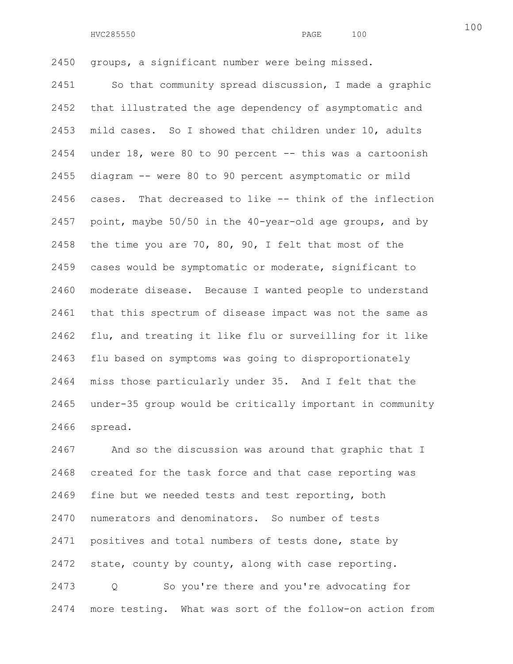2450 groups, a significant number were being missed.

2451 So that community spread discussion, I made a graphic 2452 that illustrated the age dependency of asymptomatic and 2453 mild cases. So I showed that children under 10, adults 2454 under 18, were 80 to 90 percent -- this was a cartoonish 2455 diagram -- were 80 to 90 percent asymptomatic or mild 2456 cases. That decreased to like -- think of the inflection 2457 point, maybe 50/50 in the 40-year-old age groups, and by 2458 the time you are 70, 80, 90, I felt that most of the 2459 cases would be symptomatic or moderate, significant to 2460 moderate disease. Because I wanted people to understand 2461 that this spectrum of disease impact was not the same as 2462 flu, and treating it like flu or surveilling for it like 2463 flu based on symptoms was going to disproportionately 2464 miss those particularly under 35. And I felt that the 2465 under-35 group would be critically important in community 2466 spread.

2467 And so the discussion was around that graphic that I 2468 created for the task force and that case reporting was 2469 fine but we needed tests and test reporting, both 2470 numerators and denominators. So number of tests 2471 positives and total numbers of tests done, state by 2472 state, county by county, along with case reporting. 2473 Q So you're there and you're advocating for 2474 more testing. What was sort of the follow-on action from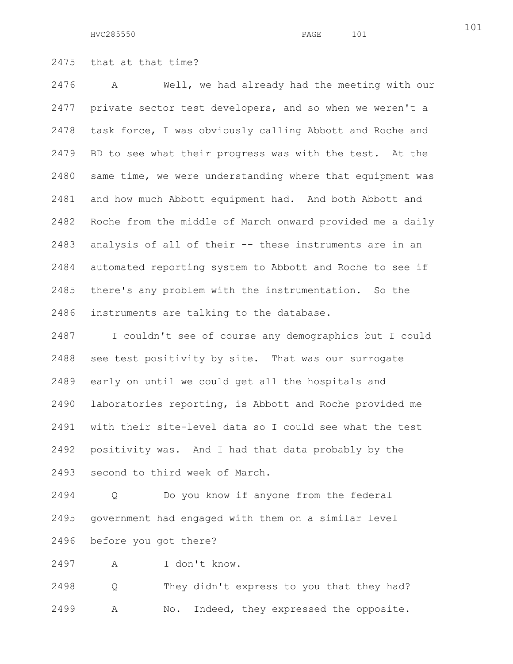HVC285550 PAGE 101

2475 that at that time?

2476 A Well, we had already had the meeting with our 2477 private sector test developers, and so when we weren't a 2478 task force, I was obviously calling Abbott and Roche and 2479 BD to see what their progress was with the test. At the 2480 same time, we were understanding where that equipment was 2481 and how much Abbott equipment had. And both Abbott and 2482 Roche from the middle of March onward provided me a daily 2483 analysis of all of their -- these instruments are in an 2484 automated reporting system to Abbott and Roche to see if 2485 there's any problem with the instrumentation. So the 2486 instruments are talking to the database.

2487 I couldn't see of course any demographics but I could 2488 see test positivity by site. That was our surrogate 2489 early on until we could get all the hospitals and 2490 laboratories reporting, is Abbott and Roche provided me 2491 with their site-level data so I could see what the test 2492 positivity was. And I had that data probably by the 2493 second to third week of March.

2494 Q Do you know if anyone from the federal 2495 government had engaged with them on a similar level 2496 before you got there?

2497 A I don't know.

2498 Q They didn't express to you that they had? 2499 A No. Indeed, they expressed the opposite.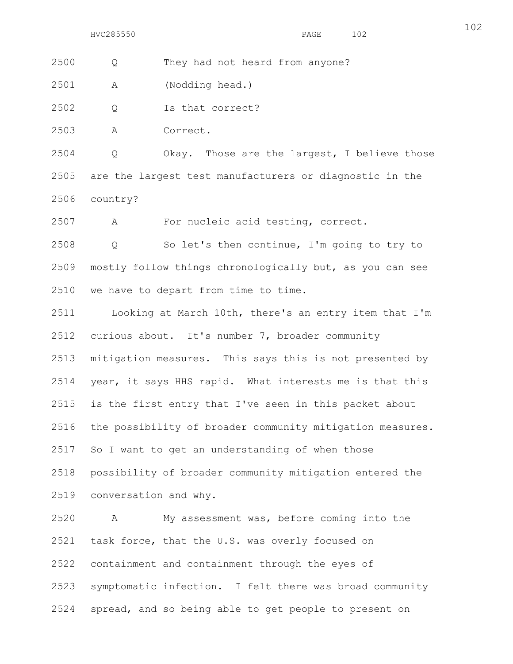2500 Q They had not heard from anyone?

2501 A (Nodding head.)

2502 Q Is that correct?

2503 A Correct.

2504 Q Okay. Those are the largest, I believe those 2505 are the largest test manufacturers or diagnostic in the 2506 country?

2507 A For nucleic acid testing, correct.

2508 Q So let's then continue, I'm going to try to 2509 mostly follow things chronologically but, as you can see 2510 we have to depart from time to time.

2511 Looking at March 10th, there's an entry item that I'm 2512 curious about. It's number 7, broader community 2513 mitigation measures. This says this is not presented by 2514 year, it says HHS rapid. What interests me is that this 2515 is the first entry that I've seen in this packet about 2516 the possibility of broader community mitigation measures. 2517 So I want to get an understanding of when those 2518 possibility of broader community mitigation entered the 2519 conversation and why.

2520 A My assessment was, before coming into the 2521 task force, that the U.S. was overly focused on 2522 containment and containment through the eyes of 2523 symptomatic infection. I felt there was broad community 2524 spread, and so being able to get people to present on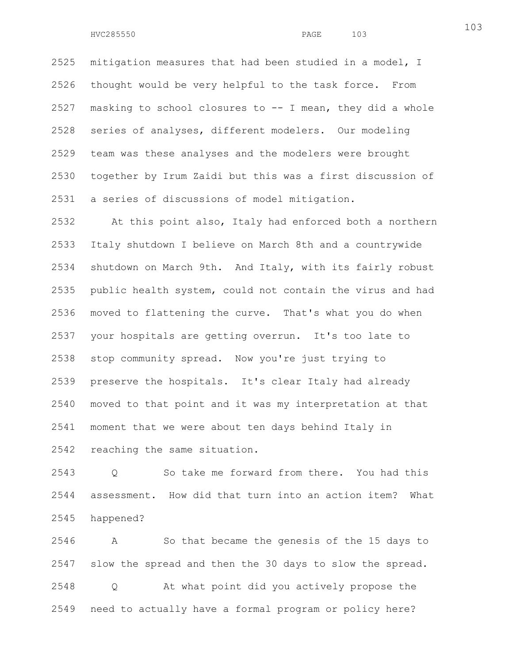2525 mitigation measures that had been studied in a model, I 2526 thought would be very helpful to the task force. From 2527 masking to school closures to -- I mean, they did a whole 2528 series of analyses, different modelers. Our modeling 2529 team was these analyses and the modelers were brought 2530 together by Irum Zaidi but this was a first discussion of 2531 a series of discussions of model mitigation.

2532 At this point also, Italy had enforced both a northern 2533 Italy shutdown I believe on March 8th and a countrywide 2534 shutdown on March 9th. And Italy, with its fairly robust 2535 public health system, could not contain the virus and had 2536 moved to flattening the curve. That's what you do when 2537 your hospitals are getting overrun. It's too late to 2538 stop community spread. Now you're just trying to 2539 preserve the hospitals. It's clear Italy had already 2540 moved to that point and it was my interpretation at that 2541 moment that we were about ten days behind Italy in 2542 reaching the same situation.

2543 Q So take me forward from there. You had this 2544 assessment. How did that turn into an action item? What 2545 happened?

2546 A So that became the genesis of the 15 days to 2547 slow the spread and then the 30 days to slow the spread. 2548 Q At what point did you actively propose the 2549 need to actually have a formal program or policy here?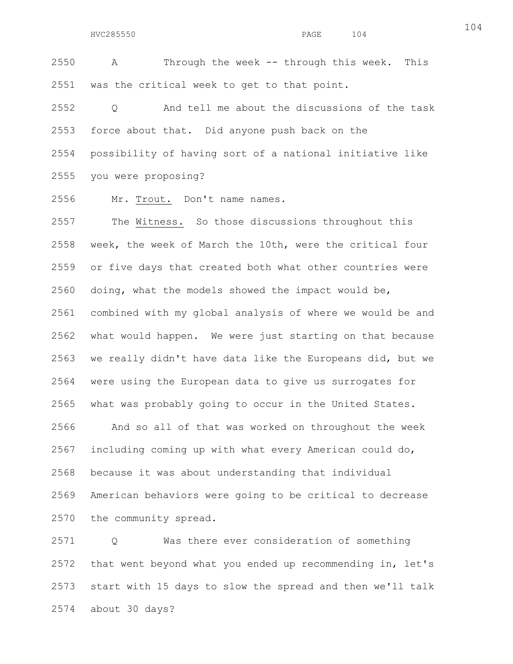2550 A Through the week -- through this week. This 2551 was the critical week to get to that point.

2552 Q And tell me about the discussions of the task 2553 force about that. Did anyone push back on the 2554 possibility of having sort of a national initiative like 2555 you were proposing?

2556 Mr. Trout. Don't name names.

2557 The Witness. So those discussions throughout this 2558 week, the week of March the 10th, were the critical four 2559 or five days that created both what other countries were 2560 doing, what the models showed the impact would be, 2561 combined with my global analysis of where we would be and 2562 what would happen. We were just starting on that because 2563 we really didn't have data like the Europeans did, but we 2564 were using the European data to give us surrogates for 2565 what was probably going to occur in the United States. 2566 And so all of that was worked on throughout the week 2567 including coming up with what every American could do, 2568 because it was about understanding that individual 2569 American behaviors were going to be critical to decrease 2570 the community spread.

2571 Q Was there ever consideration of something 2572 that went beyond what you ended up recommending in, let's 2573 start with 15 days to slow the spread and then we'll talk 2574 about 30 days?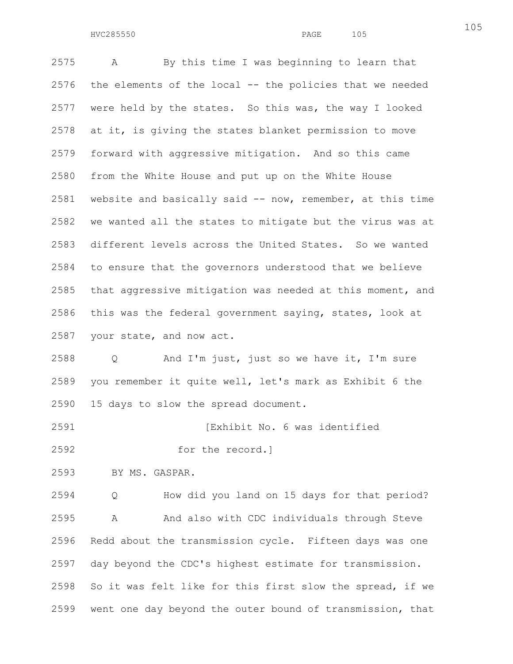2575 A By this time I was beginning to learn that 2576 the elements of the local -- the policies that we needed 2577 were held by the states. So this was, the way I looked 2578 at it, is giving the states blanket permission to move 2579 forward with aggressive mitigation. And so this came 2580 from the White House and put up on the White House 2581 website and basically said -- now, remember, at this time 2582 we wanted all the states to mitigate but the virus was at 2583 different levels across the United States. So we wanted 2584 to ensure that the governors understood that we believe 2585 that aggressive mitigation was needed at this moment, and 2586 this was the federal government saying, states, look at 2587 your state, and now act.

2588 Q And I'm just, just so we have it, I'm sure 2589 you remember it quite well, let's mark as Exhibit 6 the 2590 15 days to slow the spread document.

2591 [Exhibit No. 6 was identified

2592 for the record.]

2593 BY MS. GASPAR.

2594 Q How did you land on 15 days for that period? 2595 A And also with CDC individuals through Steve 2596 Redd about the transmission cycle. Fifteen days was one 2597 day beyond the CDC's highest estimate for transmission. 2598 So it was felt like for this first slow the spread, if we 2599 went one day beyond the outer bound of transmission, that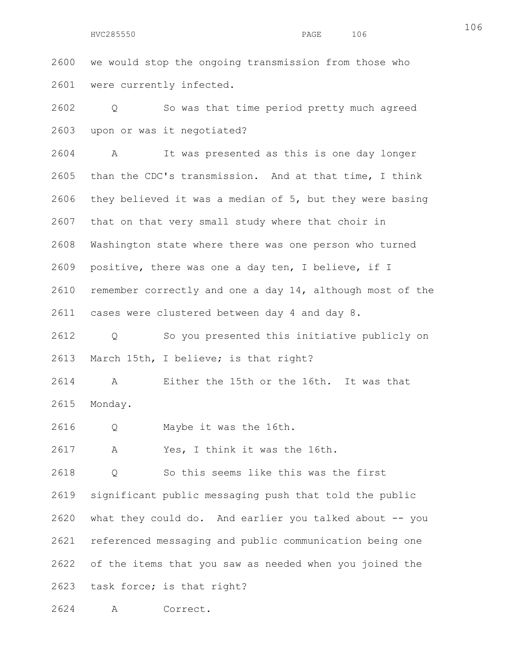HVC285550 PAGE 106

2600 we would stop the ongoing transmission from those who 2601 were currently infected.

2602 Q So was that time period pretty much agreed 2603 upon or was it negotiated?

2604 A It was presented as this is one day longer 2605 than the CDC's transmission. And at that time, I think 2606 they believed it was a median of 5, but they were basing 2607 that on that very small study where that choir in 2608 Washington state where there was one person who turned 2609 positive, there was one a day ten, I believe, if I 2610 remember correctly and one a day 14, although most of the 2611 cases were clustered between day 4 and day 8.

2612 Q So you presented this initiative publicly on 2613 March 15th, I believe; is that right?

2614 A Either the 15th or the 16th. It was that 2615 Monday.

2616 Q Maybe it was the 16th.

2617 A Yes, I think it was the 16th.

2618 Q So this seems like this was the first 2619 significant public messaging push that told the public 2620 what they could do. And earlier you talked about -- you 2621 referenced messaging and public communication being one 2622 of the items that you saw as needed when you joined the 2623 task force; is that right?

2624 A Correct.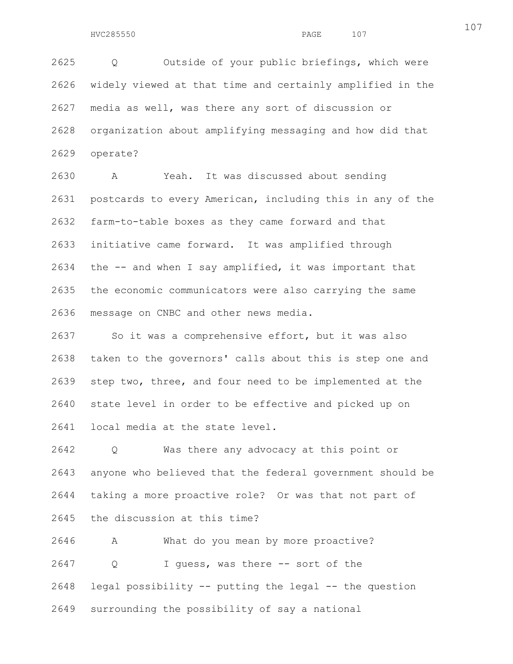2625 Q Outside of your public briefings, which were 2626 widely viewed at that time and certainly amplified in the 2627 media as well, was there any sort of discussion or 2628 organization about amplifying messaging and how did that 2629 operate?

2630 A Yeah. It was discussed about sending 2631 postcards to every American, including this in any of the 2632 farm-to-table boxes as they came forward and that 2633 initiative came forward. It was amplified through 2634 the -- and when I say amplified, it was important that 2635 the economic communicators were also carrying the same 2636 message on CNBC and other news media.

2637 So it was a comprehensive effort, but it was also 2638 taken to the governors' calls about this is step one and 2639 step two, three, and four need to be implemented at the 2640 state level in order to be effective and picked up on 2641 local media at the state level.

2642 Q Was there any advocacy at this point or 2643 anyone who believed that the federal government should be 2644 taking a more proactive role? Or was that not part of 2645 the discussion at this time?

2646 A What do you mean by more proactive? 2647 Q I guess, was there -- sort of the 2648 legal possibility -- putting the legal -- the question 2649 surrounding the possibility of say a national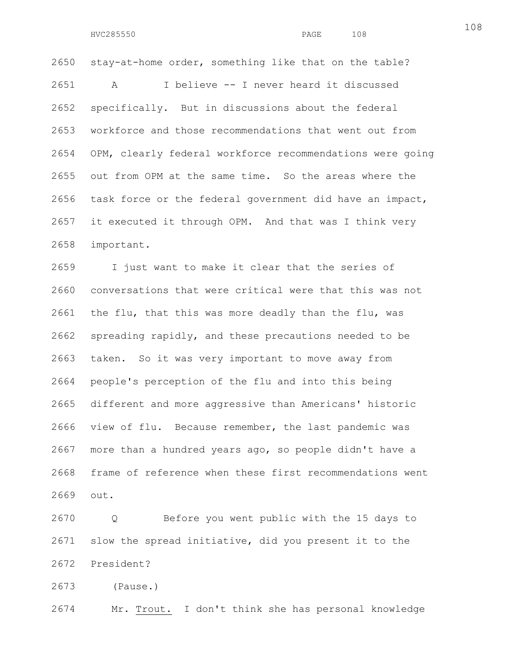2650 stay-at-home order, something like that on the table? 2651 A I believe -- I never heard it discussed 2652 specifically. But in discussions about the federal 2653 workforce and those recommendations that went out from 2654 OPM, clearly federal workforce recommendations were going 2655 out from OPM at the same time. So the areas where the 2656 task force or the federal government did have an impact, 2657 it executed it through OPM. And that was I think very 2658 important.

2659 I just want to make it clear that the series of 2660 conversations that were critical were that this was not 2661 the flu, that this was more deadly than the flu, was 2662 spreading rapidly, and these precautions needed to be 2663 taken. So it was very important to move away from 2664 people's perception of the flu and into this being 2665 different and more aggressive than Americans' historic 2666 view of flu. Because remember, the last pandemic was 2667 more than a hundred years ago, so people didn't have a 2668 frame of reference when these first recommendations went 2669 out.

2670 Q Before you went public with the 15 days to 2671 slow the spread initiative, did you present it to the 2672 President?

2673 (Pause.)

2674 Mr. Trout. I don't think she has personal knowledge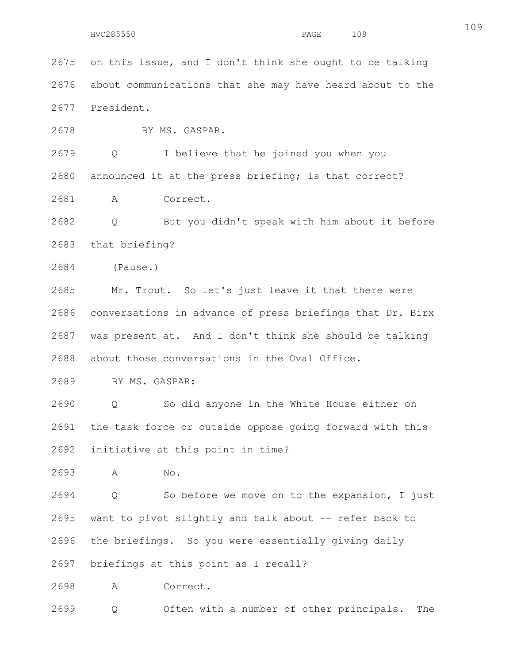HVC285550 PAGE 109

2675 on this issue, and I don't think she ought to be talking 2676 about communications that she may have heard about to the 2677 President.

2678 BY MS. GASPAR.

2679 Q I believe that he joined you when you 2680 announced it at the press briefing; is that correct?

2681 A Correct.

2682 Q But you didn't speak with him about it before 2683 that briefing?

2684 (Pause.)

2685 Mr. Trout. So let's just leave it that there were 2686 conversations in advance of press briefings that Dr. Birx 2687 was present at. And I don't think she should be talking 2688 about those conversations in the Oval Office.

2689 BY MS. GASPAR:

2690 Q So did anyone in the White House either on 2691 the task force or outside oppose going forward with this 2692 initiative at this point in time?

2693 A No.

2694 Q So before we move on to the expansion, I just 2695 want to pivot slightly and talk about -- refer back to 2696 the briefings. So you were essentially giving daily 2697 briefings at this point as I recall?

2698 A Correct.

2699 Q Often with a number of other principals. The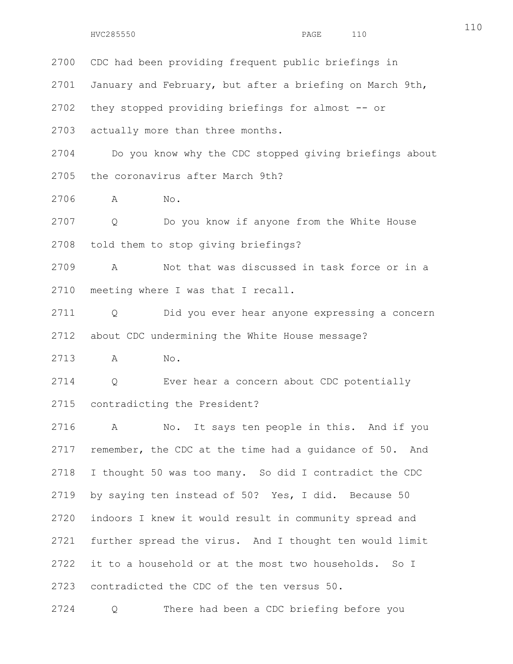2700 CDC had been providing frequent public briefings in 2701 January and February, but after a briefing on March 9th, 2702 they stopped providing briefings for almost -- or 2703 actually more than three months. 2704 Do you know why the CDC stopped giving briefings about 2705 the coronavirus after March 9th? 2706 A No. 2707 Q Do you know if anyone from the White House 2708 told them to stop giving briefings? 2709 A Not that was discussed in task force or in a

2711 Q Did you ever hear anyone expressing a concern 2712 about CDC undermining the White House message?

2713 A No.

2710 meeting where I was that I recall.

2714 Q Ever hear a concern about CDC potentially 2715 contradicting the President?

2716 A No. It says ten people in this. And if you 2717 remember, the CDC at the time had a guidance of 50. And 2718 I thought 50 was too many. So did I contradict the CDC 2719 by saying ten instead of 50? Yes, I did. Because 50 2720 indoors I knew it would result in community spread and 2721 further spread the virus. And I thought ten would limit 2722 it to a household or at the most two households. So I 2723 contradicted the CDC of the ten versus 50.

2724 Q There had been a CDC briefing before you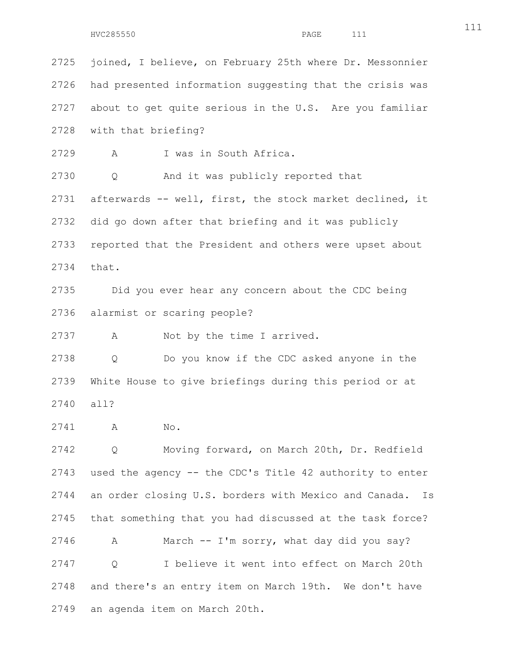2725 joined, I believe, on February 25th where Dr. Messonnier 2726 had presented information suggesting that the crisis was 2727 about to get quite serious in the U.S. Are you familiar 2728 with that briefing? 2729 A I was in South Africa. 2730 Q And it was publicly reported that 2731 afterwards -- well, first, the stock market declined, it 2732 did go down after that briefing and it was publicly 2733 reported that the President and others were upset about 2734 that. 2735 Did you ever hear any concern about the CDC being 2736 alarmist or scaring people? 2737 A Not by the time I arrived. 2738 Q Do you know if the CDC asked anyone in the 2739 White House to give briefings during this period or at 2740 all? 2741 A No. 2742 Q Moving forward, on March 20th, Dr. Redfield 2743 used the agency -- the CDC's Title 42 authority to enter 2744 an order closing U.S. borders with Mexico and Canada. Is 2745 that something that you had discussed at the task force? 2746 A March -- I'm sorry, what day did you say? 2747 Q I believe it went into effect on March 20th 2748 and there's an entry item on March 19th. We don't have 2749 an agenda item on March 20th.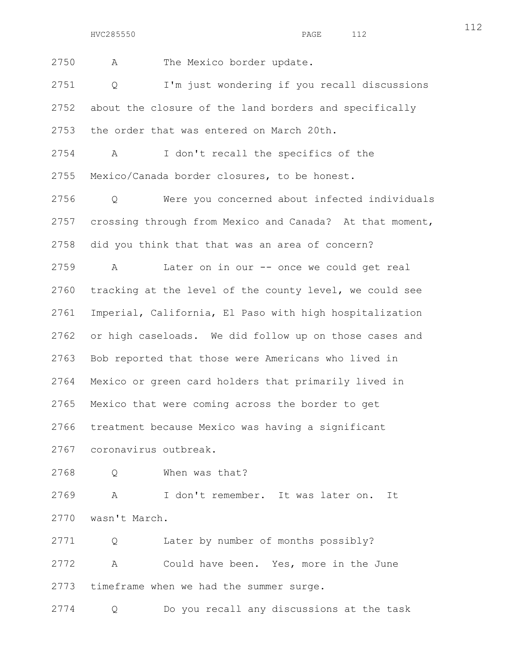2750 A The Mexico border update.

2751 Q I'm just wondering if you recall discussions 2752 about the closure of the land borders and specifically 2753 the order that was entered on March 20th.

2754 A I don't recall the specifics of the 2755 Mexico/Canada border closures, to be honest.

2756 Q Were you concerned about infected individuals 2757 crossing through from Mexico and Canada? At that moment, 2758 did you think that that was an area of concern?

2759 A Later on in our -- once we could get real 2760 tracking at the level of the county level, we could see 2761 Imperial, California, El Paso with high hospitalization 2762 or high caseloads. We did follow up on those cases and 2763 Bob reported that those were Americans who lived in 2764 Mexico or green card holders that primarily lived in 2765 Mexico that were coming across the border to get 2766 treatment because Mexico was having a significant 2767 coronavirus outbreak.

```
2768 Q When was that?
```
2769 A I don't remember. It was later on. It 2770 wasn't March.

2771 Q Later by number of months possibly? 2772 A Could have been. Yes, more in the June 2773 timeframe when we had the summer surge.

2774 Q Do you recall any discussions at the task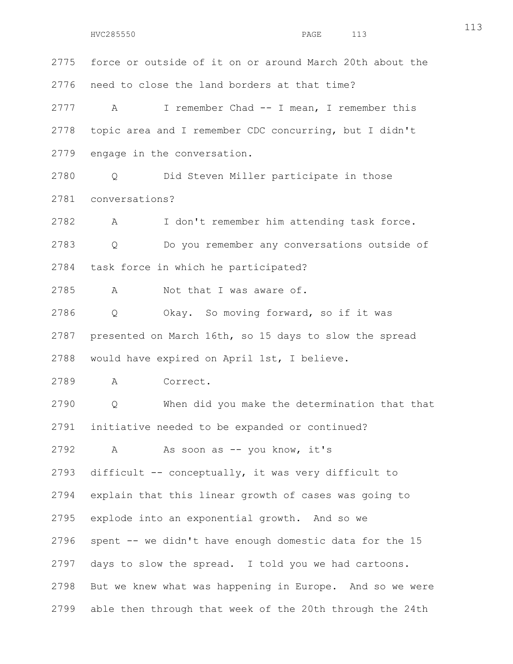2775 force or outside of it on or around March 20th about the 2776 need to close the land borders at that time? 2777 A I remember Chad -- I mean, I remember this 2778 topic area and I remember CDC concurring, but I didn't 2779 engage in the conversation. 2780 Q Did Steven Miller participate in those 2781 conversations? 2782 A I don't remember him attending task force. 2783 Q Do you remember any conversations outside of 2784 task force in which he participated? 2785 A Not that I was aware of. 2786 Q Okay. So moving forward, so if it was 2787 presented on March 16th, so 15 days to slow the spread 2788 would have expired on April 1st, I believe. 2789 A Correct. 2790 Q When did you make the determination that that 2791 initiative needed to be expanded or continued? 2792 A As soon as -- you know, it's 2793 difficult -- conceptually, it was very difficult to 2794 explain that this linear growth of cases was going to 2795 explode into an exponential growth. And so we 2796 spent -- we didn't have enough domestic data for the 15 2797 days to slow the spread. I told you we had cartoons. 2798 But we knew what was happening in Europe. And so we were 2799 able then through that week of the 20th through the 24th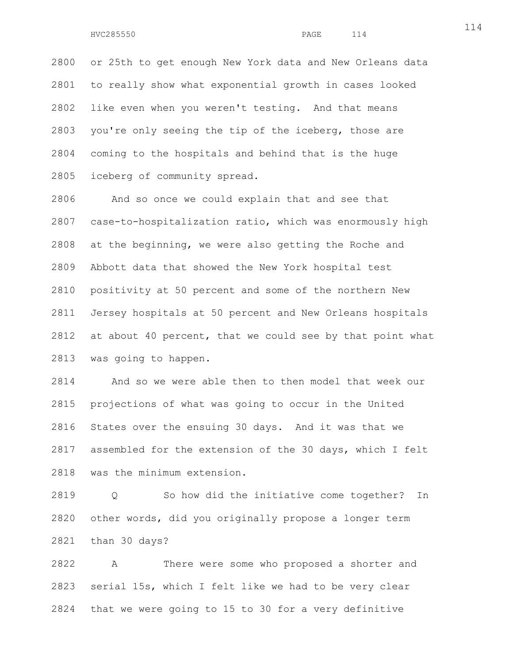2800 or 25th to get enough New York data and New Orleans data 2801 to really show what exponential growth in cases looked 2802 like even when you weren't testing. And that means 2803 you're only seeing the tip of the iceberg, those are 2804 coming to the hospitals and behind that is the huge 2805 iceberg of community spread.

2806 And so once we could explain that and see that 2807 case-to-hospitalization ratio, which was enormously high 2808 at the beginning, we were also getting the Roche and 2809 Abbott data that showed the New York hospital test 2810 positivity at 50 percent and some of the northern New 2811 Jersey hospitals at 50 percent and New Orleans hospitals 2812 at about 40 percent, that we could see by that point what 2813 was going to happen.

2814 And so we were able then to then model that week our 2815 projections of what was going to occur in the United 2816 States over the ensuing 30 days. And it was that we 2817 assembled for the extension of the 30 days, which I felt 2818 was the minimum extension.

2819 Q So how did the initiative come together? In 2820 other words, did you originally propose a longer term 2821 than 30 days?

2822 A There were some who proposed a shorter and 2823 serial 15s, which I felt like we had to be very clear 2824 that we were going to 15 to 30 for a very definitive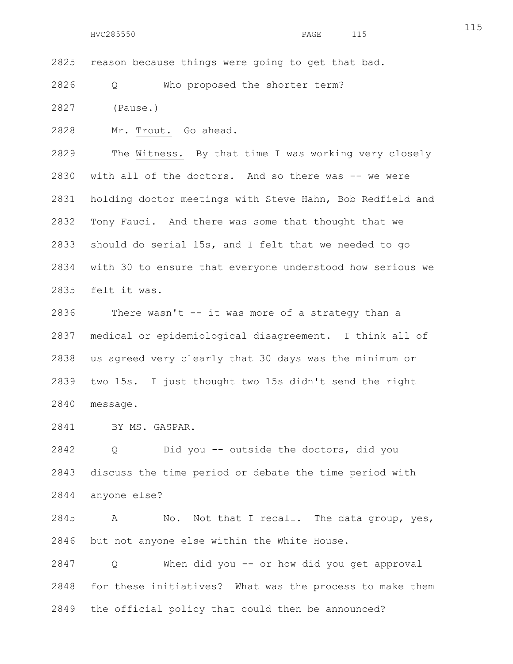2825 reason because things were going to get that bad.

2826 Q Who proposed the shorter term?

2827 (Pause.)

2828 Mr. Trout. Go ahead.

2829 The Witness. By that time I was working very closely 2830 with all of the doctors. And so there was -- we were 2831 holding doctor meetings with Steve Hahn, Bob Redfield and 2832 Tony Fauci. And there was some that thought that we 2833 should do serial 15s, and I felt that we needed to go 2834 with 30 to ensure that everyone understood how serious we 2835 felt it was.

2836 There wasn't -- it was more of a strategy than a 2837 medical or epidemiological disagreement. I think all of 2838 us agreed very clearly that 30 days was the minimum or 2839 two 15s. I just thought two 15s didn't send the right 2840 message.

2841 BY MS. GASPAR.

2842 Q Did you -- outside the doctors, did you 2843 discuss the time period or debate the time period with 2844 anyone else?

2845 A No. Not that I recall. The data group, yes, 2846 but not anyone else within the White House.

2847 Q When did you -- or how did you get approval 2848 for these initiatives? What was the process to make them 2849 the official policy that could then be announced?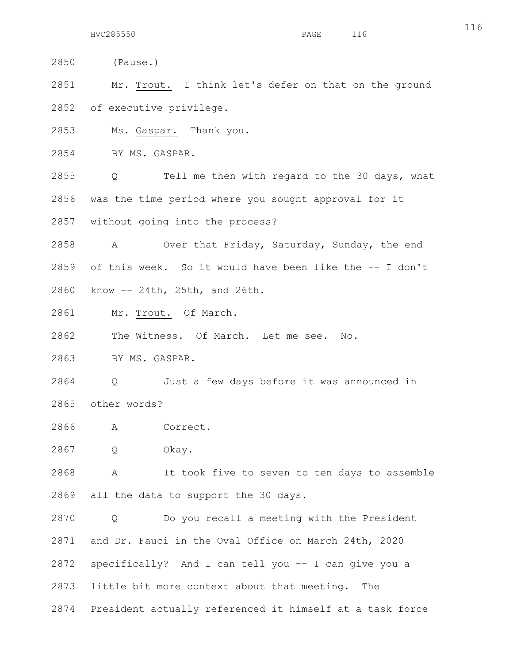2850 (Pause.)

2851 Mr. Trout. I think let's defer on that on the ground 2852 of executive privilege.

2853 Ms. Gaspar. Thank you.

2854 BY MS. GASPAR.

2855 Q Tell me then with regard to the 30 days, what 2856 was the time period where you sought approval for it 2857 without going into the process?

2858 A Over that Friday, Saturday, Sunday, the end 2859 of this week. So it would have been like the -- I don't 2860 know -- 24th, 25th, and 26th.

2861 Mr. Trout. Of March.

2862 The Witness. Of March. Let me see. No.

2863 BY MS. GASPAR.

2864 Q Just a few days before it was announced in 2865 other words?

2866 A Correct.

2867 Q Okay.

2868 A It took five to seven to ten days to assemble 2869 all the data to support the 30 days.

2870 Q Do you recall a meeting with the President 2871 and Dr. Fauci in the Oval Office on March 24th, 2020 2872 specifically? And I can tell you -- I can give you a 2873 little bit more context about that meeting. The 2874 President actually referenced it himself at a task force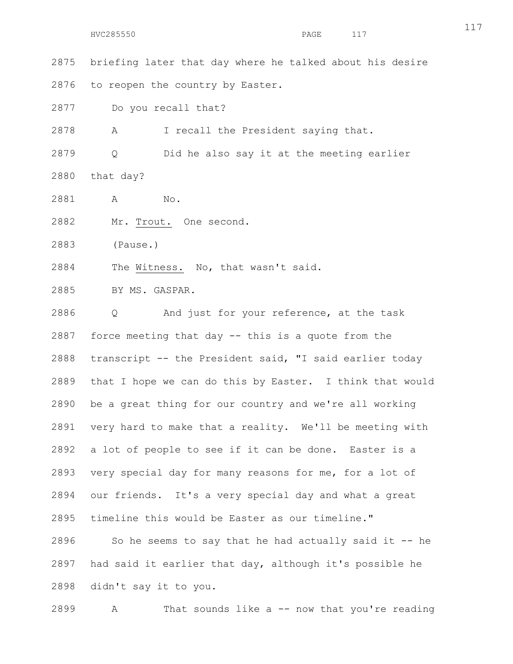2875 briefing later that day where he talked about his desire 2876 to reopen the country by Easter.

2877 Do you recall that?

2878 A I recall the President saying that.

2879 Q Did he also say it at the meeting earlier 2880 that day?

- 2881 A No.
- 2882 Mr. Trout. One second.

2883 (Pause.)

2884 The Witness. No, that wasn't said.

2885 BY MS. GASPAR.

2886 Q And just for your reference, at the task 2887 force meeting that day -- this is a quote from the 2888 transcript -- the President said, "I said earlier today 2889 that I hope we can do this by Easter. I think that would 2890 be a great thing for our country and we're all working 2891 very hard to make that a reality. We'll be meeting with 2892 a lot of people to see if it can be done. Easter is a 2893 very special day for many reasons for me, for a lot of 2894 our friends. It's a very special day and what a great 2895 timeline this would be Easter as our timeline."  $2896$  So he seems to say that he had actually said it -- he 2897 had said it earlier that day, although it's possible he 2898 didn't say it to you.

2899 A That sounds like a -- now that you're reading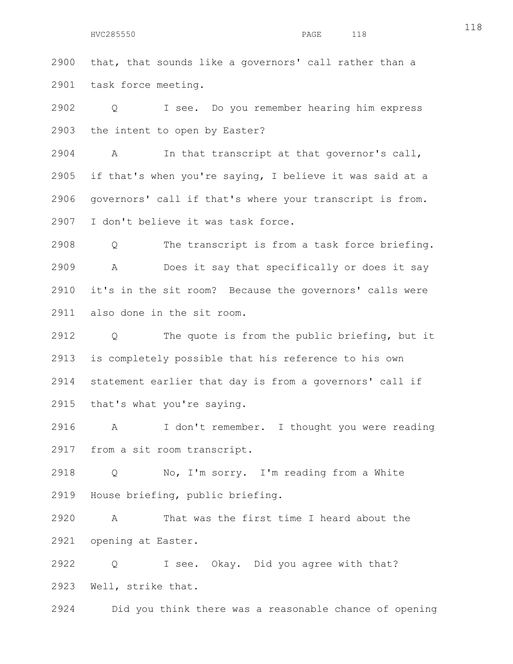2900 that, that sounds like a governors' call rather than a 2901 task force meeting.

2902 Q I see. Do you remember hearing him express 2903 the intent to open by Easter?

2904 A In that transcript at that governor's call, 2905 if that's when you're saying, I believe it was said at a 2906 governors' call if that's where your transcript is from. 2907 I don't believe it was task force.

2908 Q The transcript is from a task force briefing. 2909 A Does it say that specifically or does it say 2910 it's in the sit room? Because the governors' calls were 2911 also done in the sit room.

2912 Q The quote is from the public briefing, but it 2913 is completely possible that his reference to his own 2914 statement earlier that day is from a governors' call if 2915 that's what you're saying.

2916 A I don't remember. I thought you were reading 2917 from a sit room transcript.

2918 Q No, I'm sorry. I'm reading from a White 2919 House briefing, public briefing.

2920 A That was the first time I heard about the 2921 opening at Easter.

2922 Q I see. Okay. Did you agree with that? 2923 Well, strike that.

2924 Did you think there was a reasonable chance of opening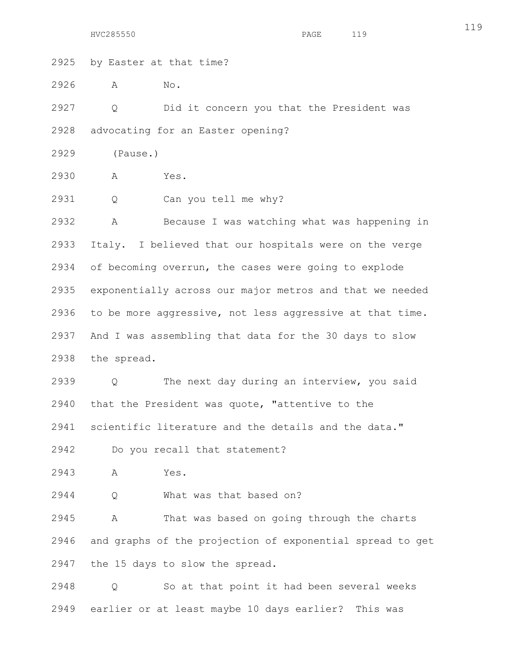HVC285550 PAGE 119

2925 by Easter at that time?

2926 A No.

2927 Q Did it concern you that the President was 2928 advocating for an Easter opening?

2929 (Pause.)

2930 A Yes.

2931 Q Can you tell me why?

2932 A Because I was watching what was happening in 2933 Italy. I believed that our hospitals were on the verge 2934 of becoming overrun, the cases were going to explode 2935 exponentially across our major metros and that we needed 2936 to be more aggressive, not less aggressive at that time. 2937 And I was assembling that data for the 30 days to slow 2938 the spread.

2939 Q The next day during an interview, you said 2940 that the President was quote, "attentive to the 2941 scientific literature and the details and the data."

2942 Do you recall that statement?

2943 A Yes.

2944 Q What was that based on?

2945 A That was based on going through the charts 2946 and graphs of the projection of exponential spread to get 2947 the 15 days to slow the spread.

2948 Q So at that point it had been several weeks 2949 earlier or at least maybe 10 days earlier? This was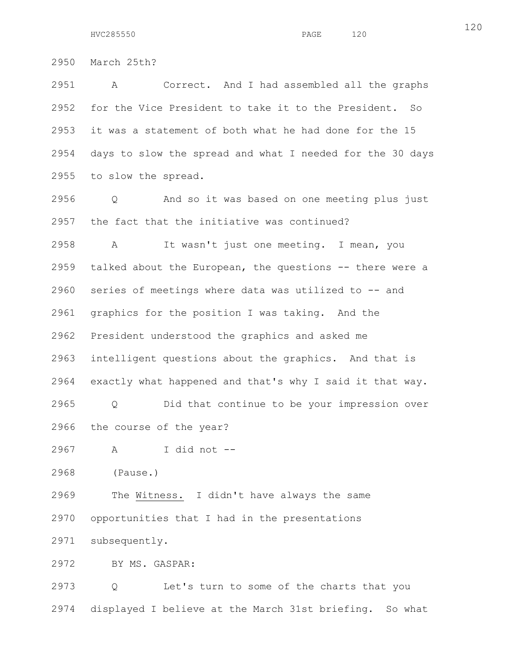2950 March 25th?

2951 A Correct. And I had assembled all the graphs 2952 for the Vice President to take it to the President. So 2953 it was a statement of both what he had done for the 15 2954 days to slow the spread and what I needed for the 30 days 2955 to slow the spread.

2956 Q And so it was based on one meeting plus just 2957 the fact that the initiative was continued?

2958 A It wasn't just one meeting. I mean, you 2959 talked about the European, the questions -- there were a 2960 series of meetings where data was utilized to -- and 2961 graphics for the position I was taking. And the 2962 President understood the graphics and asked me 2963 intelligent questions about the graphics. And that is 2964 exactly what happened and that's why I said it that way.

2965 Q Did that continue to be your impression over 2966 the course of the year?

2967 A I did not --

2968 (Pause.)

2969 The Witness. I didn't have always the same 2970 opportunities that I had in the presentations

2971 subsequently.

2972 BY MS. GASPAR:

2973 Q Let's turn to some of the charts that you 2974 displayed I believe at the March 31st briefing. So what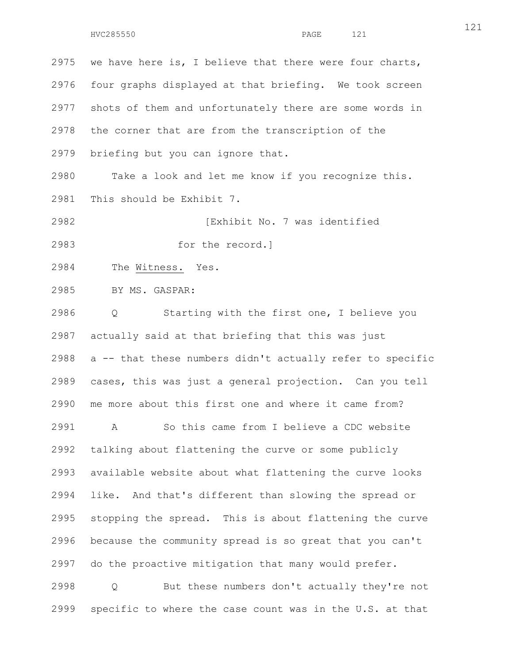2975 we have here is, I believe that there were four charts, 2976 four graphs displayed at that briefing. We took screen 2977 shots of them and unfortunately there are some words in 2978 the corner that are from the transcription of the 2979 briefing but you can ignore that. 2980 Take a look and let me know if you recognize this. 2981 This should be Exhibit 7. 2982 [Exhibit No. 7 was identified 2983 for the record.] 2984 The Witness. Yes. 2985 BY MS. GASPAR: 2986 Q Starting with the first one, I believe you 2987 actually said at that briefing that this was just 2988 a -- that these numbers didn't actually refer to specific 2989 cases, this was just a general projection. Can you tell 2990 me more about this first one and where it came from? 2991 A So this came from I believe a CDC website 2992 talking about flattening the curve or some publicly 2993 available website about what flattening the curve looks 2994 like. And that's different than slowing the spread or 2995 stopping the spread. This is about flattening the curve 2996 because the community spread is so great that you can't 2997 do the proactive mitigation that many would prefer. 2998 Q But these numbers don't actually they're not 2999 specific to where the case count was in the U.S. at that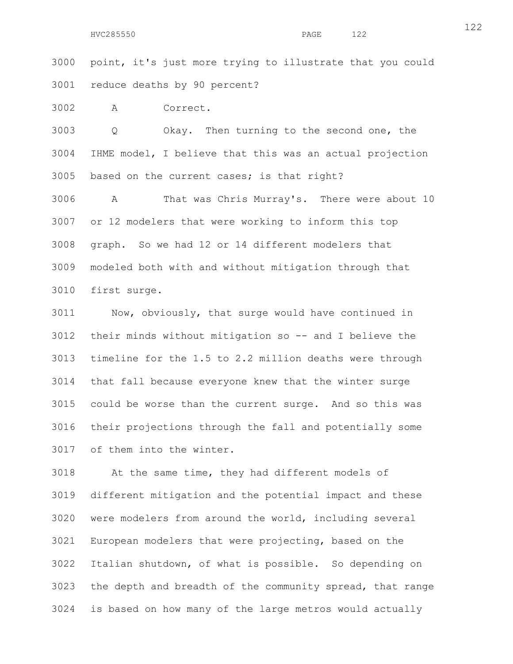3000 point, it's just more trying to illustrate that you could 3001 reduce deaths by 90 percent?

3002 A Correct.

3003 Q Okay. Then turning to the second one, the 3004 IHME model, I believe that this was an actual projection 3005 based on the current cases; is that right?

3006 A That was Chris Murray's. There were about 10 3007 or 12 modelers that were working to inform this top 3008 graph. So we had 12 or 14 different modelers that 3009 modeled both with and without mitigation through that 3010 first surge.

3011 Now, obviously, that surge would have continued in 3012 their minds without mitigation so -- and I believe the 3013 timeline for the 1.5 to 2.2 million deaths were through 3014 that fall because everyone knew that the winter surge 3015 could be worse than the current surge. And so this was 3016 their projections through the fall and potentially some 3017 of them into the winter.

3018 At the same time, they had different models of 3019 different mitigation and the potential impact and these 3020 were modelers from around the world, including several 3021 European modelers that were projecting, based on the 3022 Italian shutdown, of what is possible. So depending on 3023 the depth and breadth of the community spread, that range 3024 is based on how many of the large metros would actually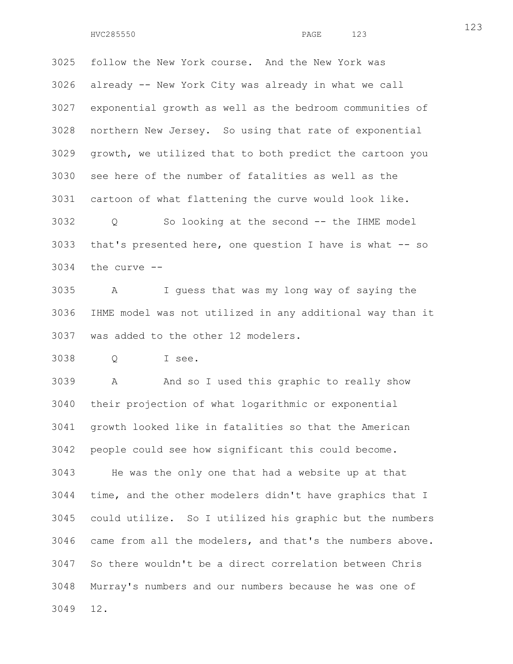3025 follow the New York course. And the New York was 3026 already -- New York City was already in what we call 3027 exponential growth as well as the bedroom communities of 3028 northern New Jersey. So using that rate of exponential 3029 growth, we utilized that to both predict the cartoon you 3030 see here of the number of fatalities as well as the 3031 cartoon of what flattening the curve would look like. 3032 Q So looking at the second -- the IHME model 3033 that's presented here, one question I have is what -- so 3034 the curve --

3035 A I guess that was my long way of saying the 3036 IHME model was not utilized in any additional way than it 3037 was added to the other 12 modelers.

3038 Q I see.

3039 A And so I used this graphic to really show 3040 their projection of what logarithmic or exponential 3041 growth looked like in fatalities so that the American 3042 people could see how significant this could become. 3043 He was the only one that had a website up at that 3044 time, and the other modelers didn't have graphics that I 3045 could utilize. So I utilized his graphic but the numbers 3046 came from all the modelers, and that's the numbers above. 3047 So there wouldn't be a direct correlation between Chris 3048 Murray's numbers and our numbers because he was one of 3049 12.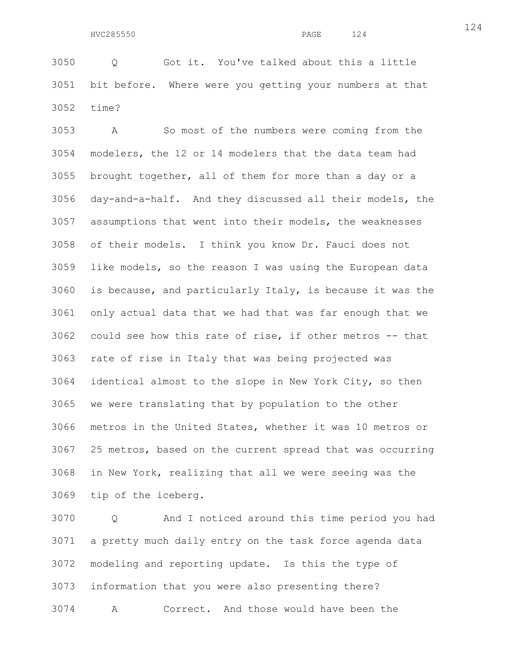3050 Q Got it. You've talked about this a little 3051 bit before. Where were you getting your numbers at that 3052 time?

3053 A So most of the numbers were coming from the 3054 modelers, the 12 or 14 modelers that the data team had 3055 brought together, all of them for more than a day or a 3056 day-and-a-half. And they discussed all their models, the 3057 assumptions that went into their models, the weaknesses 3058 of their models. I think you know Dr. Fauci does not 3059 like models, so the reason I was using the European data 3060 is because, and particularly Italy, is because it was the 3061 only actual data that we had that was far enough that we 3062 could see how this rate of rise, if other metros -- that 3063 rate of rise in Italy that was being projected was 3064 identical almost to the slope in New York City, so then 3065 we were translating that by population to the other 3066 metros in the United States, whether it was 10 metros or 3067 25 metros, based on the current spread that was occurring 3068 in New York, realizing that all we were seeing was the 3069 tip of the iceberg.

3070 Q And I noticed around this time period you had 3071 a pretty much daily entry on the task force agenda data 3072 modeling and reporting update. Is this the type of 3073 information that you were also presenting there? 3074 A Correct. And those would have been the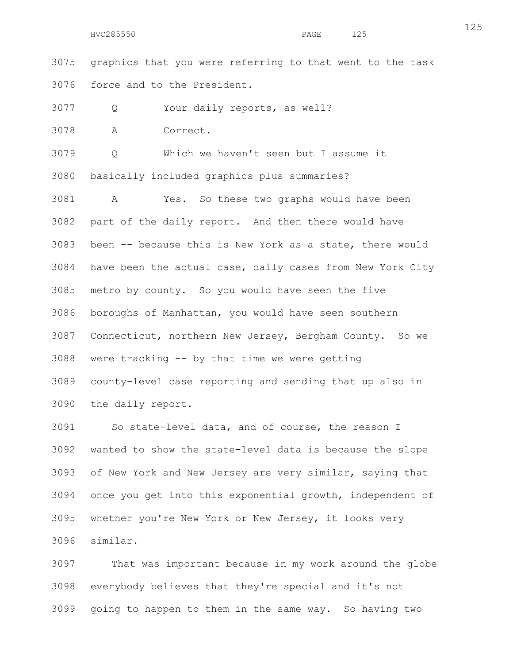3075 graphics that you were referring to that went to the task 3076 force and to the President.

3077 Q Your daily reports, as well?

3078 A Correct.

3079 Q Which we haven't seen but I assume it 3080 basically included graphics plus summaries?

3081 A Yes. So these two graphs would have been 3082 part of the daily report. And then there would have 3083 been -- because this is New York as a state, there would 3084 have been the actual case, daily cases from New York City 3085 metro by county. So you would have seen the five 3086 boroughs of Manhattan, you would have seen southern 3087 Connecticut, northern New Jersey, Bergham County. So we 3088 were tracking -- by that time we were getting 3089 county-level case reporting and sending that up also in 3090 the daily report.

3091 So state-level data, and of course, the reason I 3092 wanted to show the state-level data is because the slope 3093 of New York and New Jersey are very similar, saying that 3094 once you get into this exponential growth, independent of 3095 whether you're New York or New Jersey, it looks very 3096 similar.

3097 That was important because in my work around the globe 3098 everybody believes that they're special and it's not 3099 going to happen to them in the same way. So having two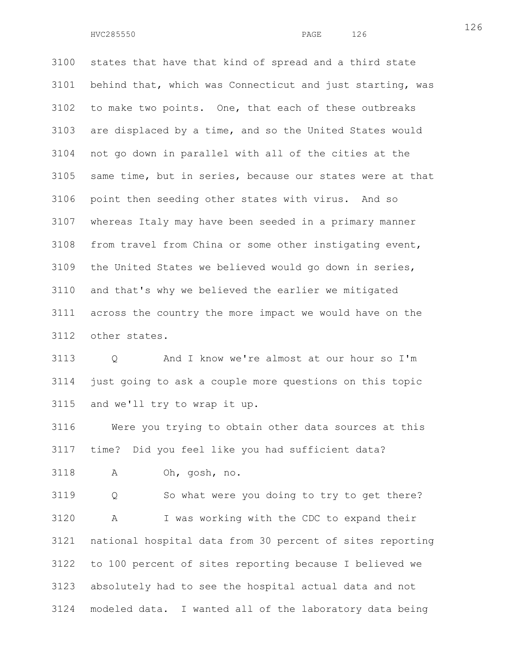3100 states that have that kind of spread and a third state 3101 behind that, which was Connecticut and just starting, was 3102 to make two points. One, that each of these outbreaks 3103 are displaced by a time, and so the United States would 3104 not go down in parallel with all of the cities at the 3105 same time, but in series, because our states were at that 3106 point then seeding other states with virus. And so 3107 whereas Italy may have been seeded in a primary manner 3108 from travel from China or some other instigating event, 3109 the United States we believed would go down in series, 3110 and that's why we believed the earlier we mitigated 3111 across the country the more impact we would have on the 3112 other states.

3113 Q And I know we're almost at our hour so I'm 3114 just going to ask a couple more questions on this topic 3115 and we'll try to wrap it up.

3116 Were you trying to obtain other data sources at this 3117 time? Did you feel like you had sufficient data?

3118 A Oh, gosh, no.

3119 Q So what were you doing to try to get there? 3120 A I was working with the CDC to expand their 3121 national hospital data from 30 percent of sites reporting 3122 to 100 percent of sites reporting because I believed we 3123 absolutely had to see the hospital actual data and not 3124 modeled data. I wanted all of the laboratory data being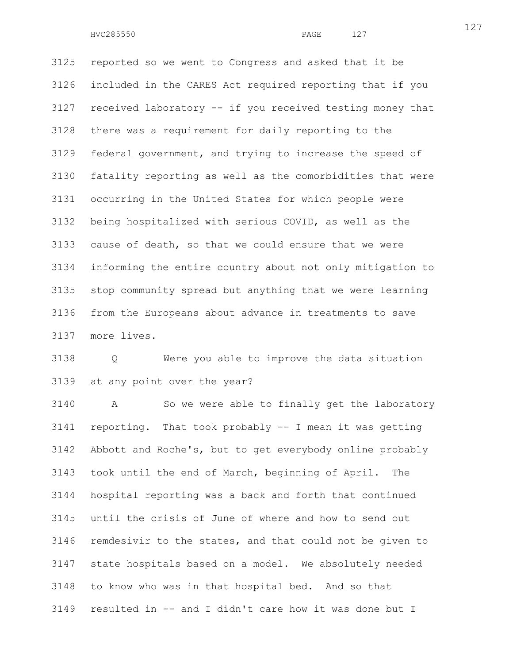3125 reported so we went to Congress and asked that it be 3126 included in the CARES Act required reporting that if you 3127 received laboratory -- if you received testing money that 3128 there was a requirement for daily reporting to the 3129 federal government, and trying to increase the speed of 3130 fatality reporting as well as the comorbidities that were 3131 occurring in the United States for which people were 3132 being hospitalized with serious COVID, as well as the 3133 cause of death, so that we could ensure that we were 3134 informing the entire country about not only mitigation to 3135 stop community spread but anything that we were learning 3136 from the Europeans about advance in treatments to save 3137 more lives.

3138 Q Were you able to improve the data situation 3139 at any point over the year?

3140 A So we were able to finally get the laboratory 3141 reporting. That took probably -- I mean it was getting 3142 Abbott and Roche's, but to get everybody online probably 3143 took until the end of March, beginning of April. The 3144 hospital reporting was a back and forth that continued 3145 until the crisis of June of where and how to send out 3146 remdesivir to the states, and that could not be given to 3147 state hospitals based on a model. We absolutely needed 3148 to know who was in that hospital bed. And so that 3149 resulted in -- and I didn't care how it was done but I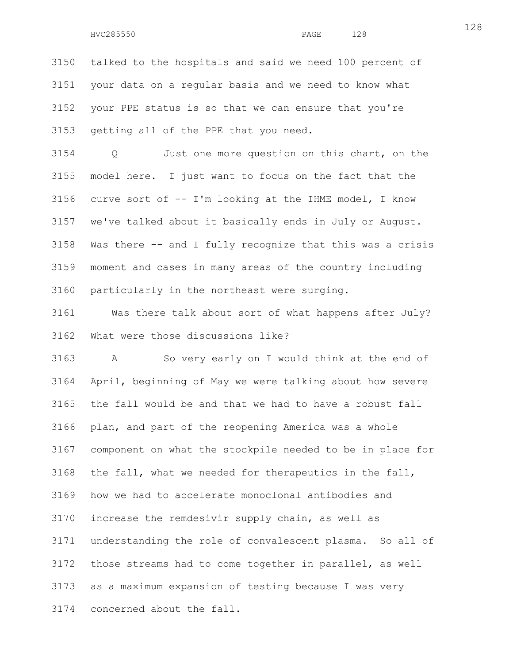HVC285550 PAGE 128

3150 talked to the hospitals and said we need 100 percent of 3151 your data on a regular basis and we need to know what 3152 your PPE status is so that we can ensure that you're 3153 getting all of the PPE that you need.

3154 Q Just one more question on this chart, on the 3155 model here. I just want to focus on the fact that the 3156 curve sort of -- I'm looking at the IHME model, I know 3157 we've talked about it basically ends in July or August. 3158 Was there -- and I fully recognize that this was a crisis 3159 moment and cases in many areas of the country including 3160 particularly in the northeast were surging.

3161 Was there talk about sort of what happens after July? 3162 What were those discussions like?

3163 A So very early on I would think at the end of 3164 April, beginning of May we were talking about how severe 3165 the fall would be and that we had to have a robust fall 3166 plan, and part of the reopening America was a whole 3167 component on what the stockpile needed to be in place for 3168 the fall, what we needed for therapeutics in the fall, 3169 how we had to accelerate monoclonal antibodies and 3170 increase the remdesivir supply chain, as well as 3171 understanding the role of convalescent plasma. So all of 3172 those streams had to come together in parallel, as well 3173 as a maximum expansion of testing because I was very 3174 concerned about the fall.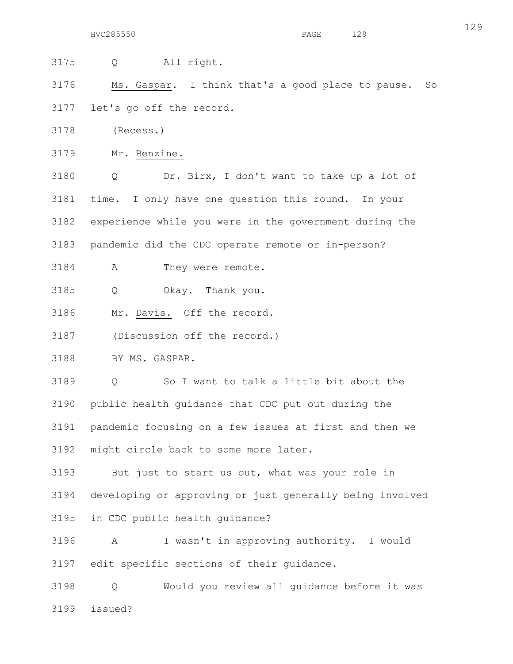3175 Q All right.

3176 Ms. Gaspar. I think that's a good place to pause. So 3177 let's go off the record.

3178 (Recess.)

3179 Mr. Benzine.

3180 Q Dr. Birx, I don't want to take up a lot of 3181 time. I only have one question this round. In your 3182 experience while you were in the government during the 3183 pandemic did the CDC operate remote or in-person?

3184 A They were remote.

3185 Q Okay. Thank you.

3186 Mr. Davis. Off the record.

3187 (Discussion off the record.)

3188 BY MS. GASPAR.

3189 Q So I want to talk a little bit about the 3190 public health guidance that CDC put out during the 3191 pandemic focusing on a few issues at first and then we 3192 might circle back to some more later.

3193 But just to start us out, what was your role in 3194 developing or approving or just generally being involved 3195 in CDC public health guidance?

3196 A I wasn't in approving authority. I would 3197 edit specific sections of their guidance.

3198 Q Would you review all guidance before it was 3199 issued?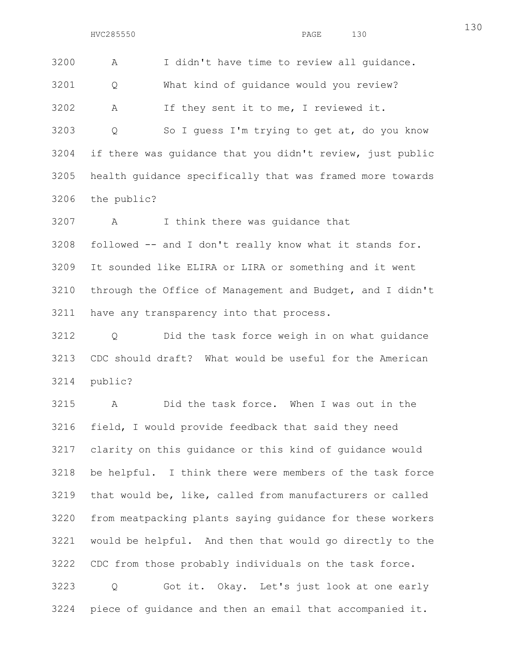3200 A I didn't have time to review all guidance. 3201 Q What kind of guidance would you review? 3202 A If they sent it to me, I reviewed it.

3203 Q So I guess I'm trying to get at, do you know 3204 if there was guidance that you didn't review, just public 3205 health guidance specifically that was framed more towards 3206 the public?

3207 A I think there was guidance that

3208 followed -- and I don't really know what it stands for.

3209 It sounded like ELIRA or LIRA or something and it went 3210 through the Office of Management and Budget, and I didn't 3211 have any transparency into that process.

3212 Q Did the task force weigh in on what guidance 3213 CDC should draft? What would be useful for the American 3214 public?

3215 A Did the task force. When I was out in the 3216 field, I would provide feedback that said they need 3217 clarity on this guidance or this kind of guidance would 3218 be helpful. I think there were members of the task force 3219 that would be, like, called from manufacturers or called 3220 from meatpacking plants saying guidance for these workers 3221 would be helpful. And then that would go directly to the 3222 CDC from those probably individuals on the task force. 3223 Q Got it. Okay. Let's just look at one early 3224 piece of guidance and then an email that accompanied it.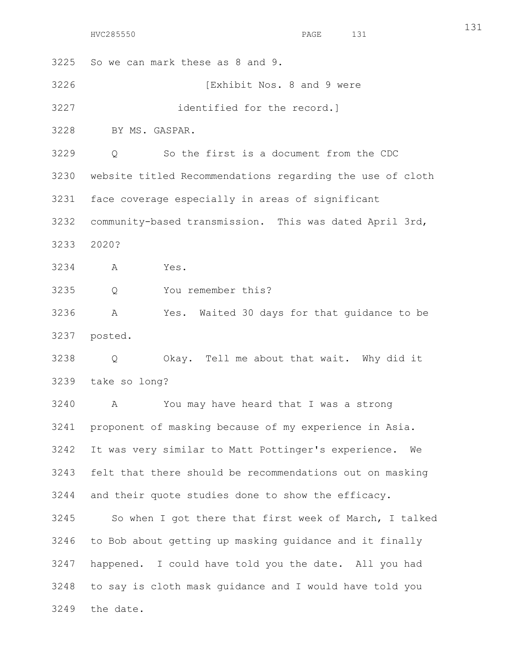131

3225 So we can mark these as 8 and 9.

3226 [Exhibit Nos. 8 and 9 were

3227 identified for the record.]

3228 BY MS. GASPAR.

3229 Q So the first is a document from the CDC

3230 website titled Recommendations regarding the use of cloth

3231 face coverage especially in areas of significant

3232 community-based transmission. This was dated April 3rd,

3233 2020?

3234 A Yes.

3235 Q You remember this?

3236 A Yes. Waited 30 days for that guidance to be 3237 posted.

3238 Q Okay. Tell me about that wait. Why did it 3239 take so long?

3240 A You may have heard that I was a strong 3241 proponent of masking because of my experience in Asia. 3242 It was very similar to Matt Pottinger's experience. We 3243 felt that there should be recommendations out on masking 3244 and their quote studies done to show the efficacy.

3245 So when I got there that first week of March, I talked 3246 to Bob about getting up masking guidance and it finally 3247 happened. I could have told you the date. All you had 3248 to say is cloth mask guidance and I would have told you 3249 the date.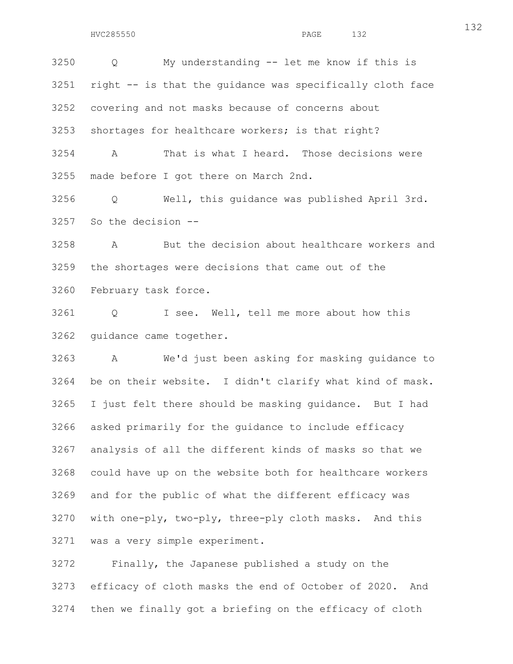132

3250 Q My understanding -- let me know if this is 3251 right -- is that the guidance was specifically cloth face 3252 covering and not masks because of concerns about 3253 shortages for healthcare workers; is that right? 3254 A That is what I heard. Those decisions were 3255 made before I got there on March 2nd.

3256 Q Well, this guidance was published April 3rd. 3257 So the decision --

3258 A But the decision about healthcare workers and 3259 the shortages were decisions that came out of the 3260 February task force.

3261 Q I see. Well, tell me more about how this 3262 guidance came together.

3263 A We'd just been asking for masking guidance to 3264 be on their website. I didn't clarify what kind of mask. 3265 I just felt there should be masking guidance. But I had 3266 asked primarily for the guidance to include efficacy 3267 analysis of all the different kinds of masks so that we 3268 could have up on the website both for healthcare workers 3269 and for the public of what the different efficacy was 3270 with one-ply, two-ply, three-ply cloth masks. And this 3271 was a very simple experiment.

3272 Finally, the Japanese published a study on the 3273 efficacy of cloth masks the end of October of 2020. And 3274 then we finally got a briefing on the efficacy of cloth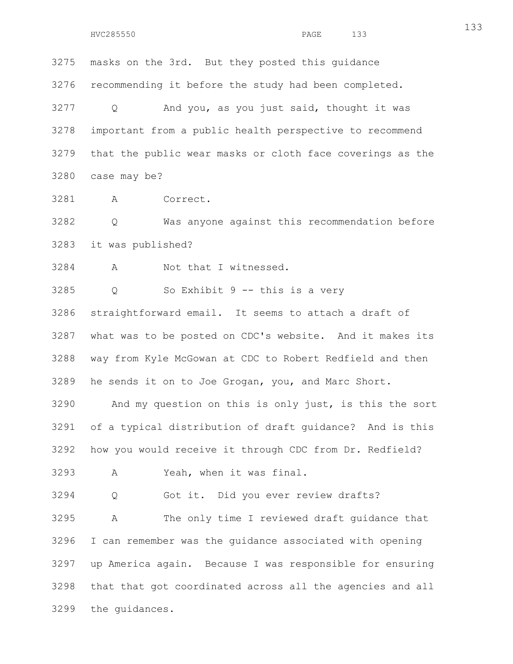3275 masks on the 3rd. But they posted this guidance 3276 recommending it before the study had been completed. 3277 Q And you, as you just said, thought it was 3278 important from a public health perspective to recommend 3279 that the public wear masks or cloth face coverings as the 3280 case may be?

3281 A Correct.

3282 Q Was anyone against this recommendation before 3283 it was published?

3284 A Not that I witnessed.

3285 Q So Exhibit 9 -- this is a very

3286 straightforward email. It seems to attach a draft of 3287 what was to be posted on CDC's website. And it makes its 3288 way from Kyle McGowan at CDC to Robert Redfield and then 3289 he sends it on to Joe Grogan, you, and Marc Short.

3290 And my question on this is only just, is this the sort 3291 of a typical distribution of draft guidance? And is this 3292 how you would receive it through CDC from Dr. Redfield?

3293 A Yeah, when it was final.

3294 Q Got it. Did you ever review drafts?

3295 A The only time I reviewed draft guidance that 3296 I can remember was the guidance associated with opening 3297 up America again. Because I was responsible for ensuring 3298 that that got coordinated across all the agencies and all 3299 the guidances.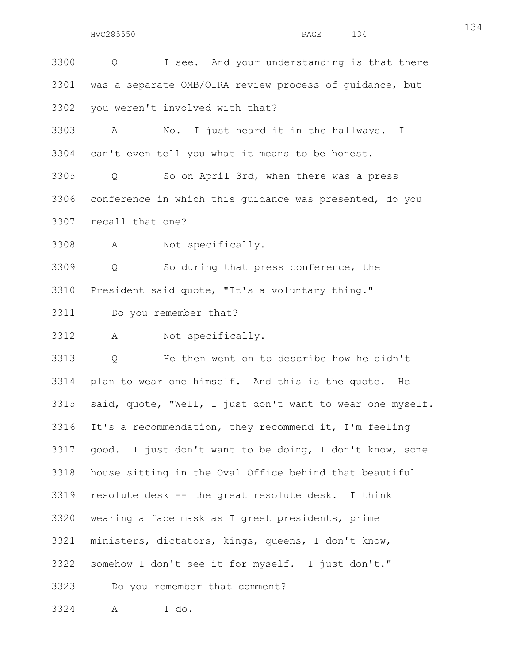3301 was a separate OMB/OIRA review process of guidance, but 3302 you weren't involved with that? 3303 A No. I just heard it in the hallways. I 3304 can't even tell you what it means to be honest. 3305 Q So on April 3rd, when there was a press 3306 conference in which this guidance was presented, do you 3307 recall that one? 3308 A Not specifically. 3309 Q So during that press conference, the 3310 President said quote, "It's a voluntary thing." 3311 Do you remember that? 3312 A Not specifically. 3313 Q He then went on to describe how he didn't 3314 plan to wear one himself. And this is the quote. He 3315 said, quote, "Well, I just don't want to wear one myself. 3316 It's a recommendation, they recommend it, I'm feeling 3317 good. I just don't want to be doing, I don't know, some 3318 house sitting in the Oval Office behind that beautiful 3319 resolute desk -- the great resolute desk. I think 3320 wearing a face mask as I greet presidents, prime 3321 ministers, dictators, kings, queens, I don't know, 3322 somehow I don't see it for myself. I just don't." 3323 Do you remember that comment? 3324 A I do.

3300 Q I see. And your understanding is that there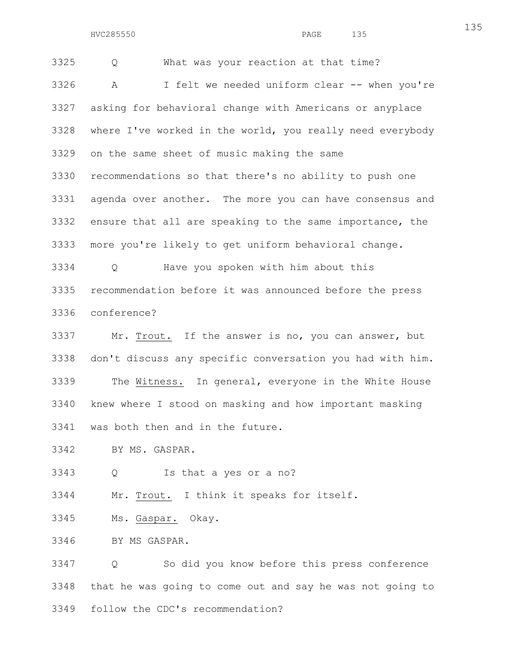3325 Q What was your reaction at that time? 3326 A I felt we needed uniform clear -- when you're 3327 asking for behavioral change with Americans or anyplace 3328 where I've worked in the world, you really need everybody 3329 on the same sheet of music making the same 3330 recommendations so that there's no ability to push one 3331 agenda over another. The more you can have consensus and 3332 ensure that all are speaking to the same importance, the 3333 more you're likely to get uniform behavioral change. 3334 Q Have you spoken with him about this

3335 recommendation before it was announced before the press 3336 conference?

3337 Mr. Trout. If the answer is no, you can answer, but 3338 don't discuss any specific conversation you had with him. 3339 The Witness. In general, everyone in the White House 3340 knew where I stood on masking and how important masking 3341 was both then and in the future.

3342 BY MS. GASPAR.

3343 Q Is that a yes or a no?

3344 Mr. Trout. I think it speaks for itself.

3345 Ms. Gaspar. Okay.

3346 BY MS GASPAR.

3347 Q So did you know before this press conference 3348 that he was going to come out and say he was not going to 3349 follow the CDC's recommendation?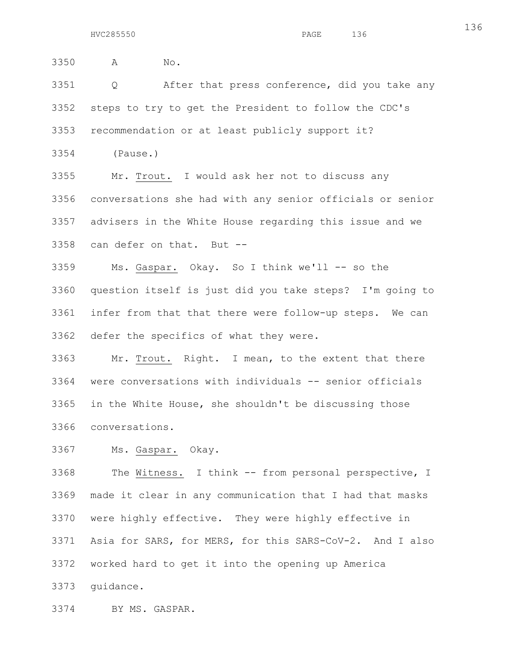3350 A No. 3351 Q After that press conference, did you take any 3352 steps to try to get the President to follow the CDC's 3353 recommendation or at least publicly support it? 3354 (Pause.) 3355 Mr. Trout. I would ask her not to discuss any 3356 conversations she had with any senior officials or senior 3357 advisers in the White House regarding this issue and we 3358 can defer on that. But -- 3359 Ms. Gaspar. Okay. So I think we'll -- so the

3360 question itself is just did you take steps? I'm going to 3361 infer from that that there were follow-up steps. We can 3362 defer the specifics of what they were.

3363 Mr. Trout. Right. I mean, to the extent that there 3364 were conversations with individuals -- senior officials 3365 in the White House, she shouldn't be discussing those 3366 conversations.

3367 Ms. Gaspar. Okay.

3368 The Witness. I think -- from personal perspective, I 3369 made it clear in any communication that I had that masks 3370 were highly effective. They were highly effective in 3371 Asia for SARS, for MERS, for this SARS-CoV-2. And I also 3372 worked hard to get it into the opening up America 3373 guidance.

3374 BY MS. GASPAR.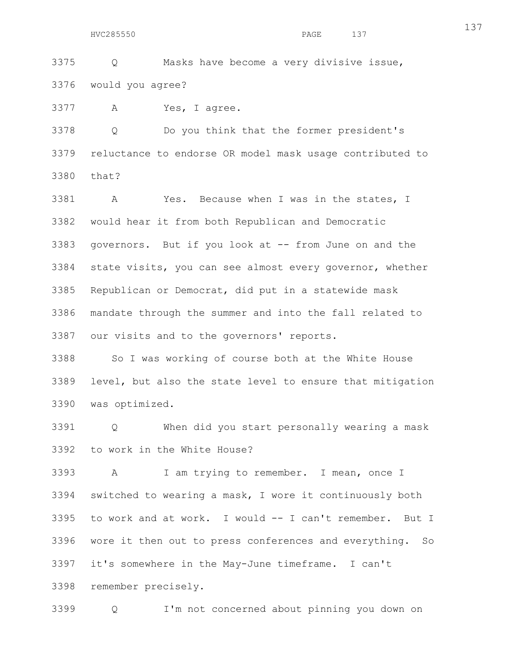3375 Q Masks have become a very divisive issue, 3376 would you agree?

3377 A Yes, I agree.

3378 Q Do you think that the former president's 3379 reluctance to endorse OR model mask usage contributed to 3380 that?

3381 A Yes. Because when I was in the states, I 3382 would hear it from both Republican and Democratic 3383 governors. But if you look at -- from June on and the 3384 state visits, you can see almost every governor, whether 3385 Republican or Democrat, did put in a statewide mask 3386 mandate through the summer and into the fall related to 3387 our visits and to the governors' reports.

3388 So I was working of course both at the White House 3389 level, but also the state level to ensure that mitigation 3390 was optimized.

3391 Q When did you start personally wearing a mask 3392 to work in the White House?

3393 A I am trying to remember. I mean, once I 3394 switched to wearing a mask, I wore it continuously both 3395 to work and at work. I would -- I can't remember. But I 3396 wore it then out to press conferences and everything. So 3397 it's somewhere in the May-June timeframe. I can't 3398 remember precisely.

3399 Q I'm not concerned about pinning you down on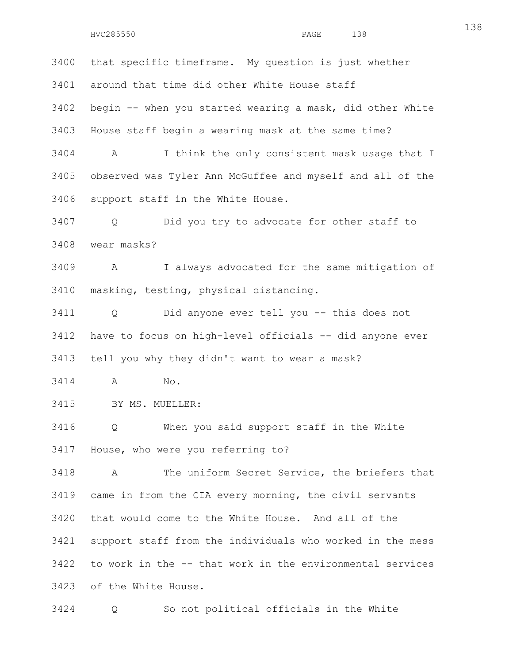3400 that specific timeframe. My question is just whether 3401 around that time did other White House staff 3402 begin -- when you started wearing a mask, did other White 3403 House staff begin a wearing mask at the same time? 3404 A I think the only consistent mask usage that I 3405 observed was Tyler Ann McGuffee and myself and all of the 3406 support staff in the White House. 3407 Q Did you try to advocate for other staff to 3408 wear masks? 3409 A I always advocated for the same mitigation of 3410 masking, testing, physical distancing. 3411 Q Did anyone ever tell you -- this does not 3412 have to focus on high-level officials -- did anyone ever 3413 tell you why they didn't want to wear a mask? 3414 A No. 3415 BY MS. MUELLER:

3416 Q When you said support staff in the White 3417 House, who were you referring to?

3418 A The uniform Secret Service, the briefers that 3419 came in from the CIA every morning, the civil servants 3420 that would come to the White House. And all of the 3421 support staff from the individuals who worked in the mess 3422 to work in the -- that work in the environmental services 3423 of the White House.

3424 Q So not political officials in the White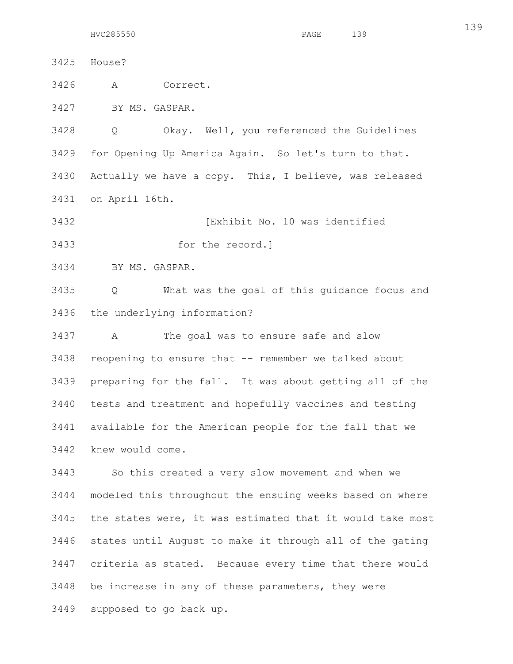3425 House? 3426 A Correct. 3427 BY MS. GASPAR. 3428 Q Okay. Well, you referenced the Guidelines 3429 for Opening Up America Again. So let's turn to that. 3430 Actually we have a copy. This, I believe, was released 3431 on April 16th.

3432 [Exhibit No. 10 was identified

3433 for the record.]

3434 BY MS. GASPAR.

3435 Q What was the goal of this guidance focus and 3436 the underlying information?

3437 A The goal was to ensure safe and slow 3438 reopening to ensure that -- remember we talked about 3439 preparing for the fall. It was about getting all of the 3440 tests and treatment and hopefully vaccines and testing 3441 available for the American people for the fall that we 3442 knew would come.

3443 So this created a very slow movement and when we 3444 modeled this throughout the ensuing weeks based on where 3445 the states were, it was estimated that it would take most 3446 states until August to make it through all of the gating 3447 criteria as stated. Because every time that there would 3448 be increase in any of these parameters, they were 3449 supposed to go back up.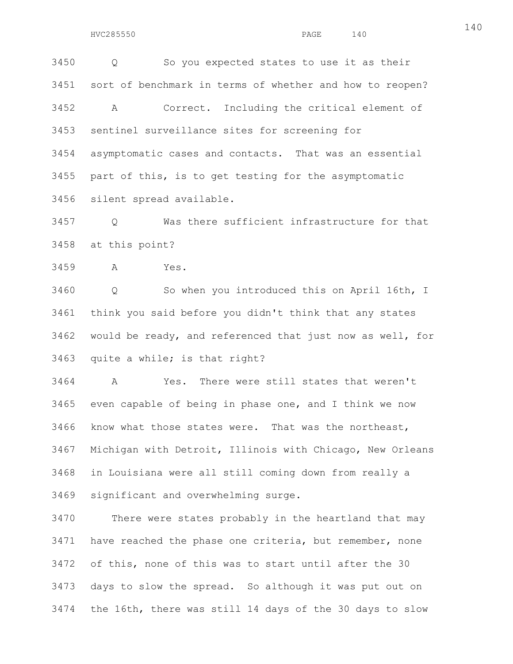3450 Q So you expected states to use it as their 3451 sort of benchmark in terms of whether and how to reopen? 3452 A Correct. Including the critical element of 3453 sentinel surveillance sites for screening for 3454 asymptomatic cases and contacts. That was an essential 3455 part of this, is to get testing for the asymptomatic 3456 silent spread available.

3457 Q Was there sufficient infrastructure for that 3458 at this point?

3459 A Yes.

3460 Q So when you introduced this on April 16th, I 3461 think you said before you didn't think that any states 3462 would be ready, and referenced that just now as well, for 3463 quite a while; is that right?

3464 A Yes. There were still states that weren't 3465 even capable of being in phase one, and I think we now 3466 know what those states were. That was the northeast, 3467 Michigan with Detroit, Illinois with Chicago, New Orleans 3468 in Louisiana were all still coming down from really a 3469 significant and overwhelming surge.

3470 There were states probably in the heartland that may 3471 have reached the phase one criteria, but remember, none 3472 of this, none of this was to start until after the 30 3473 days to slow the spread. So although it was put out on 3474 the 16th, there was still 14 days of the 30 days to slow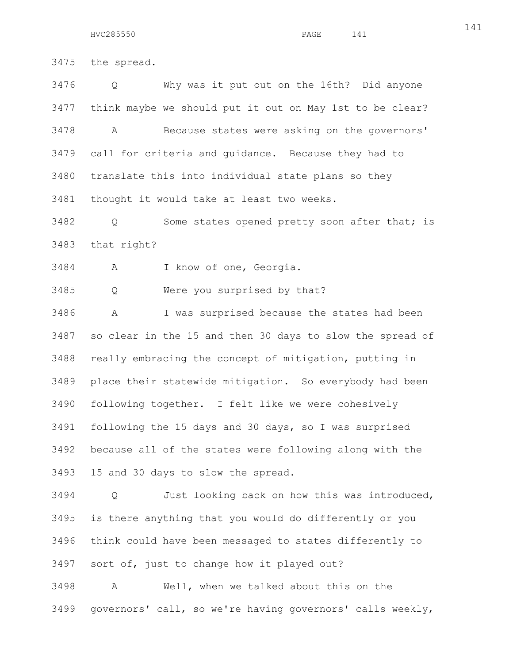3475 the spread.

3476 Q Why was it put out on the 16th? Did anyone 3477 think maybe we should put it out on May 1st to be clear? 3478 A Because states were asking on the governors' 3479 call for criteria and guidance. Because they had to 3480 translate this into individual state plans so they 3481 thought it would take at least two weeks.

3482 Q Some states opened pretty soon after that; is 3483 that right?

3484 A I know of one, Georgia.

3485 Q Were you surprised by that?

3486 A I was surprised because the states had been 3487 so clear in the 15 and then 30 days to slow the spread of 3488 really embracing the concept of mitigation, putting in 3489 place their statewide mitigation. So everybody had been 3490 following together. I felt like we were cohesively 3491 following the 15 days and 30 days, so I was surprised 3492 because all of the states were following along with the 3493 15 and 30 days to slow the spread.

3494 Q Just looking back on how this was introduced, 3495 is there anything that you would do differently or you 3496 think could have been messaged to states differently to 3497 sort of, just to change how it played out?

3498 A Well, when we talked about this on the 3499 governors' call, so we're having governors' calls weekly,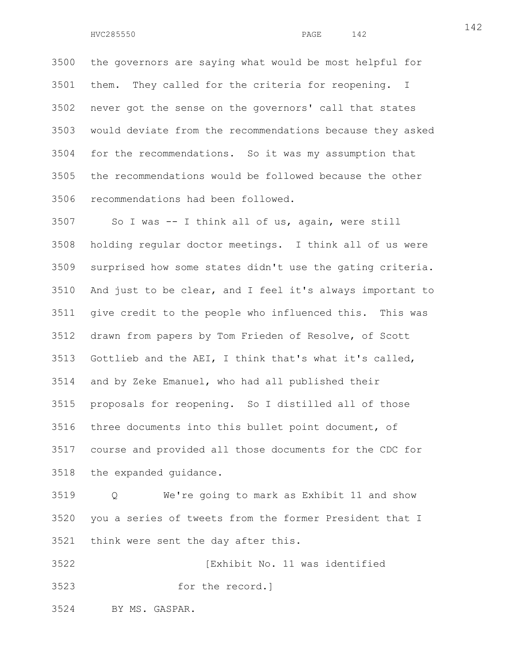HVC285550 PAGE 142

3500 the governors are saying what would be most helpful for 3501 them. They called for the criteria for reopening. I 3502 never got the sense on the governors' call that states 3503 would deviate from the recommendations because they asked 3504 for the recommendations. So it was my assumption that 3505 the recommendations would be followed because the other 3506 recommendations had been followed.

3507 So I was -- I think all of us, again, were still 3508 holding regular doctor meetings. I think all of us were 3509 surprised how some states didn't use the gating criteria. 3510 And just to be clear, and I feel it's always important to 3511 give credit to the people who influenced this. This was 3512 drawn from papers by Tom Frieden of Resolve, of Scott 3513 Gottlieb and the AEI, I think that's what it's called, 3514 and by Zeke Emanuel, who had all published their 3515 proposals for reopening. So I distilled all of those 3516 three documents into this bullet point document, of 3517 course and provided all those documents for the CDC for 3518 the expanded guidance.

3519 Q We're going to mark as Exhibit 11 and show 3520 you a series of tweets from the former President that I 3521 think were sent the day after this.

3522 [Exhibit No. 11 was identified 3523 for the record.]

3524 BY MS. GASPAR.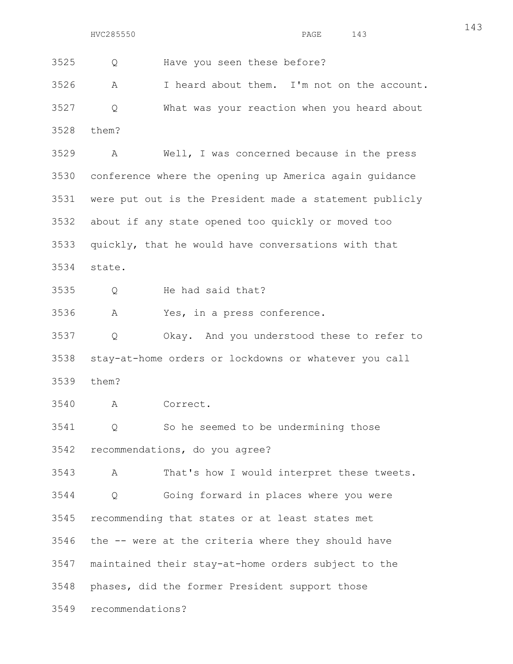3525 Q Have you seen these before? 3526 A I heard about them. I'm not on the account. 3527 Q What was your reaction when you heard about 3528 them? 3529 A Well, I was concerned because in the press 3530 conference where the opening up America again guidance 3531 were put out is the President made a statement publicly 3532 about if any state opened too quickly or moved too 3533 quickly, that he would have conversations with that 3534 state. 3535 Q He had said that? 3536 A Yes, in a press conference. 3537 Q Okay. And you understood these to refer to 3538 stay-at-home orders or lockdowns or whatever you call 3539 them? 3540 A Correct. 3541 Q So he seemed to be undermining those 3542 recommendations, do you agree? 3543 A That's how I would interpret these tweets. 3544 Q Going forward in places where you were 3545 recommending that states or at least states met 3546 the -- were at the criteria where they should have 3547 maintained their stay-at-home orders subject to the 3548 phases, did the former President support those

3549 recommendations?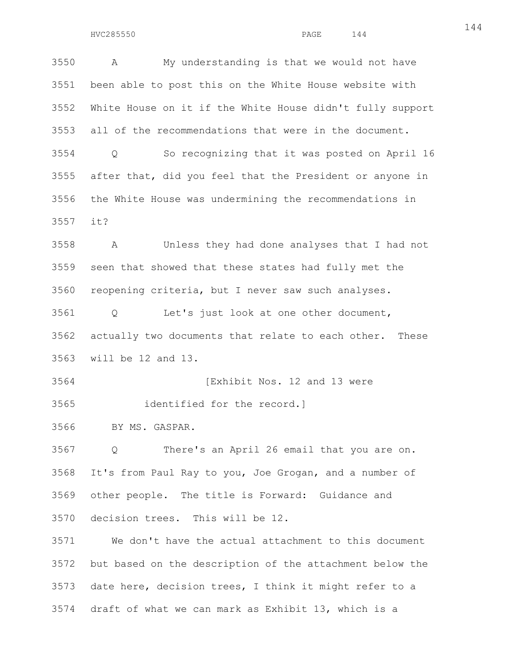3550 A My understanding is that we would not have 3551 been able to post this on the White House website with 3552 White House on it if the White House didn't fully support 3553 all of the recommendations that were in the document. 3554 Q So recognizing that it was posted on April 16 3555 after that, did you feel that the President or anyone in 3556 the White House was undermining the recommendations in 3557 it?

3558 A Unless they had done analyses that I had not 3559 seen that showed that these states had fully met the 3560 reopening criteria, but I never saw such analyses.

3561 Q Let's just look at one other document, 3562 actually two documents that relate to each other. These 3563 will be 12 and 13.

3564 [Exhibit Nos. 12 and 13 were 3565 identified for the record.]

3566 BY MS. GASPAR.

3567 Q There's an April 26 email that you are on. 3568 It's from Paul Ray to you, Joe Grogan, and a number of 3569 other people. The title is Forward: Guidance and 3570 decision trees. This will be 12.

3571 We don't have the actual attachment to this document 3572 but based on the description of the attachment below the 3573 date here, decision trees, I think it might refer to a 3574 draft of what we can mark as Exhibit 13, which is a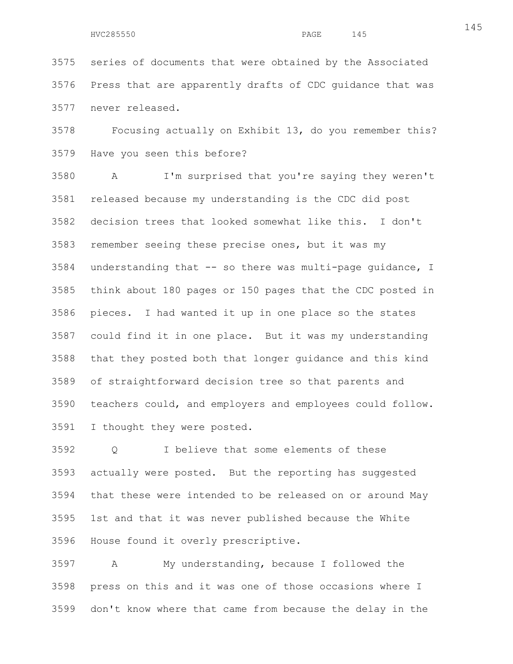HVC285550 PAGE 145

3575 series of documents that were obtained by the Associated 3576 Press that are apparently drafts of CDC guidance that was 3577 never released.

3578 Focusing actually on Exhibit 13, do you remember this? 3579 Have you seen this before?

3580 A I'm surprised that you're saying they weren't 3581 released because my understanding is the CDC did post 3582 decision trees that looked somewhat like this. I don't 3583 remember seeing these precise ones, but it was my 3584 understanding that -- so there was multi-page guidance, I 3585 think about 180 pages or 150 pages that the CDC posted in 3586 pieces. I had wanted it up in one place so the states 3587 could find it in one place. But it was my understanding 3588 that they posted both that longer guidance and this kind 3589 of straightforward decision tree so that parents and 3590 teachers could, and employers and employees could follow. 3591 I thought they were posted.

3592 Q I believe that some elements of these 3593 actually were posted. But the reporting has suggested 3594 that these were intended to be released on or around May 3595 1st and that it was never published because the White 3596 House found it overly prescriptive.

3597 A My understanding, because I followed the 3598 press on this and it was one of those occasions where I 3599 don't know where that came from because the delay in the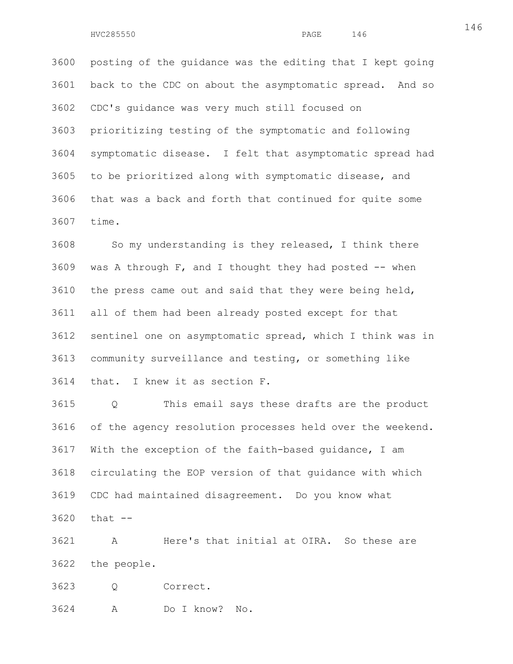3600 posting of the guidance was the editing that I kept going 3601 back to the CDC on about the asymptomatic spread. And so 3602 CDC's guidance was very much still focused on 3603 prioritizing testing of the symptomatic and following 3604 symptomatic disease. I felt that asymptomatic spread had 3605 to be prioritized along with symptomatic disease, and 3606 that was a back and forth that continued for quite some 3607 time.

3608 So my understanding is they released, I think there  $3609$  was A through F, and I thought they had posted  $-$  when 3610 the press came out and said that they were being held, 3611 all of them had been already posted except for that 3612 sentinel one on asymptomatic spread, which I think was in 3613 community surveillance and testing, or something like 3614 that. I knew it as section F.

3615 Q This email says these drafts are the product 3616 of the agency resolution processes held over the weekend. 3617 With the exception of the faith-based guidance, I am 3618 circulating the EOP version of that guidance with which 3619 CDC had maintained disagreement. Do you know what 3620 that --

3621 A Here's that initial at OIRA. So these are 3622 the people.

3623 Q Correct.

3624 A Do I know? No.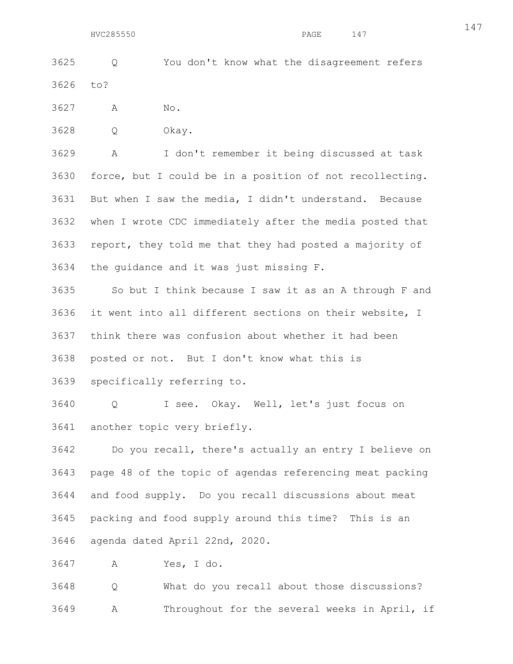3625 Q You don't know what the disagreement refers 3626 to?

3627 A No.

3628 Q Okay.

3629 A I don't remember it being discussed at task 3630 force, but I could be in a position of not recollecting. 3631 But when I saw the media, I didn't understand. Because 3632 when I wrote CDC immediately after the media posted that 3633 report, they told me that they had posted a majority of 3634 the guidance and it was just missing F.

3635 So but I think because I saw it as an A through F and 3636 it went into all different sections on their website, I 3637 think there was confusion about whether it had been 3638 posted or not. But I don't know what this is

3639 specifically referring to.

3640 Q I see. Okay. Well, let's just focus on 3641 another topic very briefly.

3642 Do you recall, there's actually an entry I believe on 3643 page 48 of the topic of agendas referencing meat packing 3644 and food supply. Do you recall discussions about meat 3645 packing and food supply around this time? This is an 3646 agenda dated April 22nd, 2020.

3647 A Yes, I do.

3648 Q What do you recall about those discussions? 3649 A Throughout for the several weeks in April, if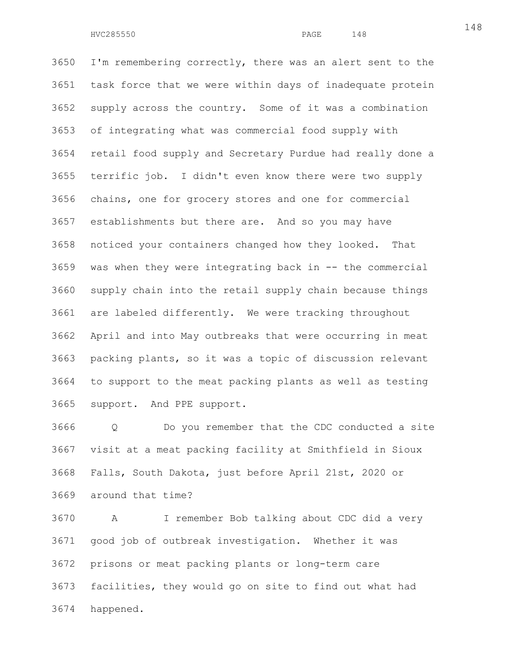3650 I'm remembering correctly, there was an alert sent to the 3651 task force that we were within days of inadequate protein 3652 supply across the country. Some of it was a combination 3653 of integrating what was commercial food supply with 3654 retail food supply and Secretary Purdue had really done a 3655 terrific job. I didn't even know there were two supply 3656 chains, one for grocery stores and one for commercial 3657 establishments but there are. And so you may have 3658 noticed your containers changed how they looked. That 3659 was when they were integrating back in -- the commercial 3660 supply chain into the retail supply chain because things 3661 are labeled differently. We were tracking throughout 3662 April and into May outbreaks that were occurring in meat 3663 packing plants, so it was a topic of discussion relevant 3664 to support to the meat packing plants as well as testing 3665 support. And PPE support.

3666 Q Do you remember that the CDC conducted a site 3667 visit at a meat packing facility at Smithfield in Sioux 3668 Falls, South Dakota, just before April 21st, 2020 or 3669 around that time?

3670 A I remember Bob talking about CDC did a very 3671 good job of outbreak investigation. Whether it was 3672 prisons or meat packing plants or long-term care 3673 facilities, they would go on site to find out what had 3674 happened.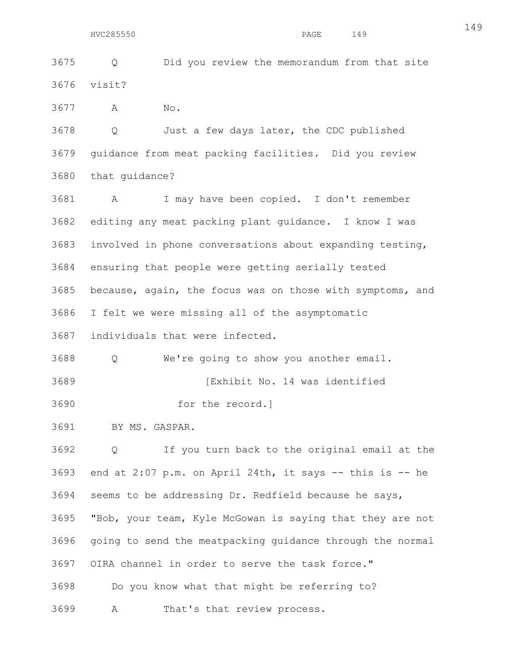3675 Q Did you review the memorandum from that site 3676 visit?

3677 A No.

3678 Q Just a few days later, the CDC published 3679 guidance from meat packing facilities. Did you review 3680 that guidance?

3681 A I may have been copied. I don't remember 3682 editing any meat packing plant guidance. I know I was 3683 involved in phone conversations about expanding testing, 3684 ensuring that people were getting serially tested 3685 because, again, the focus was on those with symptoms, and 3686 I felt we were missing all of the asymptomatic

3687 individuals that were infected.

3688 Q We're going to show you another email.

3689 [Exhibit No. 14 was identified

3690 for the record.]

3691 BY MS. GASPAR.

3692 Q If you turn back to the original email at the 3693 end at 2:07 p.m. on April 24th, it says -- this is -- he 3694 seems to be addressing Dr. Redfield because he says, 3695 "Bob, your team, Kyle McGowan is saying that they are not 3696 going to send the meatpacking guidance through the normal 3697 OIRA channel in order to serve the task force." 3698 Do you know what that might be referring to?

3699 A That's that review process.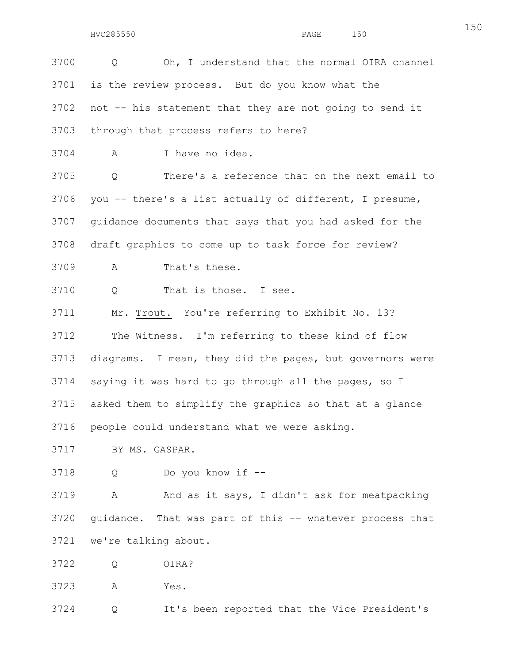3700 Q Oh, I understand that the normal OIRA channel 3701 is the review process. But do you know what the 3702 not -- his statement that they are not going to send it 3703 through that process refers to here? 3704 A I have no idea. 3705 Q There's a reference that on the next email to 3706 you -- there's a list actually of different, I presume, 3707 guidance documents that says that you had asked for the 3708 draft graphics to come up to task force for review? 3709 A That's these. 3710 Q That is those. I see. 3711 Mr. Trout. You're referring to Exhibit No. 13? 3712 The Witness. I'm referring to these kind of flow 3713 diagrams. I mean, they did the pages, but governors were 3714 saying it was hard to go through all the pages, so I 3715 asked them to simplify the graphics so that at a glance 3716 people could understand what we were asking. 3717 BY MS. GASPAR. 3718 Q Do you know if -- 3719 A And as it says, I didn't ask for meatpacking 3720 guidance. That was part of this -- whatever process that 3721 we're talking about.

- 3722 Q OIRA?
- 3723 A Yes.

3724 Q It's been reported that the Vice President's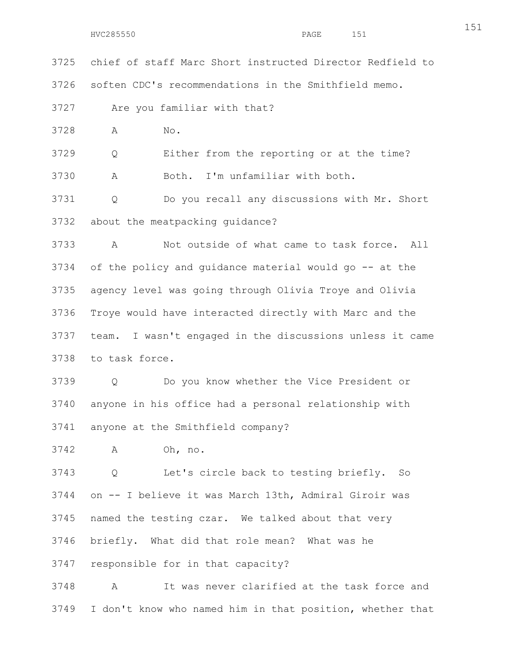3725 chief of staff Marc Short instructed Director Redfield to

3726 soften CDC's recommendations in the Smithfield memo.

3727 Are you familiar with that?

3728 A No.

3729 Q Either from the reporting or at the time?

3730 A Both. I'm unfamiliar with both.

3731 Q Do you recall any discussions with Mr. Short 3732 about the meatpacking guidance?

3733 A Not outside of what came to task force. All 3734 of the policy and guidance material would go -- at the 3735 agency level was going through Olivia Troye and Olivia 3736 Troye would have interacted directly with Marc and the 3737 team. I wasn't engaged in the discussions unless it came 3738 to task force.

3739 Q Do you know whether the Vice President or 3740 anyone in his office had a personal relationship with 3741 anyone at the Smithfield company?

3742 A Oh, no.

3743 Q Let's circle back to testing briefly. So 3744 on -- I believe it was March 13th, Admiral Giroir was 3745 named the testing czar. We talked about that very 3746 briefly. What did that role mean? What was he 3747 responsible for in that capacity?

3748 A It was never clarified at the task force and 3749 I don't know who named him in that position, whether that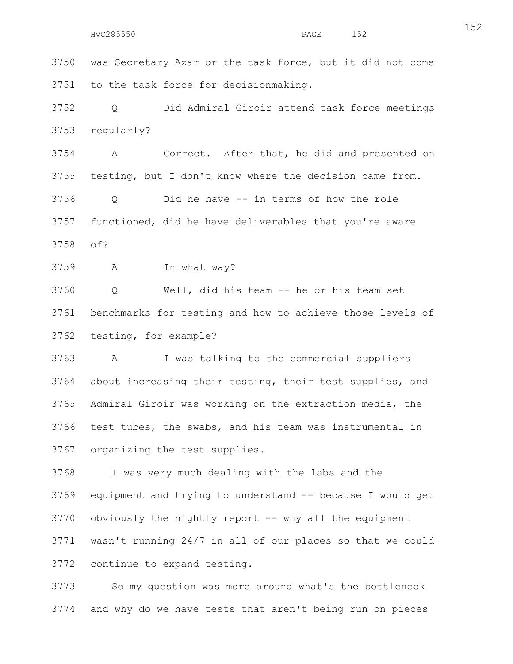3750 was Secretary Azar or the task force, but it did not come 3751 to the task force for decisionmaking.

3752 Q Did Admiral Giroir attend task force meetings 3753 regularly?

3754 A Correct. After that, he did and presented on 3755 testing, but I don't know where the decision came from.

3756 Q Did he have -- in terms of how the role 3757 functioned, did he have deliverables that you're aware 3758 of?

3759 A In what way?

3760 Q Well, did his team -- he or his team set 3761 benchmarks for testing and how to achieve those levels of 3762 testing, for example?

3763 A I was talking to the commercial suppliers 3764 about increasing their testing, their test supplies, and 3765 Admiral Giroir was working on the extraction media, the 3766 test tubes, the swabs, and his team was instrumental in 3767 organizing the test supplies.

3768 I was very much dealing with the labs and the 3769 equipment and trying to understand -- because I would get 3770 obviously the nightly report -- why all the equipment 3771 wasn't running 24/7 in all of our places so that we could 3772 continue to expand testing.

3773 So my question was more around what's the bottleneck 3774 and why do we have tests that aren't being run on pieces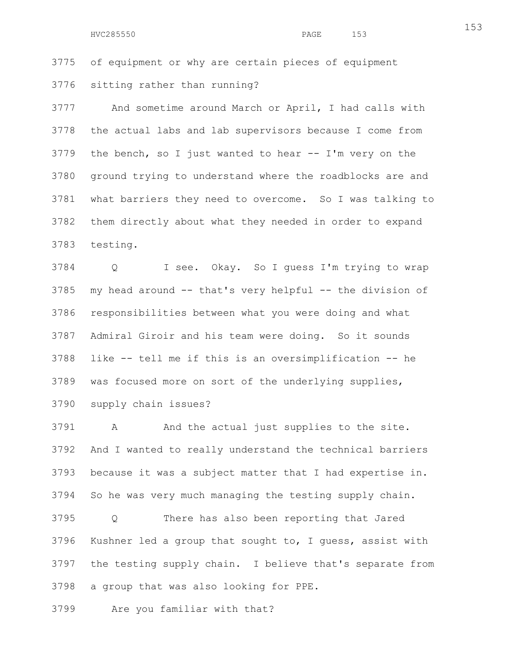3775 of equipment or why are certain pieces of equipment 3776 sitting rather than running?

3777 And sometime around March or April, I had calls with 3778 the actual labs and lab supervisors because I come from 3779 the bench, so I just wanted to hear -- I'm very on the 3780 ground trying to understand where the roadblocks are and 3781 what barriers they need to overcome. So I was talking to 3782 them directly about what they needed in order to expand 3783 testing.

3784 Q I see. Okay. So I guess I'm trying to wrap 3785 my head around -- that's very helpful -- the division of 3786 responsibilities between what you were doing and what 3787 Admiral Giroir and his team were doing. So it sounds 3788 like -- tell me if this is an oversimplification -- he 3789 was focused more on sort of the underlying supplies, 3790 supply chain issues?

3791 A And the actual just supplies to the site. 3792 And I wanted to really understand the technical barriers 3793 because it was a subject matter that I had expertise in. 3794 So he was very much managing the testing supply chain.

3795 Q There has also been reporting that Jared 3796 Kushner led a group that sought to, I guess, assist with 3797 the testing supply chain. I believe that's separate from 3798 a group that was also looking for PPE.

3799 Are you familiar with that?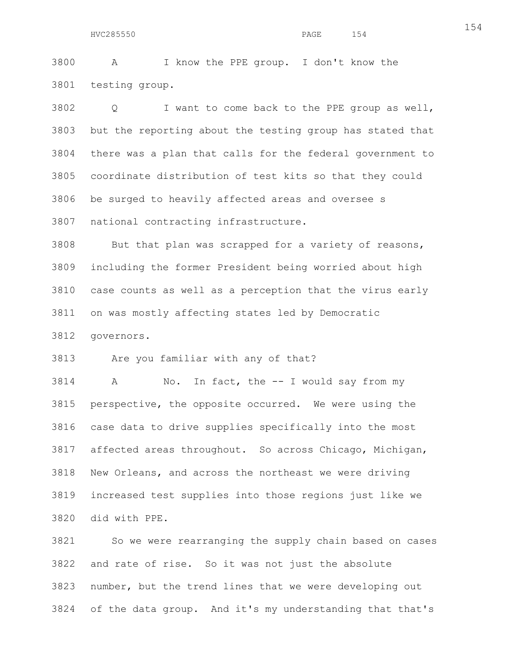3800 A I know the PPE group. I don't know the 3801 testing group.

3802 Q I want to come back to the PPE group as well, 3803 but the reporting about the testing group has stated that 3804 there was a plan that calls for the federal government to 3805 coordinate distribution of test kits so that they could 3806 be surged to heavily affected areas and oversee s 3807 national contracting infrastructure.

3808 But that plan was scrapped for a variety of reasons, 3809 including the former President being worried about high 3810 case counts as well as a perception that the virus early 3811 on was mostly affecting states led by Democratic

3812 governors.

3813 Are you familiar with any of that?

3814 A No. In fact, the -- I would say from my 3815 perspective, the opposite occurred. We were using the 3816 case data to drive supplies specifically into the most 3817 affected areas throughout. So across Chicago, Michigan, 3818 New Orleans, and across the northeast we were driving 3819 increased test supplies into those regions just like we 3820 did with PPE.

3821 So we were rearranging the supply chain based on cases 3822 and rate of rise. So it was not just the absolute 3823 number, but the trend lines that we were developing out 3824 of the data group. And it's my understanding that that's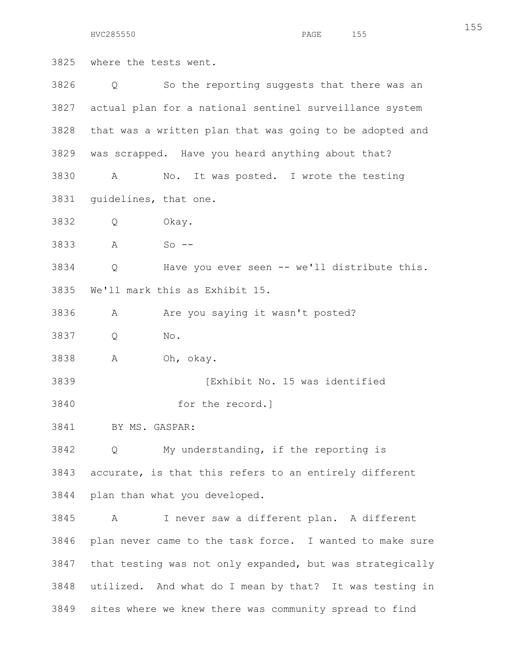HVC285550 PAGE 155

155

3825 where the tests went. 3826 Q So the reporting suggests that there was an 3827 actual plan for a national sentinel surveillance system 3828 that was a written plan that was going to be adopted and 3829 was scrapped. Have you heard anything about that? 3830 A No. It was posted. I wrote the testing 3831 guidelines, that one. 3832 Q Okay. 3833 A So -- 3834 Q Have you ever seen -- we'll distribute this. 3835 We'll mark this as Exhibit 15. 3836 A Are you saying it wasn't posted? 3837 Q No. 3838 A Oh, okay. 3839 [Exhibit No. 15 was identified 3840 for the record.] 3841 BY MS. GASPAR: 3842 Q My understanding, if the reporting is 3843 accurate, is that this refers to an entirely different 3844 plan than what you developed. 3845 A I never saw a different plan. A different 3846 plan never came to the task force. I wanted to make sure 3847 that testing was not only expanded, but was strategically 3848 utilized. And what do I mean by that? It was testing in 3849 sites where we knew there was community spread to find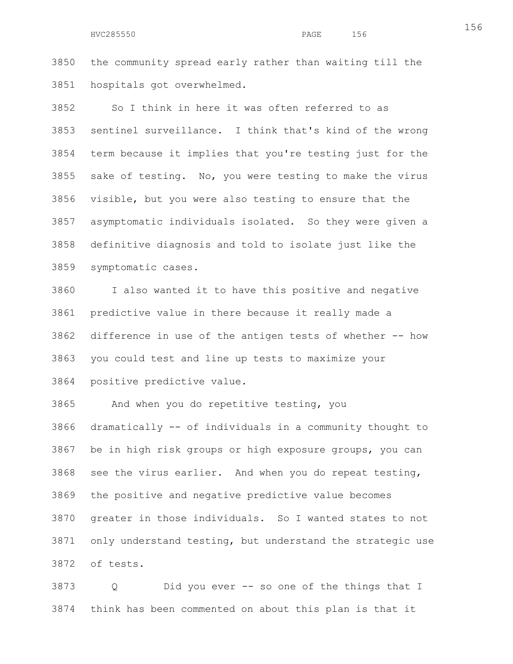## HVC285550 PAGE 156

3850 the community spread early rather than waiting till the 3851 hospitals got overwhelmed.

3852 So I think in here it was often referred to as 3853 sentinel surveillance. I think that's kind of the wrong 3854 term because it implies that you're testing just for the 3855 sake of testing. No, you were testing to make the virus 3856 visible, but you were also testing to ensure that the 3857 asymptomatic individuals isolated. So they were given a 3858 definitive diagnosis and told to isolate just like the 3859 symptomatic cases.

3860 I also wanted it to have this positive and negative 3861 predictive value in there because it really made a 3862 difference in use of the antigen tests of whether -- how 3863 you could test and line up tests to maximize your 3864 positive predictive value.

3865 And when you do repetitive testing, you 3866 dramatically -- of individuals in a community thought to 3867 be in high risk groups or high exposure groups, you can 3868 see the virus earlier. And when you do repeat testing, 3869 the positive and negative predictive value becomes 3870 greater in those individuals. So I wanted states to not 3871 only understand testing, but understand the strategic use 3872 of tests.

3873 Q Did you ever -- so one of the things that I 3874 think has been commented on about this plan is that it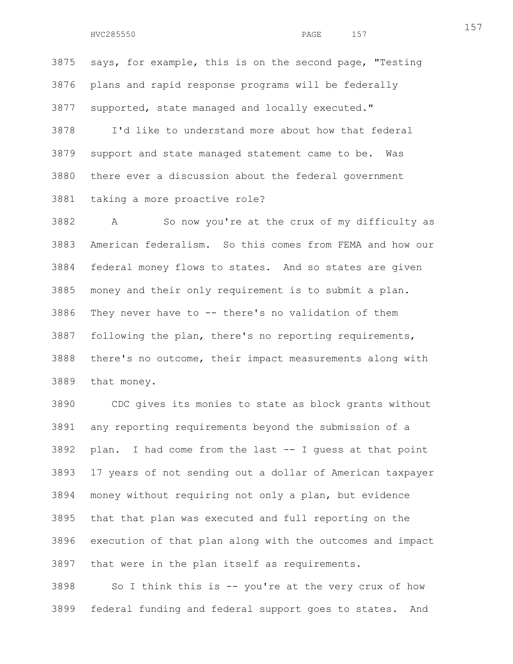3875 says, for example, this is on the second page, "Testing 3876 plans and rapid response programs will be federally 3877 supported, state managed and locally executed." 3878 I'd like to understand more about how that federal

3879 support and state managed statement came to be. Was 3880 there ever a discussion about the federal government 3881 taking a more proactive role?

3882 A So now you're at the crux of my difficulty as 3883 American federalism. So this comes from FEMA and how our 3884 federal money flows to states. And so states are given 3885 money and their only requirement is to submit a plan. 3886 They never have to -- there's no validation of them 3887 following the plan, there's no reporting requirements, 3888 there's no outcome, their impact measurements along with 3889 that money.

3890 CDC gives its monies to state as block grants without 3891 any reporting requirements beyond the submission of a 3892 plan. I had come from the last -- I guess at that point 3893 17 years of not sending out a dollar of American taxpayer 3894 money without requiring not only a plan, but evidence 3895 that that plan was executed and full reporting on the 3896 execution of that plan along with the outcomes and impact 3897 that were in the plan itself as requirements.

3898 So I think this is -- you're at the very crux of how 3899 federal funding and federal support goes to states. And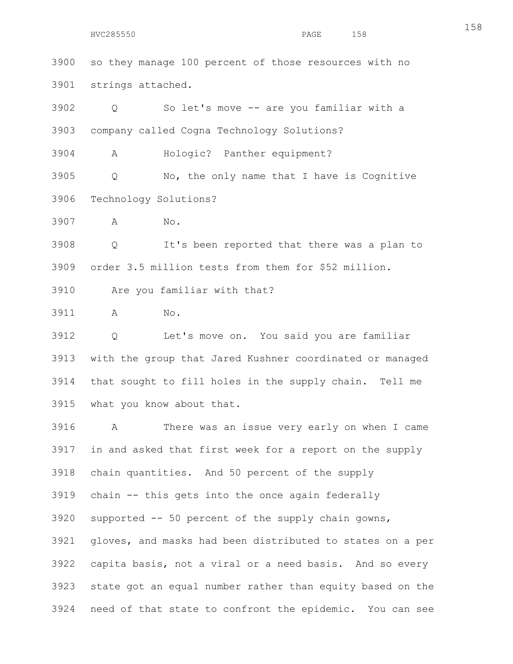3900 so they manage 100 percent of those resources with no 3901 strings attached.

3902 Q So let's move -- are you familiar with a 3903 company called Cogna Technology Solutions?

3904 A Hologic? Panther equipment?

3905 Q No, the only name that I have is Cognitive 3906 Technology Solutions?

3907 A No.

3908 Q It's been reported that there was a plan to 3909 order 3.5 million tests from them for \$52 million.

3910 Are you familiar with that?

3911 A No.

3912 Q Let's move on. You said you are familiar 3913 with the group that Jared Kushner coordinated or managed 3914 that sought to fill holes in the supply chain. Tell me 3915 what you know about that.

3916 A There was an issue very early on when I came 3917 in and asked that first week for a report on the supply 3918 chain quantities. And 50 percent of the supply 3919 chain -- this gets into the once again federally 3920 supported -- 50 percent of the supply chain gowns, 3921 gloves, and masks had been distributed to states on a per 3922 capita basis, not a viral or a need basis. And so every 3923 state got an equal number rather than equity based on the 3924 need of that state to confront the epidemic. You can see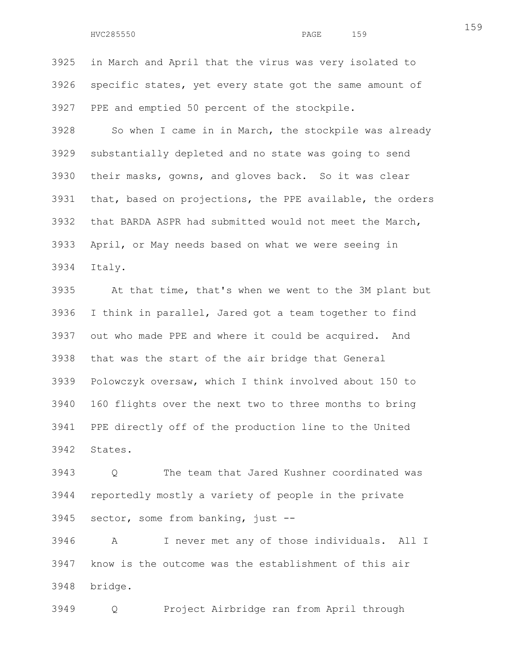3925 in March and April that the virus was very isolated to 3926 specific states, yet every state got the same amount of 3927 PPE and emptied 50 percent of the stockpile.

3928 So when I came in in March, the stockpile was already 3929 substantially depleted and no state was going to send 3930 their masks, gowns, and gloves back. So it was clear 3931 that, based on projections, the PPE available, the orders 3932 that BARDA ASPR had submitted would not meet the March, 3933 April, or May needs based on what we were seeing in 3934 Italy.

3935 At that time, that's when we went to the 3M plant but 3936 I think in parallel, Jared got a team together to find 3937 out who made PPE and where it could be acquired. And 3938 that was the start of the air bridge that General 3939 Polowczyk oversaw, which I think involved about 150 to 3940 160 flights over the next two to three months to bring 3941 PPE directly off of the production line to the United 3942 States.

3943 Q The team that Jared Kushner coordinated was 3944 reportedly mostly a variety of people in the private 3945 sector, some from banking, just --

3946 A I never met any of those individuals. All I 3947 know is the outcome was the establishment of this air 3948 bridge.

3949 Q Project Airbridge ran from April through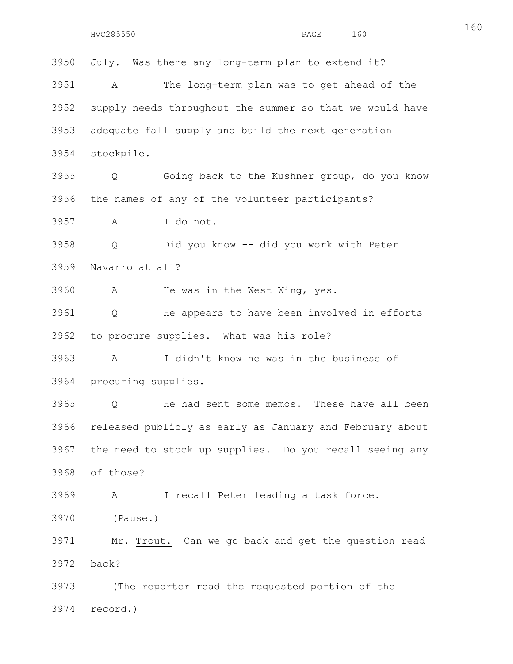3950 July. Was there any long-term plan to extend it? 3951 A The long-term plan was to get ahead of the 3952 supply needs throughout the summer so that we would have 3953 adequate fall supply and build the next generation 3954 stockpile. 3955 Q Going back to the Kushner group, do you know 3956 the names of any of the volunteer participants? 3957 A I do not. 3958 Q Did you know -- did you work with Peter 3959 Navarro at all? 3960 A He was in the West Wing, yes. 3961 Q He appears to have been involved in efforts 3962 to procure supplies. What was his role? 3963 A I didn't know he was in the business of 3964 procuring supplies. 3965 Q He had sent some memos. These have all been 3966 released publicly as early as January and February about 3967 the need to stock up supplies. Do you recall seeing any 3968 of those? 3969 A I recall Peter leading a task force. 3970 (Pause.) 3971 Mr. Trout. Can we go back and get the question read 3972 back? 3973 (The reporter read the requested portion of the 3974 record.)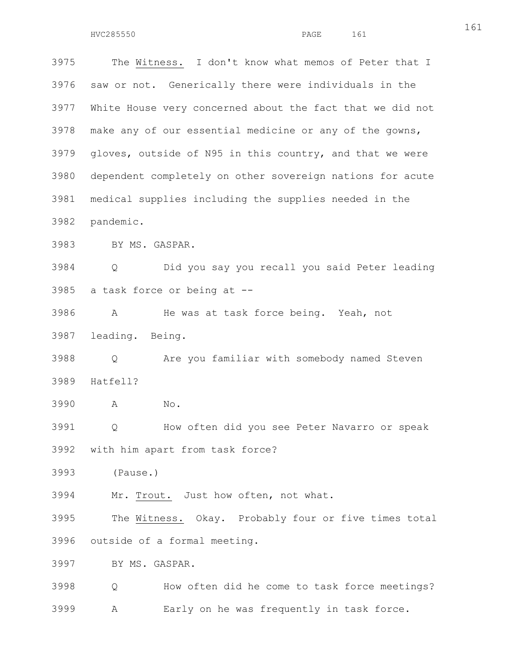3975 The Witness. I don't know what memos of Peter that I 3976 saw or not. Generically there were individuals in the 3977 White House very concerned about the fact that we did not 3978 make any of our essential medicine or any of the gowns, 3979 gloves, outside of N95 in this country, and that we were 3980 dependent completely on other sovereign nations for acute 3981 medical supplies including the supplies needed in the 3982 pandemic. 3983 BY MS. GASPAR. 3984 Q Did you say you recall you said Peter leading

3985 a task force or being at --

3986 A He was at task force being. Yeah, not 3987 leading. Being.

3988 Q Are you familiar with somebody named Steven 3989 Hatfell?

3990 A No.

3991 Q How often did you see Peter Navarro or speak 3992 with him apart from task force?

3993 (Pause.)

3994 Mr. Trout. Just how often, not what.

3995 The Witness. Okay. Probably four or five times total 3996 outside of a formal meeting.

3997 BY MS. GASPAR.

3998 Q How often did he come to task force meetings? 3999 A Early on he was frequently in task force.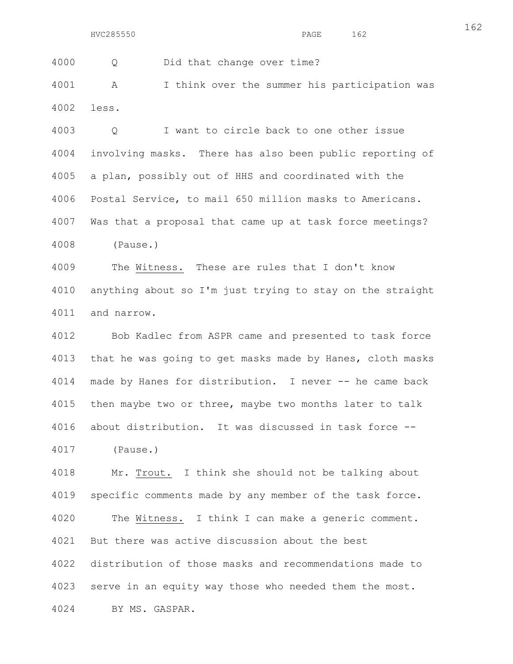4000 Q Did that change over time?

4001 A I think over the summer his participation was 4002 less.

4003 Q I want to circle back to one other issue 4004 involving masks. There has also been public reporting of 4005 a plan, possibly out of HHS and coordinated with the 4006 Postal Service, to mail 650 million masks to Americans. 4007 Was that a proposal that came up at task force meetings? 4008 (Pause.)

4009 The Witness. These are rules that I don't know 4010 anything about so I'm just trying to stay on the straight 4011 and narrow.

4012 Bob Kadlec from ASPR came and presented to task force 4013 that he was going to get masks made by Hanes, cloth masks 4014 made by Hanes for distribution. I never -- he came back 4015 then maybe two or three, maybe two months later to talk 4016 about distribution. It was discussed in task force -- 4017 (Pause.)

4018 Mr. Trout. I think she should not be talking about 4019 specific comments made by any member of the task force. 4020 The Witness. I think I can make a generic comment. 4021 But there was active discussion about the best 4022 distribution of those masks and recommendations made to 4023 serve in an equity way those who needed them the most. 4024 BY MS. GASPAR.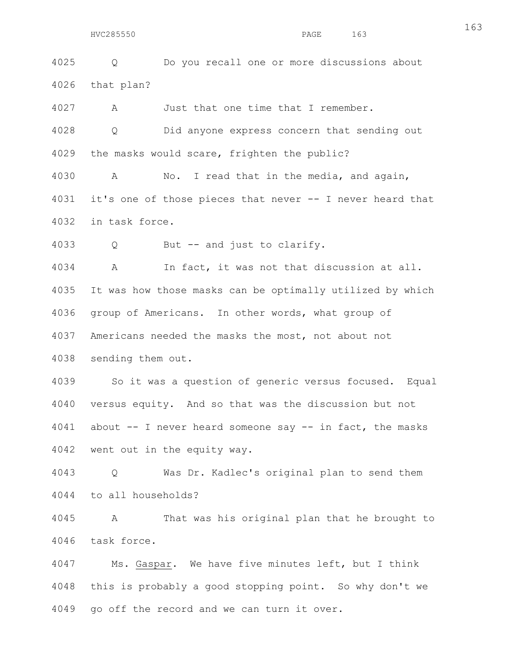4025 Q Do you recall one or more discussions about 4026 that plan?

4027 A Just that one time that I remember.

4028 Q Did anyone express concern that sending out 4029 the masks would scare, frighten the public?

4030 A No. I read that in the media, and again, 4031 it's one of those pieces that never -- I never heard that 4032 in task force.

4033 Q But -- and just to clarify.

4034 A In fact, it was not that discussion at all. 4035 It was how those masks can be optimally utilized by which 4036 group of Americans. In other words, what group of 4037 Americans needed the masks the most, not about not 4038 sending them out.

4039 So it was a question of generic versus focused. Equal 4040 versus equity. And so that was the discussion but not 4041 about -- I never heard someone say -- in fact, the masks 4042 went out in the equity way.

4043 Q Was Dr. Kadlec's original plan to send them 4044 to all households?

4045 A That was his original plan that he brought to 4046 task force.

4047 Ms. Gaspar. We have five minutes left, but I think 4048 this is probably a good stopping point. So why don't we 4049 go off the record and we can turn it over.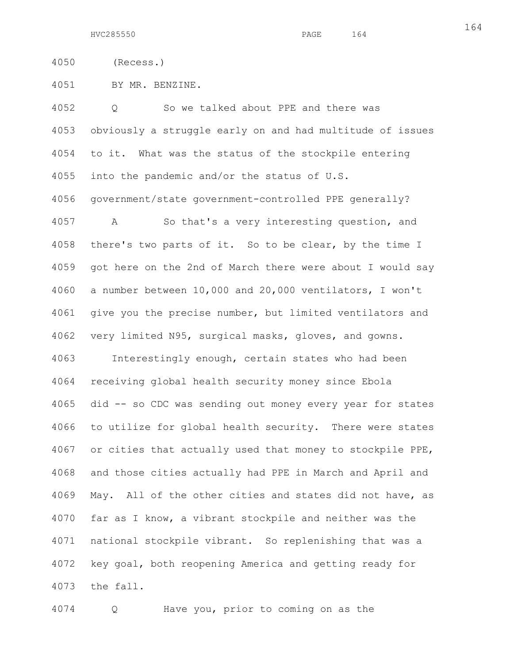4051 BY MR. BENZINE.

4052 Q So we talked about PPE and there was 4053 obviously a struggle early on and had multitude of issues 4054 to it. What was the status of the stockpile entering 4055 into the pandemic and/or the status of U.S. 4056 government/state government-controlled PPE generally? 4057 A So that's a very interesting question, and 4058 there's two parts of it. So to be clear, by the time I 4059 got here on the 2nd of March there were about I would say 4060 a number between 10,000 and 20,000 ventilators, I won't 4061 give you the precise number, but limited ventilators and 4062 very limited N95, surgical masks, gloves, and gowns. 4063 Interestingly enough, certain states who had been 4064 receiving global health security money since Ebola 4065 did -- so CDC was sending out money every year for states 4066 to utilize for global health security. There were states 4067 or cities that actually used that money to stockpile PPE, 4068 and those cities actually had PPE in March and April and 4069 May. All of the other cities and states did not have, as 4070 far as I know, a vibrant stockpile and neither was the 4071 national stockpile vibrant. So replenishing that was a 4072 key goal, both reopening America and getting ready for 4073 the fall.

4074 Q Have you, prior to coming on as the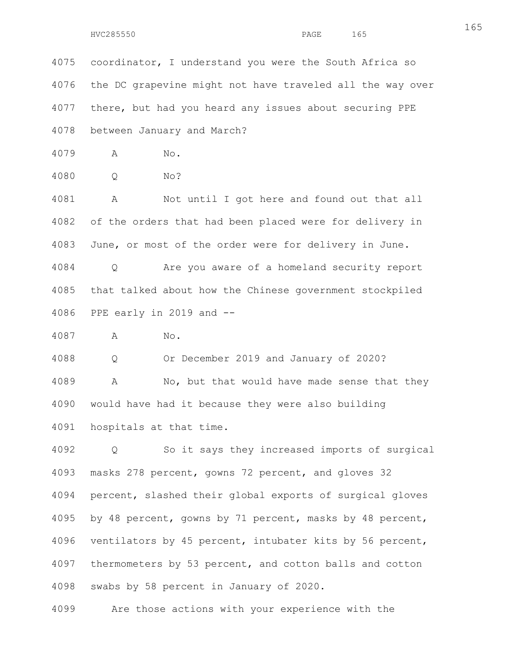4075 coordinator, I understand you were the South Africa so 4076 the DC grapevine might not have traveled all the way over 4077 there, but had you heard any issues about securing PPE 4078 between January and March?

4079 A No.

4080 Q No?

4081 A Not until I got here and found out that all 4082 of the orders that had been placed were for delivery in 4083 June, or most of the order were for delivery in June.

4084 Q Are you aware of a homeland security report 4085 that talked about how the Chinese government stockpiled 4086 PPE early in 2019 and --

4087 A No.

4088 Q Or December 2019 and January of 2020? 4089 A No, but that would have made sense that they 4090 would have had it because they were also building 4091 hospitals at that time.

4092 Q So it says they increased imports of surgical 4093 masks 278 percent, gowns 72 percent, and gloves 32 4094 percent, slashed their global exports of surgical gloves 4095 by 48 percent, gowns by 71 percent, masks by 48 percent, 4096 ventilators by 45 percent, intubater kits by 56 percent, 4097 thermometers by 53 percent, and cotton balls and cotton 4098 swabs by 58 percent in January of 2020.

4099 Are those actions with your experience with the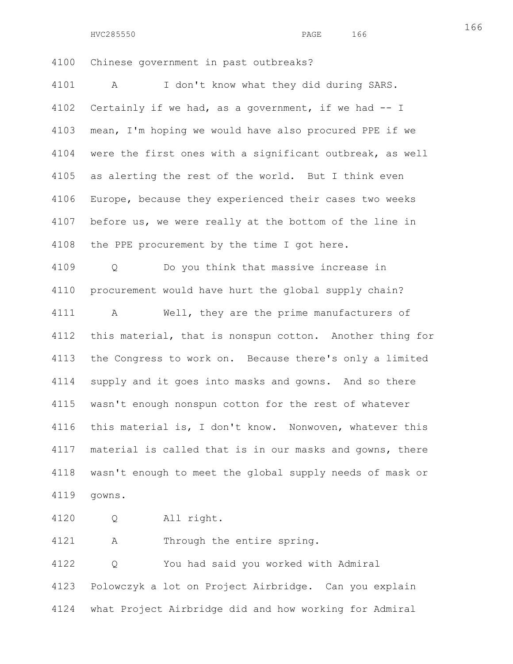HVC285550 PAGE 166

166

4100 Chinese government in past outbreaks?

4101 A I don't know what they did during SARS. 4102 Certainly if we had, as a government, if we had -- I 4103 mean, I'm hoping we would have also procured PPE if we 4104 were the first ones with a significant outbreak, as well 4105 as alerting the rest of the world. But I think even 4106 Europe, because they experienced their cases two weeks 4107 before us, we were really at the bottom of the line in 4108 the PPE procurement by the time I got here. 4109 Q Do you think that massive increase in 4110 procurement would have hurt the global supply chain? 4111 A Well, they are the prime manufacturers of 4112 this material, that is nonspun cotton. Another thing for 4113 the Congress to work on. Because there's only a limited

4114 supply and it goes into masks and gowns. And so there 4115 wasn't enough nonspun cotton for the rest of whatever 4116 this material is, I don't know. Nonwoven, whatever this 4117 material is called that is in our masks and gowns, there 4118 wasn't enough to meet the global supply needs of mask or 4119 gowns.

4120 Q All right.

4121 A Through the entire spring.

4122 Q You had said you worked with Admiral 4123 Polowczyk a lot on Project Airbridge. Can you explain 4124 what Project Airbridge did and how working for Admiral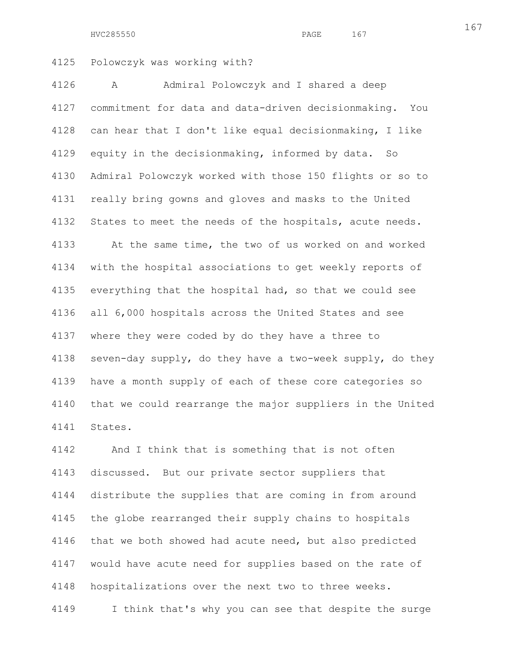HVC285550 PAGE 167

4125 Polowczyk was working with?

4126 A Admiral Polowczyk and I shared a deep 4127 commitment for data and data-driven decisionmaking. You 4128 can hear that I don't like equal decisionmaking, I like 4129 equity in the decisionmaking, informed by data. So 4130 Admiral Polowczyk worked with those 150 flights or so to 4131 really bring gowns and gloves and masks to the United 4132 States to meet the needs of the hospitals, acute needs. 4133 At the same time, the two of us worked on and worked 4134 with the hospital associations to get weekly reports of 4135 everything that the hospital had, so that we could see 4136 all 6,000 hospitals across the United States and see 4137 where they were coded by do they have a three to 4138 seven-day supply, do they have a two-week supply, do they 4139 have a month supply of each of these core categories so 4140 that we could rearrange the major suppliers in the United 4141 States.

4142 And I think that is something that is not often 4143 discussed. But our private sector suppliers that 4144 distribute the supplies that are coming in from around 4145 the globe rearranged their supply chains to hospitals 4146 that we both showed had acute need, but also predicted 4147 would have acute need for supplies based on the rate of 4148 hospitalizations over the next two to three weeks. 4149 I think that's why you can see that despite the surge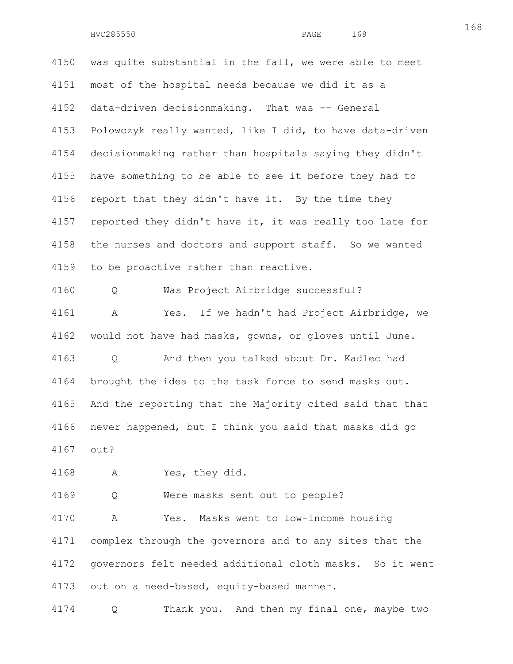4150 was quite substantial in the fall, we were able to meet 4151 most of the hospital needs because we did it as a 4152 data-driven decisionmaking. That was -- General 4153 Polowczyk really wanted, like I did, to have data-driven 4154 decisionmaking rather than hospitals saying they didn't 4155 have something to be able to see it before they had to 4156 report that they didn't have it. By the time they 4157 reported they didn't have it, it was really too late for 4158 the nurses and doctors and support staff. So we wanted 4159 to be proactive rather than reactive. 4160 Q Was Project Airbridge successful? 4161 A Yes. If we hadn't had Project Airbridge, we 4162 would not have had masks, gowns, or gloves until June. 4163 Q And then you talked about Dr. Kadlec had 4164 brought the idea to the task force to send masks out. 4165 And the reporting that the Majority cited said that that

4166 never happened, but I think you said that masks did go 4167 out?

4168 A Yes, they did.

4169 Q Were masks sent out to people?

4170 A Yes. Masks went to low-income housing 4171 complex through the governors and to any sites that the 4172 governors felt needed additional cloth masks. So it went 4173 out on a need-based, equity-based manner.

4174 Q Thank you. And then my final one, maybe two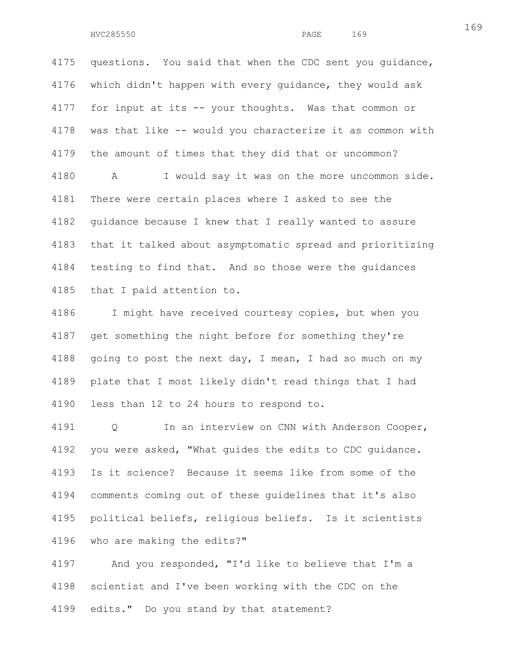4175 questions. You said that when the CDC sent you guidance, 4176 which didn't happen with every guidance, they would ask 4177 for input at its -- your thoughts. Was that common or 4178 was that like -- would you characterize it as common with 4179 the amount of times that they did that or uncommon? 4180 A I would say it was on the more uncommon side. 4181 There were certain places where I asked to see the 4182 guidance because I knew that I really wanted to assure 4183 that it talked about asymptomatic spread and prioritizing 4184 testing to find that. And so those were the guidances 4185 that I paid attention to.

4186 I might have received courtesy copies, but when you 4187 get something the night before for something they're 4188 going to post the next day, I mean, I had so much on my 4189 plate that I most likely didn't read things that I had 4190 less than 12 to 24 hours to respond to.

4191 Q In an interview on CNN with Anderson Cooper, 4192 you were asked, "What guides the edits to CDC guidance. 4193 Is it science? Because it seems like from some of the 4194 comments coming out of these guidelines that it's also 4195 political beliefs, religious beliefs. Is it scientists 4196 who are making the edits?"

4197 And you responded, "I'd like to believe that I'm a 4198 scientist and I've been working with the CDC on the 4199 edits." Do you stand by that statement?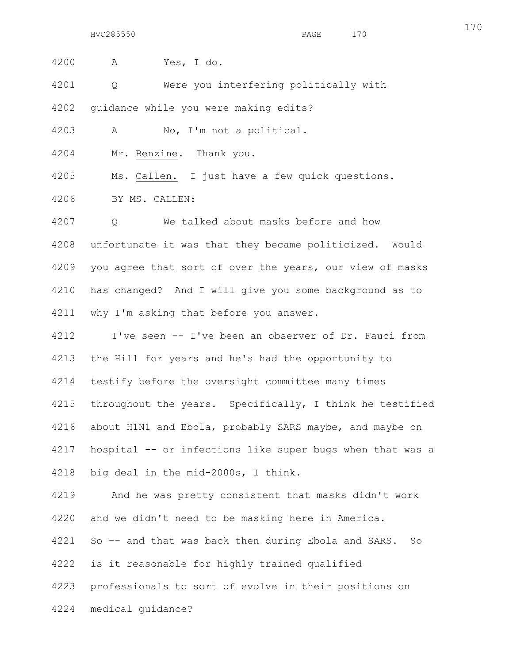4200 A Yes, I do. 4201 Q Were you interfering politically with 4202 guidance while you were making edits? 4203 A No, I'm not a political. 4204 Mr. Benzine. Thank you. 4205 Ms. Callen. I just have a few quick questions. 4206 BY MS. CALLEN: 4207 Q We talked about masks before and how 4208 unfortunate it was that they became politicized. Would 4209 you agree that sort of over the years, our view of masks 4210 has changed? And I will give you some background as to 4211 why I'm asking that before you answer. 4212 I've seen -- I've been an observer of Dr. Fauci from 4213 the Hill for years and he's had the opportunity to 4214 testify before the oversight committee many times 4215 throughout the years. Specifically, I think he testified 4216 about H1N1 and Ebola, probably SARS maybe, and maybe on 4217 hospital -- or infections like super bugs when that was a 4218 big deal in the mid-2000s, I think.

4219 And he was pretty consistent that masks didn't work 4220 and we didn't need to be masking here in America. 4221 So -- and that was back then during Ebola and SARS. So 4222 is it reasonable for highly trained qualified 4223 professionals to sort of evolve in their positions on 4224 medical guidance?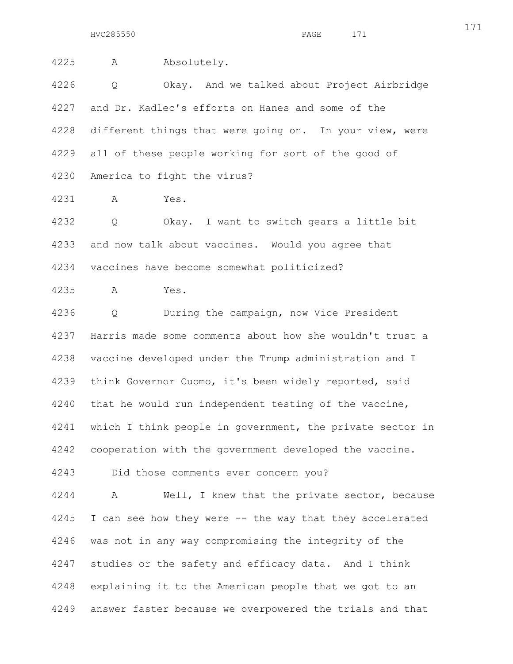HVC285550 PAGE 171

4225 A Absolutely. 4226 Q Okay. And we talked about Project Airbridge 4227 and Dr. Kadlec's efforts on Hanes and some of the 4228 different things that were going on. In your view, were 4229 all of these people working for sort of the good of 4230 America to fight the virus? 4231 A Yes. 4232 Q Okay. I want to switch gears a little bit 4233 and now talk about vaccines. Would you agree that 4234 vaccines have become somewhat politicized? 4235 A Yes. 4236 Q During the campaign, now Vice President 4237 Harris made some comments about how she wouldn't trust a 4238 vaccine developed under the Trump administration and I 4239 think Governor Cuomo, it's been widely reported, said 4240 that he would run independent testing of the vaccine, 4241 which I think people in government, the private sector in 4242 cooperation with the government developed the vaccine. 4243 Did those comments ever concern you? 4244 A Well, I knew that the private sector, because 4245 I can see how they were -- the way that they accelerated 4246 was not in any way compromising the integrity of the 4247 studies or the safety and efficacy data. And I think

4248 explaining it to the American people that we got to an 4249 answer faster because we overpowered the trials and that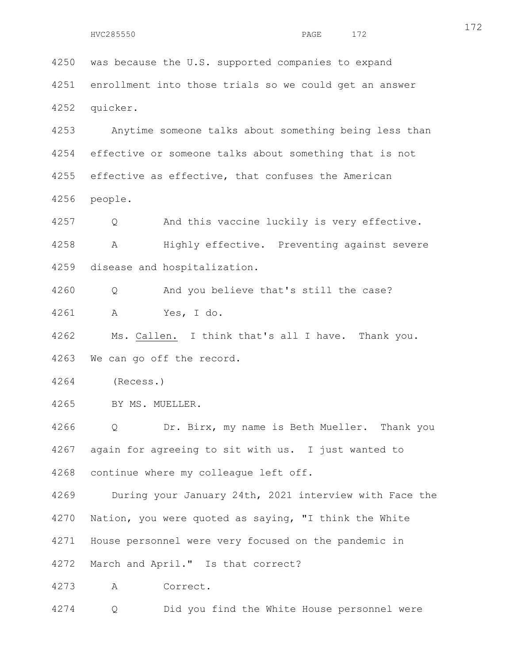4250 was because the U.S. supported companies to expand 4251 enrollment into those trials so we could get an answer 4252 quicker.

4253 Anytime someone talks about something being less than 4254 effective or someone talks about something that is not 4255 effective as effective, that confuses the American 4256 people.

4257 Q And this vaccine luckily is very effective. 4258 A Highly effective. Preventing against severe 4259 disease and hospitalization.

4260 Q And you believe that's still the case? 4261 A Yes, I do.

4262 Ms. Callen. I think that's all I have. Thank you. 4263 We can go off the record.

4264 (Recess.)

4265 BY MS. MUELLER.

4266 Q Dr. Birx, my name is Beth Mueller. Thank you 4267 again for agreeing to sit with us. I just wanted to 4268 continue where my colleague left off.

4269 During your January 24th, 2021 interview with Face the 4270 Nation, you were quoted as saying, "I think the White 4271 House personnel were very focused on the pandemic in 4272 March and April." Is that correct?

4273 A Correct.

4274 Q Did you find the White House personnel were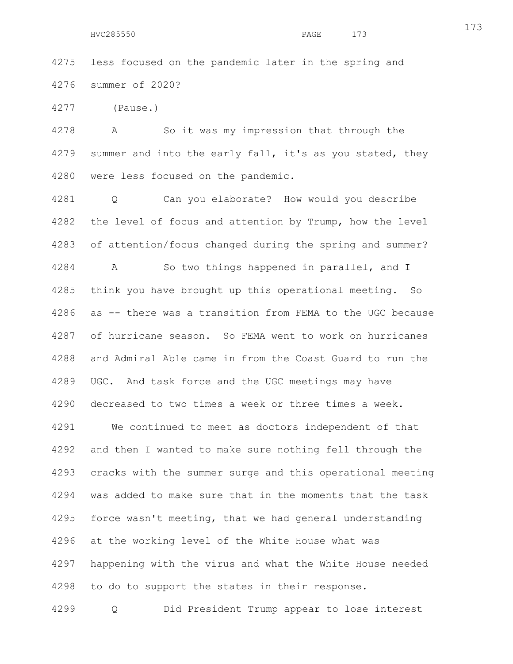4275 less focused on the pandemic later in the spring and 4276 summer of 2020?

4277 (Pause.)

4278 A So it was my impression that through the 4279 summer and into the early fall, it's as you stated, they 4280 were less focused on the pandemic.

4281 Q Can you elaborate? How would you describe 4282 the level of focus and attention by Trump, how the level 4283 of attention/focus changed during the spring and summer? 4284 A So two things happened in parallel, and I 4285 think you have brought up this operational meeting. So 4286 as -- there was a transition from FEMA to the UGC because 4287 of hurricane season. So FEMA went to work on hurricanes 4288 and Admiral Able came in from the Coast Guard to run the 4289 UGC. And task force and the UGC meetings may have 4290 decreased to two times a week or three times a week. 4291 We continued to meet as doctors independent of that 4292 and then I wanted to make sure nothing fell through the 4293 cracks with the summer surge and this operational meeting 4294 was added to make sure that in the moments that the task 4295 force wasn't meeting, that we had general understanding 4296 at the working level of the White House what was 4297 happening with the virus and what the White House needed 4298 to do to support the states in their response.

4299 Q Did President Trump appear to lose interest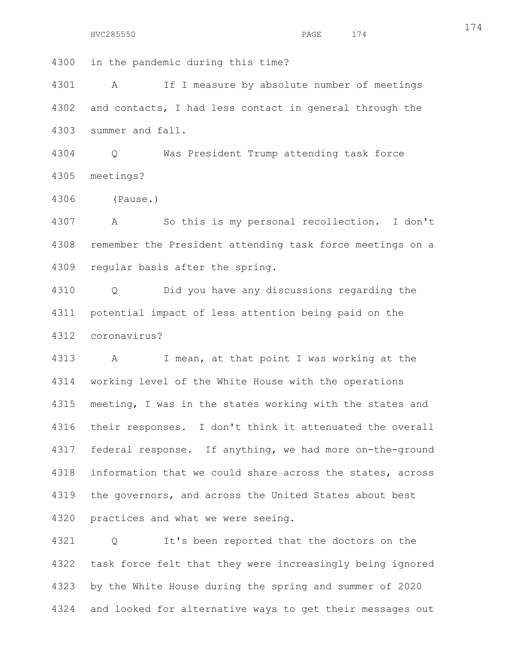4300 in the pandemic during this time?

4301 A If I measure by absolute number of meetings 4302 and contacts, I had less contact in general through the 4303 summer and fall.

4304 Q Was President Trump attending task force 4305 meetings?

4306 (Pause.)

4307 A So this is my personal recollection. I don't 4308 remember the President attending task force meetings on a 4309 regular basis after the spring.

4310 Q Did you have any discussions regarding the 4311 potential impact of less attention being paid on the 4312 coronavirus?

4313 A I mean, at that point I was working at the 4314 working level of the White House with the operations 4315 meeting, I was in the states working with the states and 4316 their responses. I don't think it attenuated the overall 4317 federal response. If anything, we had more on-the-ground 4318 information that we could share across the states, across 4319 the governors, and across the United States about best 4320 practices and what we were seeing.

4321 Q It's been reported that the doctors on the 4322 task force felt that they were increasingly being ignored 4323 by the White House during the spring and summer of 2020 4324 and looked for alternative ways to get their messages out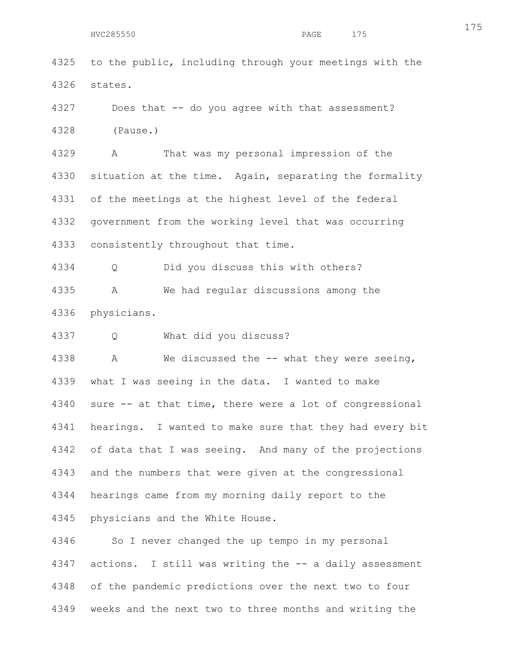4325 to the public, including through your meetings with the 4326 states.

4327 Does that -- do you agree with that assessment? 4328 (Pause.)

4329 A That was my personal impression of the 4330 situation at the time. Again, separating the formality 4331 of the meetings at the highest level of the federal 4332 government from the working level that was occurring 4333 consistently throughout that time.

4334 Q Did you discuss this with others? 4335 A We had regular discussions among the 4336 physicians.

4337 Q What did you discuss?

4338 A We discussed the -- what they were seeing, 4339 what I was seeing in the data. I wanted to make 4340 sure -- at that time, there were a lot of congressional 4341 hearings. I wanted to make sure that they had every bit 4342 of data that I was seeing. And many of the projections 4343 and the numbers that were given at the congressional 4344 hearings came from my morning daily report to the 4345 physicians and the White House.

4346 So I never changed the up tempo in my personal 4347 actions. I still was writing the -- a daily assessment 4348 of the pandemic predictions over the next two to four 4349 weeks and the next two to three months and writing the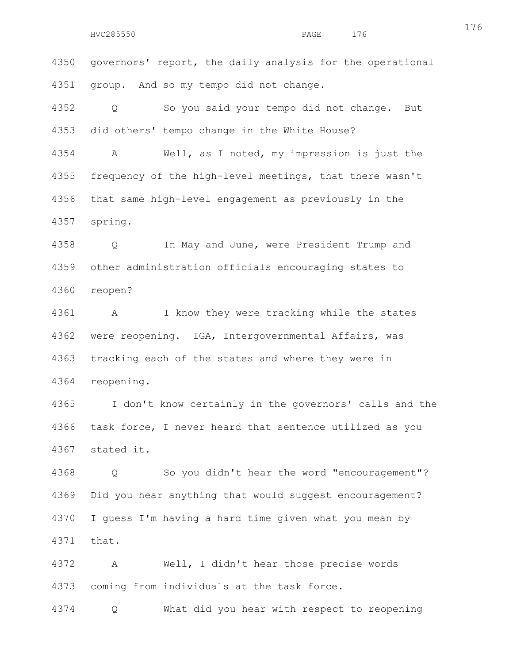4350 governors' report, the daily analysis for the operational 4351 group. And so my tempo did not change.

4352 Q So you said your tempo did not change. But 4353 did others' tempo change in the White House?

4354 A Well, as I noted, my impression is just the 4355 frequency of the high-level meetings, that there wasn't 4356 that same high-level engagement as previously in the 4357 spring.

4358 Q In May and June, were President Trump and 4359 other administration officials encouraging states to 4360 reopen?

4361 A I know they were tracking while the states 4362 were reopening. IGA, Intergovernmental Affairs, was 4363 tracking each of the states and where they were in 4364 reopening.

4365 I don't know certainly in the governors' calls and the 4366 task force, I never heard that sentence utilized as you 4367 stated it.

4368 Q So you didn't hear the word "encouragement"? 4369 Did you hear anything that would suggest encouragement? 4370 I guess I'm having a hard time given what you mean by 4371 that.

4372 A Well, I didn't hear those precise words 4373 coming from individuals at the task force.

4374 Q What did you hear with respect to reopening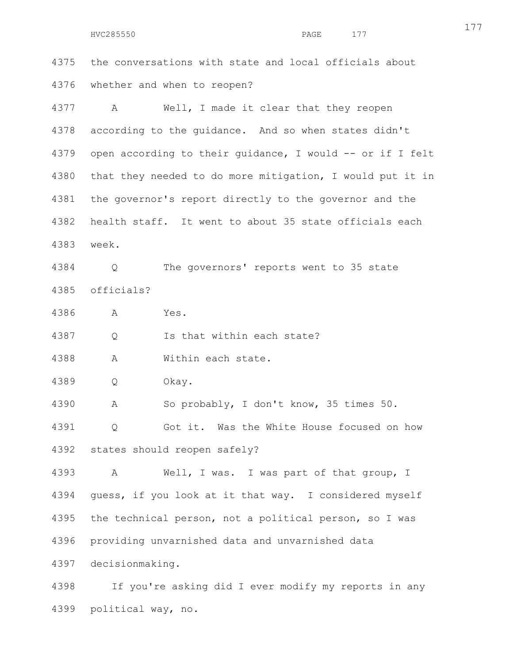HVC285550 PAGE 177

4375 the conversations with state and local officials about 4376 whether and when to reopen?

4377 A Well, I made it clear that they reopen 4378 according to the guidance. And so when states didn't 4379 open according to their guidance, I would -- or if I felt 4380 that they needed to do more mitigation, I would put it in 4381 the governor's report directly to the governor and the 4382 health staff. It went to about 35 state officials each 4383 week.

4384 Q The governors' reports went to 35 state 4385 officials?

4386 A Yes.

4387 Q Is that within each state?

4388 A Within each state.

4389 Q Okay.

4390 A So probably, I don't know, 35 times 50.

4391 Q Got it. Was the White House focused on how 4392 states should reopen safely?

4393 A Well, I was. I was part of that group, I 4394 guess, if you look at it that way. I considered myself 4395 the technical person, not a political person, so I was 4396 providing unvarnished data and unvarnished data 4397 decisionmaking.

4398 If you're asking did I ever modify my reports in any 4399 political way, no.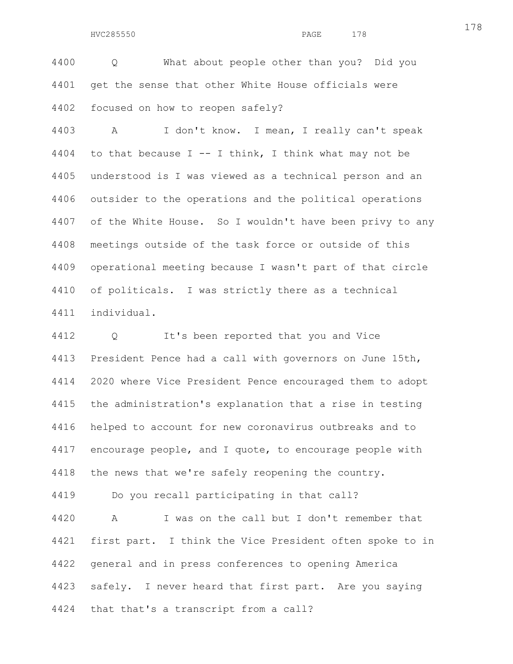4400 Q What about people other than you? Did you 4401 get the sense that other White House officials were 4402 focused on how to reopen safely?

4403 A I don't know. I mean, I really can't speak 4404 to that because  $I$  -- I think, I think what may not be 4405 understood is I was viewed as a technical person and an 4406 outsider to the operations and the political operations 4407 of the White House. So I wouldn't have been privy to any 4408 meetings outside of the task force or outside of this 4409 operational meeting because I wasn't part of that circle 4410 of politicals. I was strictly there as a technical 4411 individual.

4412 Q It's been reported that you and Vice 4413 President Pence had a call with governors on June 15th, 4414 2020 where Vice President Pence encouraged them to adopt 4415 the administration's explanation that a rise in testing 4416 helped to account for new coronavirus outbreaks and to 4417 encourage people, and I quote, to encourage people with 4418 the news that we're safely reopening the country.

4419 Do you recall participating in that call?

4420 A I was on the call but I don't remember that 4421 first part. I think the Vice President often spoke to in 4422 general and in press conferences to opening America 4423 safely. I never heard that first part. Are you saying 4424 that that's a transcript from a call?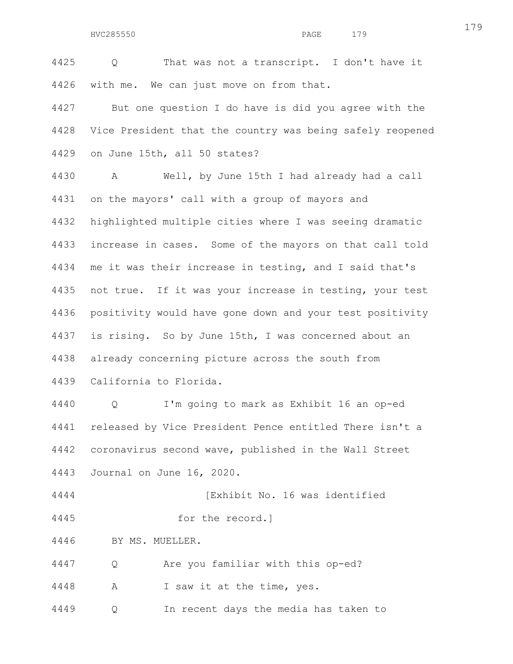4425 Q That was not a transcript. I don't have it 4426 with me. We can just move on from that.

4427 But one question I do have is did you agree with the 4428 Vice President that the country was being safely reopened 4429 on June 15th, all 50 states?

4430 A Well, by June 15th I had already had a call 4431 on the mayors' call with a group of mayors and 4432 highlighted multiple cities where I was seeing dramatic 4433 increase in cases. Some of the mayors on that call told 4434 me it was their increase in testing, and I said that's 4435 not true. If it was your increase in testing, your test 4436 positivity would have gone down and your test positivity 4437 is rising. So by June 15th, I was concerned about an 4438 already concerning picture across the south from 4439 California to Florida.

4440 Q I'm going to mark as Exhibit 16 an op-ed 4441 released by Vice President Pence entitled There isn't a 4442 coronavirus second wave, published in the Wall Street 4443 Journal on June 16, 2020.

4444 [Exhibit No. 16 was identified

4445 for the record.]

4446 BY MS. MUELLER.

4447 Q Are you familiar with this op-ed?

4448 A I saw it at the time, yes.

4449 Q In recent days the media has taken to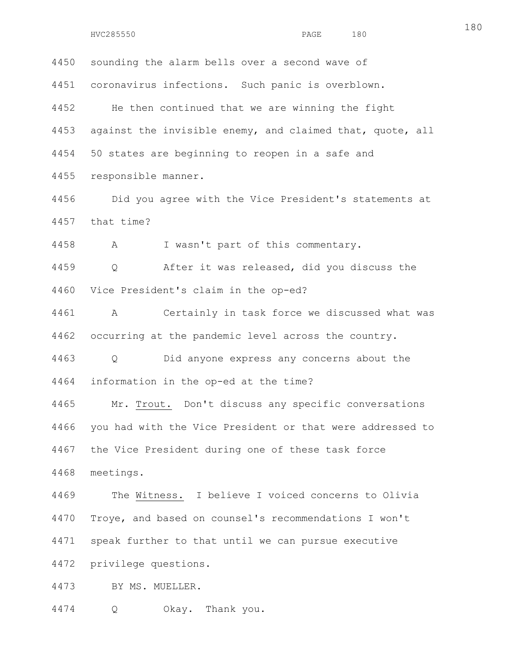| 4450 | sounding the alarm bells over a second wave of            |
|------|-----------------------------------------------------------|
|      | 4451 coronavirus infections. Such panic is overblown.     |
| 4452 | He then continued that we are winning the fight           |
| 4453 | against the invisible enemy, and claimed that, quote, all |
|      | 4454 50 states are beginning to reopen in a safe and      |
| 4455 | responsible manner.                                       |
| 4456 | Did you agree with the Vice President's statements at     |
|      | 4457 that time?                                           |
|      |                                                           |

4458 A I wasn't part of this commentary.

4459 Q After it was released, did you discuss the 4460 Vice President's claim in the op-ed?

4461 A Certainly in task force we discussed what was 4462 occurring at the pandemic level across the country.

4463 Q Did anyone express any concerns about the 4464 information in the op-ed at the time?

4465 Mr. Trout. Don't discuss any specific conversations 4466 you had with the Vice President or that were addressed to 4467 the Vice President during one of these task force 4468 meetings.

4469 The Witness. I believe I voiced concerns to Olivia 4470 Troye, and based on counsel's recommendations I won't 4471 speak further to that until we can pursue executive 4472 privilege questions.

4473 BY MS. MUELLER.

4474 Q Okay. Thank you.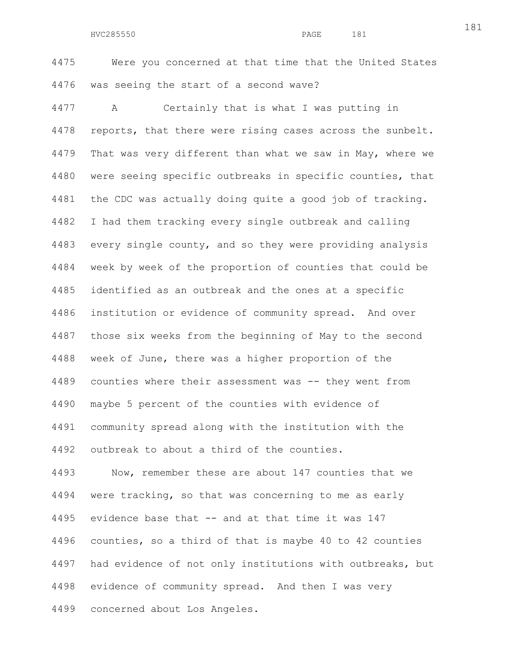4475 Were you concerned at that time that the United States 4476 was seeing the start of a second wave?

4477 A Certainly that is what I was putting in 4478 reports, that there were rising cases across the sunbelt. 4479 That was very different than what we saw in May, where we 4480 were seeing specific outbreaks in specific counties, that 4481 the CDC was actually doing quite a good job of tracking. 4482 I had them tracking every single outbreak and calling 4483 every single county, and so they were providing analysis 4484 week by week of the proportion of counties that could be 4485 identified as an outbreak and the ones at a specific 4486 institution or evidence of community spread. And over 4487 those six weeks from the beginning of May to the second 4488 week of June, there was a higher proportion of the 4489 counties where their assessment was -- they went from 4490 maybe 5 percent of the counties with evidence of 4491 community spread along with the institution with the 4492 outbreak to about a third of the counties.

4493 Now, remember these are about 147 counties that we 4494 were tracking, so that was concerning to me as early 4495 evidence base that -- and at that time it was 147 4496 counties, so a third of that is maybe 40 to 42 counties 4497 had evidence of not only institutions with outbreaks, but 4498 evidence of community spread. And then I was very 4499 concerned about Los Angeles.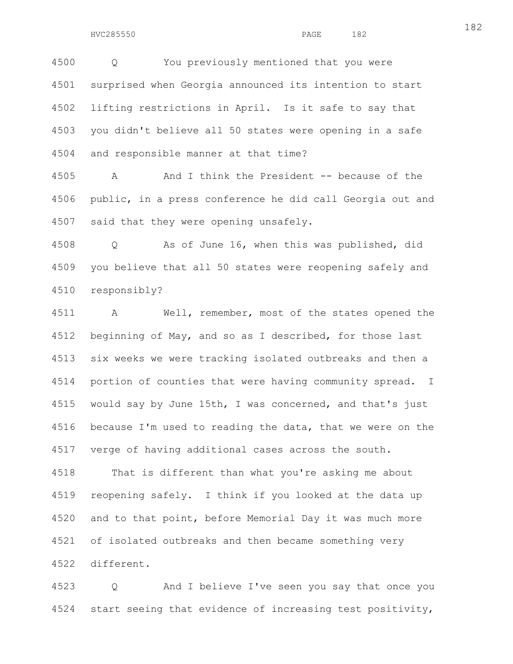4500 Q You previously mentioned that you were 4501 surprised when Georgia announced its intention to start 4502 lifting restrictions in April. Is it safe to say that 4503 you didn't believe all 50 states were opening in a safe 4504 and responsible manner at that time?

4505 A And I think the President -- because of the 4506 public, in a press conference he did call Georgia out and 4507 said that they were opening unsafely.

4508 Q As of June 16, when this was published, did 4509 you believe that all 50 states were reopening safely and 4510 responsibly?

4511 A Well, remember, most of the states opened the 4512 beginning of May, and so as I described, for those last 4513 six weeks we were tracking isolated outbreaks and then a 4514 portion of counties that were having community spread. I 4515 would say by June 15th, I was concerned, and that's just 4516 because I'm used to reading the data, that we were on the 4517 verge of having additional cases across the south.

4518 That is different than what you're asking me about 4519 reopening safely. I think if you looked at the data up 4520 and to that point, before Memorial Day it was much more 4521 of isolated outbreaks and then became something very 4522 different.

4523 Q And I believe I've seen you say that once you 4524 start seeing that evidence of increasing test positivity,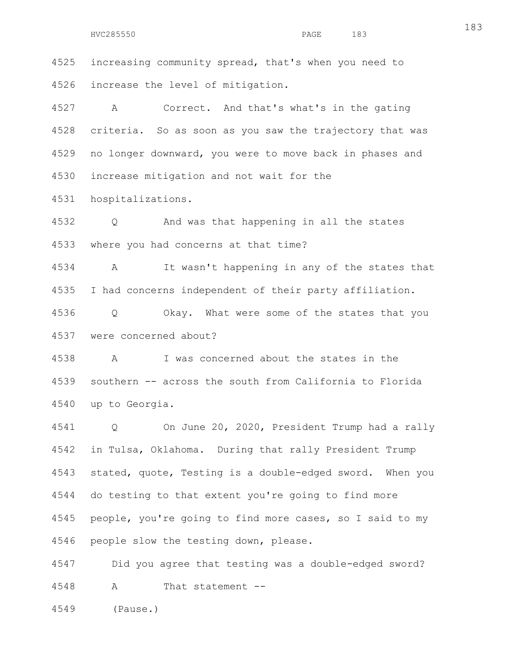4525 increasing community spread, that's when you need to 4526 increase the level of mitigation.

4527 A Correct. And that's what's in the gating 4528 criteria. So as soon as you saw the trajectory that was 4529 no longer downward, you were to move back in phases and 4530 increase mitigation and not wait for the

4531 hospitalizations.

4532 Q And was that happening in all the states 4533 where you had concerns at that time?

4534 A It wasn't happening in any of the states that 4535 I had concerns independent of their party affiliation.

4536 Q Okay. What were some of the states that you 4537 were concerned about?

4538 A I was concerned about the states in the 4539 southern -- across the south from California to Florida 4540 up to Georgia.

4541 Q On June 20, 2020, President Trump had a rally 4542 in Tulsa, Oklahoma. During that rally President Trump 4543 stated, quote, Testing is a double-edged sword. When you 4544 do testing to that extent you're going to find more 4545 people, you're going to find more cases, so I said to my 4546 people slow the testing down, please.

4547 Did you agree that testing was a double-edged sword? 4548 A That statement --

4549 (Pause.)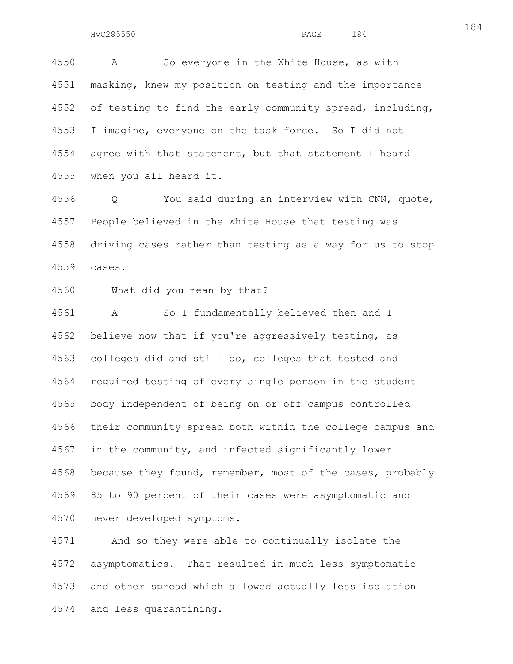4550 A So everyone in the White House, as with 4551 masking, knew my position on testing and the importance 4552 of testing to find the early community spread, including, 4553 I imagine, everyone on the task force. So I did not 4554 agree with that statement, but that statement I heard 4555 when you all heard it.

4556 Q You said during an interview with CNN, quote, 4557 People believed in the White House that testing was 4558 driving cases rather than testing as a way for us to stop 4559 cases.

4560 What did you mean by that?

4561 A So I fundamentally believed then and I 4562 believe now that if you're aggressively testing, as 4563 colleges did and still do, colleges that tested and 4564 required testing of every single person in the student 4565 body independent of being on or off campus controlled 4566 their community spread both within the college campus and 4567 in the community, and infected significantly lower 4568 because they found, remember, most of the cases, probably 4569 85 to 90 percent of their cases were asymptomatic and 4570 never developed symptoms.

4571 And so they were able to continually isolate the 4572 asymptomatics. That resulted in much less symptomatic 4573 and other spread which allowed actually less isolation 4574 and less quarantining.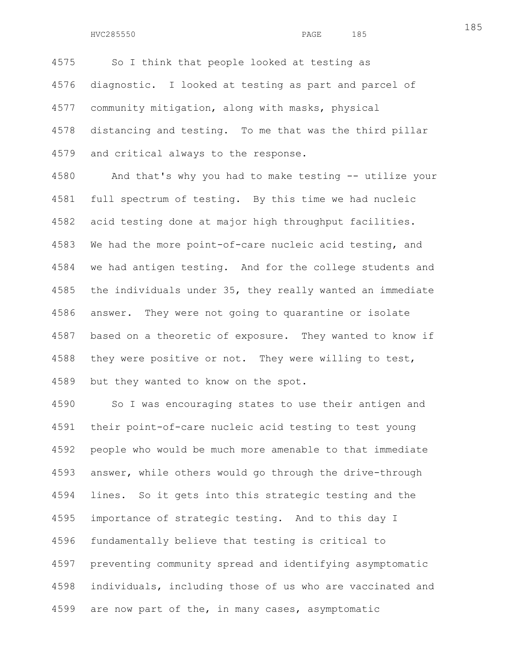4575 So I think that people looked at testing as 4576 diagnostic. I looked at testing as part and parcel of 4577 community mitigation, along with masks, physical 4578 distancing and testing. To me that was the third pillar 4579 and critical always to the response.

4580 And that's why you had to make testing -- utilize your 4581 full spectrum of testing. By this time we had nucleic 4582 acid testing done at major high throughput facilities. 4583 We had the more point-of-care nucleic acid testing, and 4584 we had antigen testing. And for the college students and 4585 the individuals under 35, they really wanted an immediate 4586 answer. They were not going to quarantine or isolate 4587 based on a theoretic of exposure. They wanted to know if 4588 they were positive or not. They were willing to test, 4589 but they wanted to know on the spot.

4590 So I was encouraging states to use their antigen and 4591 their point-of-care nucleic acid testing to test young 4592 people who would be much more amenable to that immediate 4593 answer, while others would go through the drive-through 4594 lines. So it gets into this strategic testing and the 4595 importance of strategic testing. And to this day I 4596 fundamentally believe that testing is critical to 4597 preventing community spread and identifying asymptomatic 4598 individuals, including those of us who are vaccinated and 4599 are now part of the, in many cases, asymptomatic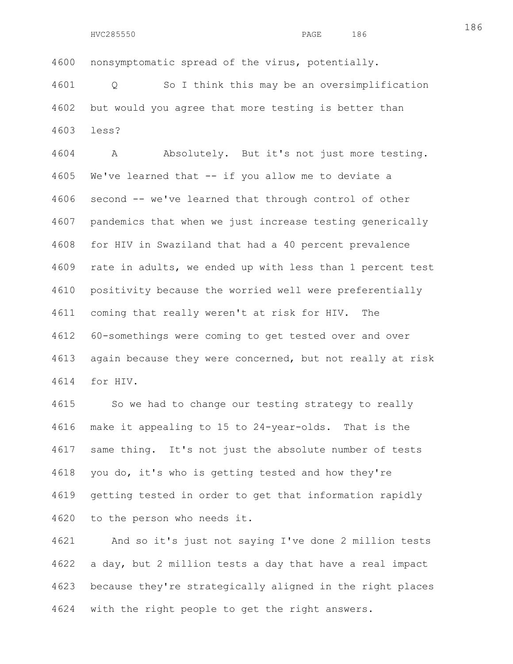4600 nonsymptomatic spread of the virus, potentially.

4601 Q So I think this may be an oversimplification 4602 but would you agree that more testing is better than 4603 less?

4604 A Absolutely. But it's not just more testing. 4605 We've learned that -- if you allow me to deviate a 4606 second -- we've learned that through control of other 4607 pandemics that when we just increase testing generically 4608 for HIV in Swaziland that had a 40 percent prevalence 4609 rate in adults, we ended up with less than 1 percent test 4610 positivity because the worried well were preferentially 4611 coming that really weren't at risk for HIV. The 4612 60-somethings were coming to get tested over and over 4613 again because they were concerned, but not really at risk 4614 for HIV.

4615 So we had to change our testing strategy to really 4616 make it appealing to 15 to 24-year-olds. That is the 4617 same thing. It's not just the absolute number of tests 4618 you do, it's who is getting tested and how they're 4619 getting tested in order to get that information rapidly 4620 to the person who needs it.

4621 And so it's just not saying I've done 2 million tests 4622 a day, but 2 million tests a day that have a real impact 4623 because they're strategically aligned in the right places 4624 with the right people to get the right answers.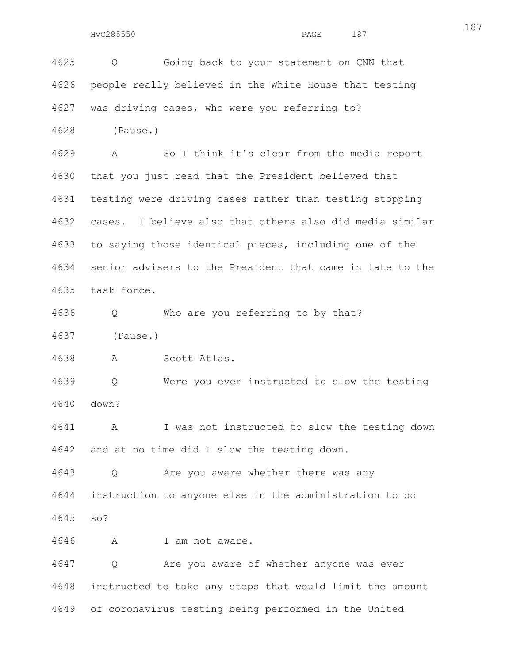4625 Q Going back to your statement on CNN that 4626 people really believed in the White House that testing 4627 was driving cases, who were you referring to?

4628 (Pause.)

4629 A So I think it's clear from the media report 4630 that you just read that the President believed that 4631 testing were driving cases rather than testing stopping 4632 cases. I believe also that others also did media similar 4633 to saying those identical pieces, including one of the 4634 senior advisers to the President that came in late to the 4635 task force.

4636 Q Who are you referring to by that?

4637 (Pause.)

4638 A Scott Atlas.

4639 Q Were you ever instructed to slow the testing 4640 down?

4641 A I was not instructed to slow the testing down 4642 and at no time did I slow the testing down.

4643 Q Are you aware whether there was any 4644 instruction to anyone else in the administration to do 4645 so?

4646 A I am not aware.

4647 Q Are you aware of whether anyone was ever 4648 instructed to take any steps that would limit the amount 4649 of coronavirus testing being performed in the United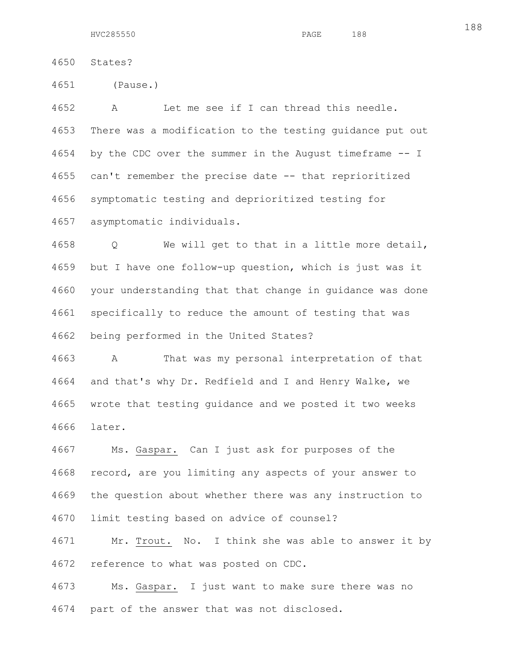| 4650 | States? |
|------|---------|
|      |         |

4651 (Pause.)

4652 A Let me see if I can thread this needle. 4653 There was a modification to the testing guidance put out 4654 by the CDC over the summer in the August timeframe -- I 4655 can't remember the precise date -- that reprioritized 4656 symptomatic testing and deprioritized testing for 4657 asymptomatic individuals.

4658 Q We will get to that in a little more detail, 4659 but I have one follow-up question, which is just was it 4660 your understanding that that change in guidance was done 4661 specifically to reduce the amount of testing that was 4662 being performed in the United States?

4663 A That was my personal interpretation of that 4664 and that's why Dr. Redfield and I and Henry Walke, we 4665 wrote that testing guidance and we posted it two weeks 4666 later.

4667 Ms. Gaspar. Can I just ask for purposes of the 4668 record, are you limiting any aspects of your answer to 4669 the question about whether there was any instruction to 4670 limit testing based on advice of counsel?

4671 Mr. Trout. No. I think she was able to answer it by 4672 reference to what was posted on CDC.

4673 Ms. Gaspar. I just want to make sure there was no 4674 part of the answer that was not disclosed.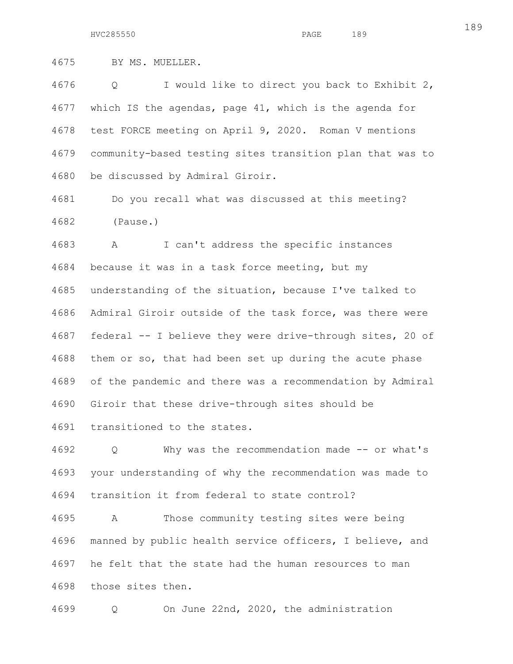4675 BY MS. MUELLER.

4676 Q I would like to direct you back to Exhibit 2, 4677 which IS the agendas, page 41, which is the agenda for 4678 test FORCE meeting on April 9, 2020. Roman V mentions 4679 community-based testing sites transition plan that was to 4680 be discussed by Admiral Giroir.

4681 Do you recall what was discussed at this meeting? 4682 (Pause.)

4683 A I can't address the specific instances 4684 because it was in a task force meeting, but my 4685 understanding of the situation, because I've talked to 4686 Admiral Giroir outside of the task force, was there were 4687 federal -- I believe they were drive-through sites, 20 of 4688 them or so, that had been set up during the acute phase 4689 of the pandemic and there was a recommendation by Admiral 4690 Giroir that these drive-through sites should be

4691 transitioned to the states.

4692 Q Why was the recommendation made -- or what's 4693 your understanding of why the recommendation was made to 4694 transition it from federal to state control?

4695 A Those community testing sites were being 4696 manned by public health service officers, I believe, and 4697 he felt that the state had the human resources to man 4698 those sites then.

4699 Q On June 22nd, 2020, the administration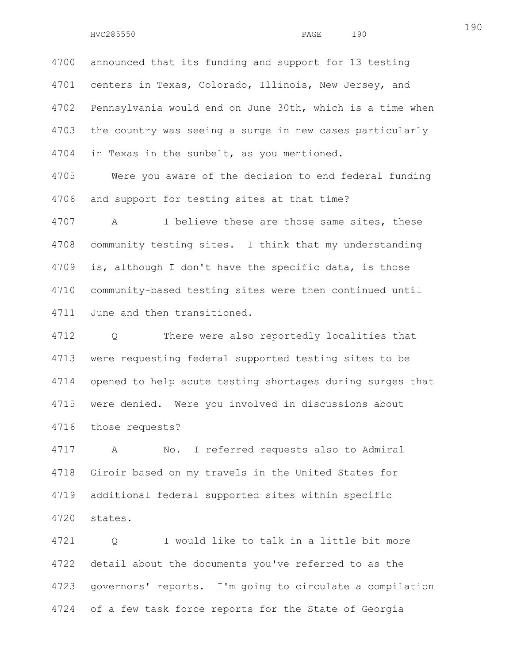4700 announced that its funding and support for 13 testing 4701 centers in Texas, Colorado, Illinois, New Jersey, and 4702 Pennsylvania would end on June 30th, which is a time when 4703 the country was seeing a surge in new cases particularly 4704 in Texas in the sunbelt, as you mentioned. 4705 Were you aware of the decision to end federal funding 4706 and support for testing sites at that time?

4707 A I believe these are those same sites, these 4708 community testing sites. I think that my understanding 4709 is, although I don't have the specific data, is those 4710 community-based testing sites were then continued until 4711 June and then transitioned.

4712 Q There were also reportedly localities that 4713 were requesting federal supported testing sites to be 4714 opened to help acute testing shortages during surges that 4715 were denied. Were you involved in discussions about 4716 those requests?

4717 A No. I referred requests also to Admiral 4718 Giroir based on my travels in the United States for 4719 additional federal supported sites within specific 4720 states.

4721 Q I would like to talk in a little bit more 4722 detail about the documents you've referred to as the 4723 governors' reports. I'm going to circulate a compilation 4724 of a few task force reports for the State of Georgia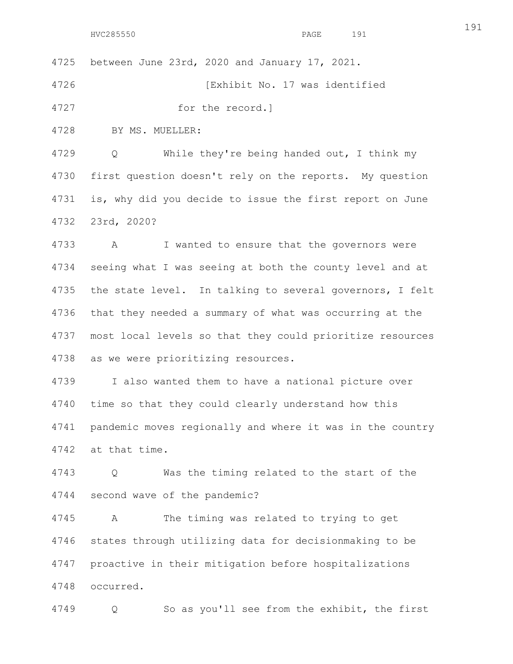4725 between June 23rd, 2020 and January 17, 2021.

4726 [Exhibit No. 17 was identified

4727 for the record.]

4728 BY MS. MUELLER:

4729 Q While they're being handed out, I think my 4730 first question doesn't rely on the reports. My question 4731 is, why did you decide to issue the first report on June 4732 23rd, 2020?

4733 A I wanted to ensure that the governors were 4734 seeing what I was seeing at both the county level and at 4735 the state level. In talking to several governors, I felt 4736 that they needed a summary of what was occurring at the 4737 most local levels so that they could prioritize resources 4738 as we were prioritizing resources.

4739 I also wanted them to have a national picture over 4740 time so that they could clearly understand how this 4741 pandemic moves regionally and where it was in the country 4742 at that time.

4743 Q Was the timing related to the start of the 4744 second wave of the pandemic?

4745 A The timing was related to trying to get 4746 states through utilizing data for decisionmaking to be 4747 proactive in their mitigation before hospitalizations 4748 occurred.

4749 Q So as you'll see from the exhibit, the first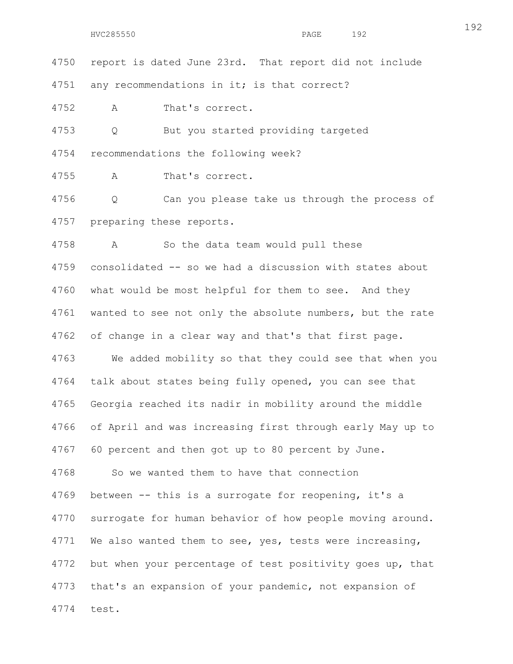4750 report is dated June 23rd. That report did not include

4751 any recommendations in it; is that correct?

4752 A That's correct.

4753 Q But you started providing targeted 4754 recommendations the following week?

4755 A That's correct.

4756 Q Can you please take us through the process of 4757 preparing these reports.

4758 A So the data team would pull these 4759 consolidated -- so we had a discussion with states about 4760 what would be most helpful for them to see. And they 4761 wanted to see not only the absolute numbers, but the rate 4762 of change in a clear way and that's that first page. 4763 We added mobility so that they could see that when you 4764 talk about states being fully opened, you can see that 4765 Georgia reached its nadir in mobility around the middle 4766 of April and was increasing first through early May up to 4767 60 percent and then got up to 80 percent by June. 4768 So we wanted them to have that connection 4769 between -- this is a surrogate for reopening, it's a 4770 surrogate for human behavior of how people moving around. 4771 We also wanted them to see, yes, tests were increasing, 4772 but when your percentage of test positivity goes up, that 4773 that's an expansion of your pandemic, not expansion of 4774 test.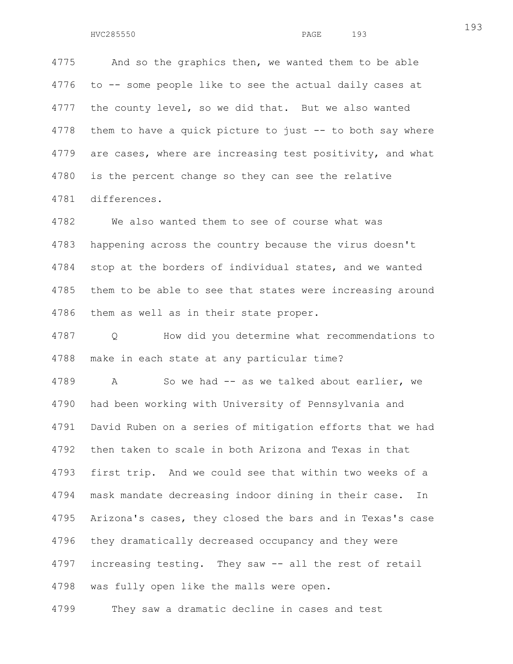4775 And so the graphics then, we wanted them to be able 4776 to -- some people like to see the actual daily cases at 4777 the county level, so we did that. But we also wanted 4778 them to have a quick picture to just -- to both say where 4779 are cases, where are increasing test positivity, and what 4780 is the percent change so they can see the relative 4781 differences.

4782 We also wanted them to see of course what was 4783 happening across the country because the virus doesn't 4784 stop at the borders of individual states, and we wanted 4785 them to be able to see that states were increasing around 4786 them as well as in their state proper.

4787 Q How did you determine what recommendations to 4788 make in each state at any particular time?

4789 A So we had -- as we talked about earlier, we 4790 had been working with University of Pennsylvania and 4791 David Ruben on a series of mitigation efforts that we had 4792 then taken to scale in both Arizona and Texas in that 4793 first trip. And we could see that within two weeks of a 4794 mask mandate decreasing indoor dining in their case. In 4795 Arizona's cases, they closed the bars and in Texas's case 4796 they dramatically decreased occupancy and they were 4797 increasing testing. They saw -- all the rest of retail 4798 was fully open like the malls were open.

4799 They saw a dramatic decline in cases and test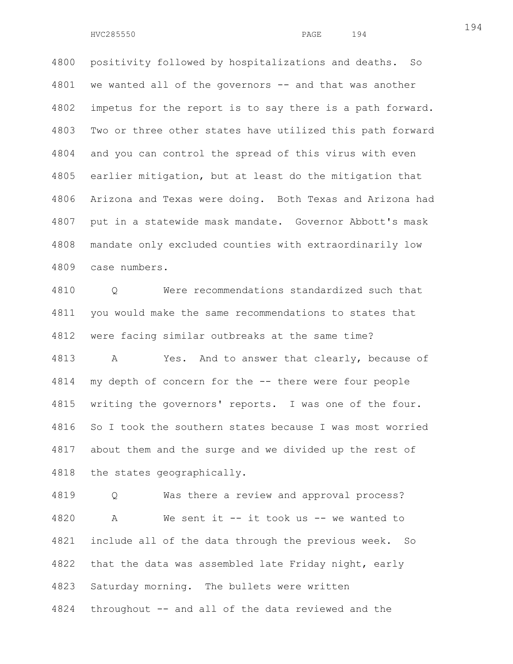4800 positivity followed by hospitalizations and deaths. So 4801 we wanted all of the governors -- and that was another 4802 impetus for the report is to say there is a path forward. 4803 Two or three other states have utilized this path forward 4804 and you can control the spread of this virus with even 4805 earlier mitigation, but at least do the mitigation that 4806 Arizona and Texas were doing. Both Texas and Arizona had 4807 put in a statewide mask mandate. Governor Abbott's mask 4808 mandate only excluded counties with extraordinarily low 4809 case numbers.

4810 Q Were recommendations standardized such that 4811 you would make the same recommendations to states that 4812 were facing similar outbreaks at the same time? 4813 A Yes. And to answer that clearly, because of 4814 my depth of concern for the -- there were four people 4815 writing the governors' reports. I was one of the four. 4816 So I took the southern states because I was most worried 4817 about them and the surge and we divided up the rest of 4818 the states geographically.

4819 Q Was there a review and approval process? 4820 A We sent it -- it took us -- we wanted to 4821 include all of the data through the previous week. So 4822 that the data was assembled late Friday night, early 4823 Saturday morning. The bullets were written 4824 throughout -- and all of the data reviewed and the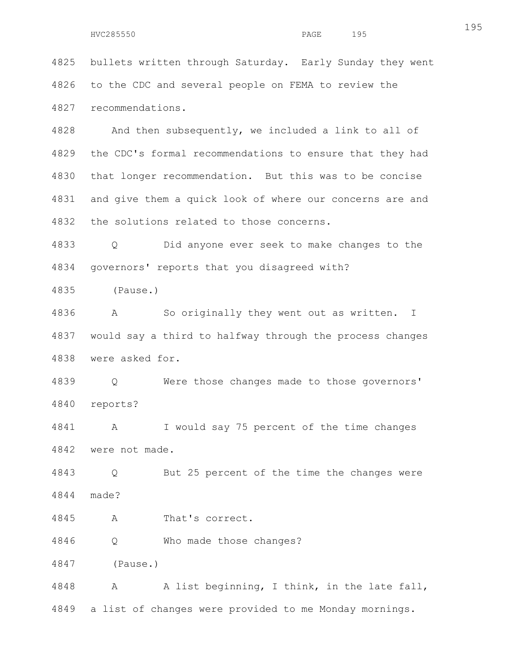4825 bullets written through Saturday. Early Sunday they went 4826 to the CDC and several people on FEMA to review the 4827 recommendations.

4828 And then subsequently, we included a link to all of 4829 the CDC's formal recommendations to ensure that they had 4830 that longer recommendation. But this was to be concise 4831 and give them a quick look of where our concerns are and 4832 the solutions related to those concerns.

4833 Q Did anyone ever seek to make changes to the 4834 governors' reports that you disagreed with?

4835 (Pause.)

4836 A So originally they went out as written. I 4837 would say a third to halfway through the process changes 4838 were asked for.

4839 Q Were those changes made to those governors' 4840 reports?

4841 A I would say 75 percent of the time changes 4842 were not made.

4843 Q But 25 percent of the time the changes were 4844 made?

4845 A That's correct.

4846 Q Who made those changes?

4847 (Pause.)

4848 A A list beginning, I think, in the late fall, 4849 a list of changes were provided to me Monday mornings.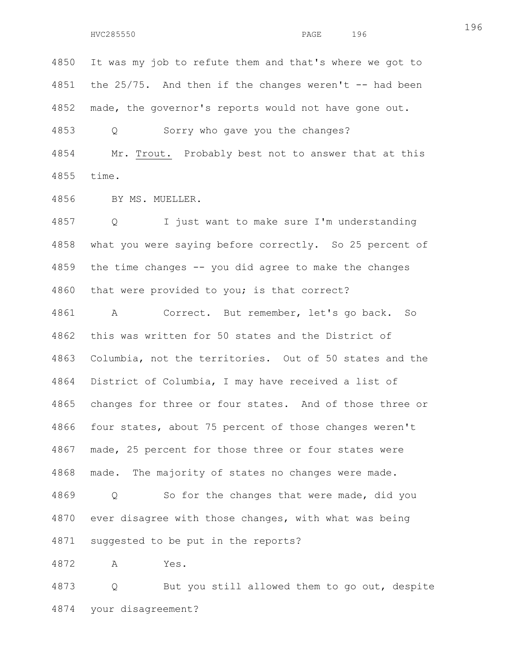4850 It was my job to refute them and that's where we got to 4851 the 25/75. And then if the changes weren't -- had been 4852 made, the governor's reports would not have gone out.

4853 Q Sorry who gave you the changes?

4854 Mr. Trout. Probably best not to answer that at this 4855 time.

4856 BY MS. MUELLER.

4857 Q I just want to make sure I'm understanding 4858 what you were saying before correctly. So 25 percent of 4859 the time changes -- you did agree to make the changes 4860 that were provided to you; is that correct?

4861 A Correct. But remember, let's go back. So 4862 this was written for 50 states and the District of 4863 Columbia, not the territories. Out of 50 states and the 4864 District of Columbia, I may have received a list of 4865 changes for three or four states. And of those three or 4866 four states, about 75 percent of those changes weren't 4867 made, 25 percent for those three or four states were 4868 made. The majority of states no changes were made. 4869 Q So for the changes that were made, did you 4870 ever disagree with those changes, with what was being 4871 suggested to be put in the reports?

4872 A Yes.

4873 Q But you still allowed them to go out, despite 4874 your disagreement?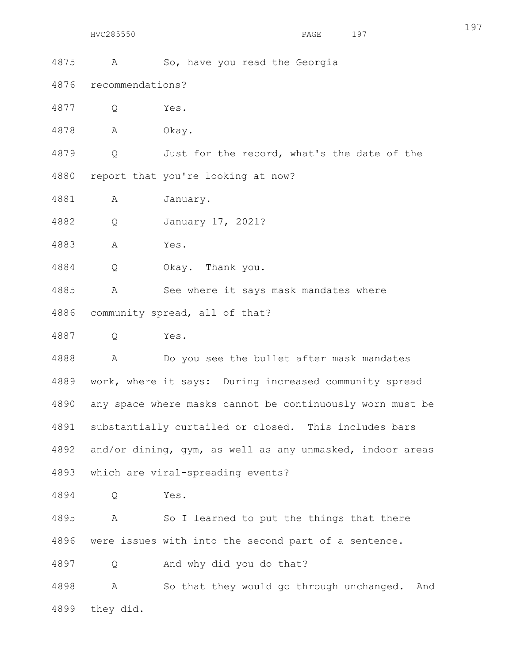4875 A So, have you read the Georgia

4876 recommendations?

4877 Q Yes.

4878 A Okay.

4879 Q Just for the record, what's the date of the 4880 report that you're looking at now?

4881 A January.

4882 Q January 17, 2021?

4883 A Yes.

4884 Q Okay. Thank you.

4885 A See where it says mask mandates where 4886 community spread, all of that?

4887 Q Yes.

4888 A Do you see the bullet after mask mandates 4889 work, where it says: During increased community spread 4890 any space where masks cannot be continuously worn must be 4891 substantially curtailed or closed. This includes bars 4892 and/or dining, gym, as well as any unmasked, indoor areas 4893 which are viral-spreading events?

4894 Q Yes.

4895 A So I learned to put the things that there 4896 were issues with into the second part of a sentence.

4897 Q And why did you do that?

4898 A So that they would go through unchanged. And 4899 they did.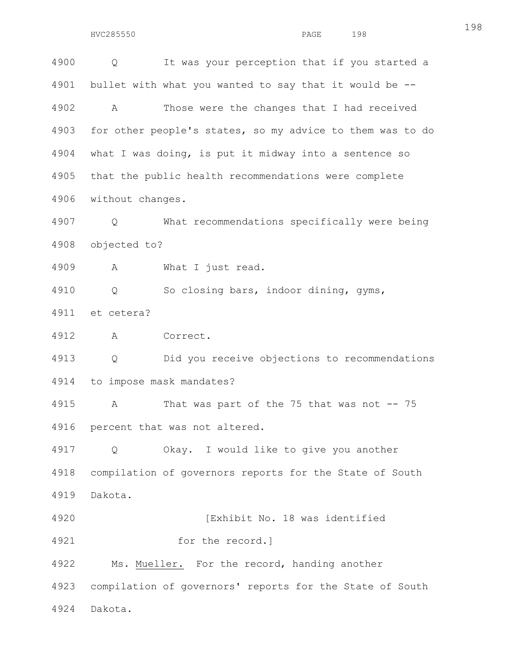198

4900 Q It was your perception that if you started a 4901 bullet with what you wanted to say that it would be -- 4902 A Those were the changes that I had received 4903 for other people's states, so my advice to them was to do 4904 what I was doing, is put it midway into a sentence so 4905 that the public health recommendations were complete 4906 without changes. 4907 Q What recommendations specifically were being 4908 objected to? 4909 A What I just read. 4910 Q So closing bars, indoor dining, gyms, 4911 et cetera? 4912 A Correct. 4913 Q Did you receive objections to recommendations 4914 to impose mask mandates? 4915 A That was part of the 75 that was not -- 75 4916 percent that was not altered. 4917 Q Okay. I would like to give you another 4918 compilation of governors reports for the State of South 4919 Dakota. 4920 [Exhibit No. 18 was identified 4921 for the record.] 4922 Ms. Mueller. For the record, handing another 4923 compilation of governors' reports for the State of South 4924 Dakota.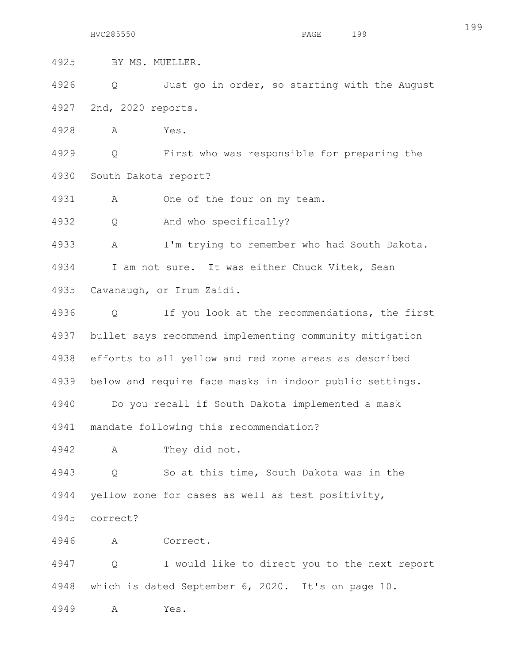4925 BY MS. MUELLER.

4926 Q Just go in order, so starting with the August 4927 2nd, 2020 reports.

4928 A Yes.

4929 Q First who was responsible for preparing the 4930 South Dakota report?

4931 A One of the four on my team.

4932 Q And who specifically?

4933 A I'm trying to remember who had South Dakota. 4934 I am not sure. It was either Chuck Vitek, Sean 4935 Cavanaugh, or Irum Zaidi.

4936 Q If you look at the recommendations, the first 4937 bullet says recommend implementing community mitigation 4938 efforts to all yellow and red zone areas as described 4939 below and require face masks in indoor public settings.

4940 Do you recall if South Dakota implemented a mask 4941 mandate following this recommendation?

4942 A They did not.

4943 Q So at this time, South Dakota was in the 4944 yellow zone for cases as well as test positivity,

4945 correct?

4946 A Correct.

4947 Q I would like to direct you to the next report 4948 which is dated September 6, 2020. It's on page 10.

4949 A Yes.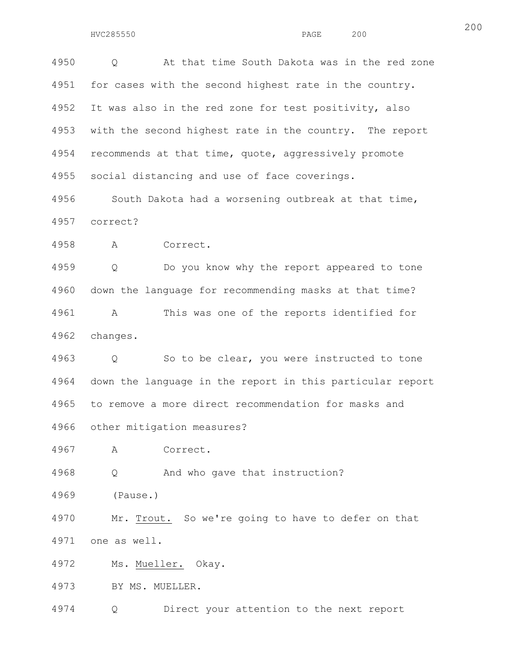4950 Q At that time South Dakota was in the red zone 4951 for cases with the second highest rate in the country. 4952 It was also in the red zone for test positivity, also 4953 with the second highest rate in the country. The report 4954 recommends at that time, quote, aggressively promote 4955 social distancing and use of face coverings.

4956 South Dakota had a worsening outbreak at that time, 4957 correct?

4958 A Correct.

4959 Q Do you know why the report appeared to tone 4960 down the language for recommending masks at that time? 4961 A This was one of the reports identified for 4962 changes.

4963 Q So to be clear, you were instructed to tone 4964 down the language in the report in this particular report 4965 to remove a more direct recommendation for masks and 4966 other mitigation measures?

4967 A Correct.

4968 Q And who gave that instruction?

4969 (Pause.)

4970 Mr. Trout. So we're going to have to defer on that 4971 one as well.

4972 Ms. Mueller. Okay.

4973 BY MS. MUELLER.

4974 Q Direct your attention to the next report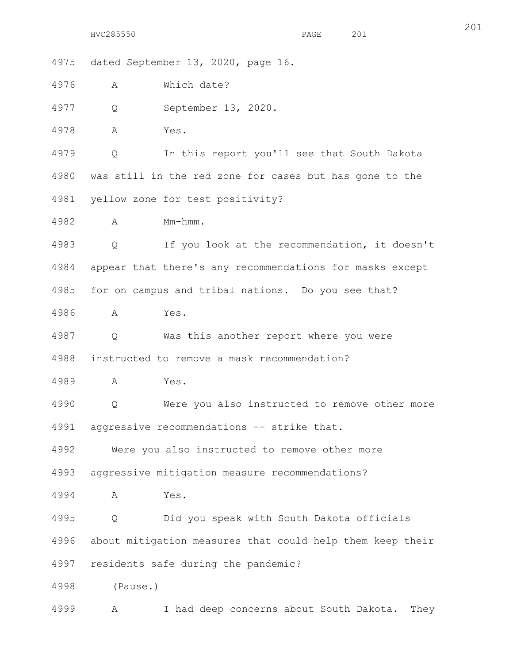4975 dated September 13, 2020, page 16.

4976 A Which date?

4977 Q September 13, 2020.

4978 A Yes.

4979 Q In this report you'll see that South Dakota 4980 was still in the red zone for cases but has gone to the 4981 yellow zone for test positivity?

4982 A Mm-hmm.

4983 Q If you look at the recommendation, it doesn't 4984 appear that there's any recommendations for masks except 4985 for on campus and tribal nations. Do you see that?

4986 A Yes.

4987 Q Was this another report where you were 4988 instructed to remove a mask recommendation?

4989 A Yes.

4990 Q Were you also instructed to remove other more 4991 aggressive recommendations -- strike that.

4992 Were you also instructed to remove other more

4993 aggressive mitigation measure recommendations?

4994 A Yes.

4995 Q Did you speak with South Dakota officials 4996 about mitigation measures that could help them keep their 4997 residents safe during the pandemic?

4998 (Pause.)

4999 A I had deep concerns about South Dakota. They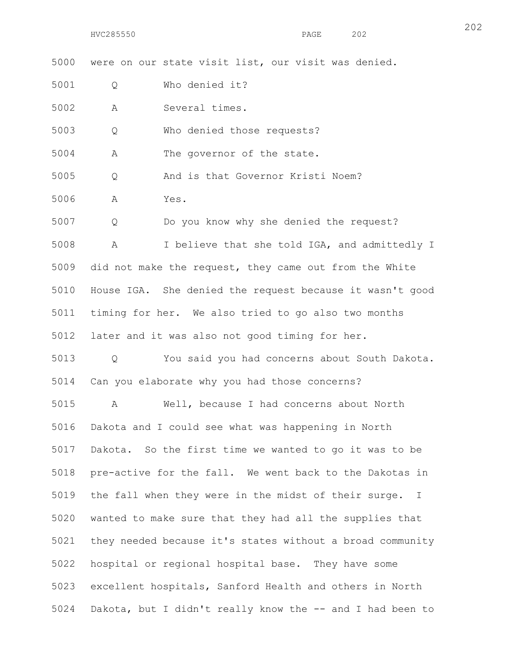5000 were on our state visit list, our visit was denied.

5001 Q Who denied it?

5002 A Several times.

5003 Q Who denied those requests?

5004 A The governor of the state.

5005 Q And is that Governor Kristi Noem?

5006 A Yes.

5007 Q Do you know why she denied the request?

5008 A I believe that she told IGA, and admittedly I 5009 did not make the request, they came out from the White 5010 House IGA. She denied the request because it wasn't good 5011 timing for her. We also tried to go also two months 5012 later and it was also not good timing for her.

5013 Q You said you had concerns about South Dakota. 5014 Can you elaborate why you had those concerns?

5015 A Well, because I had concerns about North 5016 Dakota and I could see what was happening in North 5017 Dakota. So the first time we wanted to go it was to be 5018 pre-active for the fall. We went back to the Dakotas in 5019 the fall when they were in the midst of their surge. I 5020 wanted to make sure that they had all the supplies that 5021 they needed because it's states without a broad community 5022 hospital or regional hospital base. They have some 5023 excellent hospitals, Sanford Health and others in North 5024 Dakota, but I didn't really know the -- and I had been to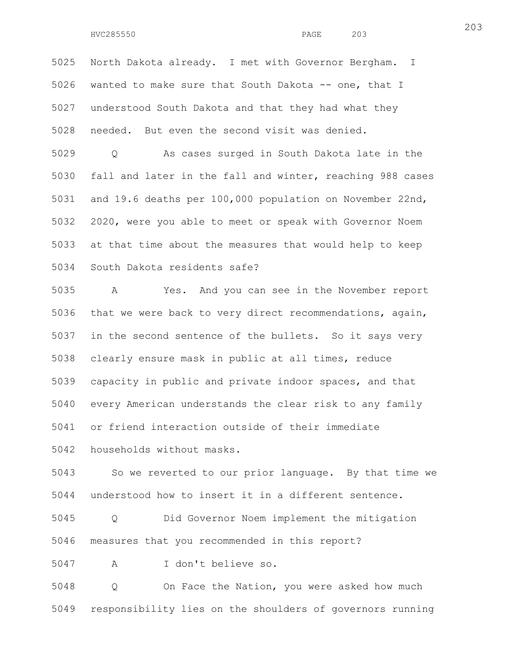5025 North Dakota already. I met with Governor Bergham. I 5026 wanted to make sure that South Dakota -- one, that I 5027 understood South Dakota and that they had what they 5028 needed. But even the second visit was denied.

5029 Q As cases surged in South Dakota late in the 5030 fall and later in the fall and winter, reaching 988 cases 5031 and 19.6 deaths per 100,000 population on November 22nd, 5032 2020, were you able to meet or speak with Governor Noem 5033 at that time about the measures that would help to keep 5034 South Dakota residents safe?

5035 A Yes. And you can see in the November report 5036 that we were back to very direct recommendations, again, 5037 in the second sentence of the bullets. So it says very 5038 clearly ensure mask in public at all times, reduce 5039 capacity in public and private indoor spaces, and that 5040 every American understands the clear risk to any family 5041 or friend interaction outside of their immediate 5042 households without masks.

5043 So we reverted to our prior language. By that time we 5044 understood how to insert it in a different sentence.

5045 Q Did Governor Noem implement the mitigation 5046 measures that you recommended in this report?

5047 A I don't believe so.

5048 Q On Face the Nation, you were asked how much 5049 responsibility lies on the shoulders of governors running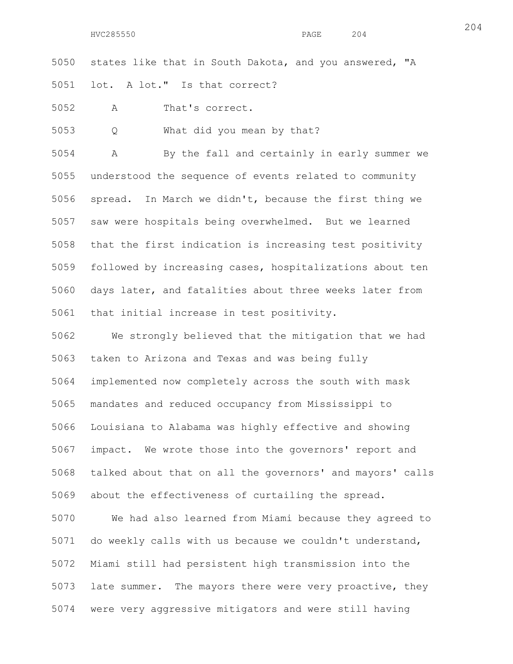5050 states like that in South Dakota, and you answered, "A 5051 lot. A lot." Is that correct?

5052 A That's correct.

5053 Q What did you mean by that?

5054 A By the fall and certainly in early summer we 5055 understood the sequence of events related to community 5056 spread. In March we didn't, because the first thing we 5057 saw were hospitals being overwhelmed. But we learned 5058 that the first indication is increasing test positivity 5059 followed by increasing cases, hospitalizations about ten 5060 days later, and fatalities about three weeks later from 5061 that initial increase in test positivity.

5062 We strongly believed that the mitigation that we had 5063 taken to Arizona and Texas and was being fully 5064 implemented now completely across the south with mask 5065 mandates and reduced occupancy from Mississippi to 5066 Louisiana to Alabama was highly effective and showing 5067 impact. We wrote those into the governors' report and 5068 talked about that on all the governors' and mayors' calls 5069 about the effectiveness of curtailing the spread.

5070 We had also learned from Miami because they agreed to 5071 do weekly calls with us because we couldn't understand, 5072 Miami still had persistent high transmission into the 5073 late summer. The mayors there were very proactive, they 5074 were very aggressive mitigators and were still having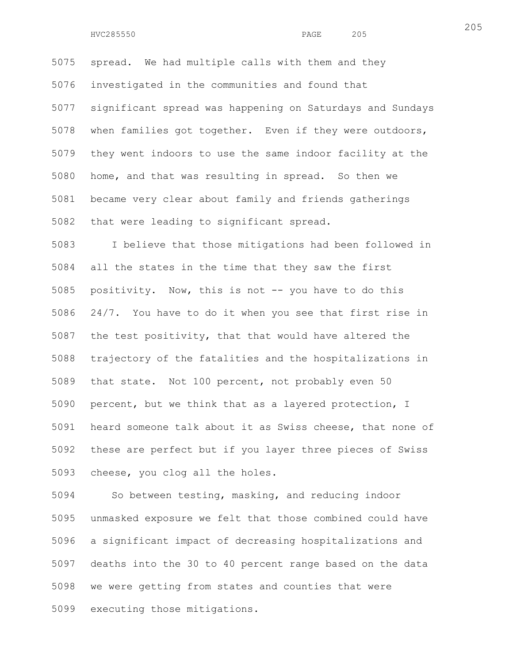5075 spread. We had multiple calls with them and they 5076 investigated in the communities and found that 5077 significant spread was happening on Saturdays and Sundays 5078 when families got together. Even if they were outdoors, 5079 they went indoors to use the same indoor facility at the 5080 home, and that was resulting in spread. So then we 5081 became very clear about family and friends gatherings 5082 that were leading to significant spread.

5083 I believe that those mitigations had been followed in 5084 all the states in the time that they saw the first 5085 positivity. Now, this is not -- you have to do this 5086 24/7. You have to do it when you see that first rise in 5087 the test positivity, that that would have altered the 5088 trajectory of the fatalities and the hospitalizations in 5089 that state. Not 100 percent, not probably even 50 5090 percent, but we think that as a layered protection, I 5091 heard someone talk about it as Swiss cheese, that none of 5092 these are perfect but if you layer three pieces of Swiss 5093 cheese, you clog all the holes.

5094 So between testing, masking, and reducing indoor 5095 unmasked exposure we felt that those combined could have 5096 a significant impact of decreasing hospitalizations and 5097 deaths into the 30 to 40 percent range based on the data 5098 we were getting from states and counties that were 5099 executing those mitigations.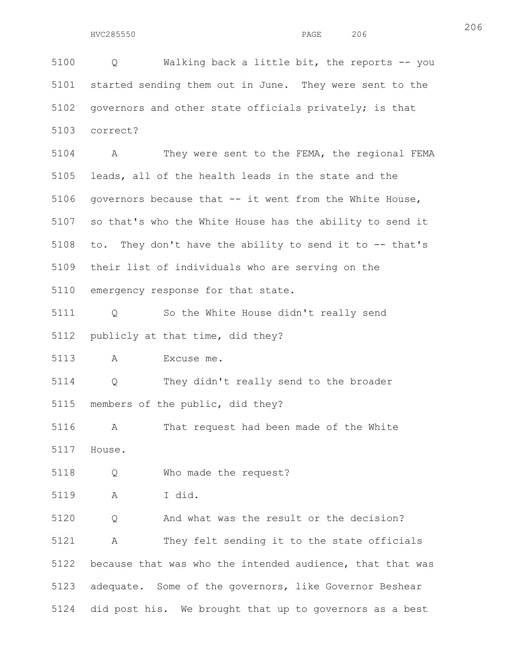206

5100 Q Walking back a little bit, the reports -- you 5101 started sending them out in June. They were sent to the 5102 governors and other state officials privately; is that 5103 correct? 5104 A They were sent to the FEMA, the regional FEMA 5105 leads, all of the health leads in the state and the 5106 governors because that -- it went from the White House, 5107 so that's who the White House has the ability to send it 5108 to. They don't have the ability to send it to -- that's 5109 their list of individuals who are serving on the 5110 emergency response for that state. 5111 Q So the White House didn't really send 5112 publicly at that time, did they? 5113 A Excuse me. 5114 Q They didn't really send to the broader 5115 members of the public, did they? 5116 A That request had been made of the White 5117 House. 5118 Q Who made the request? 5119 A I did. 5120 Q And what was the result or the decision? 5121 A They felt sending it to the state officials 5122 because that was who the intended audience, that that was 5123 adequate. Some of the governors, like Governor Beshear 5124 did post his. We brought that up to governors as a best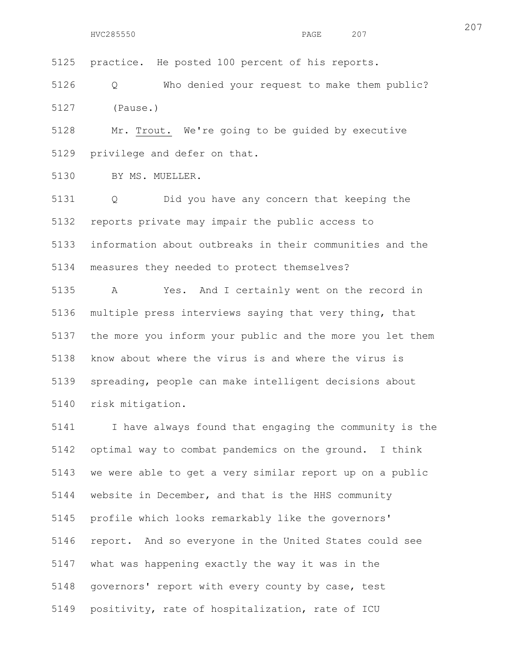5125 practice. He posted 100 percent of his reports.

5126 Q Who denied your request to make them public? 5127 (Pause.)

5128 Mr. Trout. We're going to be guided by executive 5129 privilege and defer on that.

5130 BY MS. MUELLER.

5131 Q Did you have any concern that keeping the 5132 reports private may impair the public access to 5133 information about outbreaks in their communities and the 5134 measures they needed to protect themselves? 5135 A Yes. And I certainly went on the record in 5136 multiple press interviews saying that very thing, that 5137 the more you inform your public and the more you let them 5138 know about where the virus is and where the virus is

5139 spreading, people can make intelligent decisions about 5140 risk mitigation.

5141 I have always found that engaging the community is the 5142 optimal way to combat pandemics on the ground. I think 5143 we were able to get a very similar report up on a public 5144 website in December, and that is the HHS community 5145 profile which looks remarkably like the governors' 5146 report. And so everyone in the United States could see 5147 what was happening exactly the way it was in the 5148 governors' report with every county by case, test 5149 positivity, rate of hospitalization, rate of ICU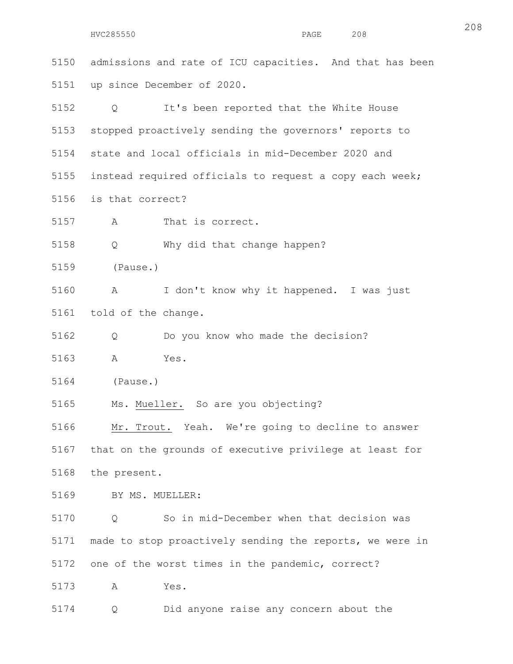5150 admissions and rate of ICU capacities. And that has been 5151 up since December of 2020. 5152 Q It's been reported that the White House 5153 stopped proactively sending the governors' reports to 5154 state and local officials in mid-December 2020 and 5155 instead required officials to request a copy each week; 5156 is that correct? 5157 A That is correct. 5158 Q Why did that change happen? 5159 (Pause.) 5160 A I don't know why it happened. I was just 5161 told of the change. 5162 Q Do you know who made the decision? 5163 A Yes. 5164 (Pause.) 5165 Ms. Mueller. So are you objecting? 5166 Mr. Trout. Yeah. We're going to decline to answer 5167 that on the grounds of executive privilege at least for 5168 the present. 5169 BY MS. MUELLER: 5170 Q So in mid-December when that decision was 5171 made to stop proactively sending the reports, we were in 5172 one of the worst times in the pandemic, correct? 5173 A Yes. 5174 Q Did anyone raise any concern about the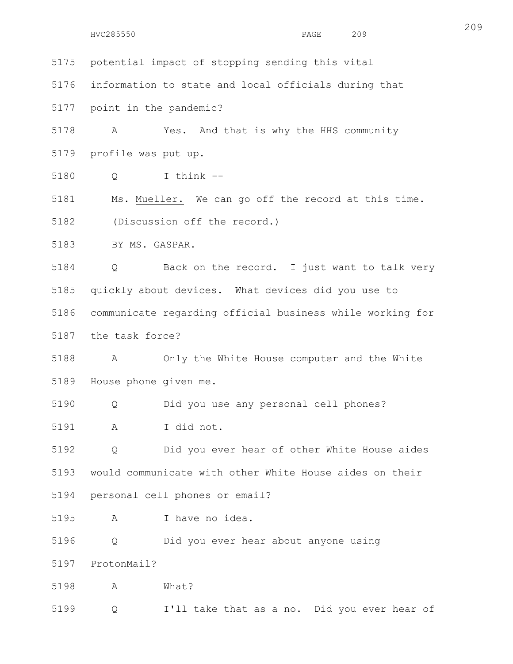```
HVC285550 PAGE 209
```
5175 potential impact of stopping sending this vital 5176 information to state and local officials during that 5177 point in the pandemic? 5178 A Yes. And that is why the HHS community 5179 profile was put up. 5180 Q I think -- 5181 Ms. Mueller. We can go off the record at this time. 5182 (Discussion off the record.) 5183 BY MS. GASPAR. 5184 Q Back on the record. I just want to talk very 5185 quickly about devices. What devices did you use to 5186 communicate regarding official business while working for 5187 the task force? 5188 A Only the White House computer and the White 5189 House phone given me. 5190 Q Did you use any personal cell phones? 5191 A I did not. 5192 Q Did you ever hear of other White House aides 5193 would communicate with other White House aides on their 5194 personal cell phones or email? 5195 A I have no idea. 5196 Q Did you ever hear about anyone using 5197 ProtonMail? 5198 A What? 5199 Q I'll take that as a no. Did you ever hear of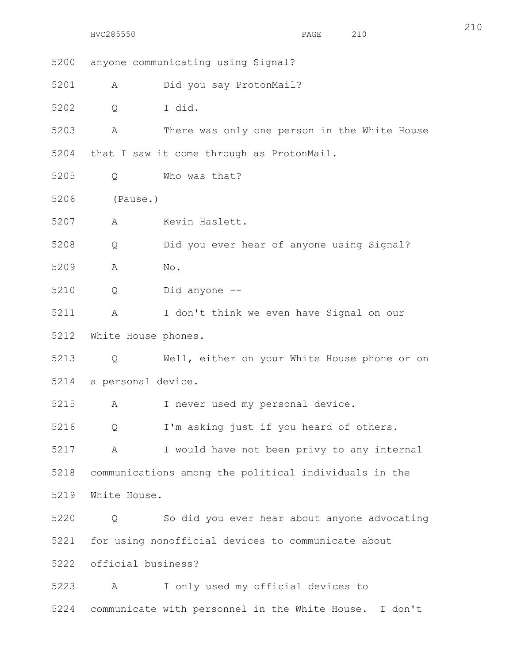5200 anyone communicating using Signal? 5201 A Did you say ProtonMail? 5202 Q I did. 5203 A There was only one person in the White House 5204 that I saw it come through as ProtonMail. 5205 Q Who was that? 5206 (Pause.) 5207 A Kevin Haslett. 5208 Q Did you ever hear of anyone using Signal? 5209 A No. 5210 Q Did anyone -- 5211 A I don't think we even have Signal on our 5212 White House phones. 5213 Q Well, either on your White House phone or on 5214 a personal device. 5215 A I never used my personal device. 5216 Q I'm asking just if you heard of others. 5217 A I would have not been privy to any internal 5218 communications among the political individuals in the 5219 White House. 5220 Q So did you ever hear about anyone advocating 5221 for using nonofficial devices to communicate about 5222 official business? 5223 A I only used my official devices to 5224 communicate with personnel in the White House. I don't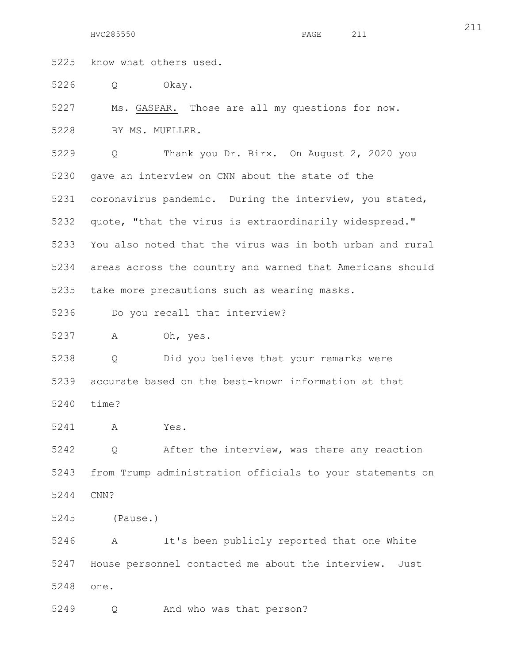HVC285550 PAGE 211

5225 know what others used.

5226 Q Okay.

5227 Ms. GASPAR. Those are all my questions for now.

5228 BY MS. MUELLER.

5229 Q Thank you Dr. Birx. On August 2, 2020 you 5230 gave an interview on CNN about the state of the 5231 coronavirus pandemic. During the interview, you stated, 5232 quote, "that the virus is extraordinarily widespread." 5233 You also noted that the virus was in both urban and rural 5234 areas across the country and warned that Americans should 5235 take more precautions such as wearing masks. 5236 Do you recall that interview? 5237 A Oh, yes. 5238 Q Did you believe that your remarks were 5239 accurate based on the best-known information at that 5240 time? 5241 A Yes. 5242 Q After the interview, was there any reaction 5243 from Trump administration officials to your statements on 5244 CNN?

- 
- 5245 (Pause.)

5246 A It's been publicly reported that one White 5247 House personnel contacted me about the interview. Just 5248 one.

5249 Q And who was that person?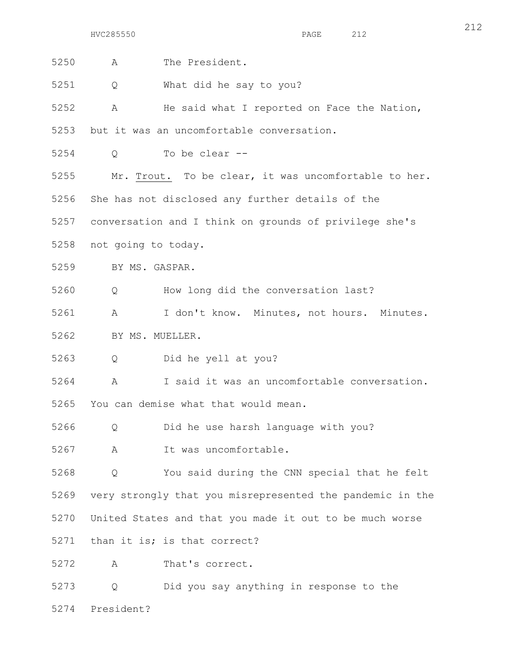| 5250 | A                                                         | The President.                                   |
|------|-----------------------------------------------------------|--------------------------------------------------|
| 5251 | Q                                                         | What did he say to you?                          |
| 5252 | A                                                         | He said what I reported on Face the Nation,      |
| 5253 | but it was an uncomfortable conversation.                 |                                                  |
| 5254 | Q                                                         | To be clear --                                   |
| 5255 | Mr. Trout. To be clear, it was uncomfortable to her.      |                                                  |
| 5256 |                                                           | She has not disclosed any further details of the |
| 5257 | conversation and I think on grounds of privilege she's    |                                                  |
| 5258 | not going to today.                                       |                                                  |
| 5259 | BY MS. GASPAR.                                            |                                                  |
| 5260 | $Q \qquad \qquad$                                         | How long did the conversation last?              |
| 5261 | A                                                         | I don't know. Minutes, not hours. Minutes.       |
| 5262 | BY MS. MUELLER.                                           |                                                  |
| 5263 | $Q \qquad \qquad$                                         | Did he yell at you?                              |
| 5264 | A                                                         | I said it was an uncomfortable conversation.     |
| 5265 | You can demise what that would mean.                      |                                                  |
| 5266 | Q                                                         | Did he use harsh language with you?              |
| 5267 | A                                                         | It was uncomfortable.                            |
| 5268 | Q                                                         | You said during the CNN special that he felt     |
| 5269 | very strongly that you misrepresented the pandemic in the |                                                  |
| 5270 | United States and that you made it out to be much worse   |                                                  |
| 5271 |                                                           | than it is; is that correct?                     |
| 5272 | A                                                         | That's correct.                                  |
| 5273 | Q                                                         | Did you say anything in response to the          |
| 5274 | President?                                                |                                                  |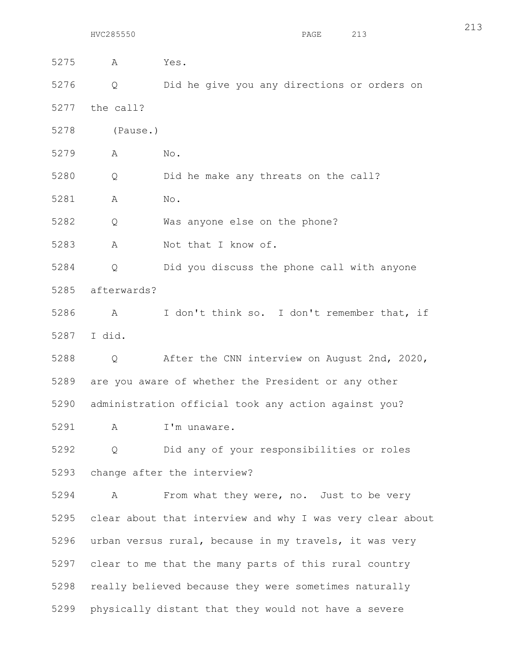5275 A Yes. 5276 Q Did he give you any directions or orders on 5277 the call? 5278 (Pause.) 5279 A No. 5280 Q Did he make any threats on the call? 5281 A No. 5282 Q Was anyone else on the phone? 5283 A Not that I know of. 5284 Q Did you discuss the phone call with anyone 5285 afterwards? 5286 A I don't think so. I don't remember that, if 5287 I did. 5288 Q After the CNN interview on August 2nd, 2020, 5289 are you aware of whether the President or any other 5290 administration official took any action against you? 5291 A I'm unaware. 5292 Q Did any of your responsibilities or roles 5293 change after the interview? 5294 A From what they were, no. Just to be very 5295 clear about that interview and why I was very clear about 5296 urban versus rural, because in my travels, it was very 5297 clear to me that the many parts of this rural country 5298 really believed because they were sometimes naturally 5299 physically distant that they would not have a severe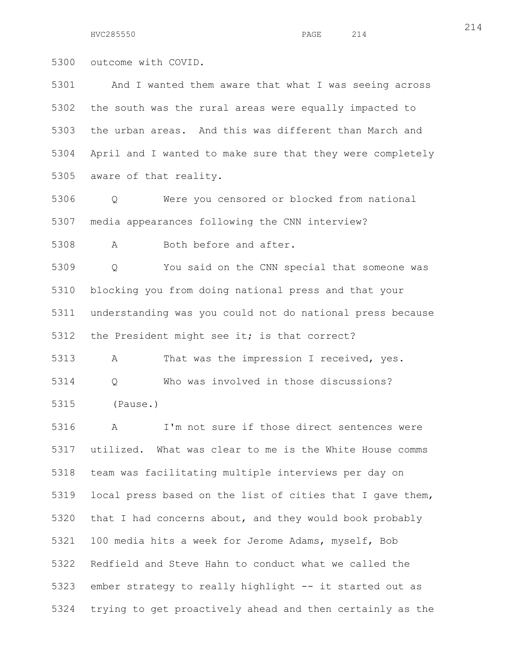5300 outcome with COVID.

5301 And I wanted them aware that what I was seeing across 5302 the south was the rural areas were equally impacted to 5303 the urban areas. And this was different than March and 5304 April and I wanted to make sure that they were completely 5305 aware of that reality.

5306 Q Were you censored or blocked from national 5307 media appearances following the CNN interview?

5308 A Both before and after.

5309 Q You said on the CNN special that someone was 5310 blocking you from doing national press and that your 5311 understanding was you could not do national press because 5312 the President might see it; is that correct?

5313 A That was the impression I received, yes. 5314 Q Who was involved in those discussions? 5315 (Pause.)

5316 A I'm not sure if those direct sentences were 5317 utilized. What was clear to me is the White House comms 5318 team was facilitating multiple interviews per day on 5319 local press based on the list of cities that I gave them, 5320 that I had concerns about, and they would book probably 5321 100 media hits a week for Jerome Adams, myself, Bob 5322 Redfield and Steve Hahn to conduct what we called the 5323 ember strategy to really highlight -- it started out as 5324 trying to get proactively ahead and then certainly as the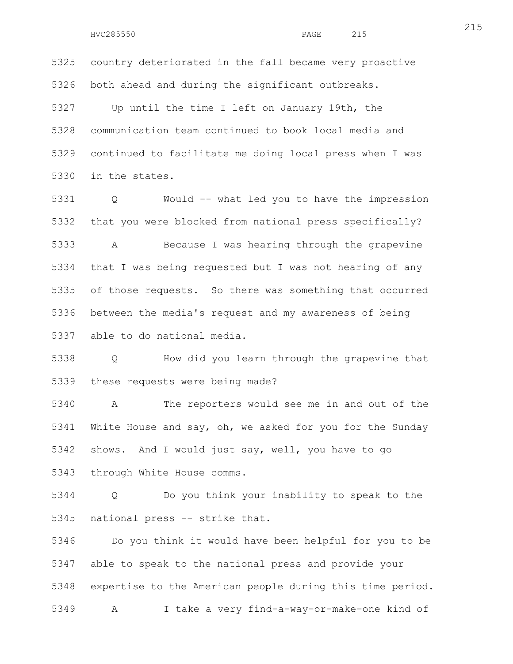5325 country deteriorated in the fall became very proactive 5326 both ahead and during the significant outbreaks.

5327 Up until the time I left on January 19th, the 5328 communication team continued to book local media and 5329 continued to facilitate me doing local press when I was 5330 in the states.

5331 Q Would -- what led you to have the impression 5332 that you were blocked from national press specifically? 5333 A Because I was hearing through the grapevine 5334 that I was being requested but I was not hearing of any 5335 of those requests. So there was something that occurred 5336 between the media's request and my awareness of being 5337 able to do national media.

5338 Q How did you learn through the grapevine that 5339 these requests were being made?

5340 A The reporters would see me in and out of the 5341 White House and say, oh, we asked for you for the Sunday 5342 shows. And I would just say, well, you have to go 5343 through White House comms.

5344 Q Do you think your inability to speak to the 5345 national press -- strike that.

5346 Do you think it would have been helpful for you to be 5347 able to speak to the national press and provide your 5348 expertise to the American people during this time period. 5349 A I take a very find-a-way-or-make-one kind of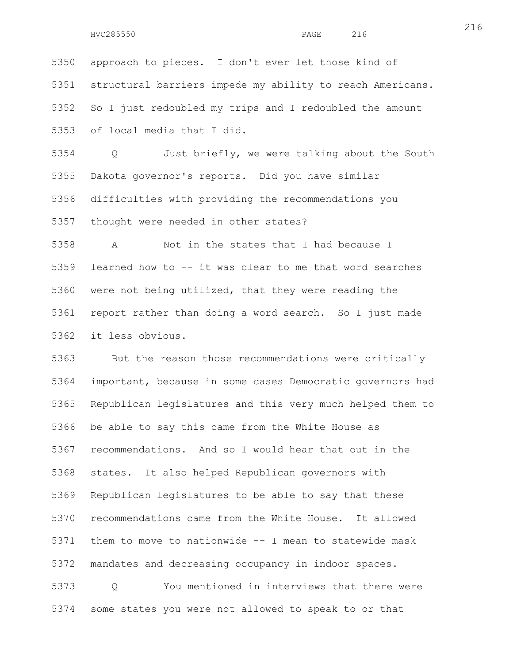5350 approach to pieces. I don't ever let those kind of 5351 structural barriers impede my ability to reach Americans. 5352 So I just redoubled my trips and I redoubled the amount 5353 of local media that I did.

5354 Q Just briefly, we were talking about the South 5355 Dakota governor's reports. Did you have similar 5356 difficulties with providing the recommendations you 5357 thought were needed in other states?

5358 A Not in the states that I had because I 5359 learned how to -- it was clear to me that word searches 5360 were not being utilized, that they were reading the 5361 report rather than doing a word search. So I just made 5362 it less obvious.

5363 But the reason those recommendations were critically 5364 important, because in some cases Democratic governors had 5365 Republican legislatures and this very much helped them to 5366 be able to say this came from the White House as 5367 recommendations. And so I would hear that out in the 5368 states. It also helped Republican governors with 5369 Republican legislatures to be able to say that these 5370 recommendations came from the White House. It allowed 5371 them to move to nationwide -- I mean to statewide mask 5372 mandates and decreasing occupancy in indoor spaces. 5373 Q You mentioned in interviews that there were 5374 some states you were not allowed to speak to or that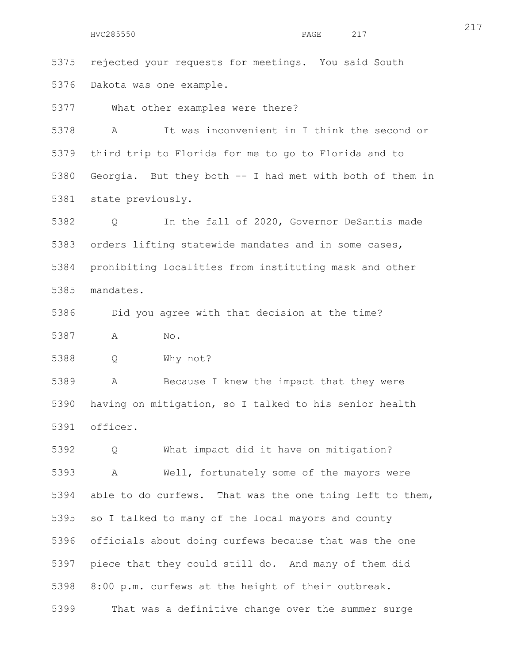5375 rejected your requests for meetings. You said South 5376 Dakota was one example.

5377 What other examples were there?

5378 A It was inconvenient in I think the second or 5379 third trip to Florida for me to go to Florida and to 5380 Georgia. But they both -- I had met with both of them in 5381 state previously.

5382 Q In the fall of 2020, Governor DeSantis made 5383 orders lifting statewide mandates and in some cases, 5384 prohibiting localities from instituting mask and other 5385 mandates.

5386 Did you agree with that decision at the time?

5387 A No.

5388 Q Why not?

5389 A Because I knew the impact that they were 5390 having on mitigation, so I talked to his senior health 5391 officer.

5392 Q What impact did it have on mitigation? 5393 A Well, fortunately some of the mayors were 5394 able to do curfews. That was the one thing left to them, 5395 so I talked to many of the local mayors and county 5396 officials about doing curfews because that was the one 5397 piece that they could still do. And many of them did 5398 8:00 p.m. curfews at the height of their outbreak. 5399 That was a definitive change over the summer surge

217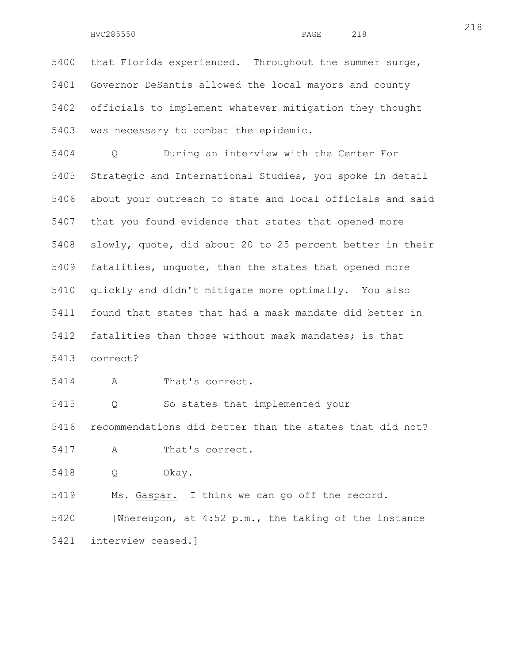HVC285550 PAGE 218

5400 that Florida experienced. Throughout the summer surge, 5401 Governor DeSantis allowed the local mayors and county 5402 officials to implement whatever mitigation they thought 5403 was necessary to combat the epidemic.

5404 Q During an interview with the Center For 5405 Strategic and International Studies, you spoke in detail 5406 about your outreach to state and local officials and said 5407 that you found evidence that states that opened more 5408 slowly, quote, did about 20 to 25 percent better in their 5409 fatalities, unquote, than the states that opened more 5410 quickly and didn't mitigate more optimally. You also 5411 found that states that had a mask mandate did better in 5412 fatalities than those without mask mandates; is that 5413 correct?

5414 A That's correct.

5415 Q So states that implemented your

5416 recommendations did better than the states that did not?

- 5417 A That's correct.
- 5418 Q Okay.

5419 Ms. Gaspar. I think we can go off the record.

5420 [Whereupon, at 4:52 p.m., the taking of the instance 5421 interview ceased.]

218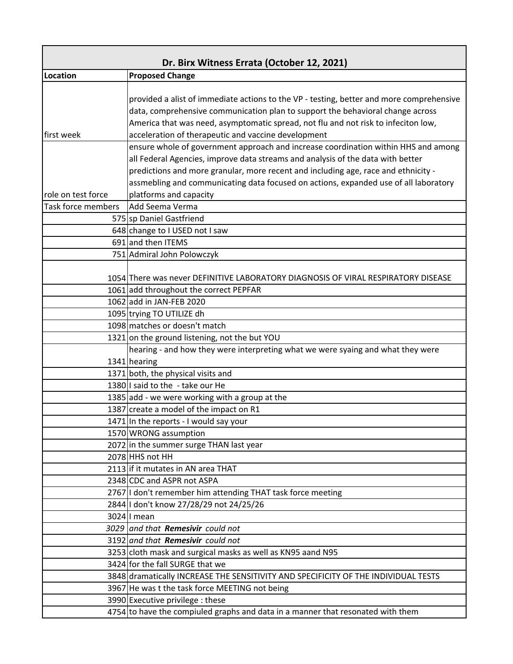| Dr. Birx Witness Errata (October 12, 2021) |                                                                                          |
|--------------------------------------------|------------------------------------------------------------------------------------------|
| Location                                   | <b>Proposed Change</b>                                                                   |
|                                            |                                                                                          |
|                                            | provided a alist of immediate actions to the VP - testing, better and more comprehensive |
|                                            | data, comprehensive communication plan to support the behavioral change across           |
|                                            | America that was need, asymptomatic spread, not flu and not risk to infeciton low,       |
| first week                                 | acceleration of therapeutic and vaccine development                                      |
|                                            | ensure whole of government approach and increase coordination within HHS and among       |
|                                            | all Federal Agencies, improve data streams and analysis of the data with better          |
|                                            | predictions and more granular, more recent and including age, race and ethnicity -       |
|                                            | assmebling and communicating data focused on actions, expanded use of all laboratory     |
| role on test force                         | platforms and capacity                                                                   |
| Task force members                         | Add Seema Verma                                                                          |
|                                            | 575 sp Daniel Gastfriend                                                                 |
|                                            | 648 change to I USED not I saw                                                           |
|                                            | 691 and then ITEMS                                                                       |
|                                            | 751 Admiral John Polowczyk                                                               |
|                                            |                                                                                          |
|                                            | 1054 There was never DEFINITIVE LABORATORY DIAGNOSIS OF VIRAL RESPIRATORY DISEASE        |
|                                            | 1061 add throughout the correct PEPFAR                                                   |
|                                            | 1062 add in JAN-FEB 2020                                                                 |
|                                            | 1095 trying TO UTILIZE dh                                                                |
|                                            | 1098 matches or doesn't match                                                            |
|                                            | 1321 on the ground listening, not the but YOU                                            |
|                                            | hearing - and how they were interpreting what we were syaing and what they were          |
|                                            | 1341 hearing                                                                             |
|                                            | 1371 both, the physical visits and                                                       |
|                                            | 1380 I said to the - take our He                                                         |
|                                            | 1385 add - we were working with a group at the                                           |
|                                            | 1387 create a model of the impact on R1                                                  |
|                                            | 1471 In the reports - I would say your                                                   |
|                                            | 1570 WRONG assumption                                                                    |
|                                            | 2072 in the summer surge THAN last year<br>2078 HHS not HH                               |
|                                            | 2113 if it mutates in AN area THAT                                                       |
|                                            | 2348 CDC and ASPR not ASPA                                                               |
|                                            | 2767 I don't remember him attending THAT task force meeting                              |
|                                            | 2844 I don't know 27/28/29 not 24/25/26                                                  |
|                                            | 3024 I mean                                                                              |
|                                            | 3029 and that Remesivir could not                                                        |
|                                            | 3192 and that Remesivir could not                                                        |
|                                            | 3253 cloth mask and surgical masks as well as KN95 aand N95                              |
|                                            | 3424 for the fall SURGE that we                                                          |
|                                            | 3848 dramatically INCREASE THE SENSITIVITY AND SPECIFICITY OF THE INDIVIDUAL TESTS       |
|                                            | 3967 He was t the task force MEETING not being                                           |
|                                            | 3990 Executive privilege : these                                                         |
|                                            | 4754 to have the compiuled graphs and data in a manner that resonated with them          |
|                                            |                                                                                          |